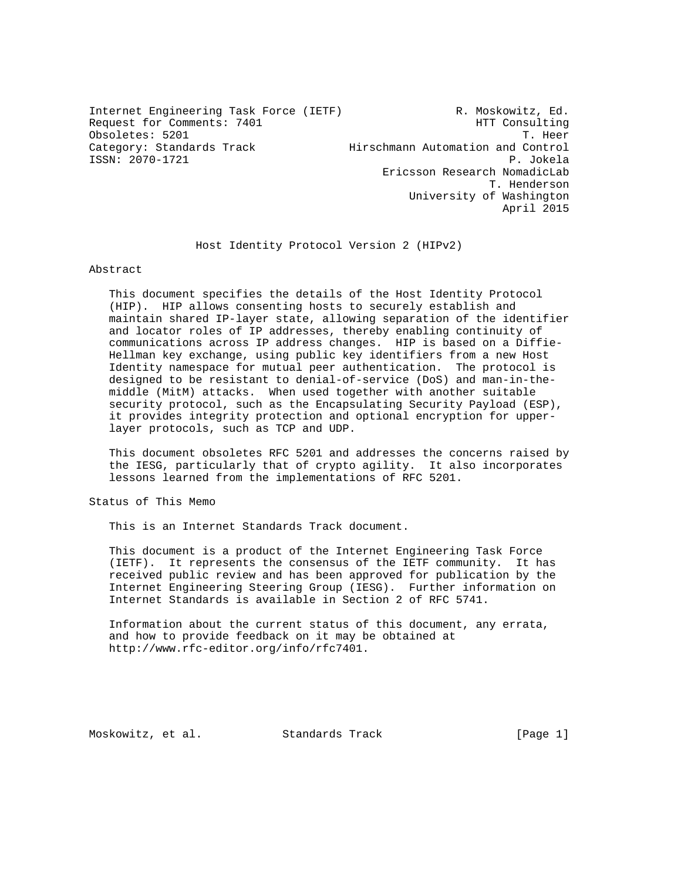Internet Engineering Task Force (IETF) R. Moskowitz, Ed. Request for Comments: 7401 HTT Consulting Obsoletes: 5201 T. Heer Category: Standards Track Hirschmann Automation and Control ISSN: 2070-1721 P. Jokela Ericsson Research NomadicLab T. Henderson University of Washington April 2015

Host Identity Protocol Version 2 (HIPv2)

Abstract

 This document specifies the details of the Host Identity Protocol (HIP). HIP allows consenting hosts to securely establish and maintain shared IP-layer state, allowing separation of the identifier and locator roles of IP addresses, thereby enabling continuity of communications across IP address changes. HIP is based on a Diffie- Hellman key exchange, using public key identifiers from a new Host Identity namespace for mutual peer authentication. The protocol is designed to be resistant to denial-of-service (DoS) and man-in-the middle (MitM) attacks. When used together with another suitable security protocol, such as the Encapsulating Security Payload (ESP), it provides integrity protection and optional encryption for upper layer protocols, such as TCP and UDP.

 This document obsoletes RFC 5201 and addresses the concerns raised by the IESG, particularly that of crypto agility. It also incorporates lessons learned from the implementations of RFC 5201.

Status of This Memo

This is an Internet Standards Track document.

 This document is a product of the Internet Engineering Task Force (IETF). It represents the consensus of the IETF community. It has received public review and has been approved for publication by the Internet Engineering Steering Group (IESG). Further information on Internet Standards is available in Section 2 of RFC 5741.

 Information about the current status of this document, any errata, and how to provide feedback on it may be obtained at http://www.rfc-editor.org/info/rfc7401.

Moskowitz, et al. Standards Track [Page 1]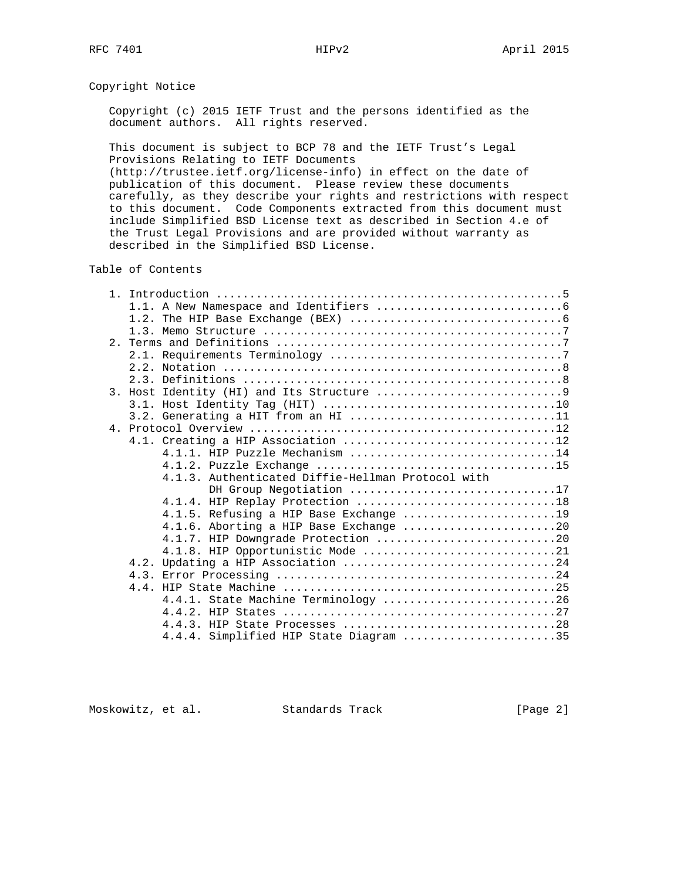Copyright Notice

 Copyright (c) 2015 IETF Trust and the persons identified as the document authors. All rights reserved.

 This document is subject to BCP 78 and the IETF Trust's Legal Provisions Relating to IETF Documents

 (http://trustee.ietf.org/license-info) in effect on the date of publication of this document. Please review these documents carefully, as they describe your rights and restrictions with respect to this document. Code Components extracted from this document must include Simplified BSD License text as described in Section 4.e of the Trust Legal Provisions and are provided without warranty as described in the Simplified BSD License.

Table of Contents

|  | $3.2.$ Generating a HIT from an HI 11             |  |  |
|--|---------------------------------------------------|--|--|
|  |                                                   |  |  |
|  | 4.1. Creating a HIP Association 12                |  |  |
|  | 4.1.1. HIP Puzzle Mechanism 14                    |  |  |
|  |                                                   |  |  |
|  | 4.1.3. Authenticated Diffie-Hellman Protocol with |  |  |
|  | DH Group Negotiation 17                           |  |  |
|  |                                                   |  |  |
|  | 4.1.5. Refusing a HIP Base Exchange 19            |  |  |
|  | $4.1.6$ . Aborting a HIP Base Exchange 20         |  |  |
|  | 4.1.7. HIP Downgrade Protection 20                |  |  |
|  | 4.1.8. HIP Opportunistic Mode 21                  |  |  |
|  |                                                   |  |  |
|  |                                                   |  |  |
|  |                                                   |  |  |
|  | 4.4.1. State Machine Terminology 26               |  |  |
|  |                                                   |  |  |
|  |                                                   |  |  |
|  | 4.4.4. Simplified HIP State Diagram 35            |  |  |

Moskowitz, et al. Standards Track [Page 2]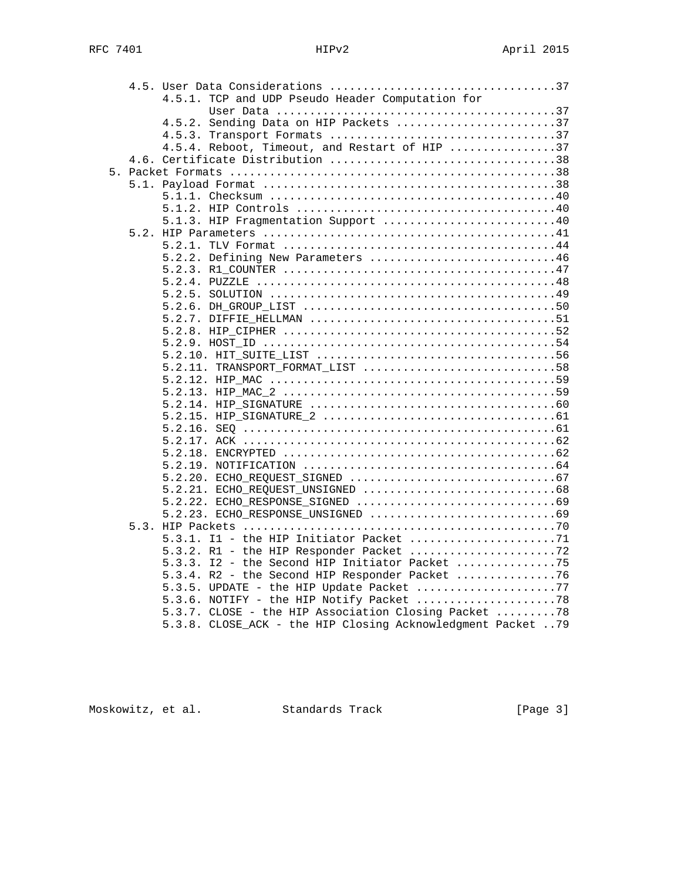|  | 4.5.1. TCP and UDP Pseudo Header Computation for             |
|--|--------------------------------------------------------------|
|  |                                                              |
|  | 4.5.2. Sending Data on HIP Packets 37                        |
|  |                                                              |
|  | 4.5.4. Reboot, Timeout, and Restart of HIP 37                |
|  |                                                              |
|  |                                                              |
|  |                                                              |
|  |                                                              |
|  |                                                              |
|  | 5.1.3. HIP Fragmentation Support 40                          |
|  |                                                              |
|  |                                                              |
|  | 5.2.2. Defining New Parameters 46                            |
|  |                                                              |
|  |                                                              |
|  |                                                              |
|  |                                                              |
|  |                                                              |
|  |                                                              |
|  |                                                              |
|  |                                                              |
|  | 5.2.11. TRANSPORT FORMAT LIST 58                             |
|  |                                                              |
|  |                                                              |
|  |                                                              |
|  |                                                              |
|  |                                                              |
|  |                                                              |
|  |                                                              |
|  |                                                              |
|  |                                                              |
|  |                                                              |
|  |                                                              |
|  |                                                              |
|  |                                                              |
|  |                                                              |
|  | 5.3.3. I2 - the Second HIP Initiator Packet 75               |
|  | 5.3.4. R2 - the Second HIP Responder Packet 76               |
|  | 5.3.5. UPDATE - the HIP Update Packet 77                     |
|  |                                                              |
|  | 5.3.7. CLOSE - the HIP Association Closing Packet 78         |
|  | 5.3.8. CLOSE_ACK - the HIP Closing Acknowledgment Packet  79 |
|  |                                                              |

Moskowitz, et al. Standards Track [Page 3]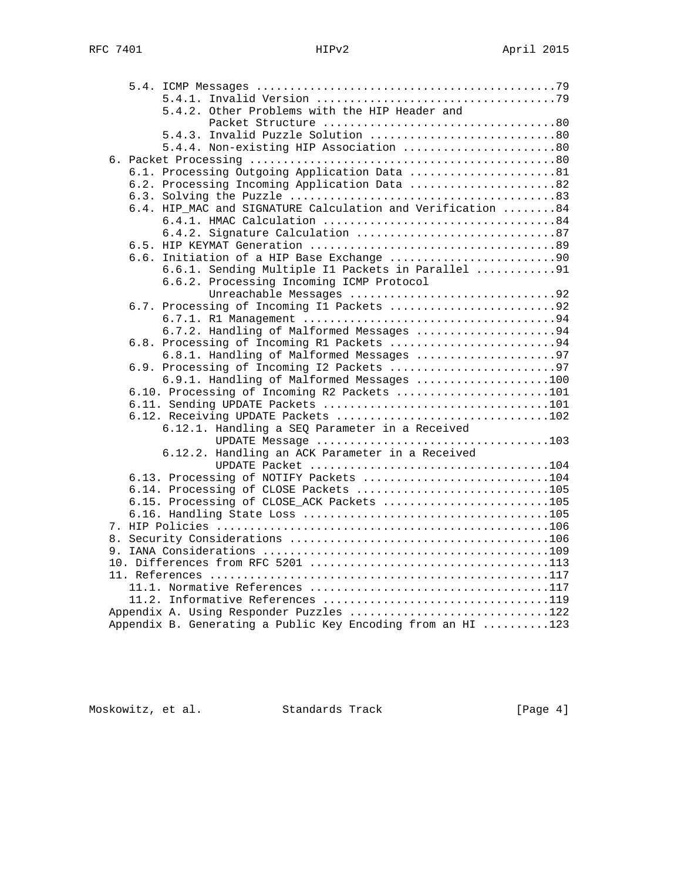|  | 5.4.2. Other Problems with the HIP Header and               |  |
|--|-------------------------------------------------------------|--|
|  |                                                             |  |
|  | 5.4.3. Invalid Puzzle Solution 80                           |  |
|  | 5.4.4. Non-existing HIP Association 80                      |  |
|  |                                                             |  |
|  | 6.1. Processing Outgoing Application Data 81                |  |
|  | 6.2. Processing Incoming Application Data 82                |  |
|  |                                                             |  |
|  | 6.4. HIP_MAC and SIGNATURE Calculation and Verification 84  |  |
|  |                                                             |  |
|  |                                                             |  |
|  |                                                             |  |
|  | 6.6. Initiation of a HIP Base Exchange 90                   |  |
|  | 6.6.1. Sending Multiple I1 Packets in Parallel 91           |  |
|  | 6.6.2. Processing Incoming ICMP Protocol                    |  |
|  | Unreachable Messages 92                                     |  |
|  | 6.7. Processing of Incoming Il Packets 92                   |  |
|  |                                                             |  |
|  | 6.7.2. Handling of Malformed Messages 94                    |  |
|  | 6.8. Processing of Incoming R1 Packets 94                   |  |
|  | 6.8.1. Handling of Malformed Messages 97                    |  |
|  | 6.9. Processing of Incoming 12 Packets 97                   |  |
|  | 6.9.1. Handling of Malformed Messages 100                   |  |
|  | 6.10. Processing of Incoming R2 Packets 101                 |  |
|  |                                                             |  |
|  | 6.12. Receiving UPDATE Packets 102                          |  |
|  | 6.12.1. Handling a SEQ Parameter in a Received              |  |
|  | UPDATE Message 103                                          |  |
|  | 6.12.2. Handling an ACK Parameter in a Received             |  |
|  |                                                             |  |
|  | 6.13. Processing of NOTIFY Packets 104                      |  |
|  | 6.14. Processing of CLOSE Packets 105                       |  |
|  | 6.15. Processing of CLOSE_ACK Packets 105                   |  |
|  |                                                             |  |
|  |                                                             |  |
|  |                                                             |  |
|  |                                                             |  |
|  |                                                             |  |
|  |                                                             |  |
|  |                                                             |  |
|  | Appendix A. Using Responder Puzzles 122                     |  |
|  | Appendix B. Generating a Public Key Encoding from an HI 123 |  |
|  |                                                             |  |

Moskowitz, et al. Standards Track [Page 4]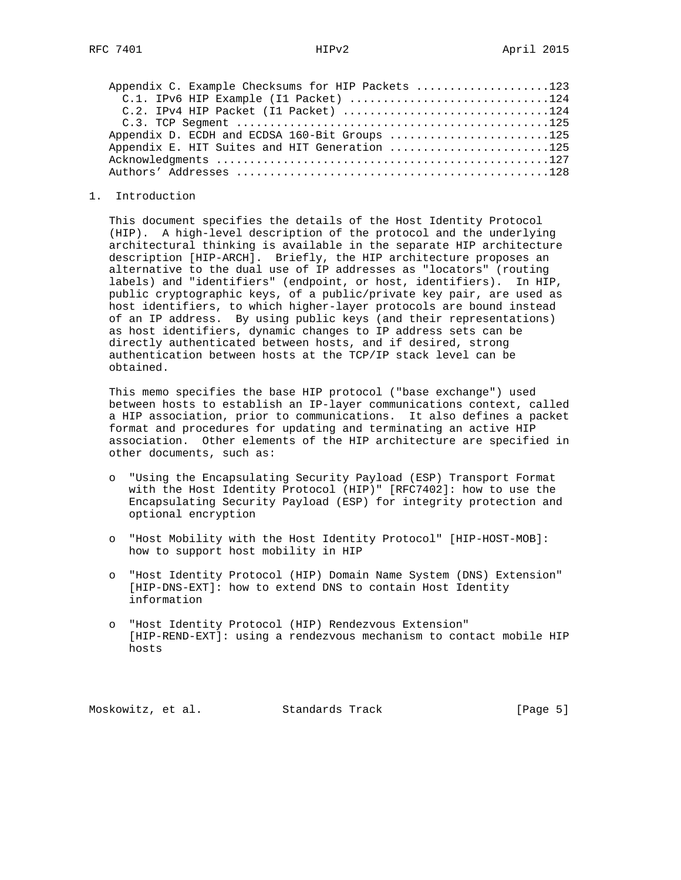| Appendix C. Example Checksums for HIP Packets 123 |  |
|---------------------------------------------------|--|
| C.1. IPv6 HIP Example (I1 Packet) 124             |  |
| C.2. IPv4 HIP Packet (I1 Packet) 124              |  |
|                                                   |  |
| Appendix D. ECDH and ECDSA 160-Bit Groups 125     |  |
| Appendix E. HIT Suites and HIT Generation 125     |  |
|                                                   |  |
|                                                   |  |

1. Introduction

 This document specifies the details of the Host Identity Protocol (HIP). A high-level description of the protocol and the underlying architectural thinking is available in the separate HIP architecture description [HIP-ARCH]. Briefly, the HIP architecture proposes an alternative to the dual use of IP addresses as "locators" (routing labels) and "identifiers" (endpoint, or host, identifiers). In HIP, public cryptographic keys, of a public/private key pair, are used as host identifiers, to which higher-layer protocols are bound instead of an IP address. By using public keys (and their representations) as host identifiers, dynamic changes to IP address sets can be directly authenticated between hosts, and if desired, strong authentication between hosts at the TCP/IP stack level can be obtained.

 This memo specifies the base HIP protocol ("base exchange") used between hosts to establish an IP-layer communications context, called a HIP association, prior to communications. It also defines a packet format and procedures for updating and terminating an active HIP association. Other elements of the HIP architecture are specified in other documents, such as:

- o "Using the Encapsulating Security Payload (ESP) Transport Format with the Host Identity Protocol (HIP)" [RFC7402]: how to use the Encapsulating Security Payload (ESP) for integrity protection and optional encryption
- o "Host Mobility with the Host Identity Protocol" [HIP-HOST-MOB]: how to support host mobility in HIP
- o "Host Identity Protocol (HIP) Domain Name System (DNS) Extension" [HIP-DNS-EXT]: how to extend DNS to contain Host Identity information
- o "Host Identity Protocol (HIP) Rendezvous Extension" [HIP-REND-EXT]: using a rendezvous mechanism to contact mobile HIP hosts

Moskowitz, et al. Standards Track [Page 5]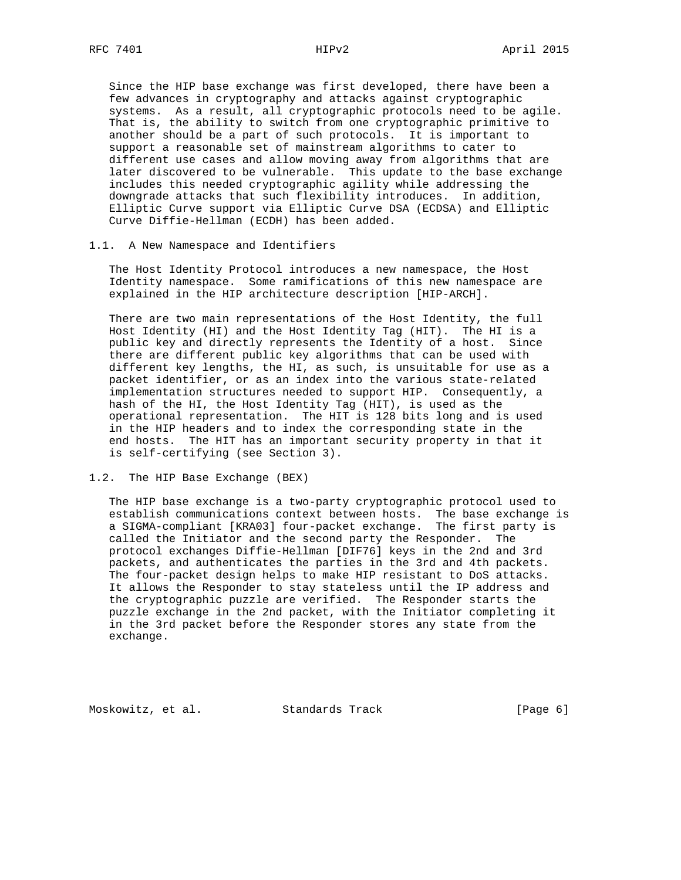Since the HIP base exchange was first developed, there have been a few advances in cryptography and attacks against cryptographic systems. As a result, all cryptographic protocols need to be agile. That is, the ability to switch from one cryptographic primitive to another should be a part of such protocols. It is important to support a reasonable set of mainstream algorithms to cater to different use cases and allow moving away from algorithms that are later discovered to be vulnerable. This update to the base exchange includes this needed cryptographic agility while addressing the downgrade attacks that such flexibility introduces. In addition, Elliptic Curve support via Elliptic Curve DSA (ECDSA) and Elliptic Curve Diffie-Hellman (ECDH) has been added.

# 1.1. A New Namespace and Identifiers

 The Host Identity Protocol introduces a new namespace, the Host Identity namespace. Some ramifications of this new namespace are explained in the HIP architecture description [HIP-ARCH].

 There are two main representations of the Host Identity, the full Host Identity (HI) and the Host Identity Tag (HIT). The HI is a public key and directly represents the Identity of a host. Since there are different public key algorithms that can be used with different key lengths, the HI, as such, is unsuitable for use as a packet identifier, or as an index into the various state-related implementation structures needed to support HIP. Consequently, a hash of the HI, the Host Identity Tag (HIT), is used as the operational representation. The HIT is 128 bits long and is used in the HIP headers and to index the corresponding state in the end hosts. The HIT has an important security property in that it is self-certifying (see Section 3).

# 1.2. The HIP Base Exchange (BEX)

 The HIP base exchange is a two-party cryptographic protocol used to establish communications context between hosts. The base exchange is a SIGMA-compliant [KRA03] four-packet exchange. The first party is called the Initiator and the second party the Responder. The protocol exchanges Diffie-Hellman [DIF76] keys in the 2nd and 3rd packets, and authenticates the parties in the 3rd and 4th packets. The four-packet design helps to make HIP resistant to DoS attacks. It allows the Responder to stay stateless until the IP address and the cryptographic puzzle are verified. The Responder starts the puzzle exchange in the 2nd packet, with the Initiator completing it in the 3rd packet before the Responder stores any state from the exchange.

Moskowitz, et al. Standards Track [Page 6]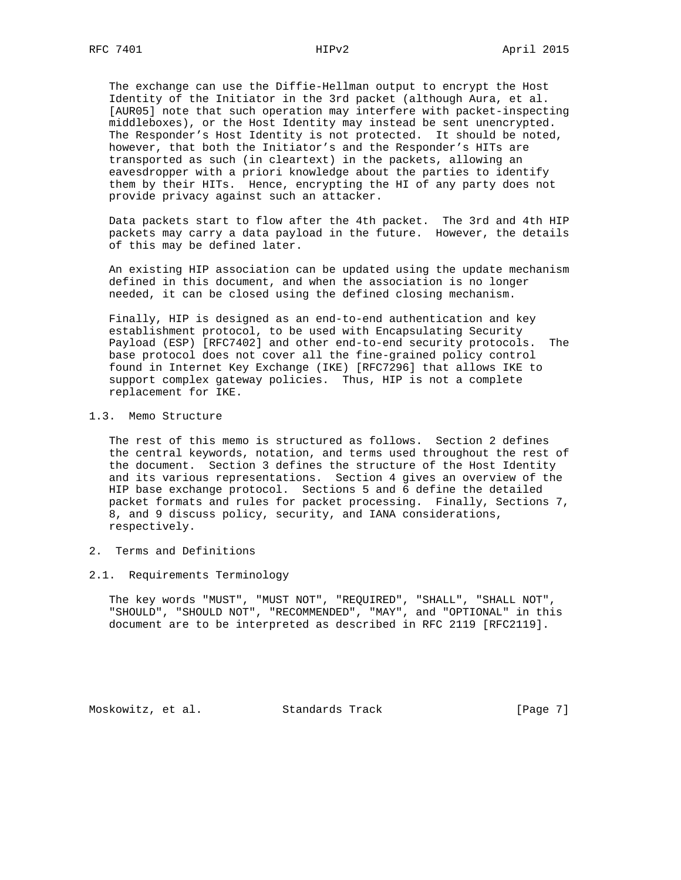The exchange can use the Diffie-Hellman output to encrypt the Host Identity of the Initiator in the 3rd packet (although Aura, et al. [AUR05] note that such operation may interfere with packet-inspecting middleboxes), or the Host Identity may instead be sent unencrypted. The Responder's Host Identity is not protected. It should be noted, however, that both the Initiator's and the Responder's HITs are transported as such (in cleartext) in the packets, allowing an eavesdropper with a priori knowledge about the parties to identify them by their HITs. Hence, encrypting the HI of any party does not provide privacy against such an attacker.

 Data packets start to flow after the 4th packet. The 3rd and 4th HIP packets may carry a data payload in the future. However, the details of this may be defined later.

 An existing HIP association can be updated using the update mechanism defined in this document, and when the association is no longer needed, it can be closed using the defined closing mechanism.

 Finally, HIP is designed as an end-to-end authentication and key establishment protocol, to be used with Encapsulating Security Payload (ESP) [RFC7402] and other end-to-end security protocols. The base protocol does not cover all the fine-grained policy control found in Internet Key Exchange (IKE) [RFC7296] that allows IKE to support complex gateway policies. Thus, HIP is not a complete replacement for IKE.

#### 1.3. Memo Structure

 The rest of this memo is structured as follows. Section 2 defines the central keywords, notation, and terms used throughout the rest of the document. Section 3 defines the structure of the Host Identity and its various representations. Section 4 gives an overview of the HIP base exchange protocol. Sections 5 and 6 define the detailed packet formats and rules for packet processing. Finally, Sections 7, 8, and 9 discuss policy, security, and IANA considerations, respectively.

- 2. Terms and Definitions
- 2.1. Requirements Terminology

 The key words "MUST", "MUST NOT", "REQUIRED", "SHALL", "SHALL NOT", "SHOULD", "SHOULD NOT", "RECOMMENDED", "MAY", and "OPTIONAL" in this document are to be interpreted as described in RFC 2119 [RFC2119].

Moskowitz, et al. Standards Track [Page 7]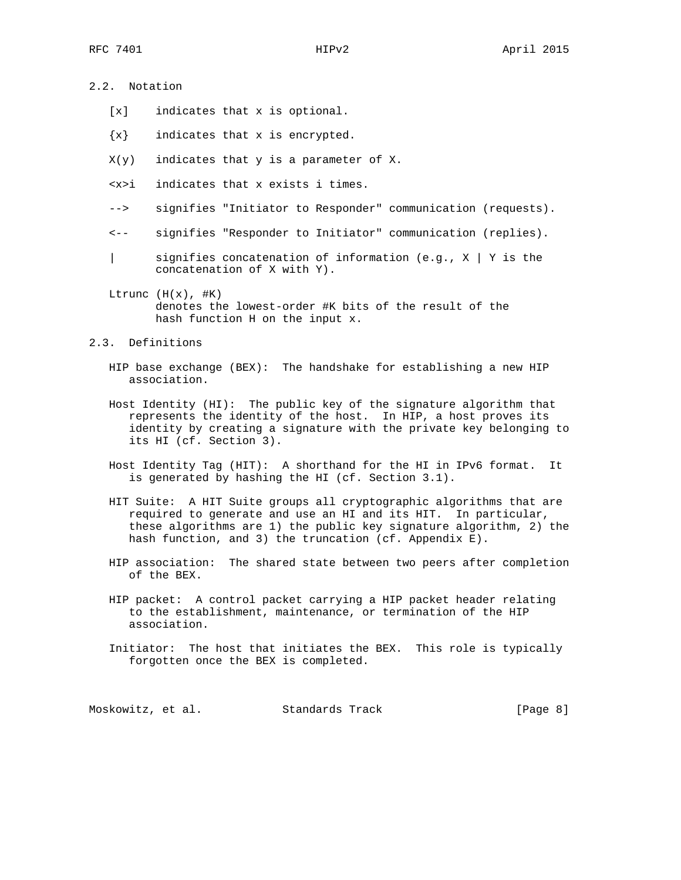2.2. Notation

- [x] indicates that x is optional.
- {x} indicates that x is encrypted.
- $X(y)$  indicates that y is a parameter of X.
- <x>i indicates that x exists i times.
- --> signifies "Initiator to Responder" communication (requests).
- <-- signifies "Responder to Initiator" communication (replies).
- | signifies concatenation of information (e.g., X | Y is the concatenation of X with Y).
- Ltrunc  $(H(x), #K)$  denotes the lowest-order #K bits of the result of the hash function H on the input x.

### 2.3. Definitions

- HIP base exchange (BEX): The handshake for establishing a new HIP association.
- Host Identity (HI): The public key of the signature algorithm that represents the identity of the host. In HIP, a host proves its identity by creating a signature with the private key belonging to its HI (cf. Section 3).
- Host Identity Tag (HIT): A shorthand for the HI in IPv6 format. It is generated by hashing the HI (cf. Section 3.1).
- HIT Suite: A HIT Suite groups all cryptographic algorithms that are required to generate and use an HI and its HIT. In particular, these algorithms are 1) the public key signature algorithm, 2) the hash function, and 3) the truncation (cf. Appendix E).
- HIP association: The shared state between two peers after completion of the BEX.
- HIP packet: A control packet carrying a HIP packet header relating to the establishment, maintenance, or termination of the HIP association.
- Initiator: The host that initiates the BEX. This role is typically forgotten once the BEX is completed.

Moskowitz, et al. Standards Track [Page 8]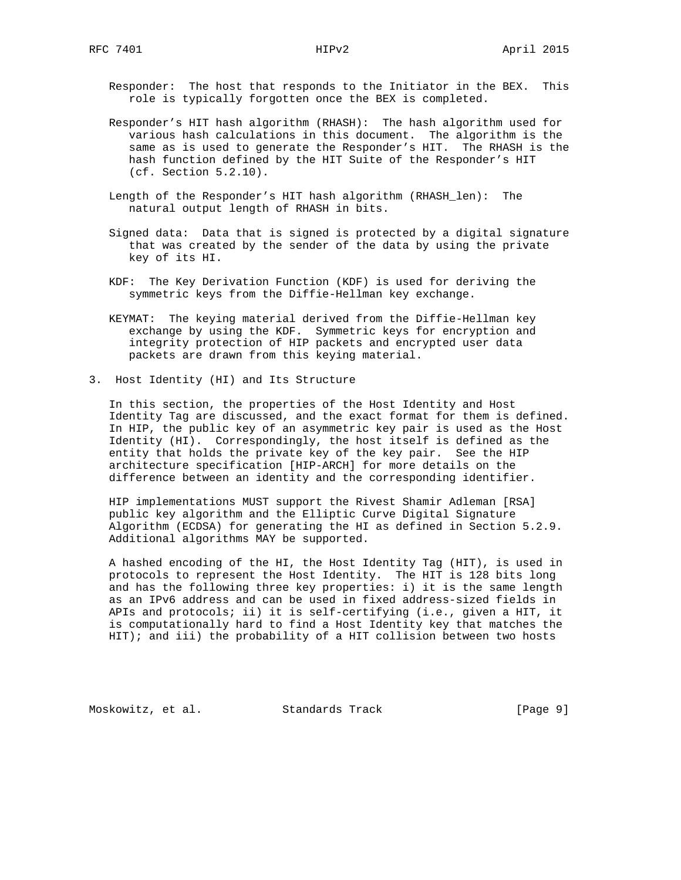Responder: The host that responds to the Initiator in the BEX. This role is typically forgotten once the BEX is completed.

- Responder's HIT hash algorithm (RHASH): The hash algorithm used for various hash calculations in this document. The algorithm is the same as is used to generate the Responder's HIT. The RHASH is the hash function defined by the HIT Suite of the Responder's HIT (cf. Section 5.2.10).
- Length of the Responder's HIT hash algorithm (RHASH\_len): The natural output length of RHASH in bits.
- Signed data: Data that is signed is protected by a digital signature that was created by the sender of the data by using the private key of its HI.
- KDF: The Key Derivation Function (KDF) is used for deriving the symmetric keys from the Diffie-Hellman key exchange.
- KEYMAT: The keying material derived from the Diffie-Hellman key exchange by using the KDF. Symmetric keys for encryption and integrity protection of HIP packets and encrypted user data packets are drawn from this keying material.
- 3. Host Identity (HI) and Its Structure

 In this section, the properties of the Host Identity and Host Identity Tag are discussed, and the exact format for them is defined. In HIP, the public key of an asymmetric key pair is used as the Host Identity (HI). Correspondingly, the host itself is defined as the entity that holds the private key of the key pair. See the HIP architecture specification [HIP-ARCH] for more details on the difference between an identity and the corresponding identifier.

 HIP implementations MUST support the Rivest Shamir Adleman [RSA] public key algorithm and the Elliptic Curve Digital Signature Algorithm (ECDSA) for generating the HI as defined in Section 5.2.9. Additional algorithms MAY be supported.

 A hashed encoding of the HI, the Host Identity Tag (HIT), is used in protocols to represent the Host Identity. The HIT is 128 bits long and has the following three key properties: i) it is the same length as an IPv6 address and can be used in fixed address-sized fields in APIs and protocols; ii) it is self-certifying (i.e., given a HIT, it is computationally hard to find a Host Identity key that matches the HIT); and iii) the probability of a HIT collision between two hosts

Moskowitz, et al. Standards Track [Page 9]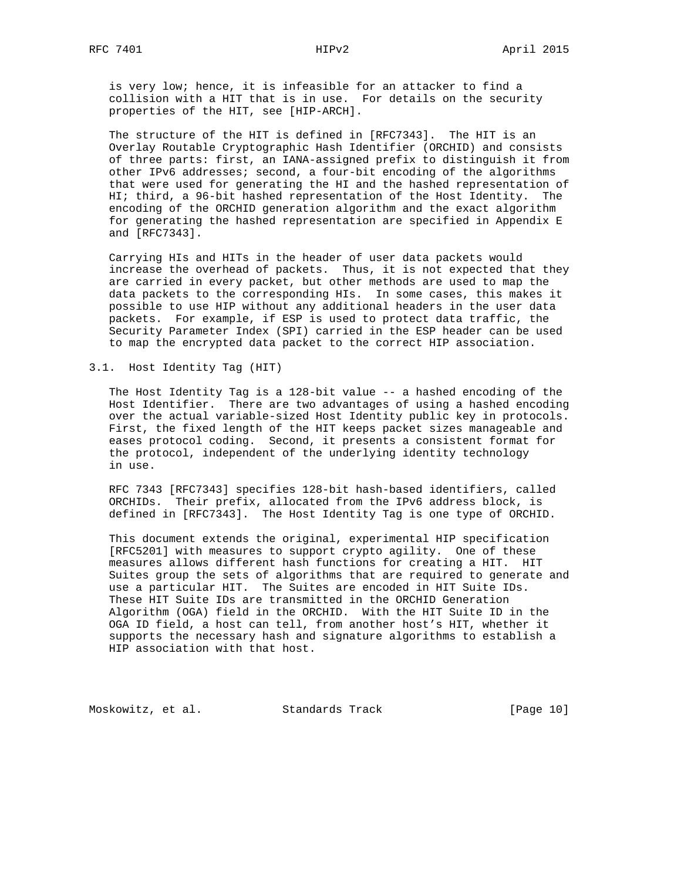is very low; hence, it is infeasible for an attacker to find a collision with a HIT that is in use. For details on the security properties of the HIT, see [HIP-ARCH].

 The structure of the HIT is defined in [RFC7343]. The HIT is an Overlay Routable Cryptographic Hash Identifier (ORCHID) and consists of three parts: first, an IANA-assigned prefix to distinguish it from other IPv6 addresses; second, a four-bit encoding of the algorithms that were used for generating the HI and the hashed representation of HI; third, a 96-bit hashed representation of the Host Identity. The encoding of the ORCHID generation algorithm and the exact algorithm for generating the hashed representation are specified in Appendix E and [RFC7343].

 Carrying HIs and HITs in the header of user data packets would increase the overhead of packets. Thus, it is not expected that they are carried in every packet, but other methods are used to map the data packets to the corresponding HIs. In some cases, this makes it possible to use HIP without any additional headers in the user data packets. For example, if ESP is used to protect data traffic, the Security Parameter Index (SPI) carried in the ESP header can be used to map the encrypted data packet to the correct HIP association.

3.1. Host Identity Tag (HIT)

 The Host Identity Tag is a 128-bit value -- a hashed encoding of the Host Identifier. There are two advantages of using a hashed encoding over the actual variable-sized Host Identity public key in protocols. First, the fixed length of the HIT keeps packet sizes manageable and eases protocol coding. Second, it presents a consistent format for the protocol, independent of the underlying identity technology in use.

 RFC 7343 [RFC7343] specifies 128-bit hash-based identifiers, called ORCHIDs. Their prefix, allocated from the IPv6 address block, is defined in [RFC7343]. The Host Identity Tag is one type of ORCHID.

 This document extends the original, experimental HIP specification [RFC5201] with measures to support crypto agility. One of these measures allows different hash functions for creating a HIT. HIT Suites group the sets of algorithms that are required to generate and use a particular HIT. The Suites are encoded in HIT Suite IDs. These HIT Suite IDs are transmitted in the ORCHID Generation Algorithm (OGA) field in the ORCHID. With the HIT Suite ID in the OGA ID field, a host can tell, from another host's HIT, whether it supports the necessary hash and signature algorithms to establish a HIP association with that host.

Moskowitz, et al. Standards Track [Page 10]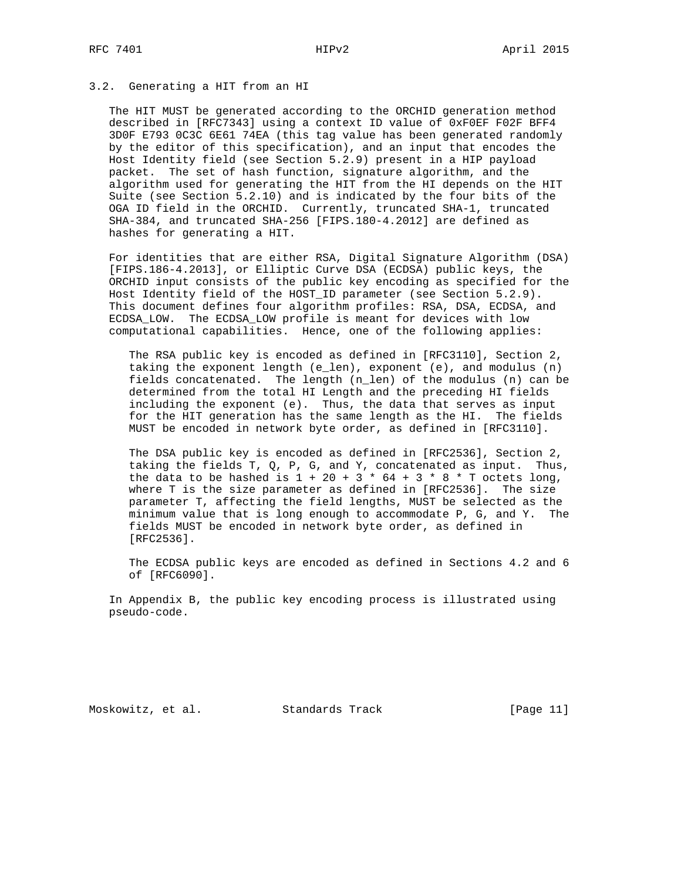# 3.2. Generating a HIT from an HI

 The HIT MUST be generated according to the ORCHID generation method described in [RFC7343] using a context ID value of 0xF0EF F02F BFF4 3D0F E793 0C3C 6E61 74EA (this tag value has been generated randomly by the editor of this specification), and an input that encodes the Host Identity field (see Section 5.2.9) present in a HIP payload packet. The set of hash function, signature algorithm, and the algorithm used for generating the HIT from the HI depends on the HIT Suite (see Section 5.2.10) and is indicated by the four bits of the OGA ID field in the ORCHID. Currently, truncated SHA-1, truncated SHA-384, and truncated SHA-256 [FIPS.180-4.2012] are defined as hashes for generating a HIT.

 For identities that are either RSA, Digital Signature Algorithm (DSA) [FIPS.186-4.2013], or Elliptic Curve DSA (ECDSA) public keys, the ORCHID input consists of the public key encoding as specified for the Host Identity field of the HOST\_ID parameter (see Section 5.2.9). This document defines four algorithm profiles: RSA, DSA, ECDSA, and ECDSA\_LOW. The ECDSA\_LOW profile is meant for devices with low computational capabilities. Hence, one of the following applies:

 The RSA public key is encoded as defined in [RFC3110], Section 2, taking the exponent length (e\_len), exponent (e), and modulus (n) fields concatenated. The length (n\_len) of the modulus (n) can be determined from the total HI Length and the preceding HI fields including the exponent (e). Thus, the data that serves as input for the HIT generation has the same length as the HI. The fields MUST be encoded in network byte order, as defined in [RFC3110].

 The DSA public key is encoded as defined in [RFC2536], Section 2, taking the fields T, Q, P, G, and Y, concatenated as input. Thus, the data to be hashed is  $1 + 20 + 3 * 64 + 3 * 8 * T$  octets long, where T is the size parameter as defined in [RFC2536]. The size parameter T, affecting the field lengths, MUST be selected as the minimum value that is long enough to accommodate P, G, and Y. The fields MUST be encoded in network byte order, as defined in [RFC2536].

 The ECDSA public keys are encoded as defined in Sections 4.2 and 6 of [RFC6090].

 In Appendix B, the public key encoding process is illustrated using pseudo-code.

Moskowitz, et al. Standards Track [Page 11]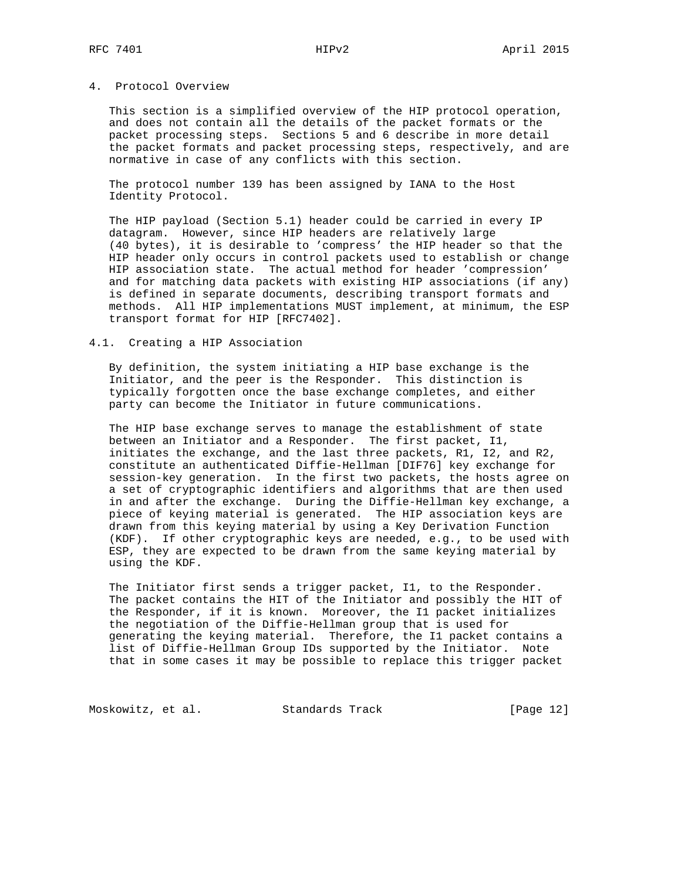# 4. Protocol Overview

 This section is a simplified overview of the HIP protocol operation, and does not contain all the details of the packet formats or the packet processing steps. Sections 5 and 6 describe in more detail the packet formats and packet processing steps, respectively, and are normative in case of any conflicts with this section.

 The protocol number 139 has been assigned by IANA to the Host Identity Protocol.

 The HIP payload (Section 5.1) header could be carried in every IP datagram. However, since HIP headers are relatively large (40 bytes), it is desirable to 'compress' the HIP header so that the HIP header only occurs in control packets used to establish or change HIP association state. The actual method for header 'compression' and for matching data packets with existing HIP associations (if any) is defined in separate documents, describing transport formats and methods. All HIP implementations MUST implement, at minimum, the ESP transport format for HIP [RFC7402].

#### 4.1. Creating a HIP Association

 By definition, the system initiating a HIP base exchange is the Initiator, and the peer is the Responder. This distinction is typically forgotten once the base exchange completes, and either party can become the Initiator in future communications.

 The HIP base exchange serves to manage the establishment of state between an Initiator and a Responder. The first packet, I1, initiates the exchange, and the last three packets, R1, I2, and R2, constitute an authenticated Diffie-Hellman [DIF76] key exchange for session-key generation. In the first two packets, the hosts agree on a set of cryptographic identifiers and algorithms that are then used in and after the exchange. During the Diffie-Hellman key exchange, a piece of keying material is generated. The HIP association keys are drawn from this keying material by using a Key Derivation Function (KDF). If other cryptographic keys are needed, e.g., to be used with ESP, they are expected to be drawn from the same keying material by using the KDF.

 The Initiator first sends a trigger packet, I1, to the Responder. The packet contains the HIT of the Initiator and possibly the HIT of the Responder, if it is known. Moreover, the I1 packet initializes the negotiation of the Diffie-Hellman group that is used for generating the keying material. Therefore, the I1 packet contains a list of Diffie-Hellman Group IDs supported by the Initiator. Note that in some cases it may be possible to replace this trigger packet

Moskowitz, et al. Standards Track [Page 12]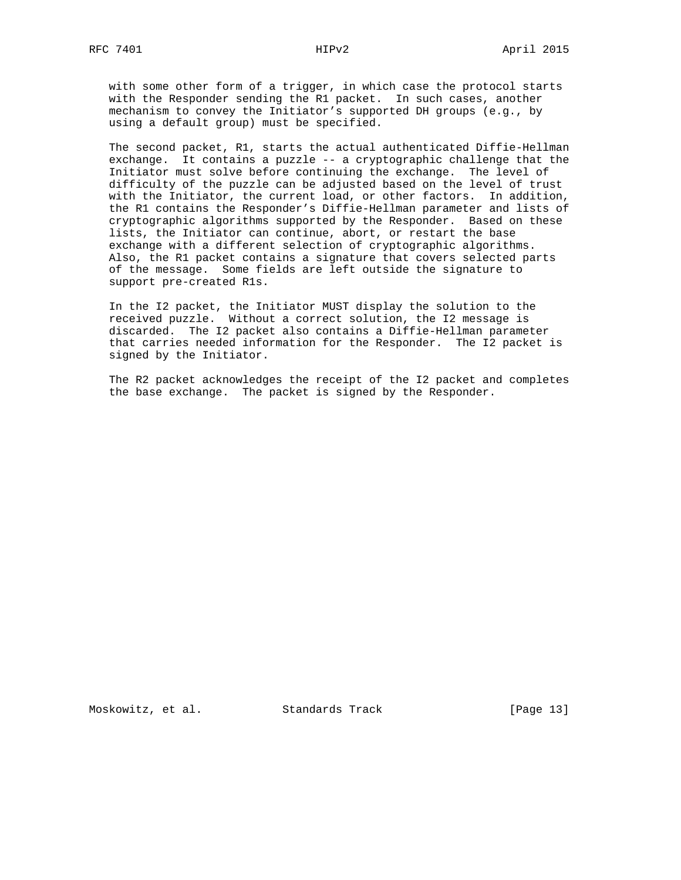with some other form of a trigger, in which case the protocol starts with the Responder sending the R1 packet. In such cases, another mechanism to convey the Initiator's supported DH groups (e.g., by using a default group) must be specified.

 The second packet, R1, starts the actual authenticated Diffie-Hellman exchange. It contains a puzzle -- a cryptographic challenge that the Initiator must solve before continuing the exchange. The level of difficulty of the puzzle can be adjusted based on the level of trust with the Initiator, the current load, or other factors. In addition, the R1 contains the Responder's Diffie-Hellman parameter and lists of cryptographic algorithms supported by the Responder. Based on these lists, the Initiator can continue, abort, or restart the base exchange with a different selection of cryptographic algorithms. Also, the R1 packet contains a signature that covers selected parts of the message. Some fields are left outside the signature to support pre-created R1s.

 In the I2 packet, the Initiator MUST display the solution to the received puzzle. Without a correct solution, the I2 message is discarded. The I2 packet also contains a Diffie-Hellman parameter that carries needed information for the Responder. The I2 packet is signed by the Initiator.

 The R2 packet acknowledges the receipt of the I2 packet and completes the base exchange. The packet is signed by the Responder.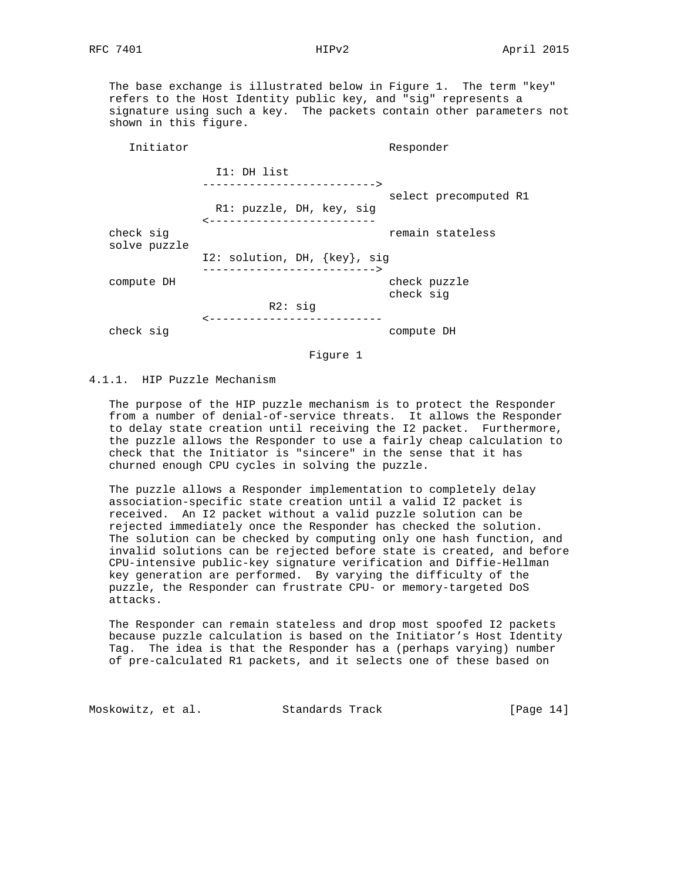The base exchange is illustrated below in Figure 1. The term "key" refers to the Host Identity public key, and "sig" represents a signature using such a key. The packets contain other parameters not shown in this figure.

| Initiator                 |                                                      | Responder                 |
|---------------------------|------------------------------------------------------|---------------------------|
|                           | I1: DH list<br>--------------------------->          |                           |
|                           | R1: puzzle, DH, key, sig<br>------------------------ | select precomputed R1     |
| check sig<br>solve puzzle |                                                      | remain stateless          |
|                           | I2: solution, DH, {key}, sig                         |                           |
| compute DH                | -------------------------->                          | check puzzle<br>check sig |
|                           | R2: sig                                              |                           |
| check sig                 | ------------------------                             | compute DH                |

Figure 1

# 4.1.1. HIP Puzzle Mechanism

 The purpose of the HIP puzzle mechanism is to protect the Responder from a number of denial-of-service threats. It allows the Responder to delay state creation until receiving the I2 packet. Furthermore, the puzzle allows the Responder to use a fairly cheap calculation to check that the Initiator is "sincere" in the sense that it has churned enough CPU cycles in solving the puzzle.

 The puzzle allows a Responder implementation to completely delay association-specific state creation until a valid I2 packet is received. An I2 packet without a valid puzzle solution can be rejected immediately once the Responder has checked the solution. The solution can be checked by computing only one hash function, and invalid solutions can be rejected before state is created, and before CPU-intensive public-key signature verification and Diffie-Hellman key generation are performed. By varying the difficulty of the puzzle, the Responder can frustrate CPU- or memory-targeted DoS attacks.

 The Responder can remain stateless and drop most spoofed I2 packets because puzzle calculation is based on the Initiator's Host Identity Tag. The idea is that the Responder has a (perhaps varying) number of pre-calculated R1 packets, and it selects one of these based on

Moskowitz, et al. Standards Track [Page 14]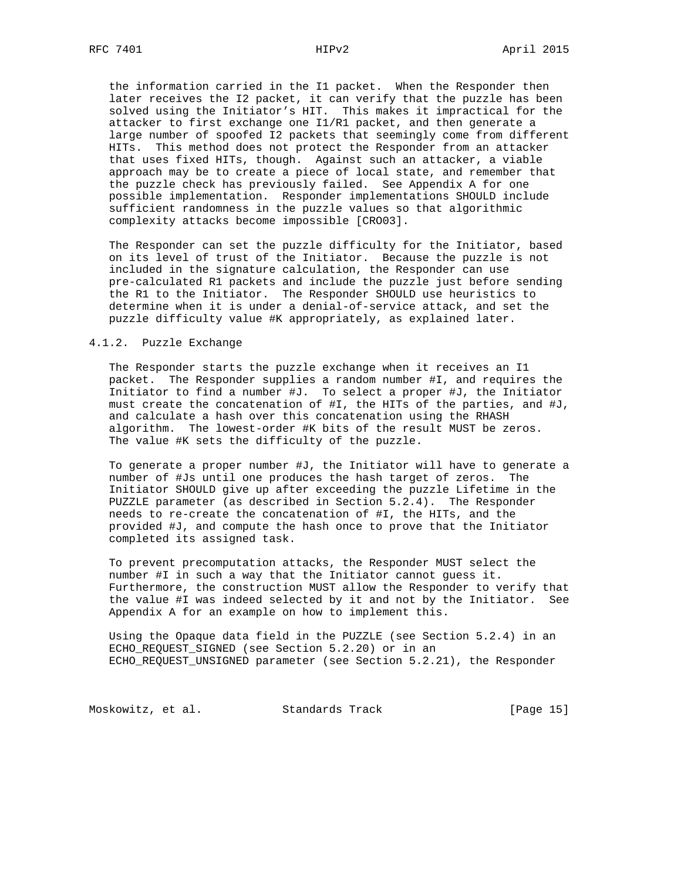the information carried in the I1 packet. When the Responder then later receives the I2 packet, it can verify that the puzzle has been solved using the Initiator's HIT. This makes it impractical for the attacker to first exchange one I1/R1 packet, and then generate a large number of spoofed I2 packets that seemingly come from different HITs. This method does not protect the Responder from an attacker that uses fixed HITs, though. Against such an attacker, a viable approach may be to create a piece of local state, and remember that the puzzle check has previously failed. See Appendix A for one possible implementation. Responder implementations SHOULD include sufficient randomness in the puzzle values so that algorithmic complexity attacks become impossible [CRO03].

 The Responder can set the puzzle difficulty for the Initiator, based on its level of trust of the Initiator. Because the puzzle is not included in the signature calculation, the Responder can use pre-calculated R1 packets and include the puzzle just before sending the R1 to the Initiator. The Responder SHOULD use heuristics to determine when it is under a denial-of-service attack, and set the puzzle difficulty value #K appropriately, as explained later.

#### 4.1.2. Puzzle Exchange

 The Responder starts the puzzle exchange when it receives an I1 packet. The Responder supplies a random number #I, and requires the Initiator to find a number #J. To select a proper #J, the Initiator must create the concatenation of #I, the HITs of the parties, and #J, and calculate a hash over this concatenation using the RHASH algorithm. The lowest-order #K bits of the result MUST be zeros. The value #K sets the difficulty of the puzzle.

 To generate a proper number #J, the Initiator will have to generate a number of #Js until one produces the hash target of zeros. The Initiator SHOULD give up after exceeding the puzzle Lifetime in the PUZZLE parameter (as described in Section 5.2.4). The Responder needs to re-create the concatenation of #I, the HITs, and the provided #J, and compute the hash once to prove that the Initiator completed its assigned task.

 To prevent precomputation attacks, the Responder MUST select the number #I in such a way that the Initiator cannot guess it. Furthermore, the construction MUST allow the Responder to verify that the value #I was indeed selected by it and not by the Initiator. See Appendix A for an example on how to implement this.

 Using the Opaque data field in the PUZZLE (see Section 5.2.4) in an ECHO\_REQUEST\_SIGNED (see Section 5.2.20) or in an ECHO\_REQUEST\_UNSIGNED parameter (see Section 5.2.21), the Responder

Moskowitz, et al. Standards Track [Page 15]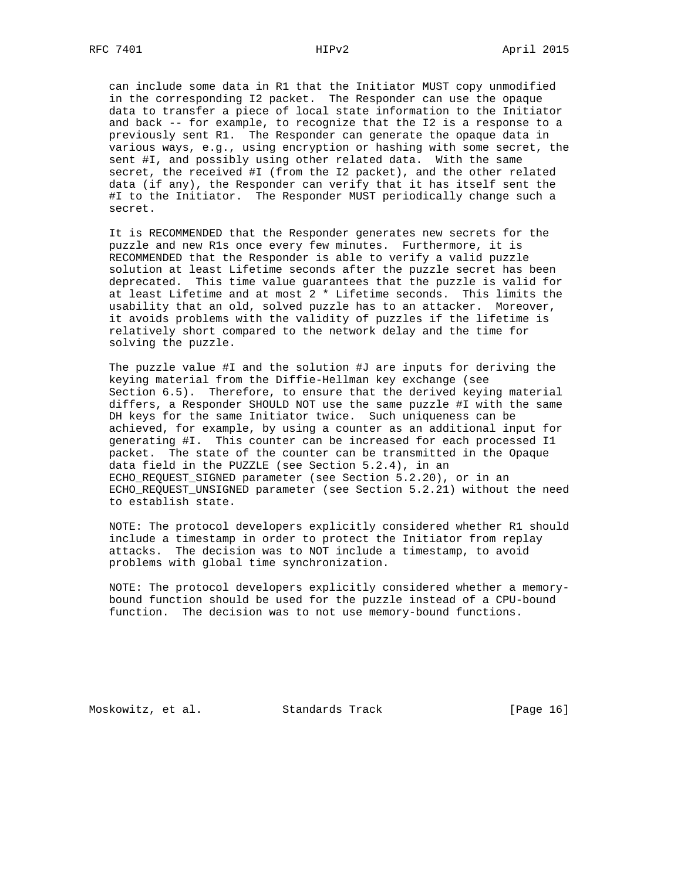can include some data in R1 that the Initiator MUST copy unmodified in the corresponding I2 packet. The Responder can use the opaque data to transfer a piece of local state information to the Initiator and back -- for example, to recognize that the I2 is a response to a previously sent R1. The Responder can generate the opaque data in various ways, e.g., using encryption or hashing with some secret, the sent #I, and possibly using other related data. With the same secret, the received #I (from the I2 packet), and the other related data (if any), the Responder can verify that it has itself sent the #I to the Initiator. The Responder MUST periodically change such a secret.

 It is RECOMMENDED that the Responder generates new secrets for the puzzle and new R1s once every few minutes. Furthermore, it is RECOMMENDED that the Responder is able to verify a valid puzzle solution at least Lifetime seconds after the puzzle secret has been deprecated. This time value guarantees that the puzzle is valid for at least Lifetime and at most 2 \* Lifetime seconds. This limits the usability that an old, solved puzzle has to an attacker. Moreover, it avoids problems with the validity of puzzles if the lifetime is relatively short compared to the network delay and the time for solving the puzzle.

 The puzzle value #I and the solution #J are inputs for deriving the keying material from the Diffie-Hellman key exchange (see Section 6.5). Therefore, to ensure that the derived keying material differs, a Responder SHOULD NOT use the same puzzle #I with the same DH keys for the same Initiator twice. Such uniqueness can be achieved, for example, by using a counter as an additional input for generating #I. This counter can be increased for each processed I1 packet. The state of the counter can be transmitted in the Opaque data field in the PUZZLE (see Section 5.2.4), in an ECHO\_REQUEST\_SIGNED parameter (see Section 5.2.20), or in an ECHO\_REQUEST\_UNSIGNED parameter (see Section 5.2.21) without the need to establish state.

 NOTE: The protocol developers explicitly considered whether R1 should include a timestamp in order to protect the Initiator from replay attacks. The decision was to NOT include a timestamp, to avoid problems with global time synchronization.

 NOTE: The protocol developers explicitly considered whether a memory bound function should be used for the puzzle instead of a CPU-bound function. The decision was to not use memory-bound functions.

Moskowitz, et al. Standards Track [Page 16]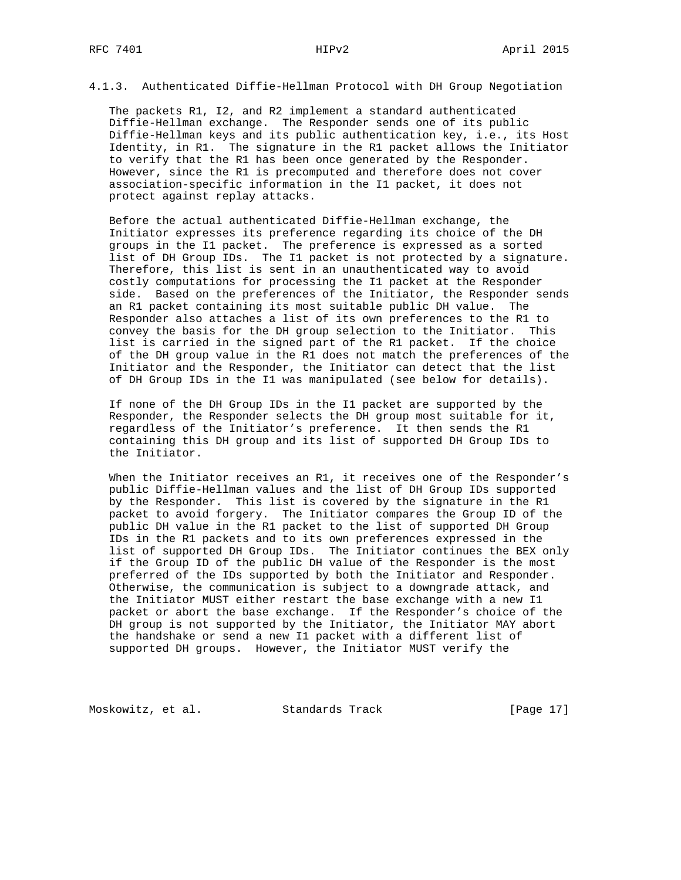4.1.3. Authenticated Diffie-Hellman Protocol with DH Group Negotiation

 The packets R1, I2, and R2 implement a standard authenticated Diffie-Hellman exchange. The Responder sends one of its public Diffie-Hellman keys and its public authentication key, i.e., its Host Identity, in R1. The signature in the R1 packet allows the Initiator to verify that the R1 has been once generated by the Responder. However, since the R1 is precomputed and therefore does not cover association-specific information in the I1 packet, it does not protect against replay attacks.

 Before the actual authenticated Diffie-Hellman exchange, the Initiator expresses its preference regarding its choice of the DH groups in the I1 packet. The preference is expressed as a sorted list of DH Group IDs. The I1 packet is not protected by a signature. Therefore, this list is sent in an unauthenticated way to avoid costly computations for processing the I1 packet at the Responder side. Based on the preferences of the Initiator, the Responder sends an R1 packet containing its most suitable public DH value. The Responder also attaches a list of its own preferences to the R1 to convey the basis for the DH group selection to the Initiator. This list is carried in the signed part of the R1 packet. If the choice of the DH group value in the R1 does not match the preferences of the Initiator and the Responder, the Initiator can detect that the list of DH Group IDs in the I1 was manipulated (see below for details).

 If none of the DH Group IDs in the I1 packet are supported by the Responder, the Responder selects the DH group most suitable for it, regardless of the Initiator's preference. It then sends the R1 containing this DH group and its list of supported DH Group IDs to the Initiator.

 When the Initiator receives an R1, it receives one of the Responder's public Diffie-Hellman values and the list of DH Group IDs supported by the Responder. This list is covered by the signature in the R1 packet to avoid forgery. The Initiator compares the Group ID of the public DH value in the R1 packet to the list of supported DH Group IDs in the R1 packets and to its own preferences expressed in the list of supported DH Group IDs. The Initiator continues the BEX only if the Group ID of the public DH value of the Responder is the most preferred of the IDs supported by both the Initiator and Responder. Otherwise, the communication is subject to a downgrade attack, and the Initiator MUST either restart the base exchange with a new I1 packet or abort the base exchange. If the Responder's choice of the DH group is not supported by the Initiator, the Initiator MAY abort the handshake or send a new I1 packet with a different list of supported DH groups. However, the Initiator MUST verify the

Moskowitz, et al. Standards Track [Page 17]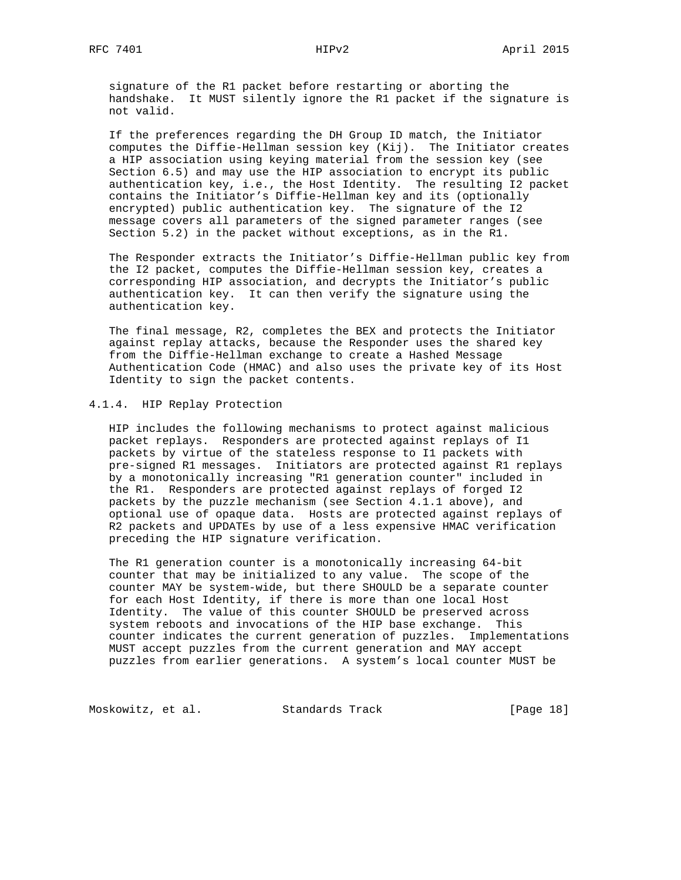signature of the R1 packet before restarting or aborting the handshake. It MUST silently ignore the R1 packet if the signature is not valid.

 If the preferences regarding the DH Group ID match, the Initiator computes the Diffie-Hellman session key (Kij). The Initiator creates a HIP association using keying material from the session key (see Section 6.5) and may use the HIP association to encrypt its public authentication key, i.e., the Host Identity. The resulting I2 packet contains the Initiator's Diffie-Hellman key and its (optionally encrypted) public authentication key. The signature of the I2 message covers all parameters of the signed parameter ranges (see Section 5.2) in the packet without exceptions, as in the R1.

 The Responder extracts the Initiator's Diffie-Hellman public key from the I2 packet, computes the Diffie-Hellman session key, creates a corresponding HIP association, and decrypts the Initiator's public authentication key. It can then verify the signature using the authentication key.

 The final message, R2, completes the BEX and protects the Initiator against replay attacks, because the Responder uses the shared key from the Diffie-Hellman exchange to create a Hashed Message Authentication Code (HMAC) and also uses the private key of its Host Identity to sign the packet contents.

### 4.1.4. HIP Replay Protection

 HIP includes the following mechanisms to protect against malicious packet replays. Responders are protected against replays of I1 packets by virtue of the stateless response to I1 packets with pre-signed R1 messages. Initiators are protected against R1 replays by a monotonically increasing "R1 generation counter" included in the R1. Responders are protected against replays of forged I2 packets by the puzzle mechanism (see Section 4.1.1 above), and optional use of opaque data. Hosts are protected against replays of R2 packets and UPDATEs by use of a less expensive HMAC verification preceding the HIP signature verification.

 The R1 generation counter is a monotonically increasing 64-bit counter that may be initialized to any value. The scope of the counter MAY be system-wide, but there SHOULD be a separate counter for each Host Identity, if there is more than one local Host Identity. The value of this counter SHOULD be preserved across system reboots and invocations of the HIP base exchange. This counter indicates the current generation of puzzles. Implementations MUST accept puzzles from the current generation and MAY accept puzzles from earlier generations. A system's local counter MUST be

Moskowitz, et al. Standards Track [Page 18]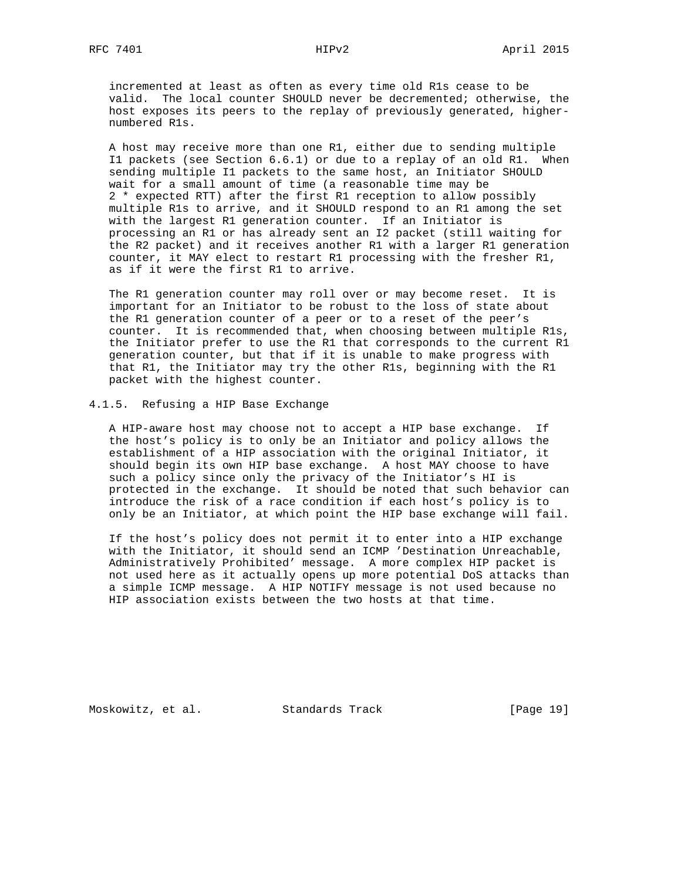incremented at least as often as every time old R1s cease to be valid. The local counter SHOULD never be decremented; otherwise, the host exposes its peers to the replay of previously generated, higher numbered R1s.

 A host may receive more than one R1, either due to sending multiple I1 packets (see Section 6.6.1) or due to a replay of an old R1. When sending multiple I1 packets to the same host, an Initiator SHOULD wait for a small amount of time (a reasonable time may be 2 \* expected RTT) after the first R1 reception to allow possibly multiple R1s to arrive, and it SHOULD respond to an R1 among the set with the largest R1 generation counter. If an Initiator is processing an R1 or has already sent an I2 packet (still waiting for the R2 packet) and it receives another R1 with a larger R1 generation counter, it MAY elect to restart R1 processing with the fresher R1, as if it were the first R1 to arrive.

 The R1 generation counter may roll over or may become reset. It is important for an Initiator to be robust to the loss of state about the R1 generation counter of a peer or to a reset of the peer's counter. It is recommended that, when choosing between multiple R1s, the Initiator prefer to use the R1 that corresponds to the current R1 generation counter, but that if it is unable to make progress with that R1, the Initiator may try the other R1s, beginning with the R1 packet with the highest counter.

#### 4.1.5. Refusing a HIP Base Exchange

 A HIP-aware host may choose not to accept a HIP base exchange. If the host's policy is to only be an Initiator and policy allows the establishment of a HIP association with the original Initiator, it should begin its own HIP base exchange. A host MAY choose to have such a policy since only the privacy of the Initiator's HI is protected in the exchange. It should be noted that such behavior can introduce the risk of a race condition if each host's policy is to only be an Initiator, at which point the HIP base exchange will fail.

 If the host's policy does not permit it to enter into a HIP exchange with the Initiator, it should send an ICMP 'Destination Unreachable, Administratively Prohibited' message. A more complex HIP packet is not used here as it actually opens up more potential DoS attacks than a simple ICMP message. A HIP NOTIFY message is not used because no HIP association exists between the two hosts at that time.

Moskowitz, et al. Standards Track [Page 19]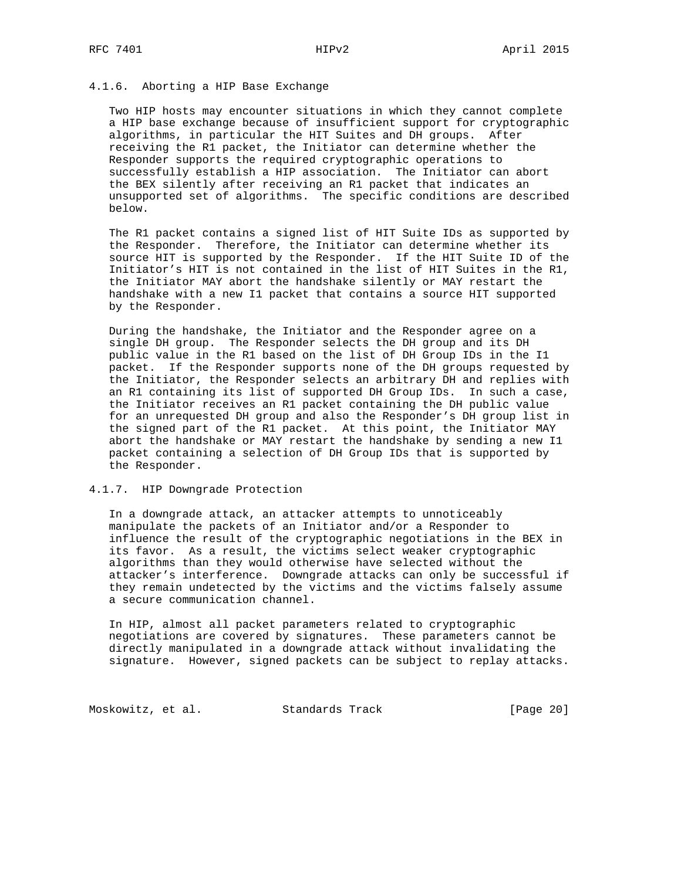### 4.1.6. Aborting a HIP Base Exchange

 Two HIP hosts may encounter situations in which they cannot complete a HIP base exchange because of insufficient support for cryptographic algorithms, in particular the HIT Suites and DH groups. After receiving the R1 packet, the Initiator can determine whether the Responder supports the required cryptographic operations to successfully establish a HIP association. The Initiator can abort the BEX silently after receiving an R1 packet that indicates an unsupported set of algorithms. The specific conditions are described below.

 The R1 packet contains a signed list of HIT Suite IDs as supported by the Responder. Therefore, the Initiator can determine whether its source HIT is supported by the Responder. If the HIT Suite ID of the Initiator's HIT is not contained in the list of HIT Suites in the R1, the Initiator MAY abort the handshake silently or MAY restart the handshake with a new I1 packet that contains a source HIT supported by the Responder.

 During the handshake, the Initiator and the Responder agree on a single DH group. The Responder selects the DH group and its DH public value in the R1 based on the list of DH Group IDs in the I1 packet. If the Responder supports none of the DH groups requested by the Initiator, the Responder selects an arbitrary DH and replies with an R1 containing its list of supported DH Group IDs. In such a case, the Initiator receives an R1 packet containing the DH public value for an unrequested DH group and also the Responder's DH group list in the signed part of the R1 packet. At this point, the Initiator MAY abort the handshake or MAY restart the handshake by sending a new I1 packet containing a selection of DH Group IDs that is supported by the Responder.

# 4.1.7. HIP Downgrade Protection

 In a downgrade attack, an attacker attempts to unnoticeably manipulate the packets of an Initiator and/or a Responder to influence the result of the cryptographic negotiations in the BEX in its favor. As a result, the victims select weaker cryptographic algorithms than they would otherwise have selected without the attacker's interference. Downgrade attacks can only be successful if they remain undetected by the victims and the victims falsely assume a secure communication channel.

 In HIP, almost all packet parameters related to cryptographic negotiations are covered by signatures. These parameters cannot be directly manipulated in a downgrade attack without invalidating the signature. However, signed packets can be subject to replay attacks.

Moskowitz, et al. Standards Track [Page 20]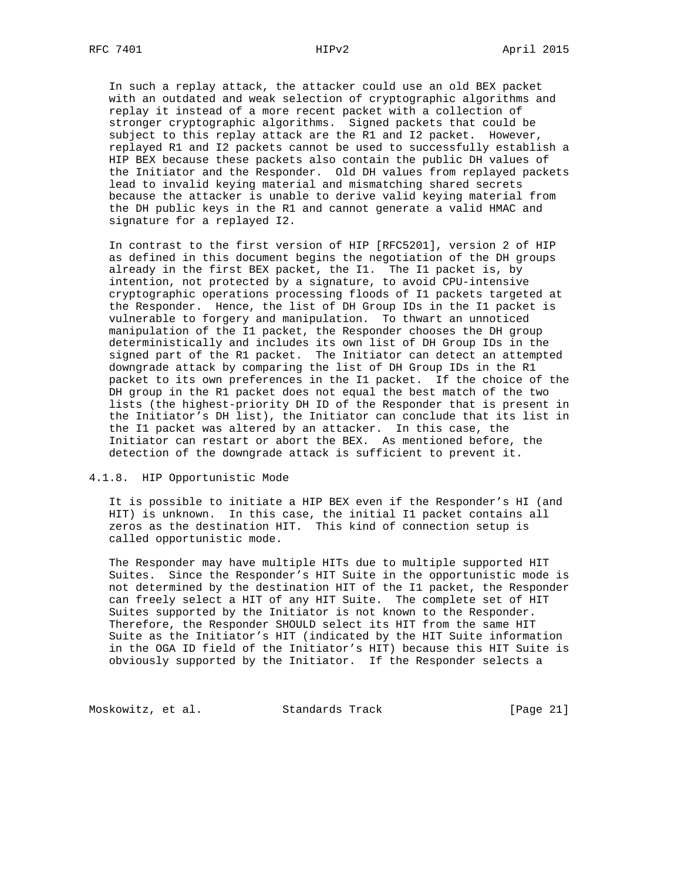In such a replay attack, the attacker could use an old BEX packet with an outdated and weak selection of cryptographic algorithms and replay it instead of a more recent packet with a collection of stronger cryptographic algorithms. Signed packets that could be subject to this replay attack are the R1 and I2 packet. However, replayed R1 and I2 packets cannot be used to successfully establish a HIP BEX because these packets also contain the public DH values of the Initiator and the Responder. Old DH values from replayed packets lead to invalid keying material and mismatching shared secrets because the attacker is unable to derive valid keying material from the DH public keys in the R1 and cannot generate a valid HMAC and signature for a replayed I2.

 In contrast to the first version of HIP [RFC5201], version 2 of HIP as defined in this document begins the negotiation of the DH groups already in the first BEX packet, the I1. The I1 packet is, by intention, not protected by a signature, to avoid CPU-intensive cryptographic operations processing floods of I1 packets targeted at the Responder. Hence, the list of DH Group IDs in the I1 packet is vulnerable to forgery and manipulation. To thwart an unnoticed manipulation of the I1 packet, the Responder chooses the DH group deterministically and includes its own list of DH Group IDs in the signed part of the R1 packet. The Initiator can detect an attempted downgrade attack by comparing the list of DH Group IDs in the R1 packet to its own preferences in the I1 packet. If the choice of the DH group in the R1 packet does not equal the best match of the two lists (the highest-priority DH ID of the Responder that is present in the Initiator's DH list), the Initiator can conclude that its list in the I1 packet was altered by an attacker. In this case, the Initiator can restart or abort the BEX. As mentioned before, the detection of the downgrade attack is sufficient to prevent it.

# 4.1.8. HIP Opportunistic Mode

 It is possible to initiate a HIP BEX even if the Responder's HI (and HIT) is unknown. In this case, the initial I1 packet contains all zeros as the destination HIT. This kind of connection setup is called opportunistic mode.

 The Responder may have multiple HITs due to multiple supported HIT Suites. Since the Responder's HIT Suite in the opportunistic mode is not determined by the destination HIT of the I1 packet, the Responder can freely select a HIT of any HIT Suite. The complete set of HIT Suites supported by the Initiator is not known to the Responder. Therefore, the Responder SHOULD select its HIT from the same HIT Suite as the Initiator's HIT (indicated by the HIT Suite information in the OGA ID field of the Initiator's HIT) because this HIT Suite is obviously supported by the Initiator. If the Responder selects a

Moskowitz, et al. Standards Track [Page 21]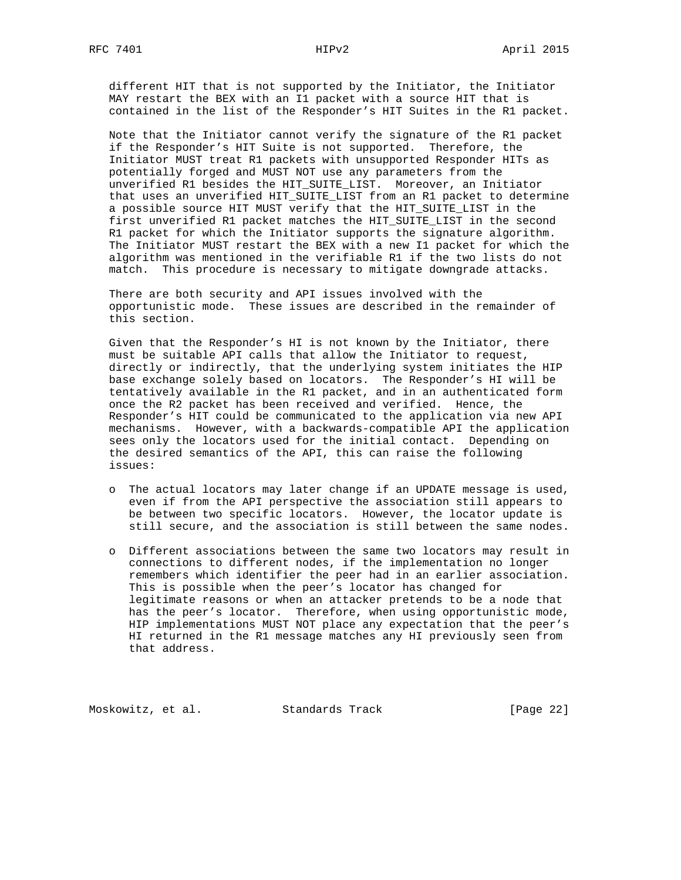different HIT that is not supported by the Initiator, the Initiator MAY restart the BEX with an I1 packet with a source HIT that is contained in the list of the Responder's HIT Suites in the R1 packet.

 Note that the Initiator cannot verify the signature of the R1 packet if the Responder's HIT Suite is not supported. Therefore, the Initiator MUST treat R1 packets with unsupported Responder HITs as potentially forged and MUST NOT use any parameters from the unverified R1 besides the HIT\_SUITE\_LIST. Moreover, an Initiator that uses an unverified HIT\_SUITE\_LIST from an R1 packet to determine a possible source HIT MUST verify that the HIT\_SUITE\_LIST in the first unverified R1 packet matches the HIT\_SUITE\_LIST in the second R1 packet for which the Initiator supports the signature algorithm. The Initiator MUST restart the BEX with a new I1 packet for which the algorithm was mentioned in the verifiable R1 if the two lists do not match. This procedure is necessary to mitigate downgrade attacks.

 There are both security and API issues involved with the opportunistic mode. These issues are described in the remainder of this section.

 Given that the Responder's HI is not known by the Initiator, there must be suitable API calls that allow the Initiator to request, directly or indirectly, that the underlying system initiates the HIP base exchange solely based on locators. The Responder's HI will be tentatively available in the R1 packet, and in an authenticated form once the R2 packet has been received and verified. Hence, the Responder's HIT could be communicated to the application via new API mechanisms. However, with a backwards-compatible API the application sees only the locators used for the initial contact. Depending on the desired semantics of the API, this can raise the following issues:

- o The actual locators may later change if an UPDATE message is used, even if from the API perspective the association still appears to be between two specific locators. However, the locator update is still secure, and the association is still between the same nodes.
- o Different associations between the same two locators may result in connections to different nodes, if the implementation no longer remembers which identifier the peer had in an earlier association. This is possible when the peer's locator has changed for legitimate reasons or when an attacker pretends to be a node that has the peer's locator. Therefore, when using opportunistic mode, HIP implementations MUST NOT place any expectation that the peer's HI returned in the R1 message matches any HI previously seen from that address.

Moskowitz, et al. Standards Track [Page 22]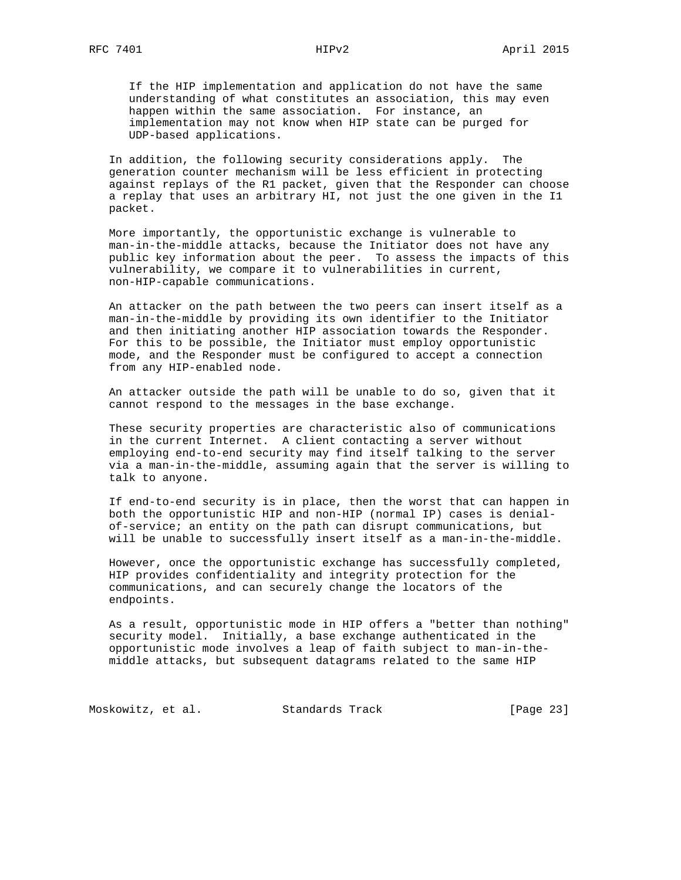If the HIP implementation and application do not have the same understanding of what constitutes an association, this may even happen within the same association. For instance, an implementation may not know when HIP state can be purged for UDP-based applications.

 In addition, the following security considerations apply. The generation counter mechanism will be less efficient in protecting against replays of the R1 packet, given that the Responder can choose a replay that uses an arbitrary HI, not just the one given in the I1 packet.

 More importantly, the opportunistic exchange is vulnerable to man-in-the-middle attacks, because the Initiator does not have any public key information about the peer. To assess the impacts of this vulnerability, we compare it to vulnerabilities in current, non-HIP-capable communications.

 An attacker on the path between the two peers can insert itself as a man-in-the-middle by providing its own identifier to the Initiator and then initiating another HIP association towards the Responder. For this to be possible, the Initiator must employ opportunistic mode, and the Responder must be configured to accept a connection from any HIP-enabled node.

 An attacker outside the path will be unable to do so, given that it cannot respond to the messages in the base exchange.

 These security properties are characteristic also of communications in the current Internet. A client contacting a server without employing end-to-end security may find itself talking to the server via a man-in-the-middle, assuming again that the server is willing to talk to anyone.

 If end-to-end security is in place, then the worst that can happen in both the opportunistic HIP and non-HIP (normal IP) cases is denial of-service; an entity on the path can disrupt communications, but will be unable to successfully insert itself as a man-in-the-middle.

 However, once the opportunistic exchange has successfully completed, HIP provides confidentiality and integrity protection for the communications, and can securely change the locators of the endpoints.

 As a result, opportunistic mode in HIP offers a "better than nothing" security model. Initially, a base exchange authenticated in the opportunistic mode involves a leap of faith subject to man-in-the middle attacks, but subsequent datagrams related to the same HIP

Moskowitz, et al. Standards Track [Page 23]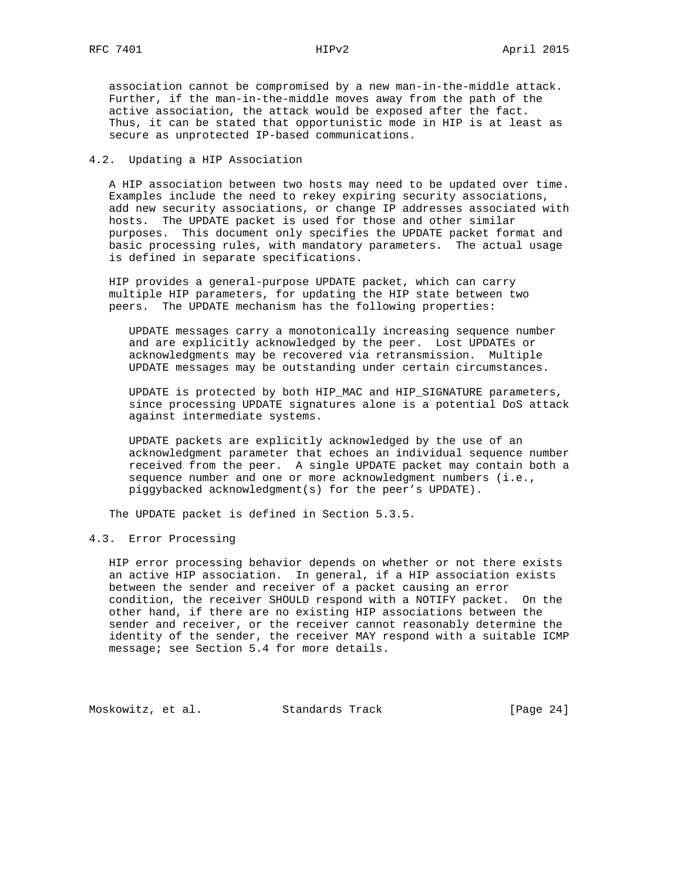association cannot be compromised by a new man-in-the-middle attack. Further, if the man-in-the-middle moves away from the path of the active association, the attack would be exposed after the fact. Thus, it can be stated that opportunistic mode in HIP is at least as secure as unprotected IP-based communications.

# 4.2. Updating a HIP Association

 A HIP association between two hosts may need to be updated over time. Examples include the need to rekey expiring security associations, add new security associations, or change IP addresses associated with hosts. The UPDATE packet is used for those and other similar purposes. This document only specifies the UPDATE packet format and basic processing rules, with mandatory parameters. The actual usage is defined in separate specifications.

 HIP provides a general-purpose UPDATE packet, which can carry multiple HIP parameters, for updating the HIP state between two peers. The UPDATE mechanism has the following properties:

 UPDATE messages carry a monotonically increasing sequence number and are explicitly acknowledged by the peer. Lost UPDATEs or acknowledgments may be recovered via retransmission. Multiple UPDATE messages may be outstanding under certain circumstances.

 UPDATE is protected by both HIP\_MAC and HIP\_SIGNATURE parameters, since processing UPDATE signatures alone is a potential DoS attack against intermediate systems.

 UPDATE packets are explicitly acknowledged by the use of an acknowledgment parameter that echoes an individual sequence number received from the peer. A single UPDATE packet may contain both a sequence number and one or more acknowledgment numbers (i.e., piggybacked acknowledgment(s) for the peer's UPDATE).

The UPDATE packet is defined in Section 5.3.5.

#### 4.3. Error Processing

 HIP error processing behavior depends on whether or not there exists an active HIP association. In general, if a HIP association exists between the sender and receiver of a packet causing an error condition, the receiver SHOULD respond with a NOTIFY packet. On the other hand, if there are no existing HIP associations between the sender and receiver, or the receiver cannot reasonably determine the identity of the sender, the receiver MAY respond with a suitable ICMP message; see Section 5.4 for more details.

Moskowitz, et al. Standards Track [Page 24]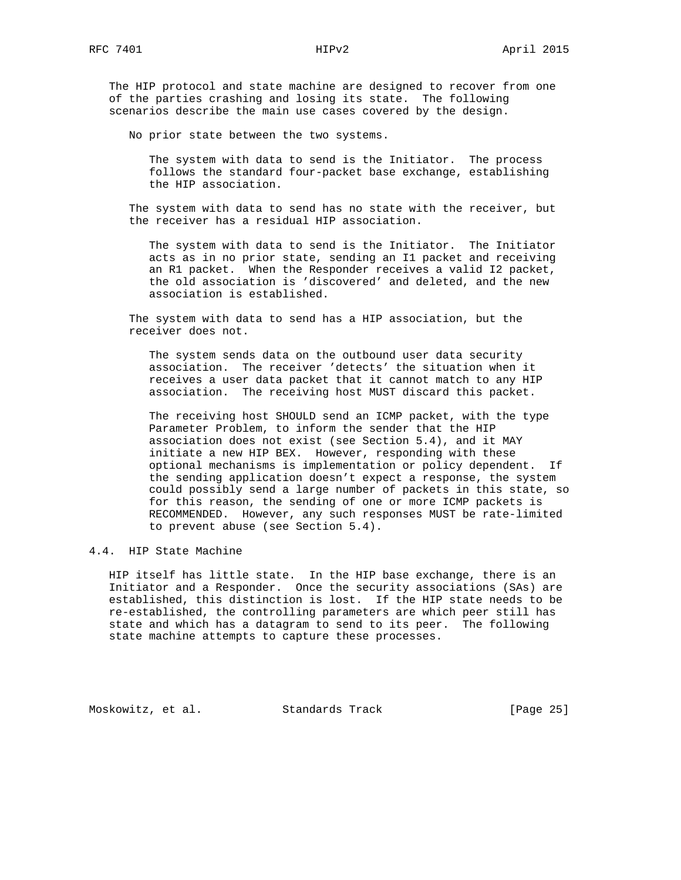The HIP protocol and state machine are designed to recover from one of the parties crashing and losing its state. The following scenarios describe the main use cases covered by the design.

No prior state between the two systems.

 The system with data to send is the Initiator. The process follows the standard four-packet base exchange, establishing the HIP association.

 The system with data to send has no state with the receiver, but the receiver has a residual HIP association.

 The system with data to send is the Initiator. The Initiator acts as in no prior state, sending an I1 packet and receiving an R1 packet. When the Responder receives a valid I2 packet, the old association is 'discovered' and deleted, and the new association is established.

 The system with data to send has a HIP association, but the receiver does not.

 The system sends data on the outbound user data security association. The receiver 'detects' the situation when it receives a user data packet that it cannot match to any HIP association. The receiving host MUST discard this packet.

 The receiving host SHOULD send an ICMP packet, with the type Parameter Problem, to inform the sender that the HIP association does not exist (see Section 5.4), and it MAY initiate a new HIP BEX. However, responding with these optional mechanisms is implementation or policy dependent. If the sending application doesn't expect a response, the system could possibly send a large number of packets in this state, so for this reason, the sending of one or more ICMP packets is RECOMMENDED. However, any such responses MUST be rate-limited to prevent abuse (see Section 5.4).

# 4.4. HIP State Machine

 HIP itself has little state. In the HIP base exchange, there is an Initiator and a Responder. Once the security associations (SAs) are established, this distinction is lost. If the HIP state needs to be re-established, the controlling parameters are which peer still has state and which has a datagram to send to its peer. The following state machine attempts to capture these processes.

Moskowitz, et al. Standards Track [Page 25]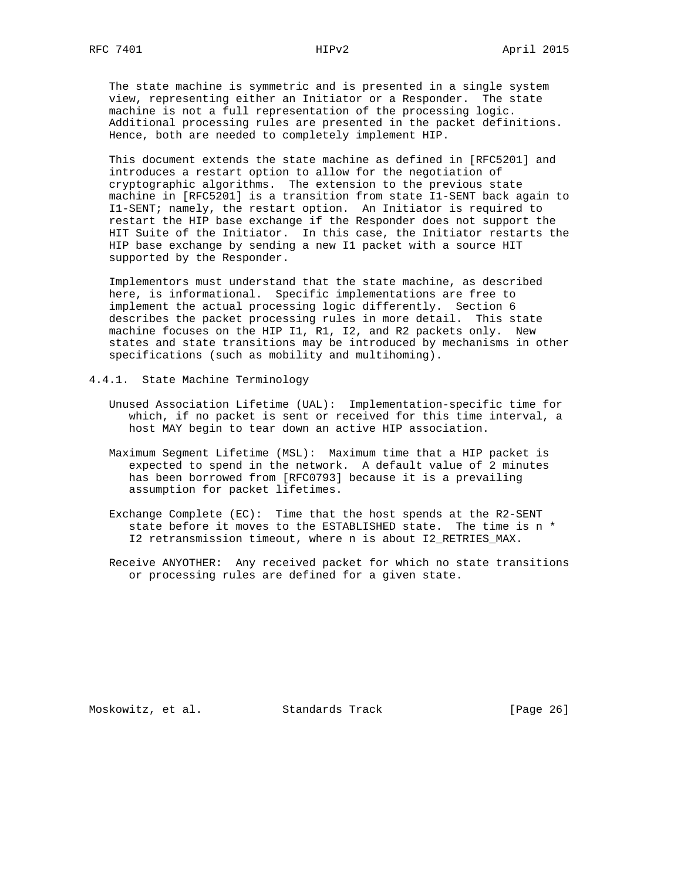The state machine is symmetric and is presented in a single system view, representing either an Initiator or a Responder. The state machine is not a full representation of the processing logic. Additional processing rules are presented in the packet definitions. Hence, both are needed to completely implement HIP.

 This document extends the state machine as defined in [RFC5201] and introduces a restart option to allow for the negotiation of cryptographic algorithms. The extension to the previous state machine in [RFC5201] is a transition from state I1-SENT back again to I1-SENT; namely, the restart option. An Initiator is required to restart the HIP base exchange if the Responder does not support the HIT Suite of the Initiator. In this case, the Initiator restarts the HIP base exchange by sending a new I1 packet with a source HIT supported by the Responder.

 Implementors must understand that the state machine, as described here, is informational. Specific implementations are free to implement the actual processing logic differently. Section 6 describes the packet processing rules in more detail. This state machine focuses on the HIP I1, R1, I2, and R2 packets only. New states and state transitions may be introduced by mechanisms in other specifications (such as mobility and multihoming).

- 4.4.1. State Machine Terminology
	- Unused Association Lifetime (UAL): Implementation-specific time for which, if no packet is sent or received for this time interval, a host MAY begin to tear down an active HIP association.
	- Maximum Segment Lifetime (MSL): Maximum time that a HIP packet is expected to spend in the network. A default value of 2 minutes has been borrowed from [RFC0793] because it is a prevailing assumption for packet lifetimes.
	- Exchange Complete (EC): Time that the host spends at the R2-SENT state before it moves to the ESTABLISHED state. The time is n \* I2 retransmission timeout, where n is about I2\_RETRIES\_MAX.
	- Receive ANYOTHER: Any received packet for which no state transitions or processing rules are defined for a given state.

Moskowitz, et al. Standards Track [Page 26]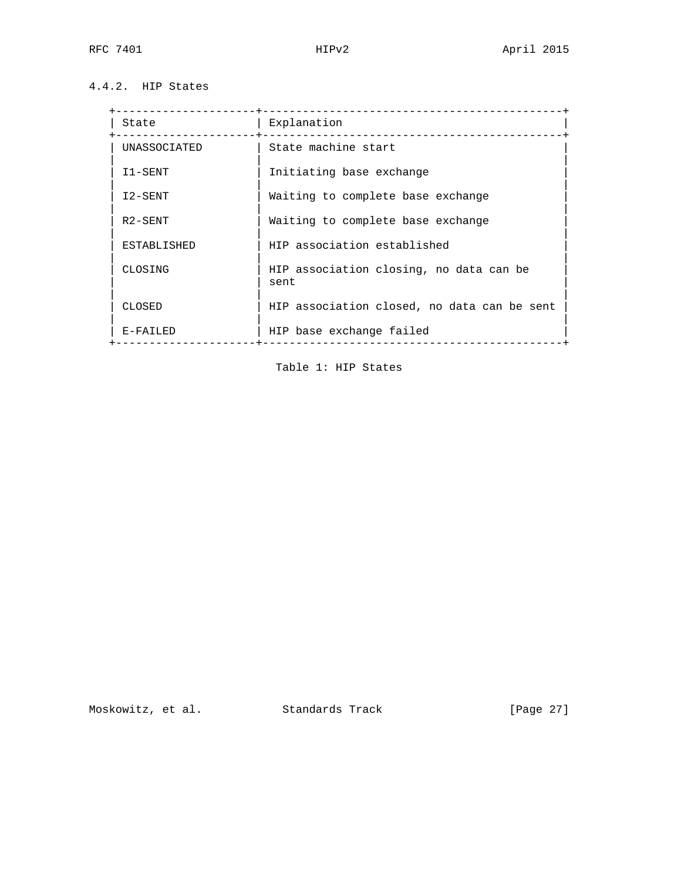# 4.4.2. HIP States

| State              | Explanation                                     |
|--------------------|-------------------------------------------------|
| UNASSOCIATED       | State machine start                             |
| I1-SENT            | Initiating base exchange                        |
| I2-SENT            | Waiting to complete base exchange               |
| R2-SENT            | Waiting to complete base exchange               |
| <b>ESTABLISHED</b> | HIP association established                     |
| CLOSING            | HIP association closing, no data can be<br>sent |
| CLOSED             | HIP association closed, no data can be sent     |
| E-FAILED           | HIP base exchange failed                        |
|                    |                                                 |

Table 1: HIP States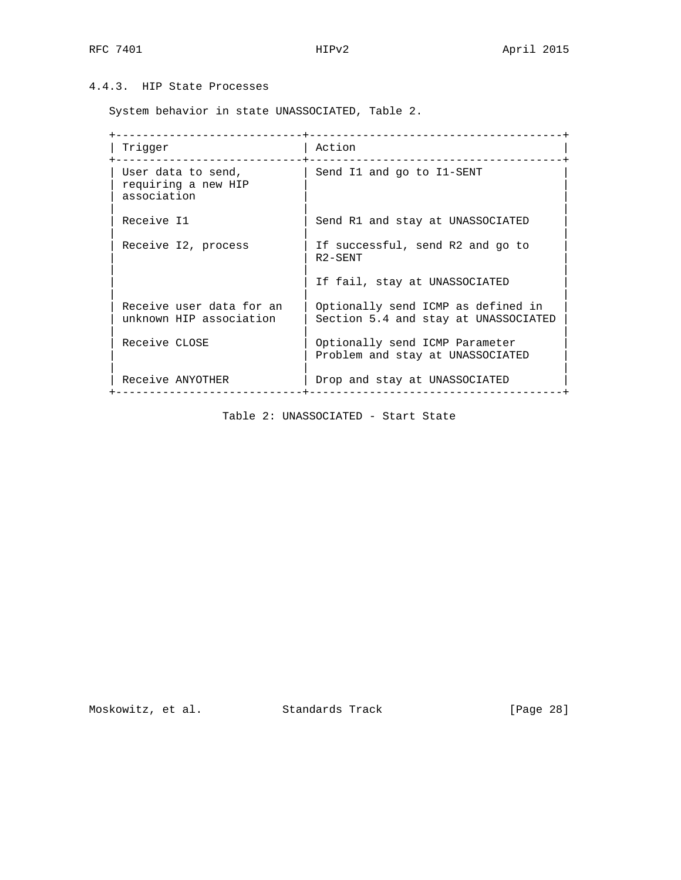# 4.4.3. HIP State Processes

System behavior in state UNASSOCIATED, Table 2.

 +----------------------------+--------------------------------------+ | Trigger | Action +----------------------------+--------------------------------------+ | User data to send,  $\begin{array}{|c|c|c|c|c|c|}\n\hline \end{array}$  | Send I1 and go to I1-SENT |  $\vert$  requiring a new HIP  $\vert$ association | | | Receive I1 | Send R1 and stay at UNASSOCIATED | | | Receive I2, process  $|$  If successful, send R2 and go to  $|$  R2-SENT | | | If fail, stay at UNASSOCIATED | | | | Receive user data for an | Optionally send ICMP as defined in | | unknown HIP association | Section 5.4 and stay at UNASSOCIATED | | | | | Receive CLOSE | Optionally send ICMP Parameter | | | Problem and stay at UNASSOCIATED | | | | | Receive ANYOTHER | Drop and stay at UNASSOCIATED | +----------------------------+--------------------------------------+

Table 2: UNASSOCIATED - Start State

Moskowitz, et al. Standards Track [Page 28]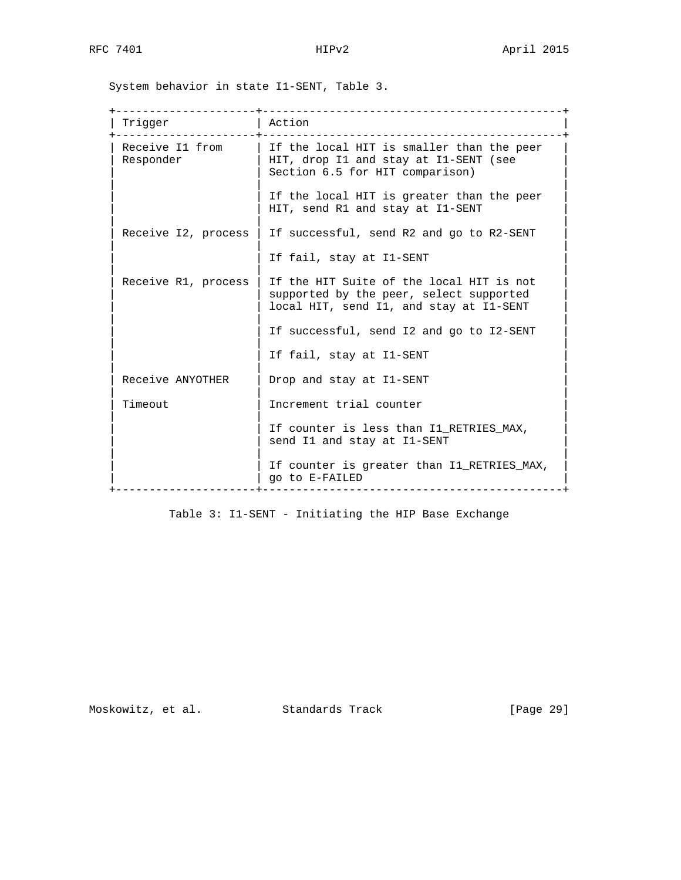System behavior in state I1-SENT, Table 3.

| Trigger                      | Action                                                                                                                         |
|------------------------------|--------------------------------------------------------------------------------------------------------------------------------|
| Receive I1 from<br>Responder | If the local HIT is smaller than the peer<br>HIT, drop I1 and stay at I1-SENT (see<br>Section 6.5 for HIT comparison)          |
|                              | If the local HIT is greater than the peer<br>HIT, send R1 and stay at I1-SENT                                                  |
| Receive I2, process          | If successful, send R2 and go to R2-SENT                                                                                       |
|                              | If fail, stay at I1-SENT                                                                                                       |
| Receive R1, process          | If the HIT Suite of the local HIT is not<br>supported by the peer, select supported<br>local HIT, send I1, and stay at I1-SENT |
|                              | If successful, send I2 and go to I2-SENT                                                                                       |
|                              | If fail, stay at I1-SENT                                                                                                       |
| Receive ANYOTHER             | Drop and stay at I1-SENT                                                                                                       |
| Timeout                      | Increment trial counter                                                                                                        |
|                              | If counter is less than I1 RETRIES MAX,<br>send I1 and stay at I1-SENT                                                         |
|                              | If counter is greater than Il RETRIES MAX,<br>go to E-FAILED<br>---------------------                                          |

Table 3: I1-SENT - Initiating the HIP Base Exchange

Moskowitz, et al. Standards Track [Page 29]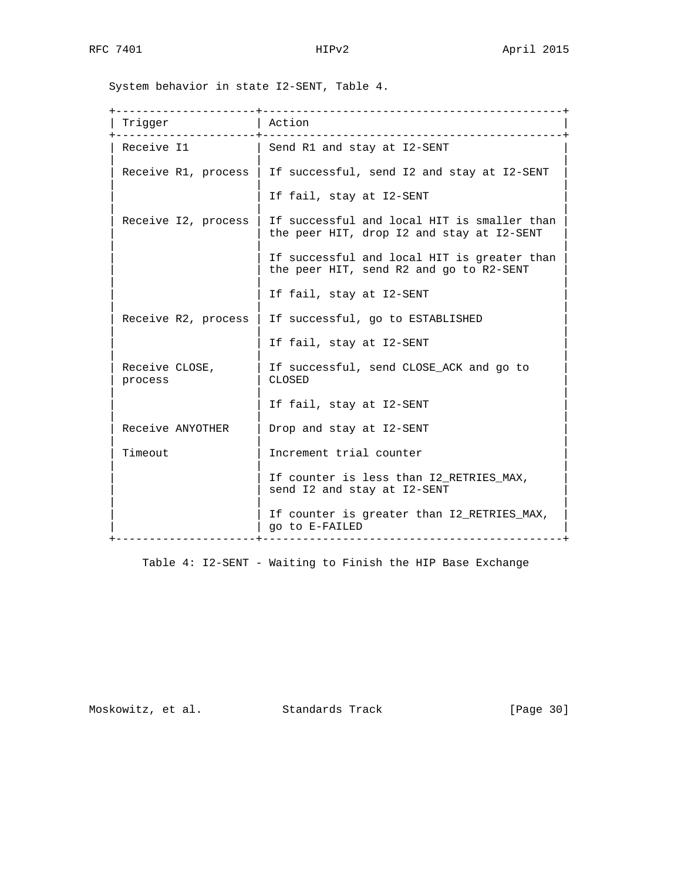System behavior in state I2-SENT, Table 4.

| Trigger                   | Action                                                                                   |
|---------------------------|------------------------------------------------------------------------------------------|
| Receive I1                | Send R1 and stay at I2-SENT                                                              |
| Receive R1, process       | If successful, send I2 and stay at I2-SENT                                               |
|                           | If fail, stay at I2-SENT                                                                 |
| Receive I2, process       | If successful and local HIT is smaller than<br>the peer HIT, drop I2 and stay at I2-SENT |
|                           | If successful and local HIT is greater than<br>the peer HIT, send R2 and go to R2-SENT   |
|                           | If fail, stay at I2-SENT                                                                 |
| Receive R2, process       | If successful, go to ESTABLISHED                                                         |
|                           | If fail, stay at I2-SENT                                                                 |
| Receive CLOSE,<br>process | If successful, send CLOSE_ACK and go to<br>CLOSED                                        |
|                           | If fail, stay at I2-SENT                                                                 |
| Receive ANYOTHER          | Drop and stay at I2-SENT                                                                 |
| Timeout                   | Increment trial counter                                                                  |
|                           | If counter is less than I2_RETRIES_MAX,<br>send I2 and stay at I2-SENT                   |
|                           | If counter is greater than I2_RETRIES_MAX,<br>go to E-FAILED<br>___________________      |

Table 4: I2-SENT - Waiting to Finish the HIP Base Exchange

Moskowitz, et al. Standards Track [Page 30]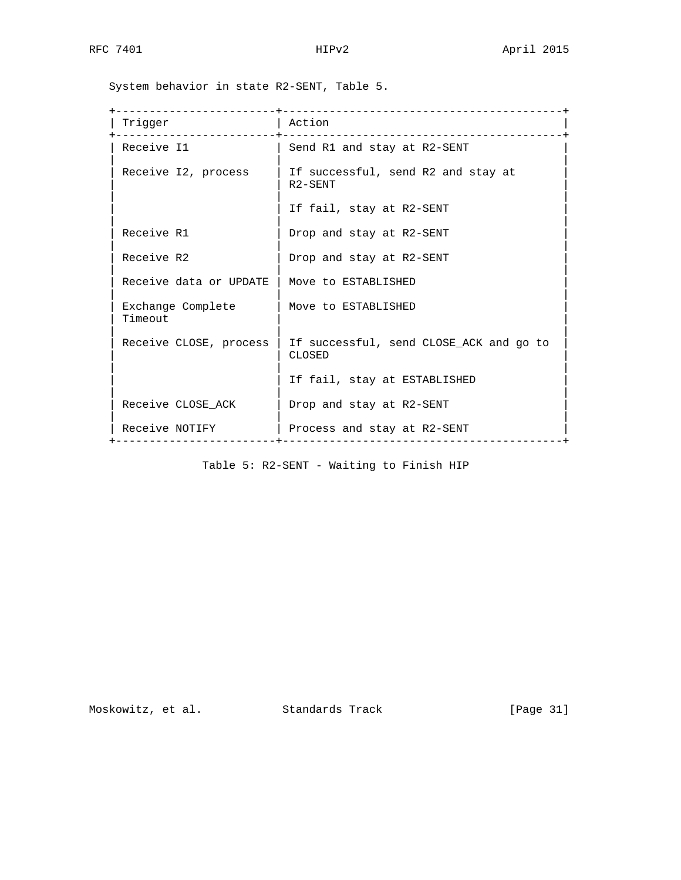System behavior in state R2-SENT, Table 5.

|                              | ___________________________                                |
|------------------------------|------------------------------------------------------------|
| Trigger                      | Action<br>______________________________                   |
| Receive I1                   | Send R1 and stay at R2-SENT                                |
| Receive I2, process          | If successful, send R2 and stay at<br>R <sub>2</sub> -SENT |
|                              | If fail, stay at R2-SENT                                   |
| Receive R1                   | Drop and stay at R2-SENT                                   |
| Receive R2                   | Drop and stay at R2-SENT                                   |
| Receive data or UPDATE       | Move to ESTABLISHED                                        |
| Exchange Complete<br>Timeout | Move to ESTABLISHED                                        |
| Receive CLOSE, process       | If successful, send CLOSE_ACK and go to<br>CLOSED          |
|                              | If fail, stay at ESTABLISHED                               |
| Receive CLOSE ACK            | Drop and stay at R2-SENT                                   |
| Receive NOTIFY               | Process and stay at R2-SENT                                |

Table 5: R2-SENT - Waiting to Finish HIP

Moskowitz, et al. Standards Track [Page 31]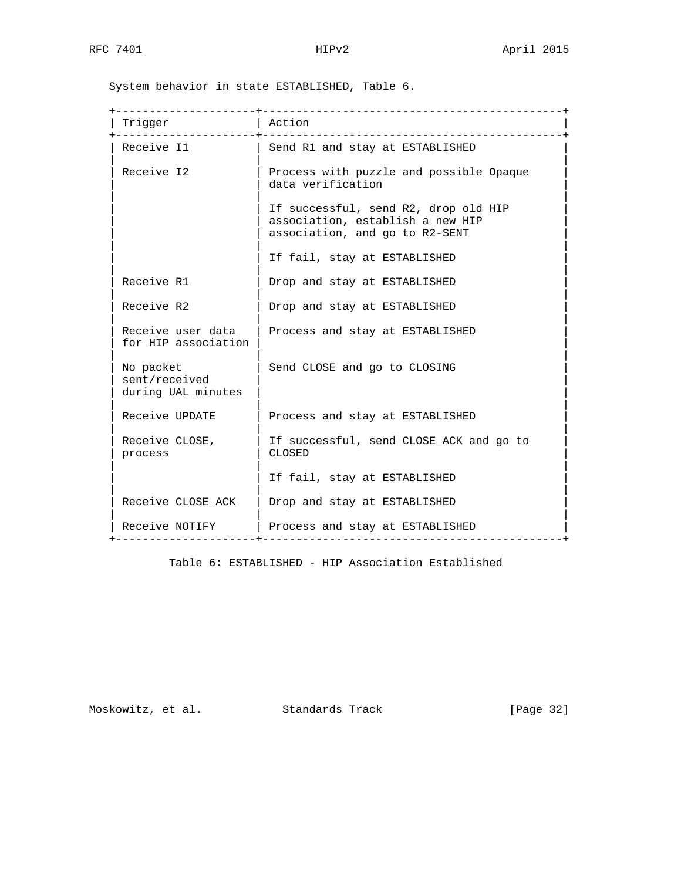System behavior in state ESTABLISHED, Table 6.

| Trigger                                          | Action                                                                                                     |
|--------------------------------------------------|------------------------------------------------------------------------------------------------------------|
| Receive I1                                       | Send R1 and stay at ESTABLISHED                                                                            |
| Receive I2                                       | Process with puzzle and possible Opaque<br>data verification                                               |
|                                                  | If successful, send R2, drop old HIP<br>association, establish a new HIP<br>association, and go to R2-SENT |
|                                                  | If fail, stay at ESTABLISHED                                                                               |
| Receive R1                                       | Drop and stay at ESTABLISHED                                                                               |
| Receive R2                                       | Drop and stay at ESTABLISHED                                                                               |
| Receive user data<br>for HIP association         | Process and stay at ESTABLISHED                                                                            |
| No packet<br>sent/received<br>during UAL minutes | Send CLOSE and go to CLOSING                                                                               |
| Receive UPDATE                                   | Process and stay at ESTABLISHED                                                                            |
| Receive CLOSE,<br>process                        | If successful, send CLOSE_ACK and go to<br>CLOSED                                                          |
|                                                  | If fail, stay at ESTABLISHED                                                                               |
| Receive CLOSE_ACK                                | Drop and stay at ESTABLISHED                                                                               |
| Receive NOTIFY                                   | Process and stay at ESTABLISHED                                                                            |

Table 6: ESTABLISHED - HIP Association Established

Moskowitz, et al. Standards Track [Page 32]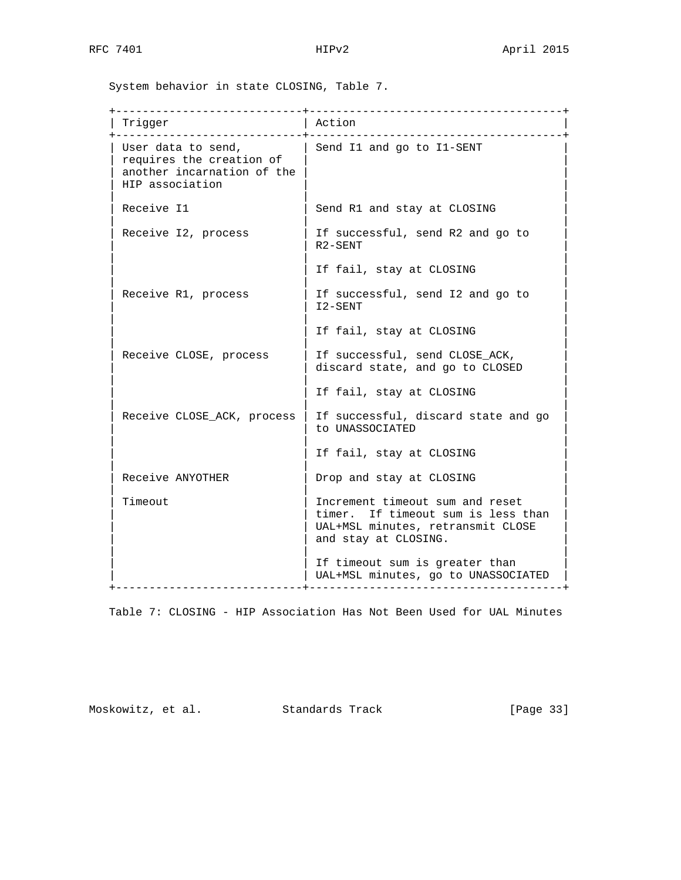System behavior in state CLOSING, Table 7.

| Trigger<br>.                                                                                    | Action<br><u> Le Le Le Le Le Le Le Le</u>                                                                                          |
|-------------------------------------------------------------------------------------------------|------------------------------------------------------------------------------------------------------------------------------------|
| User data to send,<br>requires the creation of<br>another incarnation of the<br>HIP association | Send I1 and go to I1-SENT                                                                                                          |
| Receive I1                                                                                      | Send R1 and stay at CLOSING                                                                                                        |
| Receive I2, process                                                                             | If successful, send R2 and go to<br>R <sub>2</sub> -SENT                                                                           |
|                                                                                                 | If fail, stay at CLOSING                                                                                                           |
| Receive R1, process                                                                             | If successful, send I2 and go to<br>I2-SENT                                                                                        |
|                                                                                                 | If fail, stay at CLOSING                                                                                                           |
| Receive CLOSE, process                                                                          | If successful, send CLOSE_ACK,<br>discard state, and go to CLOSED                                                                  |
|                                                                                                 | If fail, stay at CLOSING                                                                                                           |
| Receive CLOSE_ACK, process                                                                      | If successful, discard state and go<br>to UNASSOCIATED                                                                             |
|                                                                                                 | If fail, stay at CLOSING                                                                                                           |
| Receive ANYOTHER                                                                                | Drop and stay at CLOSING                                                                                                           |
| Timeout                                                                                         | Increment timeout sum and reset<br>timer. If timeout sum is less than<br>UAL+MSL minutes, retransmit CLOSE<br>and stay at CLOSING. |
|                                                                                                 | If timeout sum is greater than<br>UAL+MSL minutes, go to UNASSOCIATED                                                              |

Table 7: CLOSING - HIP Association Has Not Been Used for UAL Minutes

Moskowitz, et al. Standards Track [Page 33]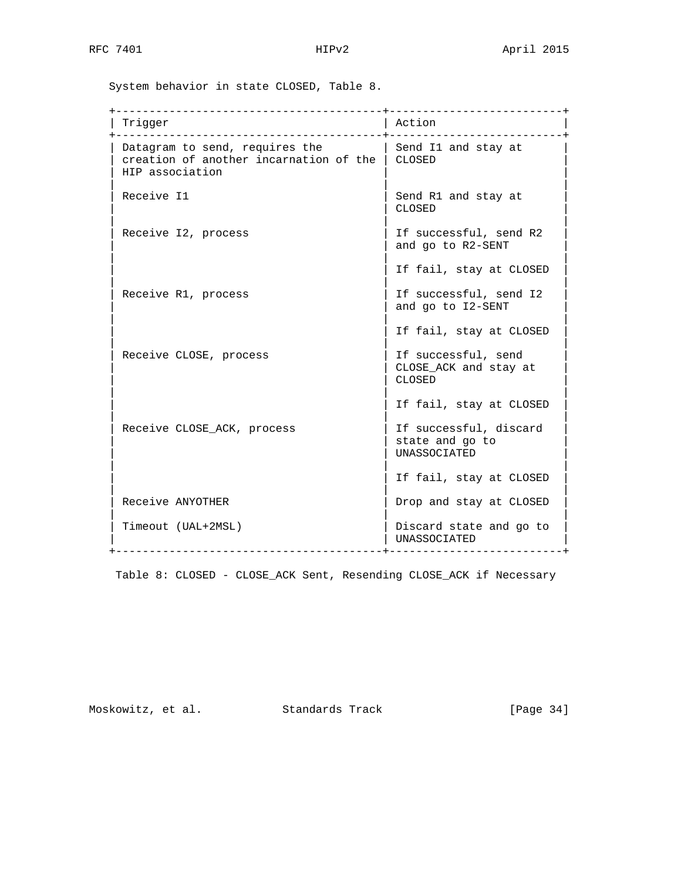System behavior in state CLOSED, Table 8.

| Trigger                                                                                              | Action                                                    |
|------------------------------------------------------------------------------------------------------|-----------------------------------------------------------|
| Datagram to send, requires the<br>creation of another incarnation of the   CLOSED<br>HIP association | Send I1 and stay at                                       |
| Receive I1                                                                                           | Send R1 and stay at<br>CLOSED                             |
| Receive I2, process                                                                                  | If successful, send R2<br>and go to R2-SENT               |
|                                                                                                      | If fail, stay at CLOSED                                   |
| Receive R1, process                                                                                  | If successful, send I2<br>and go to I2-SENT               |
|                                                                                                      | If fail, stay at CLOSED                                   |
| Receive CLOSE, process                                                                               | If successful, send<br>CLOSE_ACK and stay at<br>CLOSED    |
|                                                                                                      | If fail, stay at CLOSED                                   |
| Receive CLOSE_ACK, process                                                                           | If successful, discard<br>state and go to<br>UNASSOCIATED |
|                                                                                                      | If fail, stay at CLOSED                                   |
| Receive ANYOTHER                                                                                     | Drop and stay at CLOSED                                   |
| Timeout (UAL+2MSL)<br>__________________________                                                     | Discard state and go to<br><b>UNASSOCIATED</b>            |

Table 8: CLOSED - CLOSE\_ACK Sent, Resending CLOSE\_ACK if Necessary

Moskowitz, et al. Standards Track [Page 34]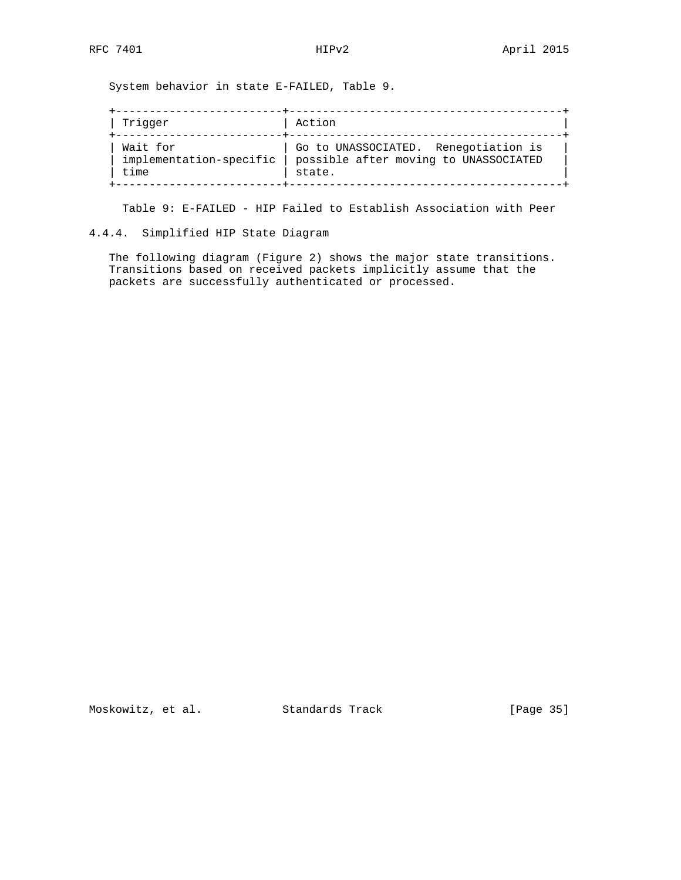System behavior in state E-FAILED, Table 9.

| Trigger                 | Action                                |
|-------------------------|---------------------------------------|
| Wait for                | Go to UNASSOCIATED. Renegotiation is  |
| implementation-specific | possible after moving to UNASSOCIATED |
| time                    | state.                                |

Table 9: E-FAILED - HIP Failed to Establish Association with Peer

# 4.4.4. Simplified HIP State Diagram

 The following diagram (Figure 2) shows the major state transitions. Transitions based on received packets implicitly assume that the packets are successfully authenticated or processed.

Moskowitz, et al. Standards Track [Page 35]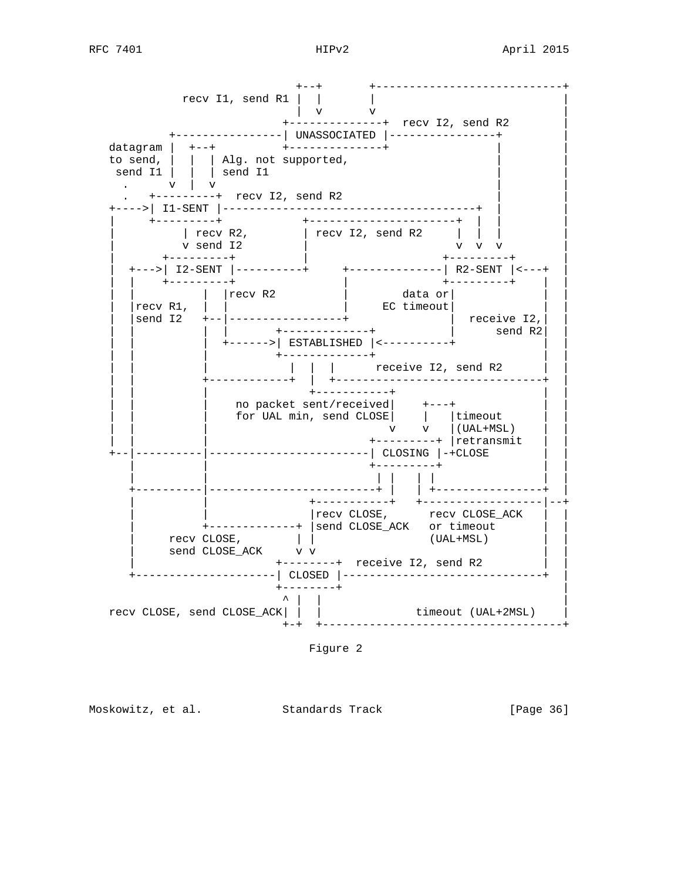

Figure 2

Moskowitz, et al. Standards Track [Page 36]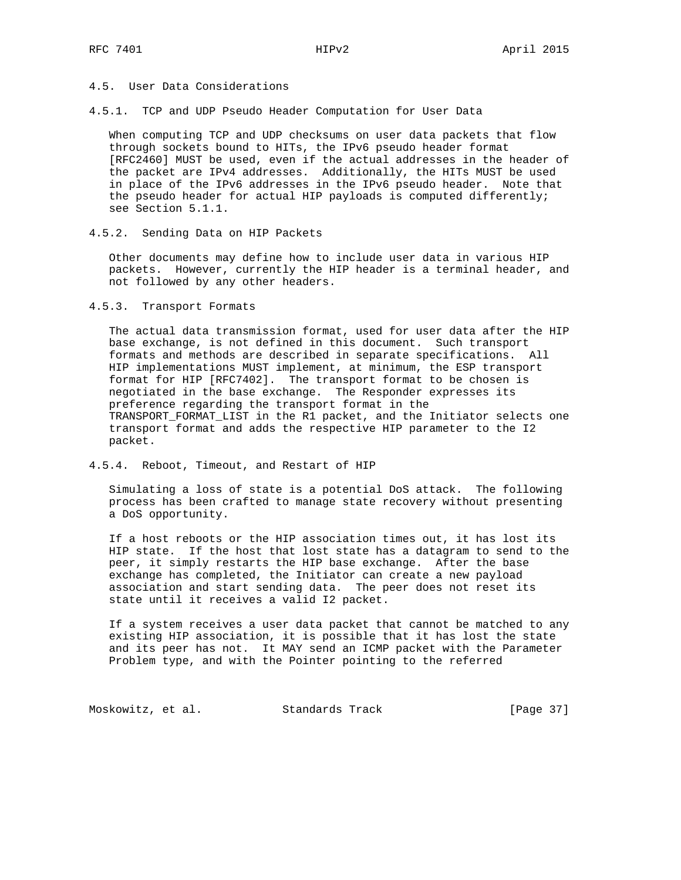## 4.5. User Data Considerations

4.5.1. TCP and UDP Pseudo Header Computation for User Data

 When computing TCP and UDP checksums on user data packets that flow through sockets bound to HITs, the IPv6 pseudo header format [RFC2460] MUST be used, even if the actual addresses in the header of the packet are IPv4 addresses. Additionally, the HITs MUST be used in place of the IPv6 addresses in the IPv6 pseudo header. Note that the pseudo header for actual HIP payloads is computed differently; see Section 5.1.1.

4.5.2. Sending Data on HIP Packets

 Other documents may define how to include user data in various HIP packets. However, currently the HIP header is a terminal header, and not followed by any other headers.

4.5.3. Transport Formats

 The actual data transmission format, used for user data after the HIP base exchange, is not defined in this document. Such transport formats and methods are described in separate specifications. All HIP implementations MUST implement, at minimum, the ESP transport format for HIP [RFC7402]. The transport format to be chosen is negotiated in the base exchange. The Responder expresses its preference regarding the transport format in the TRANSPORT\_FORMAT\_LIST in the R1 packet, and the Initiator selects one transport format and adds the respective HIP parameter to the I2 packet.

4.5.4. Reboot, Timeout, and Restart of HIP

 Simulating a loss of state is a potential DoS attack. The following process has been crafted to manage state recovery without presenting a DoS opportunity.

 If a host reboots or the HIP association times out, it has lost its HIP state. If the host that lost state has a datagram to send to the peer, it simply restarts the HIP base exchange. After the base exchange has completed, the Initiator can create a new payload association and start sending data. The peer does not reset its state until it receives a valid I2 packet.

 If a system receives a user data packet that cannot be matched to any existing HIP association, it is possible that it has lost the state and its peer has not. It MAY send an ICMP packet with the Parameter Problem type, and with the Pointer pointing to the referred

Moskowitz, et al. Standards Track [Page 37]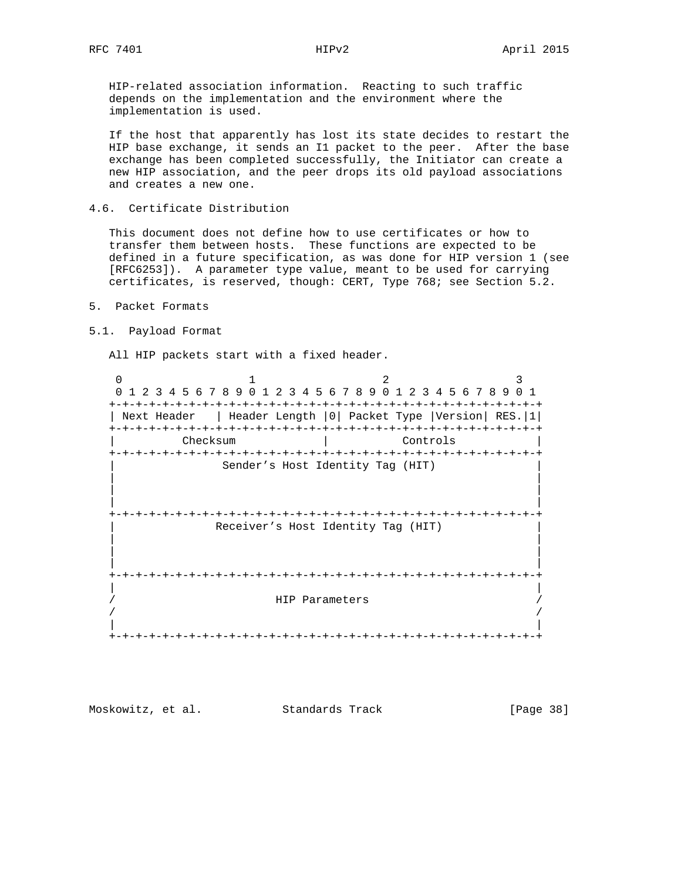HIP-related association information. Reacting to such traffic depends on the implementation and the environment where the implementation is used.

 If the host that apparently has lost its state decides to restart the HIP base exchange, it sends an I1 packet to the peer. After the base exchange has been completed successfully, the Initiator can create a new HIP association, and the peer drops its old payload associations and creates a new one.

### 4.6. Certificate Distribution

 This document does not define how to use certificates or how to transfer them between hosts. These functions are expected to be defined in a future specification, as was done for HIP version 1 (see [RFC6253]). A parameter type value, meant to be used for carrying certificates, is reserved, though: CERT, Type 768; see Section 5.2.

- 5. Packet Formats
- 5.1. Payload Format

All HIP packets start with a fixed header.

0  $1$  2 3 0 1 2 3 4 5 6 7 8 9 0 1 2 3 4 5 6 7 8 9 0 1 2 3 4 5 6 7 8 9 0 1 +-+-+-+-+-+-+-+-+-+-+-+-+-+-+-+-+-+-+-+-+-+-+-+-+-+-+-+-+-+-+-+-+ | Next Header | Header Length |0| Packet Type |Version| RES.|1| +-+-+-+-+-+-+-+-+-+-+-+-+-+-+-+-+-+-+-+-+-+-+-+-+-+-+-+-+-+-+-+-+ | Checksum | Controls | +-+-+-+-+-+-+-+-+-+-+-+-+-+-+-+-+-+-+-+-+-+-+-+-+-+-+-+-+-+-+-+-+ Sender's Host Identity Tag (HIT) | | | | | | +-+-+-+-+-+-+-+-+-+-+-+-+-+-+-+-+-+-+-+-+-+-+-+-+-+-+-+-+-+-+-+-+ Receiver's Host Identity Tag (HIT) | | | | | | +-+-+-+-+-+-+-+-+-+-+-+-+-+-+-+-+-+-+-+-+-+-+-+-+-+-+-+-+-+-+-+-+ | | / HIP Parameters / / / | | +-+-+-+-+-+-+-+-+-+-+-+-+-+-+-+-+-+-+-+-+-+-+-+-+-+-+-+-+-+-+-+-+

Moskowitz, et al. Standards Track [Page 38]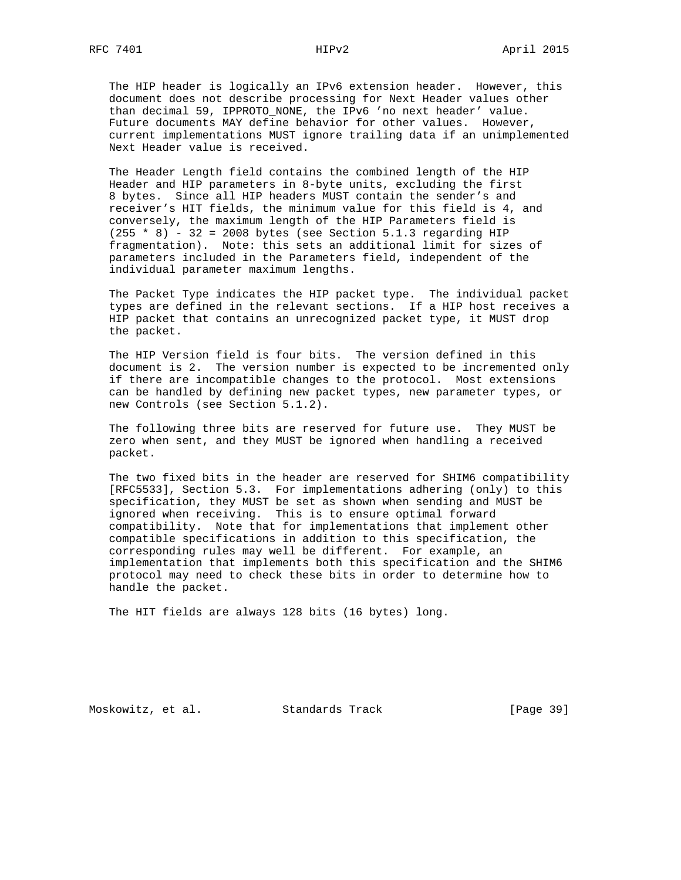The HIP header is logically an IPv6 extension header. However, this document does not describe processing for Next Header values other than decimal 59, IPPROTO\_NONE, the IPv6 'no next header' value. Future documents MAY define behavior for other values. However, current implementations MUST ignore trailing data if an unimplemented Next Header value is received.

 The Header Length field contains the combined length of the HIP Header and HIP parameters in 8-byte units, excluding the first 8 bytes. Since all HIP headers MUST contain the sender's and receiver's HIT fields, the minimum value for this field is 4, and conversely, the maximum length of the HIP Parameters field is  $(255 * 8) - 32 = 2008$  bytes (see Section 5.1.3 regarding HIP fragmentation). Note: this sets an additional limit for sizes of parameters included in the Parameters field, independent of the individual parameter maximum lengths.

 The Packet Type indicates the HIP packet type. The individual packet types are defined in the relevant sections. If a HIP host receives a HIP packet that contains an unrecognized packet type, it MUST drop the packet.

 The HIP Version field is four bits. The version defined in this document is 2. The version number is expected to be incremented only if there are incompatible changes to the protocol. Most extensions can be handled by defining new packet types, new parameter types, or new Controls (see Section 5.1.2).

 The following three bits are reserved for future use. They MUST be zero when sent, and they MUST be ignored when handling a received packet.

 The two fixed bits in the header are reserved for SHIM6 compatibility [RFC5533], Section 5.3. For implementations adhering (only) to this specification, they MUST be set as shown when sending and MUST be ignored when receiving. This is to ensure optimal forward compatibility. Note that for implementations that implement other compatible specifications in addition to this specification, the corresponding rules may well be different. For example, an implementation that implements both this specification and the SHIM6 protocol may need to check these bits in order to determine how to handle the packet.

The HIT fields are always 128 bits (16 bytes) long.

Moskowitz, et al. Standards Track [Page 39]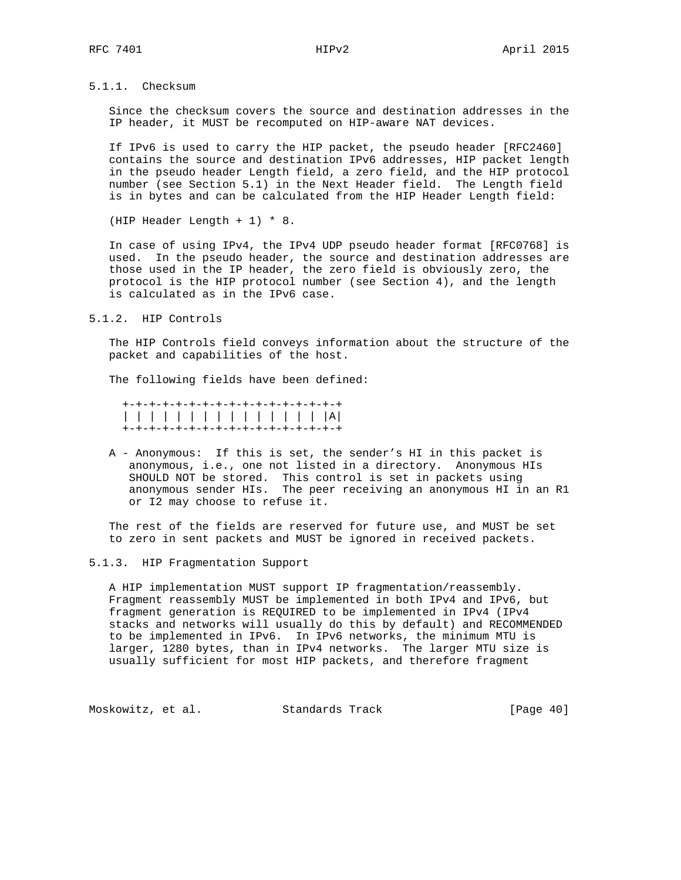5.1.1. Checksum

 Since the checksum covers the source and destination addresses in the IP header, it MUST be recomputed on HIP-aware NAT devices.

 If IPv6 is used to carry the HIP packet, the pseudo header [RFC2460] contains the source and destination IPv6 addresses, HIP packet length in the pseudo header Length field, a zero field, and the HIP protocol number (see Section 5.1) in the Next Header field. The Length field is in bytes and can be calculated from the HIP Header Length field:

(HIP Header Length + 1) \* 8.

 In case of using IPv4, the IPv4 UDP pseudo header format [RFC0768] is used. In the pseudo header, the source and destination addresses are those used in the IP header, the zero field is obviously zero, the protocol is the HIP protocol number (see Section 4), and the length is calculated as in the IPv6 case.

5.1.2. HIP Controls

 The HIP Controls field conveys information about the structure of the packet and capabilities of the host.

The following fields have been defined:

 +-+-+-+-+-+-+-+-+-+-+-+-+-+-+-+-+ | | | | | | | | | | | | | | | |A| +-+-+-+-+-+-+-+-+-+-+-+-+-+-+-+-+

 A - Anonymous: If this is set, the sender's HI in this packet is anonymous, i.e., one not listed in a directory. Anonymous HIs SHOULD NOT be stored. This control is set in packets using anonymous sender HIs. The peer receiving an anonymous HI in an R1 or I2 may choose to refuse it.

 The rest of the fields are reserved for future use, and MUST be set to zero in sent packets and MUST be ignored in received packets.

#### 5.1.3. HIP Fragmentation Support

 A HIP implementation MUST support IP fragmentation/reassembly. Fragment reassembly MUST be implemented in both IPv4 and IPv6, but fragment generation is REQUIRED to be implemented in IPv4 (IPv4 stacks and networks will usually do this by default) and RECOMMENDED to be implemented in IPv6. In IPv6 networks, the minimum MTU is larger, 1280 bytes, than in IPv4 networks. The larger MTU size is usually sufficient for most HIP packets, and therefore fragment

Moskowitz, et al. Standards Track [Page 40]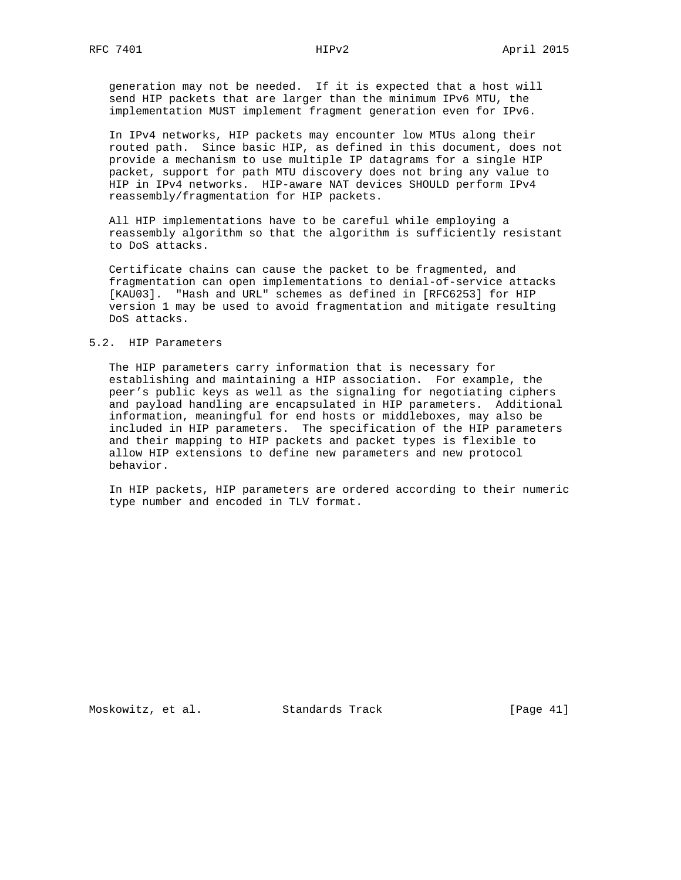generation may not be needed. If it is expected that a host will send HIP packets that are larger than the minimum IPv6 MTU, the implementation MUST implement fragment generation even for IPv6.

 In IPv4 networks, HIP packets may encounter low MTUs along their routed path. Since basic HIP, as defined in this document, does not provide a mechanism to use multiple IP datagrams for a single HIP packet, support for path MTU discovery does not bring any value to HIP in IPv4 networks. HIP-aware NAT devices SHOULD perform IPv4 reassembly/fragmentation for HIP packets.

 All HIP implementations have to be careful while employing a reassembly algorithm so that the algorithm is sufficiently resistant to DoS attacks.

 Certificate chains can cause the packet to be fragmented, and fragmentation can open implementations to denial-of-service attacks [KAU03]. "Hash and URL" schemes as defined in [RFC6253] for HIP version 1 may be used to avoid fragmentation and mitigate resulting DoS attacks.

### 5.2. HIP Parameters

 The HIP parameters carry information that is necessary for establishing and maintaining a HIP association. For example, the peer's public keys as well as the signaling for negotiating ciphers and payload handling are encapsulated in HIP parameters. Additional information, meaningful for end hosts or middleboxes, may also be included in HIP parameters. The specification of the HIP parameters and their mapping to HIP packets and packet types is flexible to allow HIP extensions to define new parameters and new protocol behavior.

 In HIP packets, HIP parameters are ordered according to their numeric type number and encoded in TLV format.

Moskowitz, et al. Standards Track [Page 41]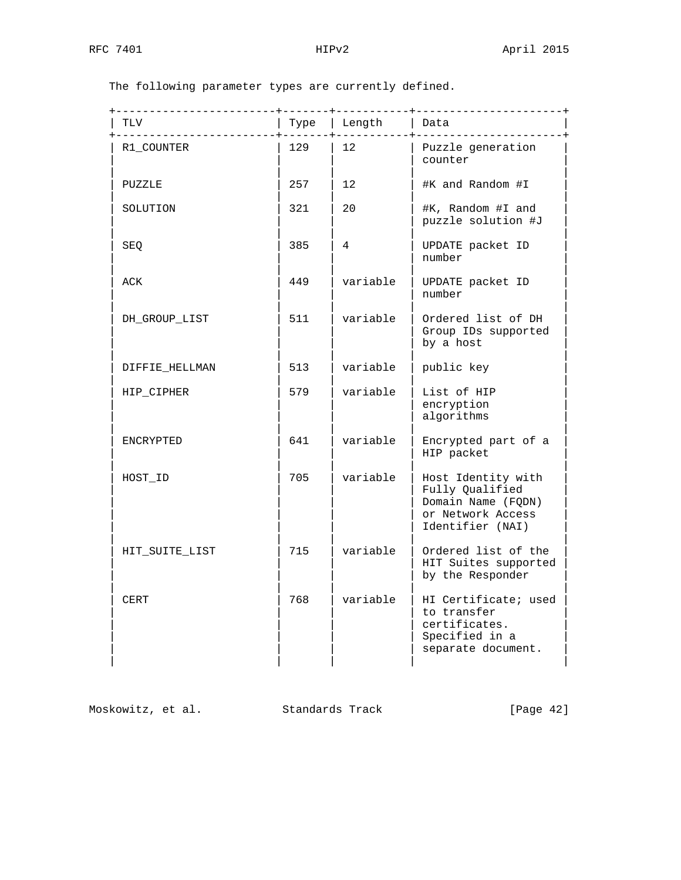| TLV            | Type | Length   | Data                                                                                                 |
|----------------|------|----------|------------------------------------------------------------------------------------------------------|
| R1 COUNTER     | 129  | 12       | Puzzle generation<br>counter                                                                         |
| PUZZLE         | 257  | 12       | #K and Random #I                                                                                     |
| SOLUTION       | 321  | 20       | #K, Random #I and<br>puzzle solution #J                                                              |
| SEQ            | 385  | 4        | UPDATE packet ID<br>number                                                                           |
| ACK            | 449  | variable | UPDATE packet ID<br>number                                                                           |
| DH_GROUP_LIST  | 511  | variable | Ordered list of DH<br>Group IDs supported<br>by a host                                               |
| DIFFIE HELLMAN | 513  | variable | public key                                                                                           |
| HIP_CIPHER     | 579  | variable | List of HIP<br>encryption<br>algorithms                                                              |
| ENCRYPTED      | 641  | variable | Encrypted part of a<br>HIP packet                                                                    |
| HOST_ID        | 705  | variable | Host Identity with<br>Fully Qualified<br>Domain Name (FODN)<br>or Network Access<br>Identifier (NAI) |
| HIT SUITE LIST | 715  | variable | Ordered list of the<br>HIT Suites supported<br>by the Responder                                      |
| <b>CERT</b>    | 768  | variable | HI Certificate; used<br>to transfer<br>certificates.<br>Specified in a<br>separate document.         |

The following parameter types are currently defined.

Moskowitz, et al. Standards Track [Page 42]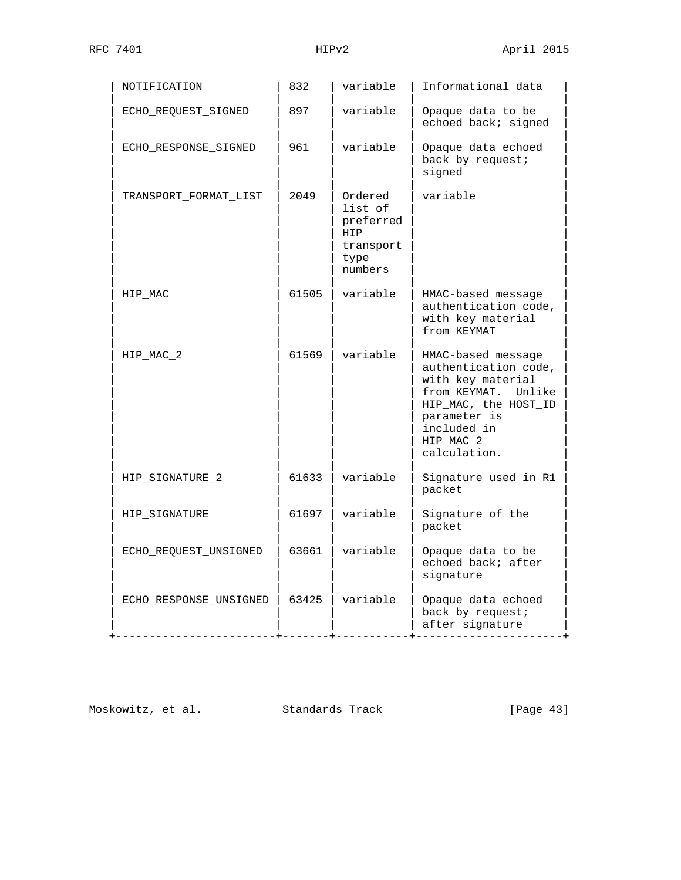| NOTIFICATION           | 832   | variable                                                               | Informational data                                                                                                                                                         |
|------------------------|-------|------------------------------------------------------------------------|----------------------------------------------------------------------------------------------------------------------------------------------------------------------------|
| ECHO_REQUEST_SIGNED    | 897   | variable                                                               | Opaque data to be<br>echoed back; signed                                                                                                                                   |
| ECHO_RESPONSE_SIGNED   | 961   | variable                                                               | Opaque data echoed<br>back by request;<br>signed                                                                                                                           |
| TRANSPORT_FORMAT_LIST  | 2049  | Ordered<br>list of<br>preferred<br>HIP<br>transport<br>type<br>numbers | variable                                                                                                                                                                   |
| HIP_MAC                | 61505 | variable                                                               | HMAC-based message<br>authentication code,<br>with key material<br>from KEYMAT                                                                                             |
| HIP MAC 2              | 61569 | variable                                                               | HMAC-based message<br>authentication code,<br>with key material<br>from KEYMAT. Unlike<br>HIP_MAC, the HOST_ID<br>parameter is<br>included in<br>HIP_MAC_2<br>calculation. |
| HIP SIGNATURE 2        | 61633 | variable                                                               | Signature used in R1<br>packet                                                                                                                                             |
| HIP_SIGNATURE          | 61697 | variable                                                               | Signature of the<br>packet                                                                                                                                                 |
| ECHO_REQUEST_UNSIGNED  | 63661 | variable                                                               | Opaque data to be<br>echoed back; after<br>signature                                                                                                                       |
| ECHO_RESPONSE_UNSIGNED | 63425 | variable                                                               | Opaque data echoed<br>back by request;<br>after signature                                                                                                                  |

Moskowitz, et al. Standards Track [Page 43]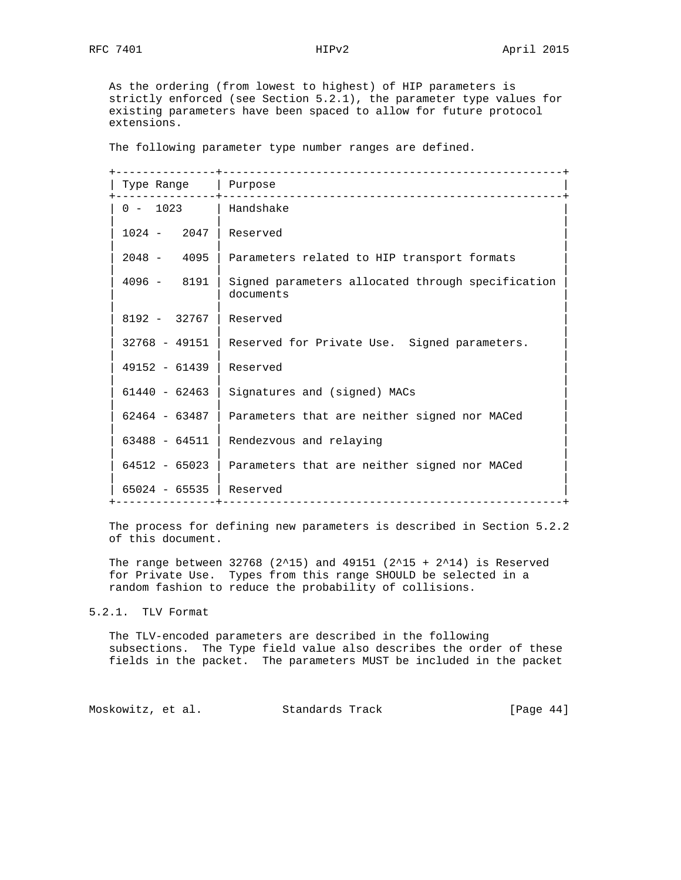As the ordering (from lowest to highest) of HIP parameters is strictly enforced (see Section 5.2.1), the parameter type values for existing parameters have been spaced to allow for future protocol extensions.

The following parameter type number ranges are defined.

| Type Range   Purpose<br>------+--- |                                                                |
|------------------------------------|----------------------------------------------------------------|
| 0 - 1023   Handshake               |                                                                |
| $1024 - 2047$                      | Reserved                                                       |
| $2048 - 4095$                      | Parameters related to HIP transport formats                    |
| $4096 - 8191$                      | Signed parameters allocated through specification<br>documents |
| $8192 - 32767$                     | Reserved                                                       |
| $32768 - 49151$                    | Reserved for Private Use. Signed parameters.                   |
| $49152 - 61439$                    | Reserved                                                       |
| $61440 - 62463$                    | Signatures and (signed) MACs                                   |
| $62464 - 63487$                    | Parameters that are neither signed nor MACed                   |
| $63488 - 64511$                    | Rendezvous and relaying                                        |
| $64512 - 65023$                    | Parameters that are neither signed nor MACed                   |
| $65024 - 65535$   Reserved         | -------------------------------                                |
|                                    |                                                                |

 The process for defining new parameters is described in Section 5.2.2 of this document.

The range between 32768 (2^15) and 49151 (2^15 + 2^14) is Reserved for Private Use. Types from this range SHOULD be selected in a random fashion to reduce the probability of collisions.

#### 5.2.1. TLV Format

 The TLV-encoded parameters are described in the following subsections. The Type field value also describes the order of these fields in the packet. The parameters MUST be included in the packet

Moskowitz, et al. Standards Track [Page 44]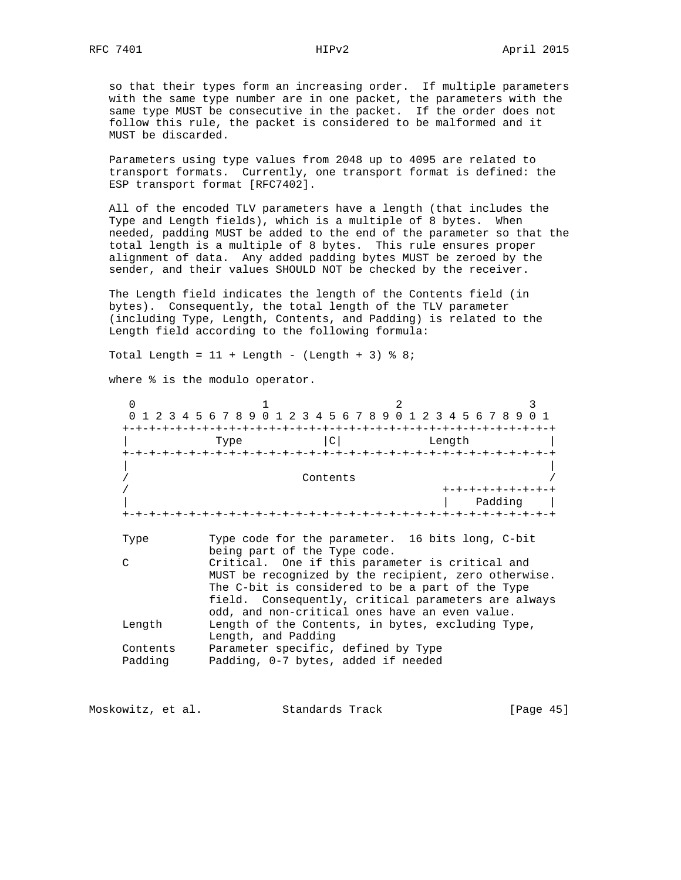so that their types form an increasing order. If multiple parameters with the same type number are in one packet, the parameters with the same type MUST be consecutive in the packet. If the order does not follow this rule, the packet is considered to be malformed and it MUST be discarded.

 Parameters using type values from 2048 up to 4095 are related to transport formats. Currently, one transport format is defined: the ESP transport format [RFC7402].

 All of the encoded TLV parameters have a length (that includes the Type and Length fields), which is a multiple of 8 bytes. When needed, padding MUST be added to the end of the parameter so that the total length is a multiple of 8 bytes. This rule ensures proper alignment of data. Any added padding bytes MUST be zeroed by the sender, and their values SHOULD NOT be checked by the receiver.

 The Length field indicates the length of the Contents field (in bytes). Consequently, the total length of the TLV parameter (including Type, Length, Contents, and Padding) is related to the Length field according to the following formula:

Total Length =  $11 +$  Length - (Length + 3)  $%$  8;

where % is the modulo operator.

| $\Omega$ |                                                          |
|----------|----------------------------------------------------------|
|          | 2 3 4 5 6 7 8 9 0 1<br>2 3 4 5 6 7 8 9 0 1 2 3<br>456789 |
|          |                                                          |
|          | $\mathcal{C}$<br>Type<br>Length                          |
|          |                                                          |
|          |                                                          |
|          | Contents                                                 |
|          | +-+-+-+-+-+-+-+                                          |
|          | Padding                                                  |
| Type     | Type code for the parameter. 16 bits long, C-bit         |
|          | being part of the Type code.                             |
| $\cap$   | Critical. One if this parameter is critical and          |
|          | MUST be recognized by the recipient, zero otherwise.     |
|          | The C-bit is considered to be a part of the Type         |
|          | field. Consequently, critical parameters are always      |
|          | odd, and non-critical ones have an even value.           |
| Length   | Length of the Contents, in bytes, excluding Type,        |
|          | Length, and Padding                                      |
| Contents | Parameter specific, defined by Type                      |
| Padding  | Padding, 0-7 bytes, added if needed                      |

Moskowitz, et al. Standards Track [Page 45]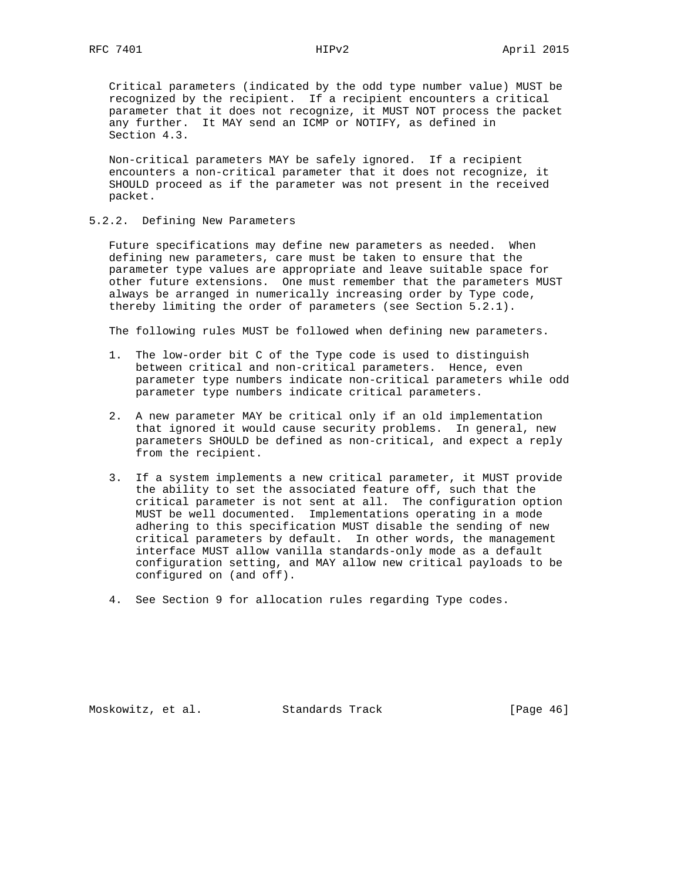Critical parameters (indicated by the odd type number value) MUST be recognized by the recipient. If a recipient encounters a critical parameter that it does not recognize, it MUST NOT process the packet any further. It MAY send an ICMP or NOTIFY, as defined in Section 4.3.

 Non-critical parameters MAY be safely ignored. If a recipient encounters a non-critical parameter that it does not recognize, it SHOULD proceed as if the parameter was not present in the received packet.

#### 5.2.2. Defining New Parameters

 Future specifications may define new parameters as needed. When defining new parameters, care must be taken to ensure that the parameter type values are appropriate and leave suitable space for other future extensions. One must remember that the parameters MUST always be arranged in numerically increasing order by Type code, thereby limiting the order of parameters (see Section 5.2.1).

The following rules MUST be followed when defining new parameters.

- 1. The low-order bit C of the Type code is used to distinguish between critical and non-critical parameters. Hence, even parameter type numbers indicate non-critical parameters while odd parameter type numbers indicate critical parameters.
- 2. A new parameter MAY be critical only if an old implementation that ignored it would cause security problems. In general, new parameters SHOULD be defined as non-critical, and expect a reply from the recipient.
- 3. If a system implements a new critical parameter, it MUST provide the ability to set the associated feature off, such that the critical parameter is not sent at all. The configuration option MUST be well documented. Implementations operating in a mode adhering to this specification MUST disable the sending of new critical parameters by default. In other words, the management interface MUST allow vanilla standards-only mode as a default configuration setting, and MAY allow new critical payloads to be configured on (and off).
- 4. See Section 9 for allocation rules regarding Type codes.

Moskowitz, et al. Standards Track [Page 46]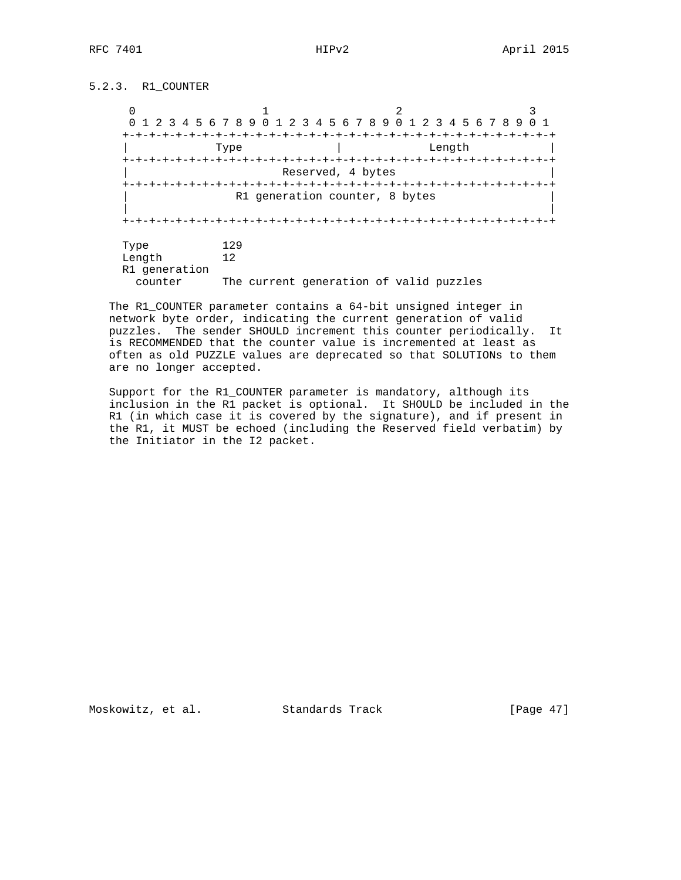## 5.2.3. R1\_COUNTER

 $0$  and  $1$  and  $2$  3 0 1 2 3 4 5 6 7 8 9 0 1 2 3 4 5 6 7 8 9 0 1 2 3 4 5 6 7 8 9 0 1 +-+-+-+-+-+-+-+-+-+-+-+-+-+-+-+-+-+-+-+-+-+-+-+-+-+-+-+-+-+-+-+-+ | Type | Length | +-+-+-+-+-+-+-+-+-+-+-+-+-+-+-+-+-+-+-+-+-+-+-+-+-+-+-+-+-+-+-+-+ Reserved, 4 bytes +-+-+-+-+-+-+-+-+-+-+-+-+-+-+-+-+-+-+-+-+-+-+-+-+-+-+-+-+-+-+-+-+ R1 generation counter, 8 bytes | | +-+-+-+-+-+-+-+-+-+-+-+-+-+-+-+-+-+-+-+-+-+-+-+-+-+-+-+-+-+-+-+-+ Type 129 Length 12 R1 generation counter The current generation of valid puzzles

 The R1\_COUNTER parameter contains a 64-bit unsigned integer in network byte order, indicating the current generation of valid puzzles. The sender SHOULD increment this counter periodically. It is RECOMMENDED that the counter value is incremented at least as often as old PUZZLE values are deprecated so that SOLUTIONs to them are no longer accepted.

 Support for the R1\_COUNTER parameter is mandatory, although its inclusion in the R1 packet is optional. It SHOULD be included in the R1 (in which case it is covered by the signature), and if present in the R1, it MUST be echoed (including the Reserved field verbatim) by the Initiator in the I2 packet.

Moskowitz, et al. Standards Track [Page 47]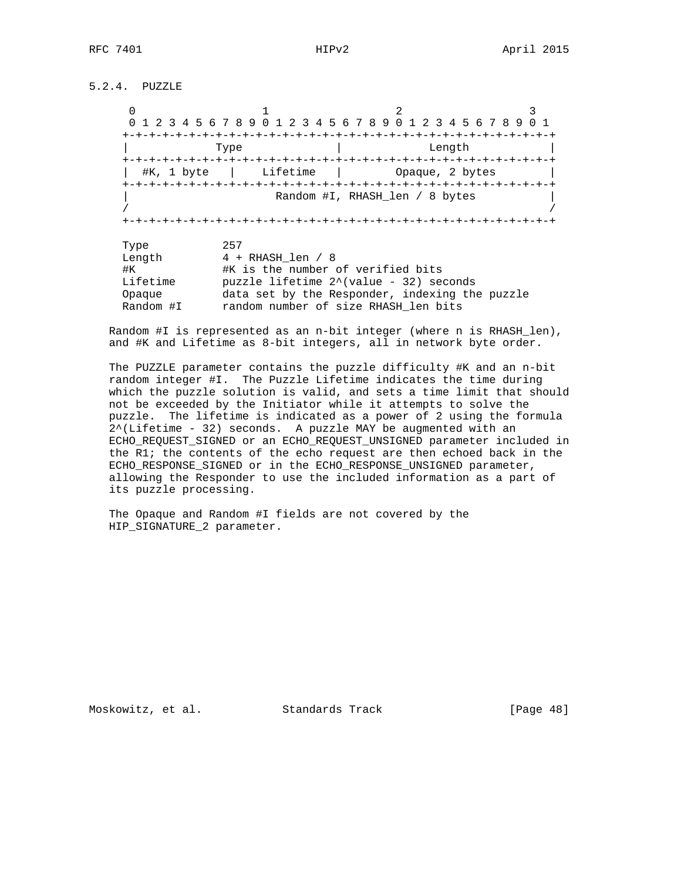5.2.4. PUZZLE

 $0$  and  $1$  and  $2$  3 0 1 2 3 4 5 6 7 8 9 0 1 2 3 4 5 6 7 8 9 0 1 2 3 4 5 6 7 8 9 0 1 +-+-+-+-+-+-+-+-+-+-+-+-+-+-+-+-+-+-+-+-+-+-+-+-+-+-+-+-+-+-+-+-+ | Type | Length | +-+-+-+-+-+-+-+-+-+-+-+-+-+-+-+-+-+-+-+-+-+-+-+-+-+-+-+-+-+-+-+-+ | #K, 1 byte | Lifetime | Opaque, 2 bytes | +-+-+-+-+-+-+-+-+-+-+-+-+-+-+-+-+-+-+-+-+-+-+-+-+-+-+-+-+-+-+-+-+ Random #I, RHASH\_len / 8 bytes / / +-+-+-+-+-+-+-+-+-+-+-+-+-+-+-+-+-+-+-+-+-+-+-+-+-+-+-+-+-+-+-+-+ Type 257 Length  $4 + R$ HASH\_len / 8 #K #K is the number of verified bits Lifetime puzzle lifetime 2^(value - 32) seconds Opaque data set by the Responder, indexing the puzzle Random #I random number of size RHASH\_len bits

 Random #I is represented as an n-bit integer (where n is RHASH\_len), and #K and Lifetime as 8-bit integers, all in network byte order.

 The PUZZLE parameter contains the puzzle difficulty #K and an n-bit random integer #I. The Puzzle Lifetime indicates the time during which the puzzle solution is valid, and sets a time limit that should not be exceeded by the Initiator while it attempts to solve the puzzle. The lifetime is indicated as a power of 2 using the formula 2^(Lifetime - 32) seconds. A puzzle MAY be augmented with an ECHO\_REQUEST\_SIGNED or an ECHO\_REQUEST\_UNSIGNED parameter included in the R1; the contents of the echo request are then echoed back in the ECHO\_RESPONSE\_SIGNED or in the ECHO\_RESPONSE\_UNSIGNED parameter, allowing the Responder to use the included information as a part of its puzzle processing.

 The Opaque and Random #I fields are not covered by the HIP SIGNATURE 2 parameter.

Moskowitz, et al. Standards Track [Page 48]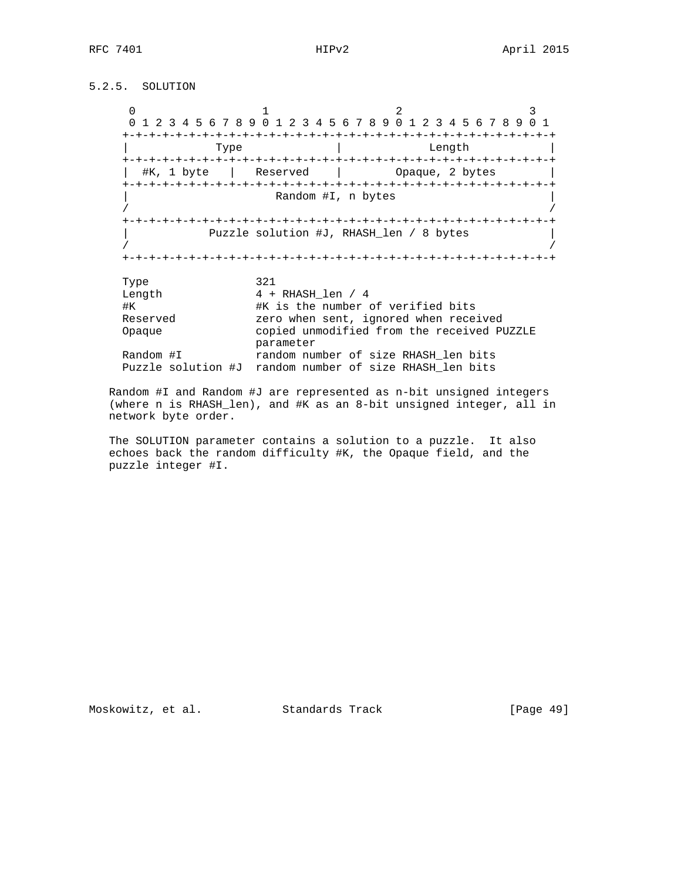## 5.2.5. SOLUTION

 $0$  and  $1$  and  $2$  3 0 1 2 3 4 5 6 7 8 9 0 1 2 3 4 5 6 7 8 9 0 1 2 3 4 5 6 7 8 9 0 1 +-+-+-+-+-+-+-+-+-+-+-+-+-+-+-+-+-+-+-+-+-+-+-+-+-+-+-+-+-+-+-+-+ Type  $|$  Length +-+-+-+-+-+-+-+-+-+-+-+-+-+-+-+-+-+-+-+-+-+-+-+-+-+-+-+-+-+-+-+-+ | #K, 1 byte | Reserved | Opaque, 2 bytes | +-+-+-+-+-+-+-+-+-+-+-+-+-+-+-+-+-+-+-+-+-+-+-+-+-+-+-+-+-+-+-+-+ Random #I, n bytes / / +-+-+-+-+-+-+-+-+-+-+-+-+-+-+-+-+-+-+-+-+-+-+-+-+-+-+-+-+-+-+-+-+ | Puzzle solution #J, RHASH\_len / 8 bytes | / / +-+-+-+-+-+-+-+-+-+-+-+-+-+-+-+-+-+-+-+-+-+-+-+-+-+-+-+-+-+-+-+-+ Type 321 Length  $4 + RHASH_length / 4$  #K #K is the number of verified bits Reserved zero when sent, ignored when received Opaque copied unmodified from the received PUZZLE parameter Random #I random number of size RHASH\_len bits Puzzle solution #J random number of size RHASH\_len bits

 Random #I and Random #J are represented as n-bit unsigned integers (where n is RHASH\_len), and #K as an 8-bit unsigned integer, all in network byte order.

 The SOLUTION parameter contains a solution to a puzzle. It also echoes back the random difficulty #K, the Opaque field, and the puzzle integer #I.

Moskowitz, et al. Standards Track [Page 49]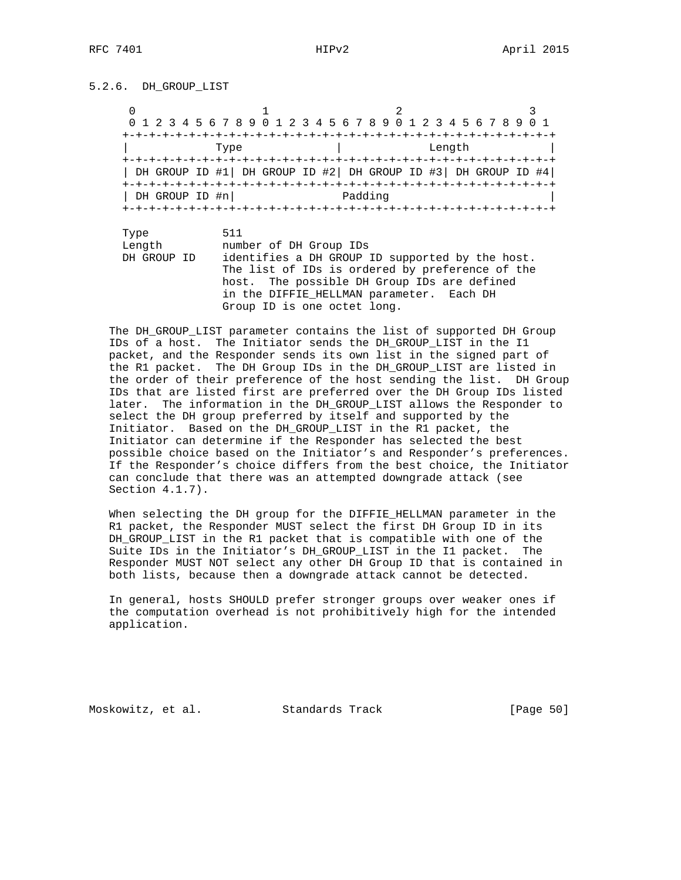5.2.6. DH\_GROUP\_LIST

| 0              |                                                                                                                                                                                        |                                       |        |
|----------------|----------------------------------------------------------------------------------------------------------------------------------------------------------------------------------------|---------------------------------------|--------|
|                | 0 1 2 3 4 5 6 7 8 9 0 1 2 3 4 5 6 7 8 9 0 1 2 3 4 5 6 7 8 9                                                                                                                            |                                       |        |
|                |                                                                                                                                                                                        |                                       |        |
|                | Type                                                                                                                                                                                   |                                       | Length |
| DH GROUP ID #n | DH GROUP ID #1 DH GROUP ID #2 DH GROUP ID #3 DH GROUP ID #4                                                                                                                            | Padding                               |        |
| Type           | 511                                                                                                                                                                                    |                                       |        |
| Length         | number of DH Group IDs                                                                                                                                                                 |                                       |        |
| DH GROUP ID    | identifies a DH GROUP ID supported by the host.<br>The list of IDs is ordered by preference of the<br>host.<br>in the DIFFIE HELLMAN parameter. Each DH<br>Group ID is one octet long. | The possible DH Group IDs are defined |        |

 The DH\_GROUP\_LIST parameter contains the list of supported DH Group IDs of a host. The Initiator sends the DH\_GROUP\_LIST in the I1 packet, and the Responder sends its own list in the signed part of the R1 packet. The DH Group IDs in the DH\_GROUP\_LIST are listed in the order of their preference of the host sending the list. DH Group IDs that are listed first are preferred over the DH Group IDs listed later. The information in the DH\_GROUP\_LIST allows the Responder to select the DH group preferred by itself and supported by the Initiator. Based on the DH\_GROUP\_LIST in the R1 packet, the Initiator can determine if the Responder has selected the best possible choice based on the Initiator's and Responder's preferences. If the Responder's choice differs from the best choice, the Initiator can conclude that there was an attempted downgrade attack (see Section 4.1.7).

 When selecting the DH group for the DIFFIE\_HELLMAN parameter in the R1 packet, the Responder MUST select the first DH Group ID in its DH\_GROUP\_LIST in the R1 packet that is compatible with one of the Suite IDs in the Initiator's DH\_GROUP\_LIST in the I1 packet. The Responder MUST NOT select any other DH Group ID that is contained in both lists, because then a downgrade attack cannot be detected.

 In general, hosts SHOULD prefer stronger groups over weaker ones if the computation overhead is not prohibitively high for the intended application.

Moskowitz, et al. Standards Track [Page 50]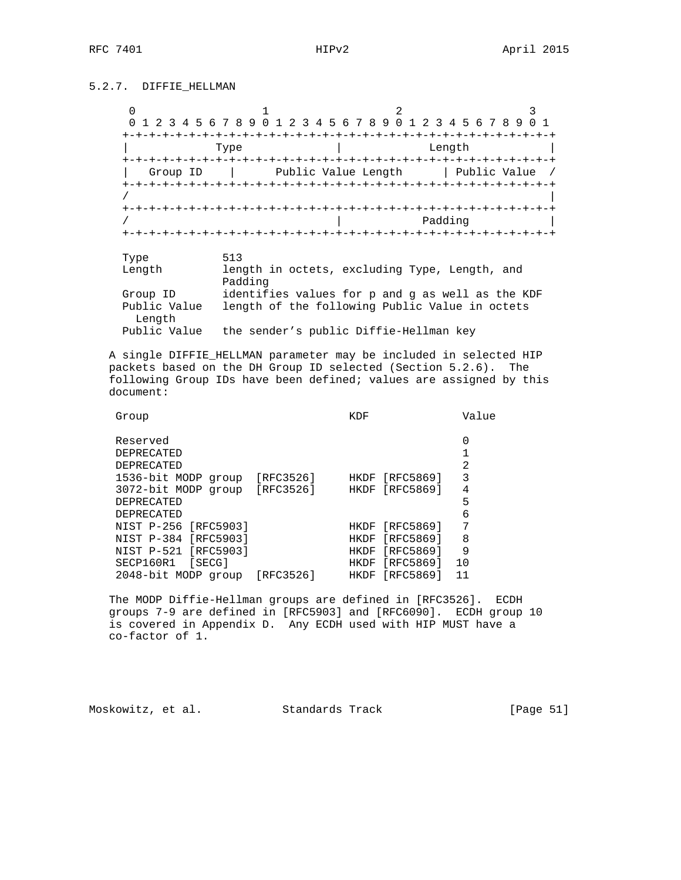## 5.2.7. DIFFIE\_HELLMAN

|                       | 0 1 2 3 4 5 6 7 8 9 0 1 2 3 4 5 6 7 8 9 0 1 2 3 4 5 6 7 8 9 |                     |  |              |      |
|-----------------------|-------------------------------------------------------------|---------------------|--|--------------|------|
|                       |                                                             |                     |  |              |      |
|                       | Type                                                        |                     |  | Length       |      |
|                       |                                                             |                     |  |              |      |
| Group ID              |                                                             | Public Value Length |  | Public Value |      |
|                       |                                                             |                     |  |              |      |
|                       |                                                             |                     |  |              |      |
|                       |                                                             |                     |  |              |      |
|                       |                                                             |                     |  | Padding      |      |
|                       |                                                             |                     |  |              |      |
|                       |                                                             |                     |  |              |      |
| Type                  | 513                                                         |                     |  |              |      |
| $T_{on}$ $\alpha + h$ | lopath in octota excluding Type Length                      |                     |  |              | nnd. |

| Length       | length in octets, excluding Type, Length, and    |
|--------------|--------------------------------------------------|
|              | Padding                                          |
| Group ID     | identifies values for p and g as well as the KDF |
| Public Value | length of the following Public Value in octets   |
| Lenath       |                                                  |
| Public Value | the sender's public Diffie-Hellman key           |
|              |                                                  |

 A single DIFFIE\_HELLMAN parameter may be included in selected HIP packets based on the DH Group ID selected (Section 5.2.6). The following Group IDs have been defined; values are assigned by this document:

| Group                   |           | KDF         |           | Value |
|-------------------------|-----------|-------------|-----------|-------|
| Reserved                |           |             |           | 0     |
| <b>DEPRECATED</b>       |           |             |           |       |
| <b>DEPRECATED</b>       |           |             |           | 2     |
| 1536-bit MODP<br>group  | [RFC3526] | HKDF        | [RFC5869] | 3     |
| 3072-bit MODP group     | [RFC3526] | <b>HKDF</b> | [RFC5869] | 4     |
| <b>DEPRECATED</b>       |           |             |           | 5     |
| <b>DEPRECATED</b>       |           |             |           | 6     |
| NIST P-256 [RFC5903]    |           | <b>HKDF</b> | [RFC5869] | 7     |
| NIST P-384<br>[RFC5903] |           | HKDF        | [RFC5869] | 8     |
| [RFC5903]<br>NIST P-521 |           | <b>HKDF</b> | [RFC5869] | 9     |
| SECP160R1<br>[SECG]     |           | HKDF        | [RFC5869] | 10    |
| 2048-bit MODP group     | [RFC3526] | HKDF        | [RFC5869] | 11    |
|                         |           |             |           |       |

 The MODP Diffie-Hellman groups are defined in [RFC3526]. ECDH groups 7-9 are defined in [RFC5903] and [RFC6090]. ECDH group 10 is covered in Appendix D. Any ECDH used with HIP MUST have a co-factor of 1.

Moskowitz, et al. Standards Track [Page 51]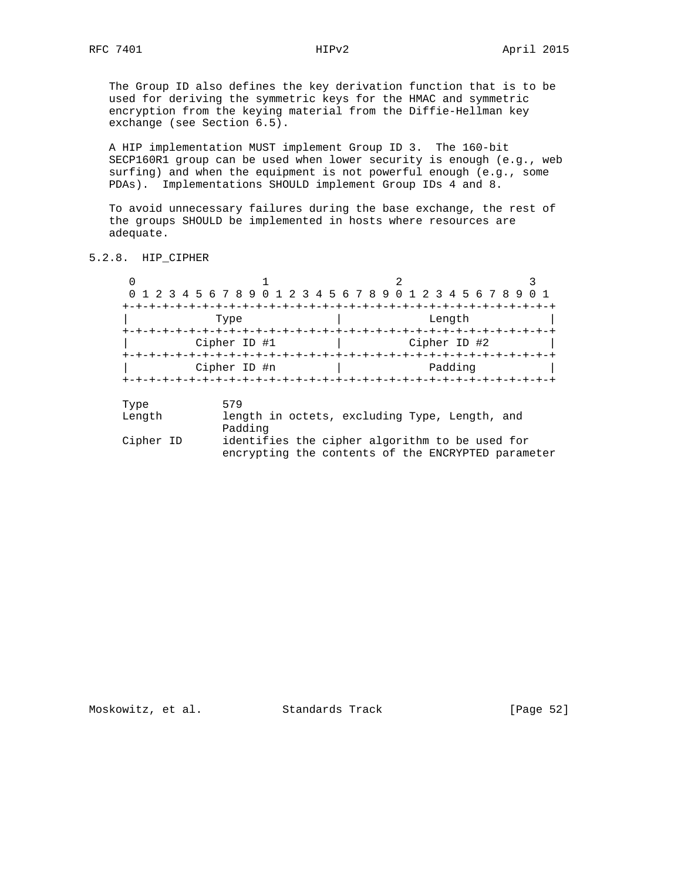The Group ID also defines the key derivation function that is to be used for deriving the symmetric keys for the HMAC and symmetric encryption from the keying material from the Diffie-Hellman key exchange (see Section 6.5).

 A HIP implementation MUST implement Group ID 3. The 160-bit SECP160R1 group can be used when lower security is enough (e.g., web surfing) and when the equipment is not powerful enough (e.g., some PDAs). Implementations SHOULD implement Group IDs 4 and 8.

 To avoid unnecessary failures during the base exchange, the rest of the groups SHOULD be implemented in hosts where resources are adequate.

5.2.8. HIP\_CIPHER

|        | 0 1 2 3 4 5 6 7 8 9 0 1 2 3 4 5 6 7 8 9 0 1 2 3 4 5 6 7 8 9 |              |         |
|--------|-------------------------------------------------------------|--------------|---------|
|        |                                                             |              |         |
|        | Type                                                        | Length       |         |
|        |                                                             |              |         |
|        | Cipher ID #1                                                | Cipher ID #2 |         |
|        |                                                             |              |         |
|        | Cipher ID #n                                                |              | Padding |
|        |                                                             |              |         |
| Type   | 579                                                         |              |         |
| Length | length in octets, excluding Type, Length, and<br>Padding    |              |         |
| Cipher | identifies the cipher algorithm to be used for              |              |         |

 Cipher ID identifies the cipher algorithm to be used for encrypting the contents of the ENCRYPTED parameter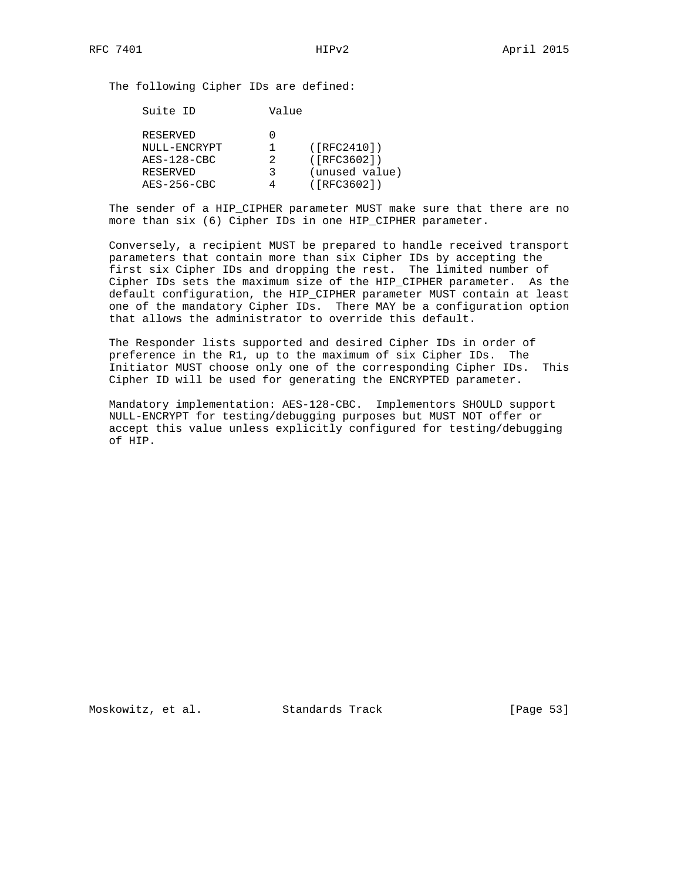The following Cipher IDs are defined:

| Suite ID      | Value |                                  |
|---------------|-------|----------------------------------|
| RESERVED      |       |                                  |
| NULL-ENCRYPT  |       | $(\lceil \text{RFC2410} \rceil)$ |
| $AES-128-CBC$ | 2     | ( [RFC3602])                     |
| RESERVED      | २     | (unused value)                   |
| $AES-256-CBC$ |       | ( [RFC3602])                     |
|               |       |                                  |

 The sender of a HIP\_CIPHER parameter MUST make sure that there are no more than six (6) Cipher IDs in one HIP\_CIPHER parameter.

 Conversely, a recipient MUST be prepared to handle received transport parameters that contain more than six Cipher IDs by accepting the first six Cipher IDs and dropping the rest. The limited number of Cipher IDs sets the maximum size of the HIP\_CIPHER parameter. As the default configuration, the HIP\_CIPHER parameter MUST contain at least one of the mandatory Cipher IDs. There MAY be a configuration option that allows the administrator to override this default.

 The Responder lists supported and desired Cipher IDs in order of preference in the R1, up to the maximum of six Cipher IDs. The Initiator MUST choose only one of the corresponding Cipher IDs. This Cipher ID will be used for generating the ENCRYPTED parameter.

 Mandatory implementation: AES-128-CBC. Implementors SHOULD support NULL-ENCRYPT for testing/debugging purposes but MUST NOT offer or accept this value unless explicitly configured for testing/debugging of HIP.

Moskowitz, et al. Standards Track [Page 53]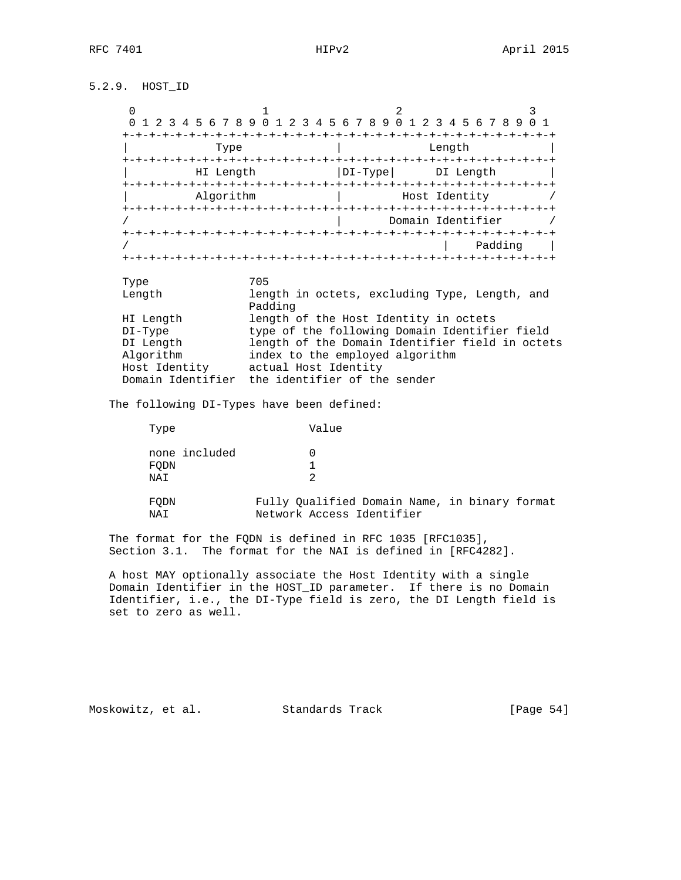# 5.2.9. HOST\_ID

| U                 |                                                          |            |                   |                  |
|-------------------|----------------------------------------------------------|------------|-------------------|------------------|
| 4 5 6 7 8 9 0 1   | 456<br>3<br>2                                            | 78901      | 2 3 4 5 6 7 8 9   |                  |
|                   |                                                          |            |                   |                  |
| Type              |                                                          |            | Length            |                  |
| HI Length         |                                                          | $DI$ -Type | DI Length         |                  |
| Algorithm         |                                                          |            | Host Identity     |                  |
|                   |                                                          |            | Domain Identifier |                  |
|                   |                                                          |            |                   | Padding          |
|                   |                                                          |            |                   | -+-+-+-+-+-+-+-+ |
| Type              | 705                                                      |            |                   |                  |
| Length            | length in octets, excluding Type, Length, and<br>Padding |            |                   |                  |
| HI Length         | length of the Host Identity in octets                    |            |                   |                  |
| $DI-Type$         | type of the following Domain Identifier field            |            |                   |                  |
| DI Length         | length of the Domain Identifier field in octets          |            |                   |                  |
| Algorithm         | index to the employed algorithm                          |            |                   |                  |
| Host Identity     | actual Host Identity                                     |            |                   |                  |
| Domain Identifier | the identifier of the sender                             |            |                   |                  |
|                   |                                                          |            |                   |                  |

The following DI-Types have been defined:

| Type                         | Value                                                                      |  |
|------------------------------|----------------------------------------------------------------------------|--|
| none included<br>FODN<br>NAI | $\mathcal{P}$                                                              |  |
| FODN<br>NAI                  | Fully Qualified Domain Name, in binary format<br>Network Access Identifier |  |

 The format for the FQDN is defined in RFC 1035 [RFC1035], Section 3.1. The format for the NAI is defined in [RFC4282].

 A host MAY optionally associate the Host Identity with a single Domain Identifier in the HOST\_ID parameter. If there is no Domain Identifier, i.e., the DI-Type field is zero, the DI Length field is set to zero as well.

Moskowitz, et al. Standards Track [Page 54]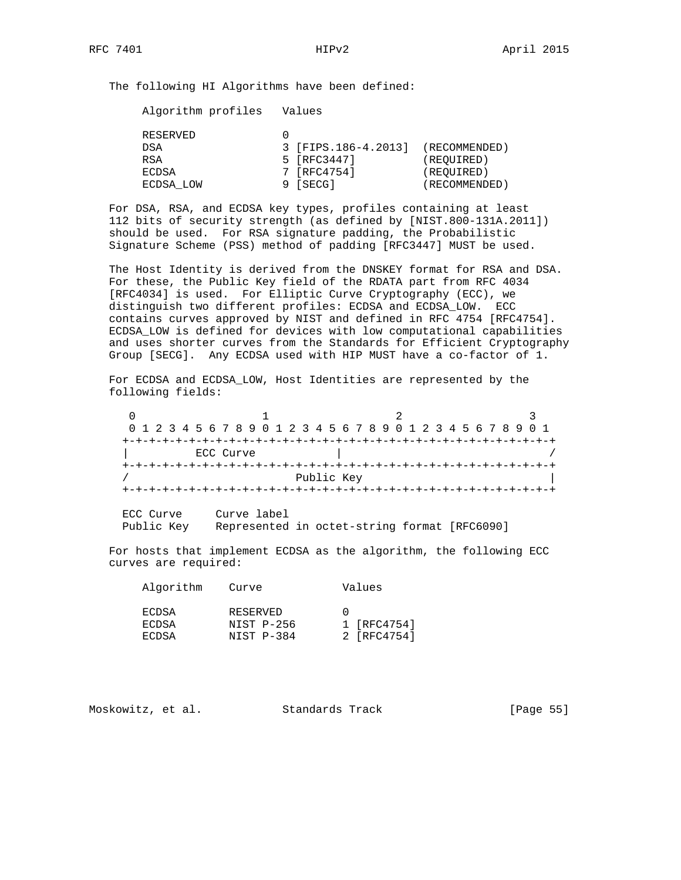The following HI Algorithms have been defined:

Algorithm profiles Values

|       | RESERVED  |                     |               |
|-------|-----------|---------------------|---------------|
| DSA   |           | 3 [FIPS.186-4.2013] | (RECOMMENDED) |
| RSA   |           | 5 [RFC3447]         | (REOUIRED)    |
| ECDSA |           | 7 [RFC4754]         | (REOUIRED)    |
|       | ECDSA LOW | 9 [SECG]            | (RECOMMENDED) |

 For DSA, RSA, and ECDSA key types, profiles containing at least 112 bits of security strength (as defined by [NIST.800-131A.2011]) should be used. For RSA signature padding, the Probabilistic Signature Scheme (PSS) method of padding [RFC3447] MUST be used.

 The Host Identity is derived from the DNSKEY format for RSA and DSA. For these, the Public Key field of the RDATA part from RFC 4034 [RFC4034] is used. For Elliptic Curve Cryptography (ECC), we distinguish two different profiles: ECDSA and ECDSA\_LOW. ECC contains curves approved by NIST and defined in RFC 4754 [RFC4754]. ECDSA\_LOW is defined for devices with low computational capabilities and uses shorter curves from the Standards for Efficient Cryptography Group [SECG]. Any ECDSA used with HIP MUST have a co-factor of 1.

 For ECDSA and ECDSA\_LOW, Host Identities are represented by the following fields:

 $0$  and  $1$  and  $2$  3 0 1 2 3 4 5 6 7 8 9 0 1 2 3 4 5 6 7 8 9 0 1 2 3 4 5 6 7 8 9 0 1 +-+-+-+-+-+-+-+-+-+-+-+-+-+-+-+-+-+-+-+-+-+-+-+-+-+-+-+-+-+-+-+-+ ECC Curve +-+-+-+-+-+-+-+-+-+-+-+-+-+-+-+-+-+-+-+-+-+-+-+-+-+-+-+-+-+-+-+-+ Public Key +-+-+-+-+-+-+-+-+-+-+-+-+-+-+-+-+-+-+-+-+-+-+-+-+-+-+-+-+-+-+-+-+

 ECC Curve Curve label Public Key Represented in octet-string format [RFC6090]

 For hosts that implement ECDSA as the algorithm, the following ECC curves are required:

| Algorithm | Curve      | Values      |
|-----------|------------|-------------|
| ECDSA     | RESERVED   |             |
| ECDSA     | NIST P-256 | 1 [RFC4754] |
| ECDSA     | NIST P-384 | 2 [RFC4754] |

Moskowitz, et al. Standards Track [Page 55]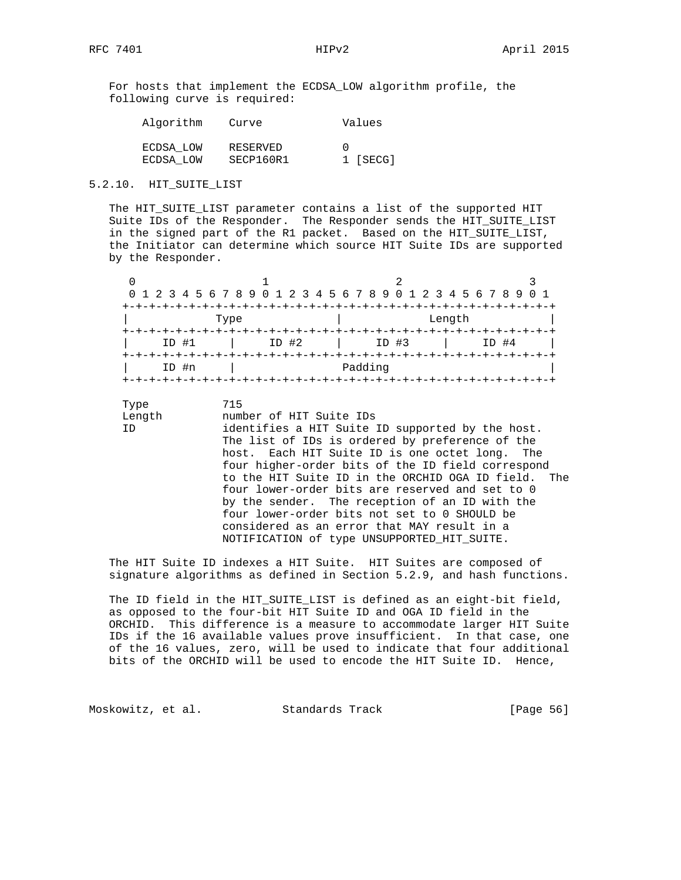For hosts that implement the ECDSA\_LOW algorithm profile, the following curve is required:

| Algorithm | Curve     | Values           |
|-----------|-----------|------------------|
| ECDSA LOW | RESERVED  | $\left( \right)$ |
| ECDSA LOW | SECP160R1 | 1 [SECG]         |

### 5.2.10. HIT\_SUITE\_LIST

 The HIT\_SUITE\_LIST parameter contains a list of the supported HIT Suite IDs of the Responder. The Responder sends the HIT\_SUITE\_LIST in the signed part of the R1 packet. Based on the HIT\_SUITE\_LIST, the Initiator can determine which source HIT Suite IDs are supported by the Responder.

|         |       | 0 1 2 3 4 5 6 7 8 9 0 1 2 3 4 5 6 7 8 9 0 1 2 3 4 5 6 7 8 9 0 1 |         |
|---------|-------|-----------------------------------------------------------------|---------|
|         |       |                                                                 |         |
|         | Type  | Length                                                          |         |
|         |       |                                                                 |         |
| $ID$ #1 | ID #2 | $ID$ #3                                                         | $ID$ #4 |
|         |       |                                                                 |         |
| ID #n   |       | Padding                                                         |         |
|         |       |                                                                 |         |

Type 715

Length number of HIT Suite IDs

 ID identifies a HIT Suite ID supported by the host. The list of IDs is ordered by preference of the host. Each HIT Suite ID is one octet long. The four higher-order bits of the ID field correspond to the HIT Suite ID in the ORCHID OGA ID field. The four lower-order bits are reserved and set to 0 by the sender. The reception of an ID with the four lower-order bits not set to 0 SHOULD be considered as an error that MAY result in a NOTIFICATION of type UNSUPPORTED\_HIT\_SUITE.

 The HIT Suite ID indexes a HIT Suite. HIT Suites are composed of signature algorithms as defined in Section 5.2.9, and hash functions.

 The ID field in the HIT\_SUITE\_LIST is defined as an eight-bit field, as opposed to the four-bit HIT Suite ID and OGA ID field in the ORCHID. This difference is a measure to accommodate larger HIT Suite IDs if the 16 available values prove insufficient. In that case, one of the 16 values, zero, will be used to indicate that four additional bits of the ORCHID will be used to encode the HIT Suite ID. Hence,

Moskowitz, et al. Standards Track [Page 56]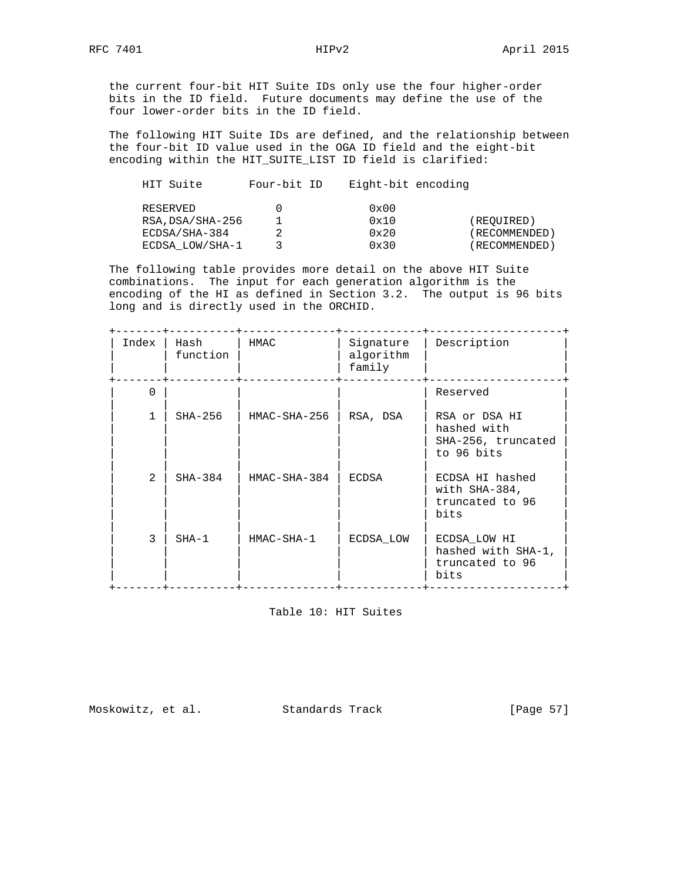the current four-bit HIT Suite IDs only use the four higher-order bits in the ID field. Future documents may define the use of the four lower-order bits in the ID field.

 The following HIT Suite IDs are defined, and the relationship between the four-bit ID value used in the OGA ID field and the eight-bit encoding within the HIT\_SUITE\_LIST ID field is clarified:

| HIT Suite        | Four-bit ID | Eight-bit encoding |               |
|------------------|-------------|--------------------|---------------|
| RESERVED         |             | $0 \times 00$      |               |
| RSA, DSA/SHA-256 |             | 0x10               | (REQUIRED)    |
| ECDSA/SHA-384    |             | $0 \times 20$      | (RECOMMENDED) |
| ECDSA LOW/SHA-1  |             | $0 \times 30$      | (RECOMMENDED) |

 The following table provides more detail on the above HIT Suite combinations. The input for each generation algorithm is the encoding of the HI as defined in Section 3.2. The output is 96 bits long and is directly used in the ORCHID.

| Index          | Hash<br>function | HMAC           | Signature<br>algorithm<br>family | Description                                                      |
|----------------|------------------|----------------|----------------------------------|------------------------------------------------------------------|
| $\Omega$       |                  |                |                                  | Reserved                                                         |
|                | $SHA-256$        | HMAC-SHA-256   | RSA, DSA                         | RSA or DSA HI<br>hashed with<br>SHA-256, truncated<br>to 96 bits |
| $\mathfrak{D}$ | $SHA-384$        | $HMAC-SHA-384$ | ECDSA                            | ECDSA HI hashed<br>with $SHA-384$ ,<br>truncated to 96<br>bits   |
| 3              | $SHA-1$          | HMAC-SHA-1     | ECDSA LOW                        | ECDSA LOW HI<br>hashed with SHA-1,<br>truncated to 96<br>bits    |

Table 10: HIT Suites

Moskowitz, et al. Standards Track [Page 57]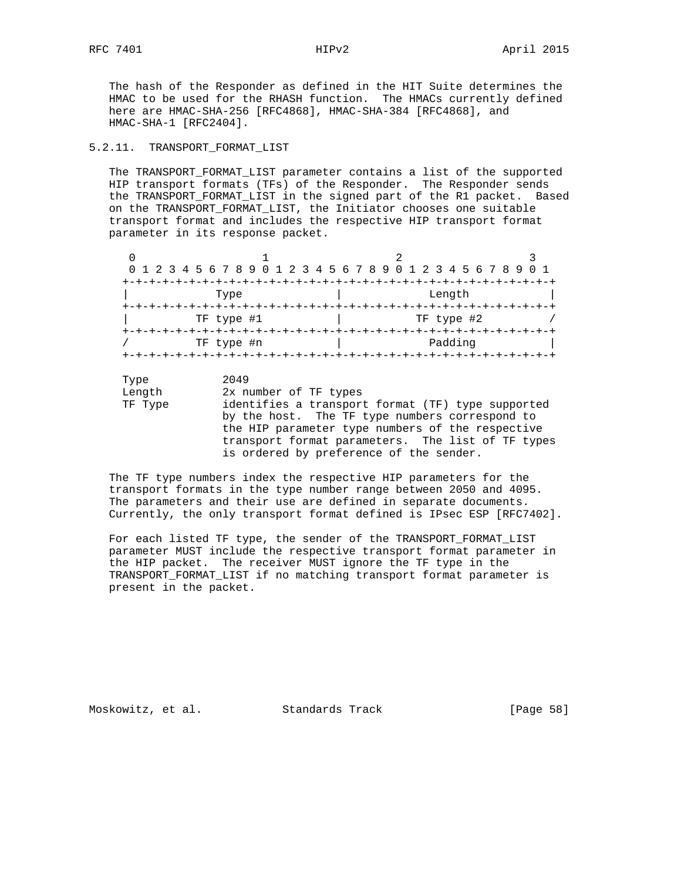The hash of the Responder as defined in the HIT Suite determines the HMAC to be used for the RHASH function. The HMACs currently defined here are HMAC-SHA-256 [RFC4868], HMAC-SHA-384 [RFC4868], and HMAC-SHA-1 [RFC2404].

## 5.2.11. TRANSPORT\_FORMAT\_LIST

 The TRANSPORT\_FORMAT\_LIST parameter contains a list of the supported HIP transport formats (TFs) of the Responder. The Responder sends the TRANSPORT\_FORMAT\_LIST in the signed part of the R1 packet. Based on the TRANSPORT\_FORMAT\_LIST, the Initiator chooses one suitable transport format and includes the respective HIP transport format parameter in its response packet.

| 0 1 2 3 4 5 6 7 8 9 0 1 2 3 4 5 6 7 8 9 0 1 2 3 4 5 6 7 8 9 0 1 |                                         |  |  |  |  |  |  |            |  |  |  |
|-----------------------------------------------------------------|-----------------------------------------|--|--|--|--|--|--|------------|--|--|--|
| +-+-+-+-+-+-+-+-+                                               | --+-+-+-+-+-+-+-+-+-+-+-+-+-+-+-+-+-+-+ |  |  |  |  |  |  |            |  |  |  |
|                                                                 | Type                                    |  |  |  |  |  |  | Length     |  |  |  |
|                                                                 |                                         |  |  |  |  |  |  |            |  |  |  |
|                                                                 | TF type #1                              |  |  |  |  |  |  | TF type #2 |  |  |  |
|                                                                 |                                         |  |  |  |  |  |  |            |  |  |  |
|                                                                 | TF type #n                              |  |  |  |  |  |  | Padding    |  |  |  |

Type 2049<br>
Length 2x n Length 2x number of TF types<br>TF Type identifies a transport identifies a transport format (TF) type supported by the host. The TF type numbers correspond to the HIP parameter type numbers of the respective transport format parameters. The list of TF types is ordered by preference of the sender.

 The TF type numbers index the respective HIP parameters for the transport formats in the type number range between 2050 and 4095. The parameters and their use are defined in separate documents. Currently, the only transport format defined is IPsec ESP [RFC7402].

 For each listed TF type, the sender of the TRANSPORT\_FORMAT\_LIST parameter MUST include the respective transport format parameter in the HIP packet. The receiver MUST ignore the TF type in the TRANSPORT\_FORMAT\_LIST if no matching transport format parameter is present in the packet.

Moskowitz, et al. Standards Track [Page 58]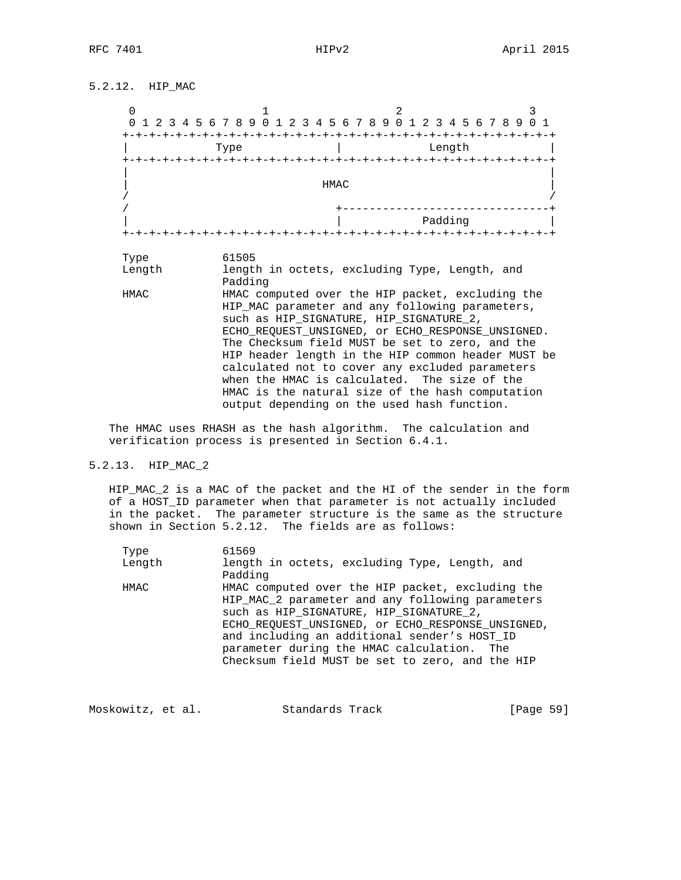5.2.12. HIP\_MAC

| +-+-+-+-+-+-+-+-+ |      |      |                           | 0 1 2 3 4 5 6 7 8 9 0 1 2 3 4 5 6 7 8 9 0 1 2 3 4 5 6 7 8 9 |
|-------------------|------|------|---------------------------|-------------------------------------------------------------|
|                   | Type |      | Length                    |                                                             |
| $+ - + - +$       |      |      |                           |                                                             |
|                   |      | HMAC |                           |                                                             |
|                   |      |      |                           |                                                             |
|                   |      |      | Padding<br>-+-+-+-+-+-+-+ |                                                             |

 Length length in octets, excluding Type, Length, and Padding HMAC HMAC computed over the HIP packet, excluding the HIP\_MAC parameter and any following parameters, such as HIP\_SIGNATURE, HIP\_SIGNATURE\_2, ECHO\_REQUEST\_UNSIGNED, or ECHO\_RESPONSE\_UNSIGNED. The Checksum field MUST be set to zero, and the HIP header length in the HIP common header MUST be calculated not to cover any excluded parameters when the HMAC is calculated. The size of the HMAC is the natural size of the hash computation output depending on the used hash function.

 The HMAC uses RHASH as the hash algorithm. The calculation and verification process is presented in Section 6.4.1.

### 5.2.13. HIP\_MAC\_2

 HIP\_MAC\_2 is a MAC of the packet and the HI of the sender in the form of a HOST\_ID parameter when that parameter is not actually included in the packet. The parameter structure is the same as the structure shown in Section 5.2.12. The fields are as follows:

| Type   | 61569                                                                                                                                                                                                                                                                                                                                                 |
|--------|-------------------------------------------------------------------------------------------------------------------------------------------------------------------------------------------------------------------------------------------------------------------------------------------------------------------------------------------------------|
| Length | length in octets, excluding Type, Length, and<br>Padding                                                                                                                                                                                                                                                                                              |
| HMAC   | HMAC computed over the HIP packet, excluding the<br>HIP MAC 2 parameter and any following parameters<br>such as HIP SIGNATURE, HIP SIGNATURE 2,<br>ECHO REOUEST UNSIGNED, or ECHO RESPONSE UNSIGNED,<br>and including an additional sender's HOST ID<br>parameter during the HMAC calculation. The<br>Checksum field MUST be set to zero, and the HIP |

| Moskowitz, et al. |  | Standards Track |  | [Page 59] |  |
|-------------------|--|-----------------|--|-----------|--|
|-------------------|--|-----------------|--|-----------|--|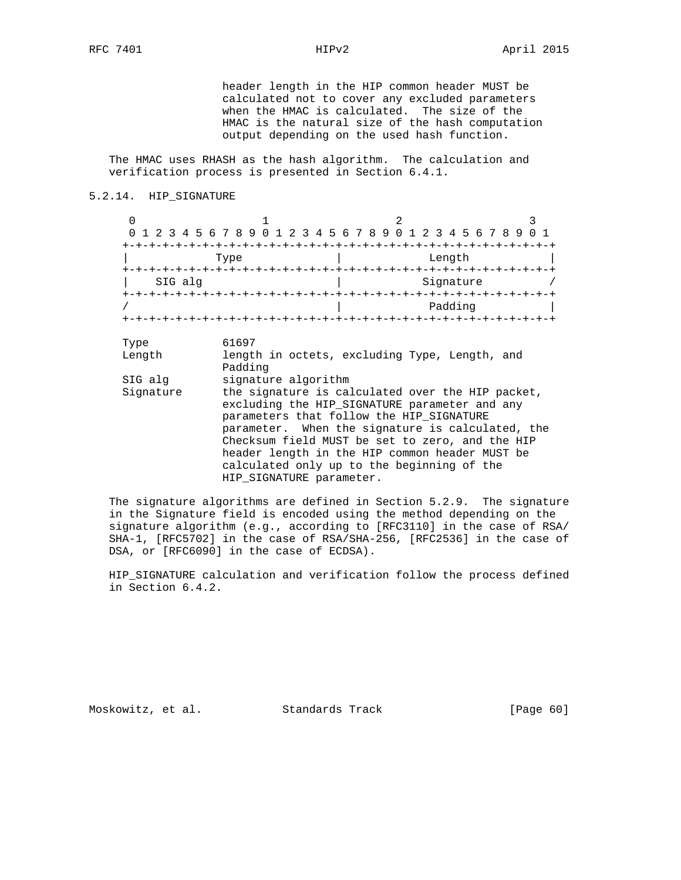header length in the HIP common header MUST be calculated not to cover any excluded parameters when the HMAC is calculated. The size of the HMAC is the natural size of the hash computation output depending on the used hash function.

 The HMAC uses RHASH as the hash algorithm. The calculation and verification process is presented in Section 6.4.1.

### 5.2.14. HIP\_SIGNATURE

| $\Omega$             |                                                                                                                                                                                                                                                                                                                                                                                                         |                                                         |  |  |
|----------------------|---------------------------------------------------------------------------------------------------------------------------------------------------------------------------------------------------------------------------------------------------------------------------------------------------------------------------------------------------------------------------------------------------------|---------------------------------------------------------|--|--|
|                      |                                                                                                                                                                                                                                                                                                                                                                                                         | 2 3 4 5 6 7 8 9 0 1 2 3 4 5 6 7 8 9 0 1 2 3 4 5 6 7 8 9 |  |  |
|                      |                                                                                                                                                                                                                                                                                                                                                                                                         |                                                         |  |  |
|                      | Type                                                                                                                                                                                                                                                                                                                                                                                                    | Length                                                  |  |  |
| SIG alg              |                                                                                                                                                                                                                                                                                                                                                                                                         | Signature                                               |  |  |
|                      |                                                                                                                                                                                                                                                                                                                                                                                                         | Padding                                                 |  |  |
| Length               | Padding                                                                                                                                                                                                                                                                                                                                                                                                 | length in octets, excluding Type, Length, and           |  |  |
| SIG alg<br>Signature | signature algorithm<br>the signature is calculated over the HIP packet,<br>excluding the HIP SIGNATURE parameter and any<br>parameters that follow the HIP SIGNATURE<br>parameter. When the signature is calculated, the<br>Checksum field MUST be set to zero, and the HIP<br>header length in the HIP common header MUST be<br>calculated only up to the beginning of the<br>HIP SIGNATURE parameter. |                                                         |  |  |

 The signature algorithms are defined in Section 5.2.9. The signature in the Signature field is encoded using the method depending on the signature algorithm (e.g., according to [RFC3110] in the case of RSA/ SHA-1, [RFC5702] in the case of RSA/SHA-256, [RFC2536] in the case of DSA, or [RFC6090] in the case of ECDSA).

 HIP\_SIGNATURE calculation and verification follow the process defined in Section 6.4.2.

Moskowitz, et al. Standards Track [Page 60]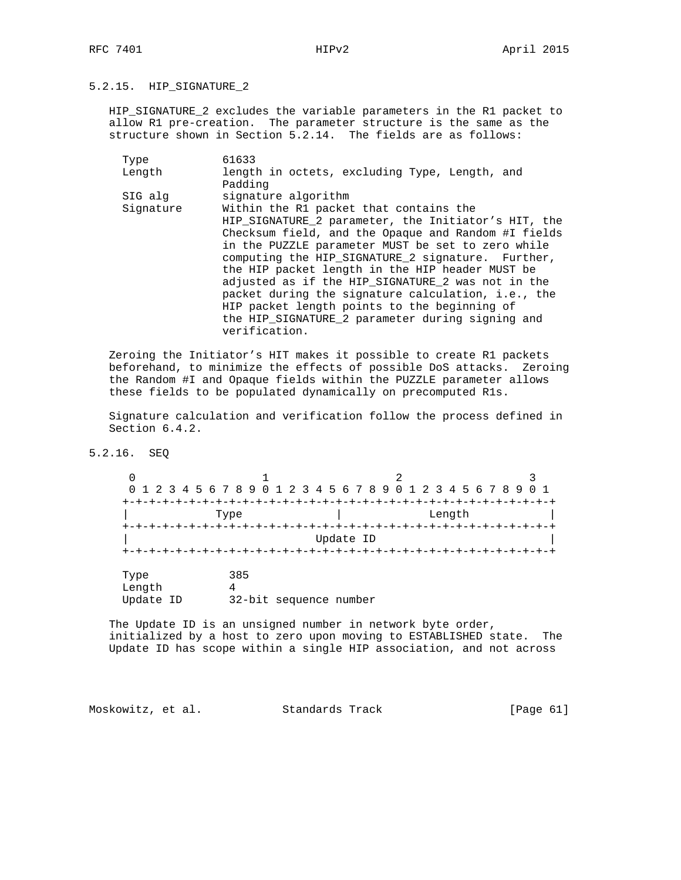5.2.15. HIP\_SIGNATURE\_2

 HIP\_SIGNATURE\_2 excludes the variable parameters in the R1 packet to allow R1 pre-creation. The parameter structure is the same as the structure shown in Section 5.2.14. The fields are as follows:

| Type      | 61633                                                                                                                                                                                                                                                                                                                                                                                                                                                                                                   |
|-----------|---------------------------------------------------------------------------------------------------------------------------------------------------------------------------------------------------------------------------------------------------------------------------------------------------------------------------------------------------------------------------------------------------------------------------------------------------------------------------------------------------------|
| Length    | length in octets, excluding Type, Length, and                                                                                                                                                                                                                                                                                                                                                                                                                                                           |
|           | Padding                                                                                                                                                                                                                                                                                                                                                                                                                                                                                                 |
| SIG alg   | signature algorithm                                                                                                                                                                                                                                                                                                                                                                                                                                                                                     |
| Signature | Within the R1 packet that contains the                                                                                                                                                                                                                                                                                                                                                                                                                                                                  |
|           | HIP SIGNATURE 2 parameter, the Initiator's HIT, the<br>Checksum field, and the Opaque and Random #I fields<br>in the PUZZLE parameter MUST be set to zero while<br>computing the HIP_SIGNATURE_2 signature. Further,<br>the HIP packet length in the HIP header MUST be<br>adjusted as if the HIP SIGNATURE 2 was not in the<br>packet during the signature calculation, i.e., the<br>HIP packet length points to the beginning of<br>the HIP SIGNATURE 2 parameter during signing and<br>verification. |
|           |                                                                                                                                                                                                                                                                                                                                                                                                                                                                                                         |

 Zeroing the Initiator's HIT makes it possible to create R1 packets beforehand, to minimize the effects of possible DoS attacks. Zeroing the Random #I and Opaque fields within the PUZZLE parameter allows these fields to be populated dynamically on precomputed R1s.

 Signature calculation and verification follow the process defined in Section 6.4.2.

5.2.16. SEQ

| 0                           | 0 1 2 3 4 5 6 7 8 9 0 1 2 3 4 5 6 7 8 9 0 1 2 3 4 5 6 7 8 9 |           |        | 0 <sub>1</sub> |
|-----------------------------|-------------------------------------------------------------|-----------|--------|----------------|
| $+ - + -$                   | Type                                                        |           | Length |                |
|                             |                                                             | Update ID |        |                |
| Type<br>Length<br>Update ID | 385<br>4<br>32-bit sequence number                          |           |        |                |

 The Update ID is an unsigned number in network byte order, initialized by a host to zero upon moving to ESTABLISHED state. The Update ID has scope within a single HIP association, and not across

Moskowitz, et al. Standards Track [Page 61]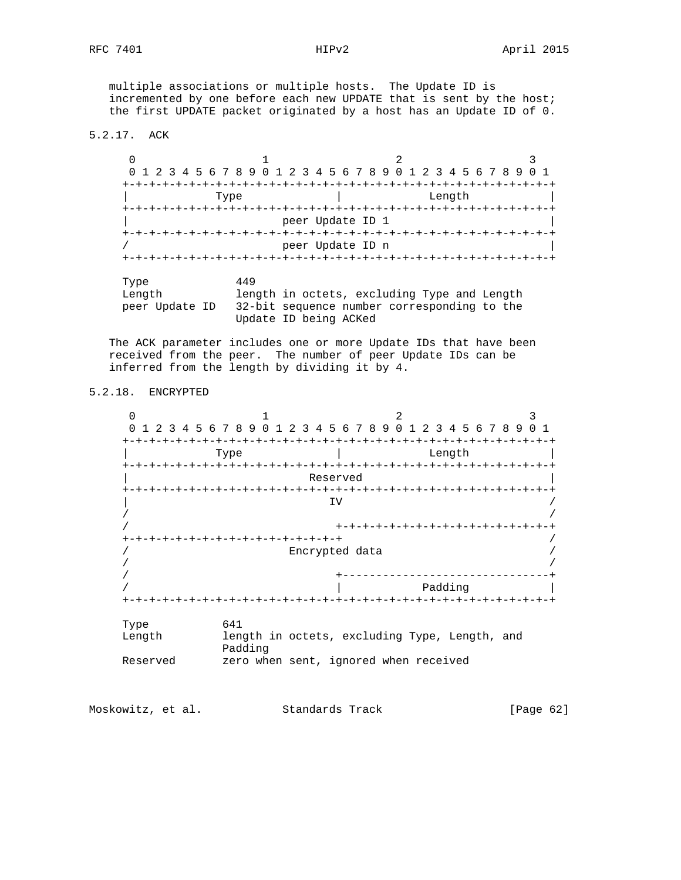multiple associations or multiple hosts. The Update ID is incremented by one before each new UPDATE that is sent by the host; the first UPDATE packet originated by a host has an Update ID of 0.

5.2.17. ACK

 $0$  and  $1$  and  $2$  3 0 1 2 3 4 5 6 7 8 9 0 1 2 3 4 5 6 7 8 9 0 1 2 3 4 5 6 7 8 9 0 1 +-+-+-+-+-+-+-+-+-+-+-+-+-+-+-+-+-+-+-+-+-+-+-+-+-+-+-+-+-+-+-+-+ | Type | Length | +-+-+-+-+-+-+-+-+-+-+-+-+-+-+-+-+-+-+-+-+-+-+-+-+-+-+-+-+-+-+-+-+ peer Update ID 1 +-+-+-+-+-+-+-+-+-+-+-+-+-+-+-+-+-+-+-+-+-+-+-+-+-+-+-+-+-+-+-+-+ / peer Update ID n | +-+-+-+-+-+-+-+-+-+-+-+-+-+-+-+-+-+-+-+-+-+-+-+-+-+-+-+-+-+-+-+-+ Type 449<br>Length leno length in octets, excluding Type and Length peer Update ID 32-bit sequence number corresponding to the Update ID being ACKed

 The ACK parameter includes one or more Update IDs that have been received from the peer. The number of peer Update IDs can be inferred from the length by dividing it by 4.

5.2.18. ENCRYPTED

 $0$  and  $1$  and  $2$  3 0 1 2 3 4 5 6 7 8 9 0 1 2 3 4 5 6 7 8 9 0 1 2 3 4 5 6 7 8 9 0 1 +-+-+-+-+-+-+-+-+-+-+-+-+-+-+-+-+-+-+-+-+-+-+-+-+-+-+-+-+-+-+-+-+ | Type | Length | +-+-+-+-+-+-+-+-+-+-+-+-+-+-+-+-+-+-+-+-+-+-+-+-+-+-+-+-+-+-+-+-+ Reserved +-+-+-+-+-+-+-+-+-+-+-+-+-+-+-+-+-+-+-+-+-+-+-+-+-+-+-+-+-+-+-+-+ | IV / / / / +-+-+-+-+-+-+-+-+-+-+-+-+-+-+-+-+ +-+-+-+-+-+-+-+-+-+-+-+-+-+-+-+<br>/ Encrypted data / Encrypted data / / / / +-------------------------------+ / | Padding | +-+-+-+-+-+-+-+-+-+-+-+-+-+-+-+-+-+-+-+-+-+-+-+-+-+-+-+-+-+-+-+-+ Type 641 Length length in octets, excluding Type, Length, and **Padding** Reserved zero when sent, ignored when received

Moskowitz, et al. Standards Track [Page 62]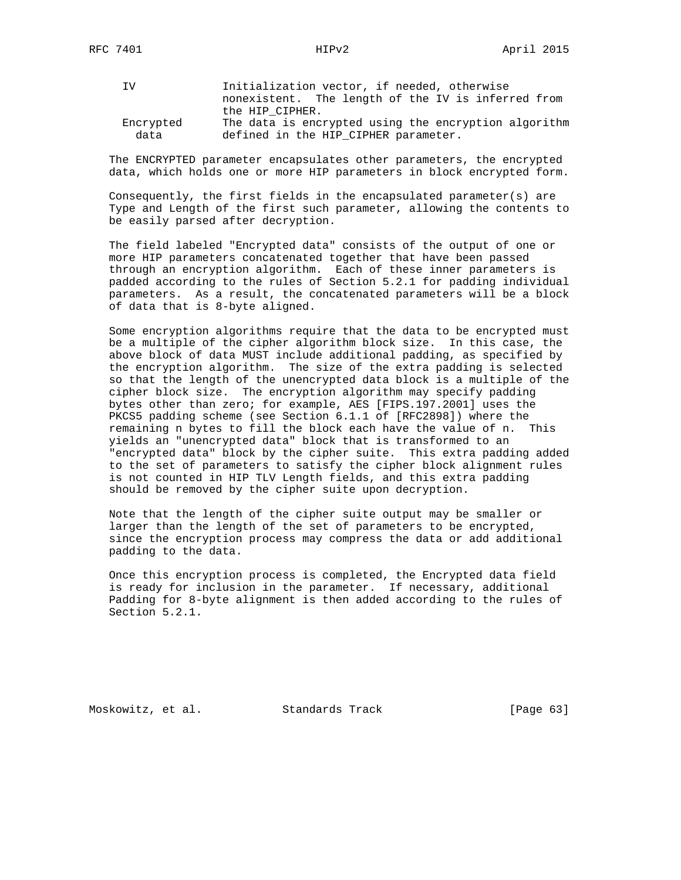| IV.       | Initialization vector, if needed, otherwise          |
|-----------|------------------------------------------------------|
|           | nonexistent. The length of the IV is inferred from   |
|           | the HIP CIPHER.                                      |
| Encrypted | The data is encrypted using the encryption algorithm |
| data      | defined in the HIP CIPHER parameter.                 |

 The ENCRYPTED parameter encapsulates other parameters, the encrypted data, which holds one or more HIP parameters in block encrypted form.

 Consequently, the first fields in the encapsulated parameter(s) are Type and Length of the first such parameter, allowing the contents to be easily parsed after decryption.

 The field labeled "Encrypted data" consists of the output of one or more HIP parameters concatenated together that have been passed through an encryption algorithm. Each of these inner parameters is padded according to the rules of Section 5.2.1 for padding individual parameters. As a result, the concatenated parameters will be a block of data that is 8-byte aligned.

 Some encryption algorithms require that the data to be encrypted must be a multiple of the cipher algorithm block size. In this case, the above block of data MUST include additional padding, as specified by the encryption algorithm. The size of the extra padding is selected so that the length of the unencrypted data block is a multiple of the cipher block size. The encryption algorithm may specify padding bytes other than zero; for example, AES [FIPS.197.2001] uses the PKCS5 padding scheme (see Section 6.1.1 of [RFC2898]) where the remaining n bytes to fill the block each have the value of n. This yields an "unencrypted data" block that is transformed to an "encrypted data" block by the cipher suite. This extra padding added to the set of parameters to satisfy the cipher block alignment rules is not counted in HIP TLV Length fields, and this extra padding should be removed by the cipher suite upon decryption.

 Note that the length of the cipher suite output may be smaller or larger than the length of the set of parameters to be encrypted, since the encryption process may compress the data or add additional padding to the data.

 Once this encryption process is completed, the Encrypted data field is ready for inclusion in the parameter. If necessary, additional Padding for 8-byte alignment is then added according to the rules of Section 5.2.1.

Moskowitz, et al. Standards Track [Page 63]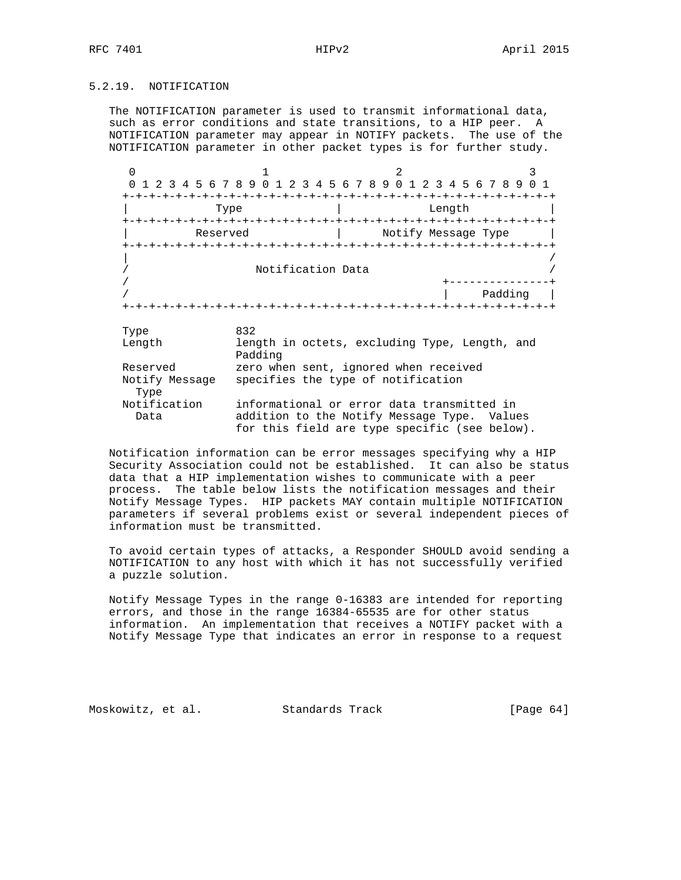## 5.2.19. NOTIFICATION

 The NOTIFICATION parameter is used to transmit informational data, such as error conditions and state transitions, to a HIP peer. A NOTIFICATION parameter may appear in NOTIFY packets. The use of the NOTIFICATION parameter in other packet types is for further study.

 $0$  and  $1$  and  $2$  3 0 1 2 3 4 5 6 7 8 9 0 1 2 3 4 5 6 7 8 9 0 1 2 3 4 5 6 7 8 9 0 1 +-+-+-+-+-+-+-+-+-+-+-+-+-+-+-+-+-+-+-+-+-+-+-+-+-+-+-+-+-+-+-+-+ | Type | Length +-+-+-+-+-+-+-+-+-+-+-+-+-+-+-+-+-+-+-+-+-+-+-+-+-+-+-+-+-+-+-+-+ Reserved | Notify Message Type +-+-+-+-+-+-+-+-+-+-+-+-+-+-+-+-+-+-+-+-+-+-+-+-+-+-+-+-+-+-+-+-+ | / / Notification Data / / +---------------+ / | Padding | +-+-+-+-+-+-+-+-+-+-+-+-+-+-+-+-+-+-+-+-+-+-+-+-+-+-+-+-+-+-+-+-+ Type 832 Length length in octets, excluding Type, Length, and Padding Reserved zero when sent, ignored when received Notify Message specifies the type of notification Type Notification informational or error data transmitted in Data addition to the Notify Message Type. Values for this field are type specific (see below).

 Notification information can be error messages specifying why a HIP Security Association could not be established. It can also be status data that a HIP implementation wishes to communicate with a peer process. The table below lists the notification messages and their Notify Message Types. HIP packets MAY contain multiple NOTIFICATION parameters if several problems exist or several independent pieces of information must be transmitted.

 To avoid certain types of attacks, a Responder SHOULD avoid sending a NOTIFICATION to any host with which it has not successfully verified a puzzle solution.

 Notify Message Types in the range 0-16383 are intended for reporting errors, and those in the range 16384-65535 are for other status information. An implementation that receives a NOTIFY packet with a Notify Message Type that indicates an error in response to a request

Moskowitz, et al. Standards Track [Page 64]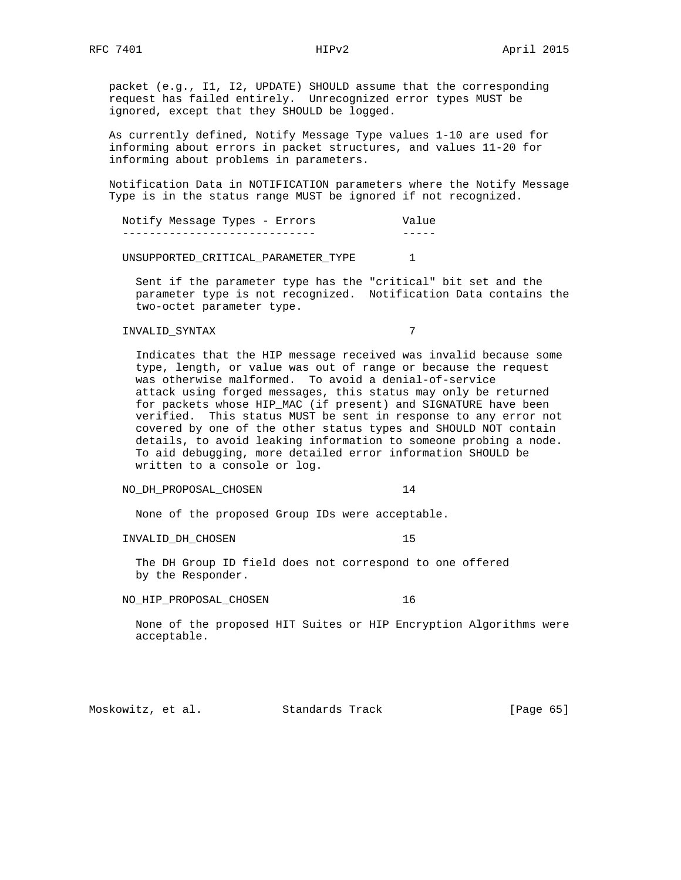packet (e.g., I1, I2, UPDATE) SHOULD assume that the corresponding request has failed entirely. Unrecognized error types MUST be ignored, except that they SHOULD be logged.

 As currently defined, Notify Message Type values 1-10 are used for informing about errors in packet structures, and values 11-20 for informing about problems in parameters.

 Notification Data in NOTIFICATION parameters where the Notify Message Type is in the status range MUST be ignored if not recognized.

Notify Message Types - Errors Value ----------------------------- -----

UNSUPPORTED\_CRITICAL\_PARAMETER\_TYPE 1

 Sent if the parameter type has the "critical" bit set and the parameter type is not recognized. Notification Data contains the two-octet parameter type.

## INVALID\_SYNTAX 7

 Indicates that the HIP message received was invalid because some type, length, or value was out of range or because the request was otherwise malformed. To avoid a denial-of-service attack using forged messages, this status may only be returned for packets whose HIP\_MAC (if present) and SIGNATURE have been verified. This status MUST be sent in response to any error not covered by one of the other status types and SHOULD NOT contain details, to avoid leaking information to someone probing a node. To aid debugging, more detailed error information SHOULD be written to a console or log.

### NO\_DH\_PROPOSAL\_CHOSEN 14

None of the proposed Group IDs were acceptable.

INVALID\_DH\_CHOSEN 15

The DH Group ID field does not correspond to one offered

by the Responder.

NO\_HIP\_PROPOSAL\_CHOSEN 16

 None of the proposed HIT Suites or HIP Encryption Algorithms were acceptable.

Moskowitz, et al. Standards Track [Page 65]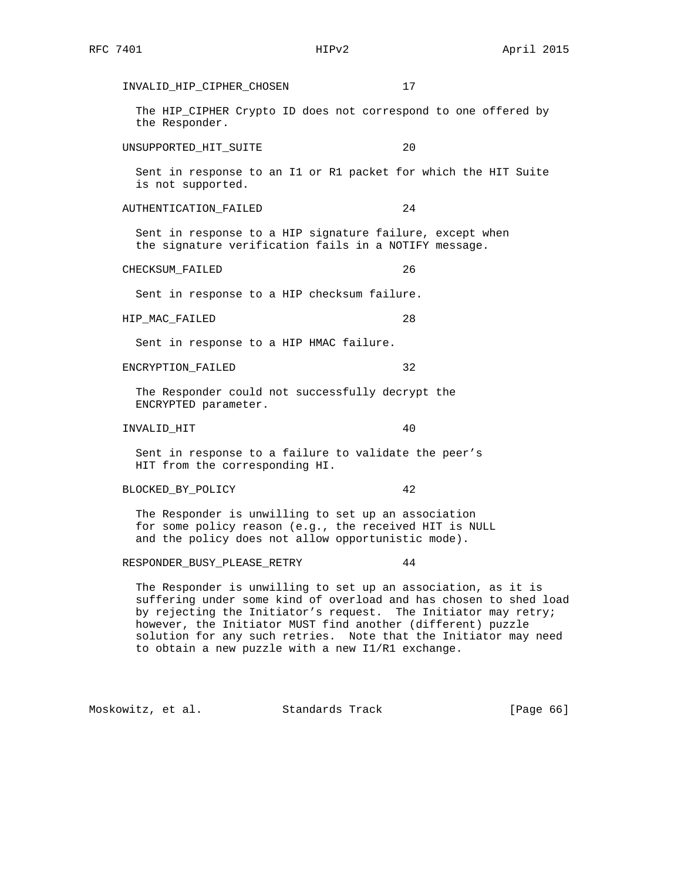INVALID\_HIP\_CIPHER\_CHOSEN 17 The HIP\_CIPHER Crypto ID does not correspond to one offered by the Responder. UNSUPPORTED\_HIT\_SUITE 20 Sent in response to an I1 or R1 packet for which the HIT Suite is not supported. AUTHENTICATION\_FAILED 24 Sent in response to a HIP signature failure, except when the signature verification fails in a NOTIFY message. CHECKSUM FAILED 26 Sent in response to a HIP checksum failure. HIP\_MAC\_FAILED 28 Sent in response to a HIP HMAC failure. ENCRYPTION\_FAILED 32 The Responder could not successfully decrypt the ENCRYPTED parameter. INVALID\_HIT 40 Sent in response to a failure to validate the peer's HIT from the corresponding HI. BLOCKED\_BY\_POLICY 42 The Responder is unwilling to set up an association for some policy reason (e.g., the received HIT is NULL and the policy does not allow opportunistic mode). RESPONDER\_BUSY\_PLEASE\_RETRY 44 The Responder is unwilling to set up an association, as it is suffering under some kind of overload and has chosen to shed load by rejecting the Initiator's request. The Initiator may retry; however, the Initiator MUST find another (different) puzzle solution for any such retries. Note that the Initiator may need

Moskowitz, et al. Standards Track [Page 66]

to obtain a new puzzle with a new I1/R1 exchange.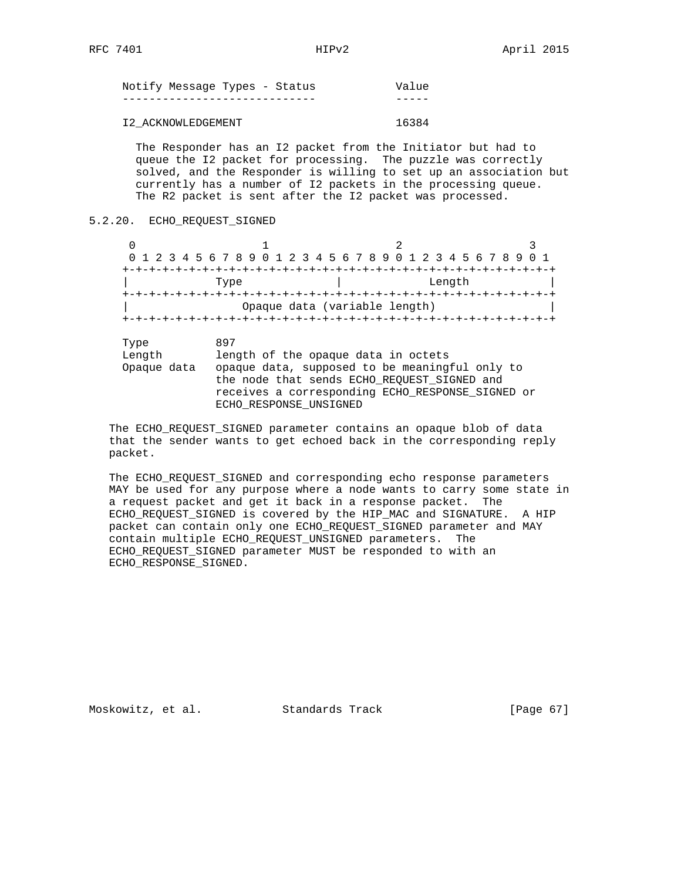| Notify Message Types - Status | Value |
|-------------------------------|-------|
|                               |       |
| I2 ACKNOWLEDGEMENT            | 16384 |

 The Responder has an I2 packet from the Initiator but had to queue the I2 packet for processing. The puzzle was correctly solved, and the Responder is willing to set up an association but currently has a number of I2 packets in the processing queue. The R2 packet is sent after the I2 packet was processed.

5.2.20. ECHO\_REQUEST\_SIGNED

| 0 1 2 3 4 5 6 7 8 9 0 1 2 3 4 5 6 7 8 9 0 1 2 3 4 5 6 7 8 9 0 1 |  |  |      |  |  |  |  |  |  |                               |  |        |  |  |  |  |
|-----------------------------------------------------------------|--|--|------|--|--|--|--|--|--|-------------------------------|--|--------|--|--|--|--|
|                                                                 |  |  |      |  |  |  |  |  |  |                               |  |        |  |  |  |  |
|                                                                 |  |  | Type |  |  |  |  |  |  |                               |  | Length |  |  |  |  |
|                                                                 |  |  |      |  |  |  |  |  |  |                               |  |        |  |  |  |  |
|                                                                 |  |  |      |  |  |  |  |  |  | Opaque data (variable length) |  |        |  |  |  |  |
|                                                                 |  |  |      |  |  |  |  |  |  |                               |  |        |  |  |  |  |

| Type        | 897                                              |
|-------------|--------------------------------------------------|
| Length      | length of the opaque data in octets              |
| Opaque data | opaque data, supposed to be meaningful only to   |
|             | the node that sends ECHO REQUEST SIGNED and      |
|             | receives a corresponding ECHO RESPONSE SIGNED or |
|             | ECHO RESPONSE UNSIGNED                           |

 The ECHO\_REQUEST\_SIGNED parameter contains an opaque blob of data that the sender wants to get echoed back in the corresponding reply packet.

 The ECHO\_REQUEST\_SIGNED and corresponding echo response parameters MAY be used for any purpose where a node wants to carry some state in a request packet and get it back in a response packet. The ECHO\_REQUEST\_SIGNED is covered by the HIP\_MAC and SIGNATURE. A HIP packet can contain only one ECHO\_REQUEST\_SIGNED parameter and MAY contain multiple ECHO\_REQUEST\_UNSIGNED parameters. The ECHO\_REQUEST\_SIGNED parameter MUST be responded to with an ECHO\_RESPONSE\_SIGNED.

Moskowitz, et al. Standards Track [Page 67]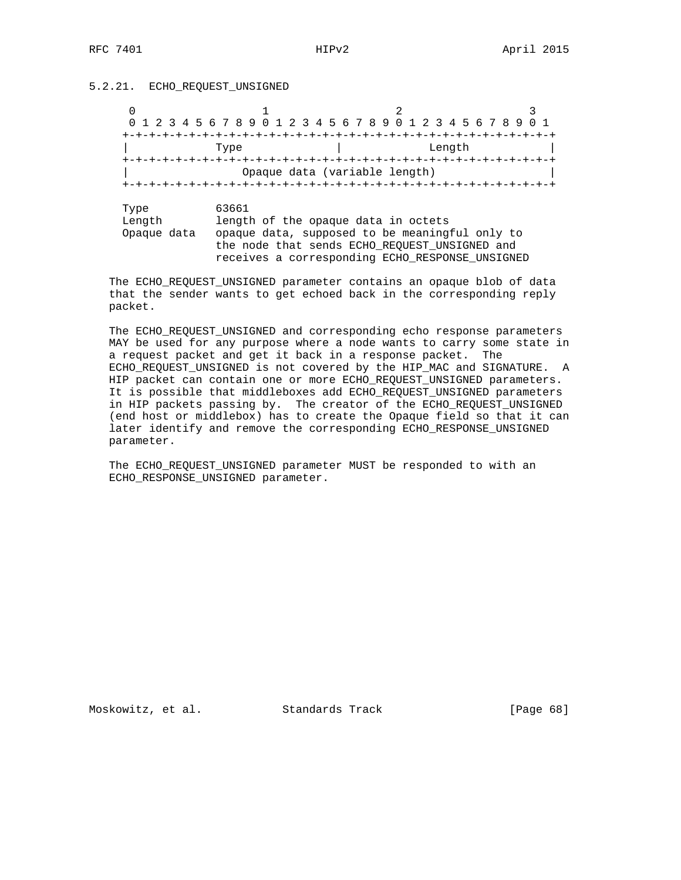## 5.2.21. ECHO\_REQUEST\_UNSIGNED

|                               | 1 2 3 4 5 6 7 8 9 0 1 2 3 4 5 6 7 8 9 0 1 2 3 4 5 6 7 8 9                                        |  |        |  |  |  |
|-------------------------------|--------------------------------------------------------------------------------------------------|--|--------|--|--|--|
|                               |                                                                                                  |  |        |  |  |  |
|                               | Type                                                                                             |  | Length |  |  |  |
|                               |                                                                                                  |  |        |  |  |  |
|                               | Opaque data (variable length)                                                                    |  |        |  |  |  |
|                               |                                                                                                  |  |        |  |  |  |
|                               |                                                                                                  |  |        |  |  |  |
|                               |                                                                                                  |  |        |  |  |  |
|                               | 63661                                                                                            |  |        |  |  |  |
|                               | length of the opaque data in octets                                                              |  |        |  |  |  |
|                               |                                                                                                  |  |        |  |  |  |
|                               | opaque data, supposed to be meaningful only to                                                   |  |        |  |  |  |
| Type<br>Length<br>Opaque data | the node that sends ECHO REOUEST UNSIGNED and<br>receives a corresponding ECHO RESPONSE UNSIGNED |  |        |  |  |  |

 The ECHO\_REQUEST\_UNSIGNED parameter contains an opaque blob of data that the sender wants to get echoed back in the corresponding reply packet.

 The ECHO\_REQUEST\_UNSIGNED and corresponding echo response parameters MAY be used for any purpose where a node wants to carry some state in a request packet and get it back in a response packet. The ECHO\_REQUEST\_UNSIGNED is not covered by the HIP\_MAC and SIGNATURE. A HIP packet can contain one or more ECHO\_REQUEST\_UNSIGNED parameters. It is possible that middleboxes add ECHO\_REQUEST\_UNSIGNED parameters in HIP packets passing by. The creator of the ECHO\_REQUEST\_UNSIGNED (end host or middlebox) has to create the Opaque field so that it can later identify and remove the corresponding ECHO\_RESPONSE\_UNSIGNED parameter.

 The ECHO\_REQUEST\_UNSIGNED parameter MUST be responded to with an ECHO\_RESPONSE\_UNSIGNED parameter.

Moskowitz, et al. Standards Track [Page 68]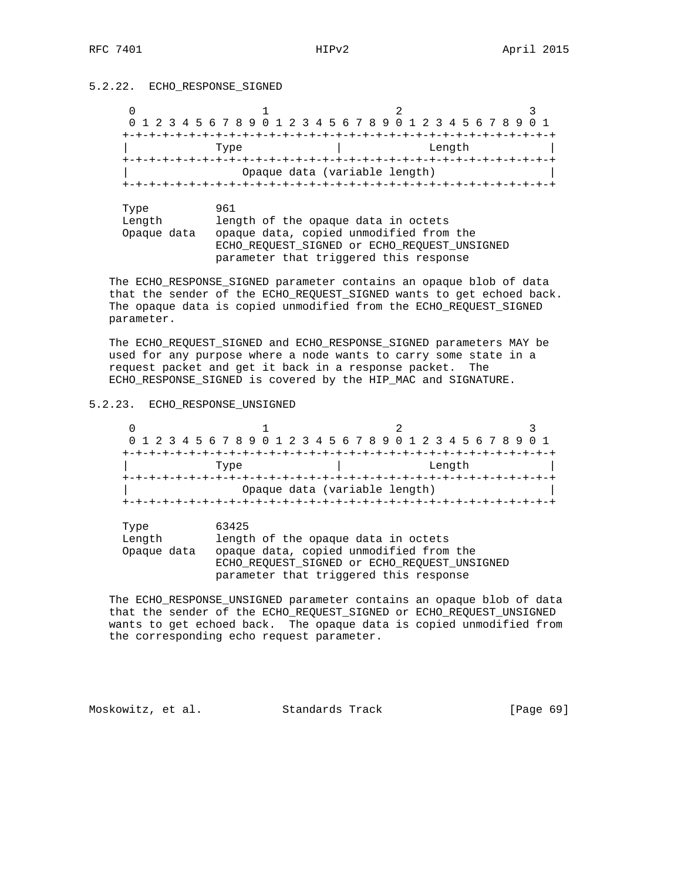## 5.2.22. ECHO\_RESPONSE\_SIGNED

|             | 0 1 2 3 4 5 6 7 8 9 0 1 2 3 4 5 6 7 8 9 0 1 2 3 4 5 6 7 8 9 |  |        |  |
|-------------|-------------------------------------------------------------|--|--------|--|
|             |                                                             |  |        |  |
|             | Type                                                        |  | Length |  |
|             | $+ - + - + - + - + - + -$                                   |  |        |  |
|             | Opaque data (variable length)                               |  |        |  |
|             |                                                             |  |        |  |
|             |                                                             |  |        |  |
| Type        | 961                                                         |  |        |  |
| Length      | length of the opaque data in octets                         |  |        |  |
| Opaque data | opaque data, copied unmodified from the                     |  |        |  |
|             | ECHO REOUEST SIGNED Or ECHO REOUEST UNSIGNED                |  |        |  |

parameter that triggered this response

 The ECHO\_RESPONSE\_SIGNED parameter contains an opaque blob of data that the sender of the ECHO\_REQUEST\_SIGNED wants to get echoed back. The opaque data is copied unmodified from the ECHO\_REQUEST\_SIGNED parameter.

 The ECHO\_REQUEST\_SIGNED and ECHO\_RESPONSE\_SIGNED parameters MAY be used for any purpose where a node wants to carry some state in a request packet and get it back in a response packet. The ECHO\_RESPONSE\_SIGNED is covered by the HIP\_MAC and SIGNATURE.

## 5.2.23. ECHO\_RESPONSE\_UNSIGNED

|  |  |  |  |      |  |  |  |  | 0 1 2 3 4 5 6 7 8 9 0 1 2 3 4 5 6 7 8 9 0 1 2 3 4 5 6 7 8 9 0 1 |  |  |  |        |  |  |  |  |
|--|--|--|--|------|--|--|--|--|-----------------------------------------------------------------|--|--|--|--------|--|--|--|--|
|  |  |  |  |      |  |  |  |  |                                                                 |  |  |  |        |  |  |  |  |
|  |  |  |  | Type |  |  |  |  |                                                                 |  |  |  | Length |  |  |  |  |
|  |  |  |  |      |  |  |  |  |                                                                 |  |  |  |        |  |  |  |  |
|  |  |  |  |      |  |  |  |  | Opaque data (variable length)                                   |  |  |  |        |  |  |  |  |
|  |  |  |  |      |  |  |  |  |                                                                 |  |  |  |        |  |  |  |  |

| Type<br>Length | 63425<br>length of the opaque data in octets |
|----------------|----------------------------------------------|
| Opaque data    | opaque data, copied unmodified from the      |
|                | ECHO REOUEST SIGNED Or ECHO REOUEST UNSIGNED |
|                | parameter that triggered this response       |

 The ECHO\_RESPONSE\_UNSIGNED parameter contains an opaque blob of data that the sender of the ECHO\_REQUEST\_SIGNED or ECHO\_REQUEST\_UNSIGNED wants to get echoed back. The opaque data is copied unmodified from the corresponding echo request parameter.

Moskowitz, et al. Standards Track [Page 69]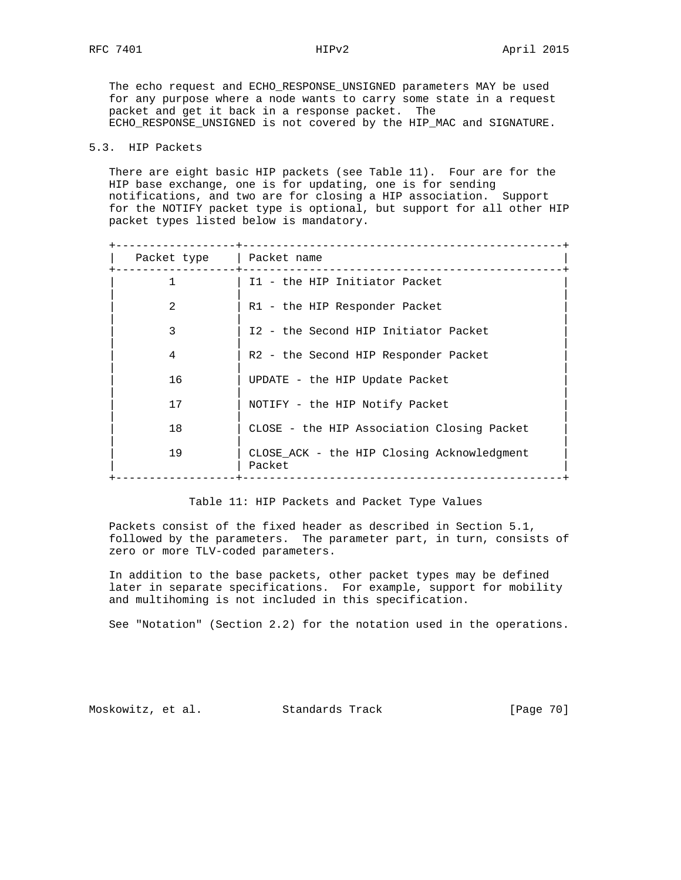The echo request and ECHO\_RESPONSE\_UNSIGNED parameters MAY be used for any purpose where a node wants to carry some state in a request packet and get it back in a response packet. The ECHO RESPONSE UNSIGNED is not covered by the HIP MAC and SIGNATURE.

## 5.3. HIP Packets

 There are eight basic HIP packets (see Table 11). Four are for the HIP base exchange, one is for updating, one is for sending notifications, and two are for closing a HIP association. Support for the NOTIFY packet type is optional, but support for all other HIP packet types listed below is mandatory.

| Packet type | Packet name                                          |
|-------------|------------------------------------------------------|
|             | I1 - the HIP Initiator Packet                        |
| 2           | R1 - the HIP Responder Packet                        |
| 3           | I2 - the Second HIP Initiator Packet                 |
| 4           | R2 - the Second HIP Responder Packet                 |
| 16          | UPDATE - the HIP Update Packet                       |
| 17          | NOTIFY - the HIP Notify Packet                       |
| 18          | CLOSE - the HIP Association Closing Packet           |
| 19          | CLOSE ACK - the HIP Closing Acknowledgment<br>Packet |
|             |                                                      |

### Table 11: HIP Packets and Packet Type Values

 Packets consist of the fixed header as described in Section 5.1, followed by the parameters. The parameter part, in turn, consists of zero or more TLV-coded parameters.

 In addition to the base packets, other packet types may be defined later in separate specifications. For example, support for mobility and multihoming is not included in this specification.

See "Notation" (Section 2.2) for the notation used in the operations.

Moskowitz, et al. Standards Track [Page 70]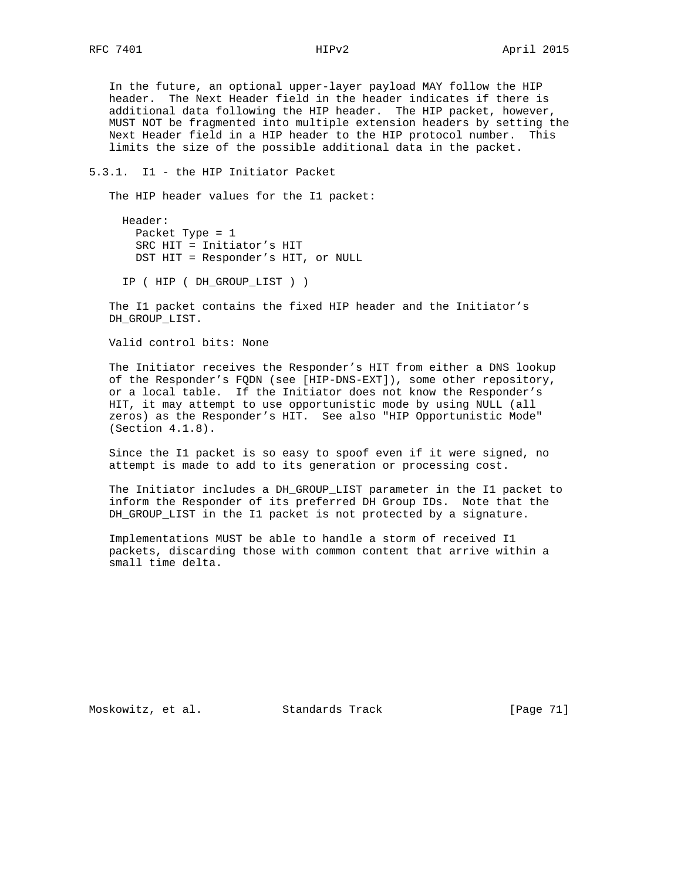In the future, an optional upper-layer payload MAY follow the HIP header. The Next Header field in the header indicates if there is additional data following the HIP header. The HIP packet, however, MUST NOT be fragmented into multiple extension headers by setting the Next Header field in a HIP header to the HIP protocol number. This limits the size of the possible additional data in the packet.

5.3.1. I1 - the HIP Initiator Packet

The HIP header values for the I1 packet:

 Header: Packet Type = 1 SRC HIT = Initiator's HIT DST HIT = Responder's HIT, or NULL

IP ( HIP ( DH\_GROUP\_LIST ) )

 The I1 packet contains the fixed HIP header and the Initiator's DH\_GROUP\_LIST.

Valid control bits: None

 The Initiator receives the Responder's HIT from either a DNS lookup of the Responder's FQDN (see [HIP-DNS-EXT]), some other repository, or a local table. If the Initiator does not know the Responder's HIT, it may attempt to use opportunistic mode by using NULL (all zeros) as the Responder's HIT. See also "HIP Opportunistic Mode" (Section 4.1.8).

 Since the I1 packet is so easy to spoof even if it were signed, no attempt is made to add to its generation or processing cost.

 The Initiator includes a DH\_GROUP\_LIST parameter in the I1 packet to inform the Responder of its preferred DH Group IDs. Note that the DH\_GROUP\_LIST in the I1 packet is not protected by a signature.

 Implementations MUST be able to handle a storm of received I1 packets, discarding those with common content that arrive within a small time delta.

Moskowitz, et al. Standards Track [Page 71]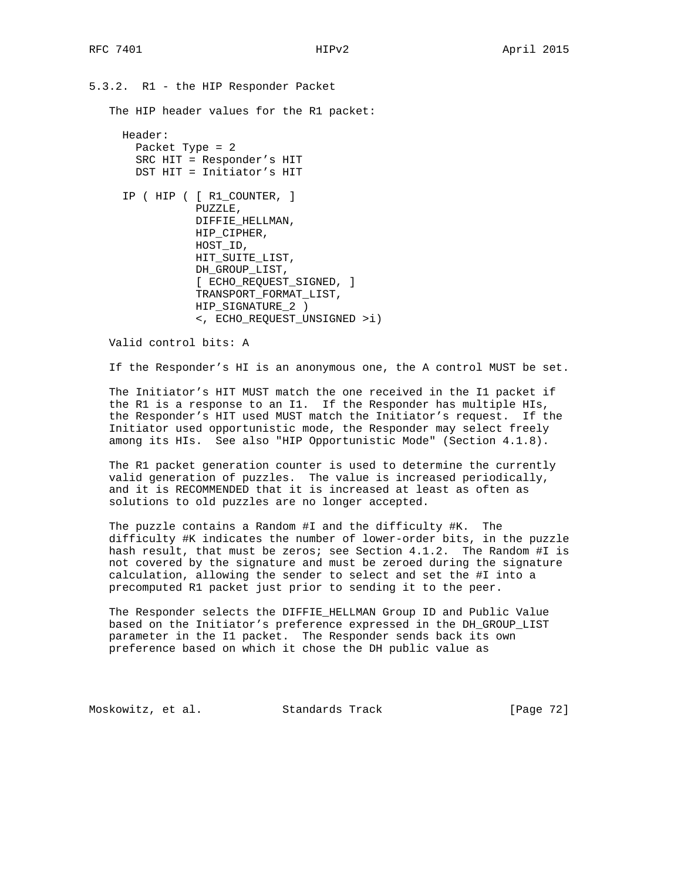5.3.2. R1 - the HIP Responder Packet The HIP header values for the R1 packet: Header: Packet Type = 2 SRC HIT = Responder's HIT DST HIT = Initiator's HIT IP ( HIP ( [ R1\_COUNTER, ] PUZZLE, DIFFIE\_HELLMAN, HIP\_CIPHER, HOST\_ID, HIT\_SUITE\_LIST, DH\_GROUP\_LIST, [ ECHO\_REQUEST\_SIGNED, ] TRANSPORT\_FORMAT\_LIST, HIP\_SIGNATURE\_2 ) <, ECHO\_REQUEST\_UNSIGNED >i)

Valid control bits: A

If the Responder's HI is an anonymous one, the A control MUST be set.

 The Initiator's HIT MUST match the one received in the I1 packet if the R1 is a response to an I1. If the Responder has multiple HIs, the Responder's HIT used MUST match the Initiator's request. If the Initiator used opportunistic mode, the Responder may select freely among its HIs. See also "HIP Opportunistic Mode" (Section 4.1.8).

 The R1 packet generation counter is used to determine the currently valid generation of puzzles. The value is increased periodically, and it is RECOMMENDED that it is increased at least as often as solutions to old puzzles are no longer accepted.

 The puzzle contains a Random #I and the difficulty #K. The difficulty #K indicates the number of lower-order bits, in the puzzle hash result, that must be zeros; see Section 4.1.2. The Random #I is not covered by the signature and must be zeroed during the signature calculation, allowing the sender to select and set the #I into a precomputed R1 packet just prior to sending it to the peer.

 The Responder selects the DIFFIE\_HELLMAN Group ID and Public Value based on the Initiator's preference expressed in the DH\_GROUP\_LIST parameter in the I1 packet. The Responder sends back its own preference based on which it chose the DH public value as

Moskowitz, et al. Standards Track [Page 72]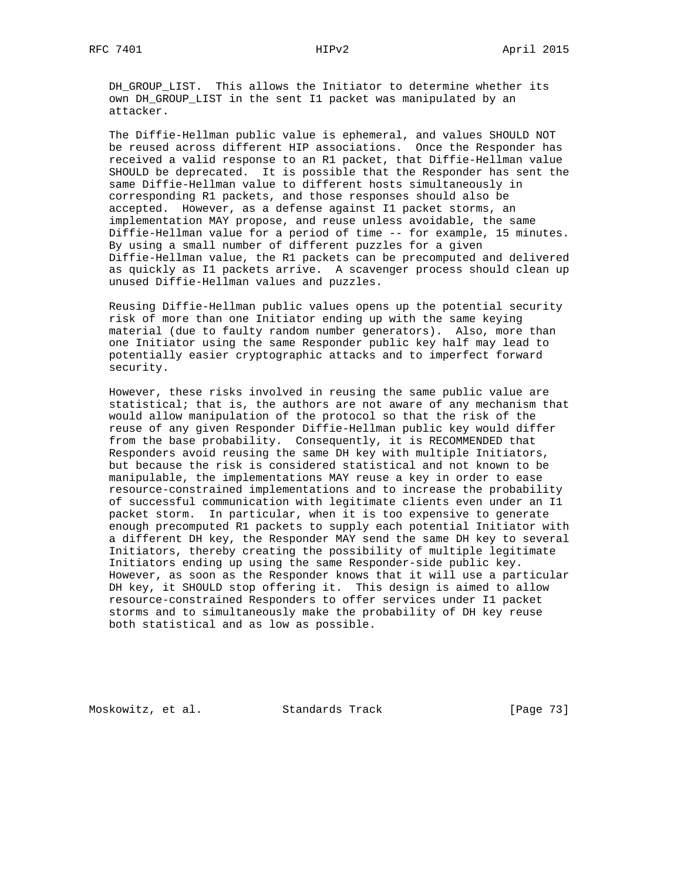DH\_GROUP\_LIST. This allows the Initiator to determine whether its own DH\_GROUP\_LIST in the sent I1 packet was manipulated by an attacker.

 The Diffie-Hellman public value is ephemeral, and values SHOULD NOT be reused across different HIP associations. Once the Responder has received a valid response to an R1 packet, that Diffie-Hellman value SHOULD be deprecated. It is possible that the Responder has sent the same Diffie-Hellman value to different hosts simultaneously in corresponding R1 packets, and those responses should also be accepted. However, as a defense against I1 packet storms, an implementation MAY propose, and reuse unless avoidable, the same Diffie-Hellman value for a period of time -- for example, 15 minutes. By using a small number of different puzzles for a given Diffie-Hellman value, the R1 packets can be precomputed and delivered as quickly as I1 packets arrive. A scavenger process should clean up unused Diffie-Hellman values and puzzles.

 Reusing Diffie-Hellman public values opens up the potential security risk of more than one Initiator ending up with the same keying material (due to faulty random number generators). Also, more than one Initiator using the same Responder public key half may lead to potentially easier cryptographic attacks and to imperfect forward security.

 However, these risks involved in reusing the same public value are statistical; that is, the authors are not aware of any mechanism that would allow manipulation of the protocol so that the risk of the reuse of any given Responder Diffie-Hellman public key would differ from the base probability. Consequently, it is RECOMMENDED that Responders avoid reusing the same DH key with multiple Initiators, but because the risk is considered statistical and not known to be manipulable, the implementations MAY reuse a key in order to ease resource-constrained implementations and to increase the probability of successful communication with legitimate clients even under an I1 packet storm. In particular, when it is too expensive to generate enough precomputed R1 packets to supply each potential Initiator with a different DH key, the Responder MAY send the same DH key to several Initiators, thereby creating the possibility of multiple legitimate Initiators ending up using the same Responder-side public key. However, as soon as the Responder knows that it will use a particular DH key, it SHOULD stop offering it. This design is aimed to allow resource-constrained Responders to offer services under I1 packet storms and to simultaneously make the probability of DH key reuse both statistical and as low as possible.

Moskowitz, et al. Standards Track [Page 73]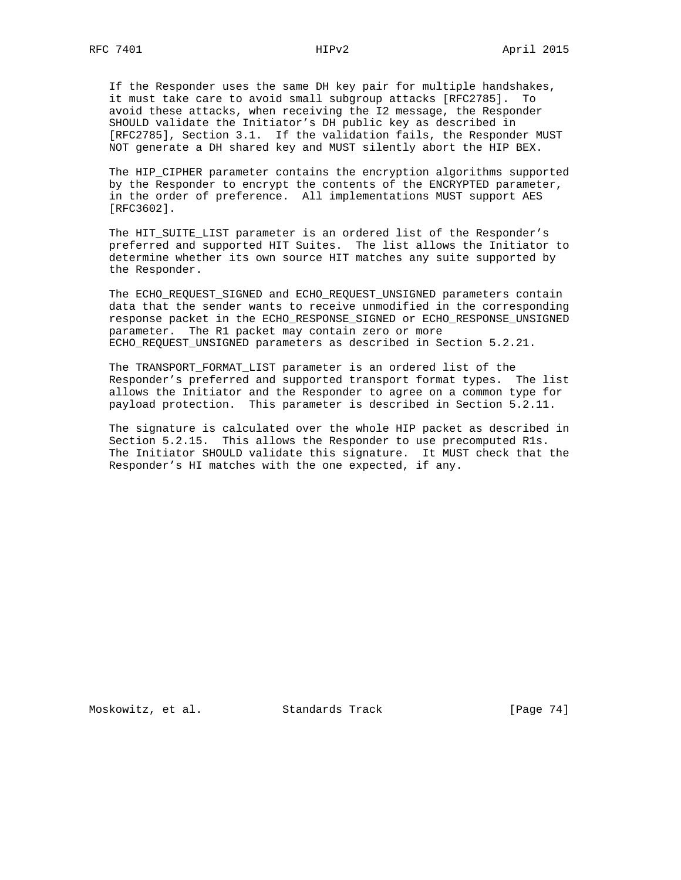If the Responder uses the same DH key pair for multiple handshakes, it must take care to avoid small subgroup attacks [RFC2785]. To avoid these attacks, when receiving the I2 message, the Responder SHOULD validate the Initiator's DH public key as described in [RFC2785], Section 3.1. If the validation fails, the Responder MUST NOT generate a DH shared key and MUST silently abort the HIP BEX.

 The HIP\_CIPHER parameter contains the encryption algorithms supported by the Responder to encrypt the contents of the ENCRYPTED parameter, in the order of preference. All implementations MUST support AES [RFC3602].

 The HIT\_SUITE\_LIST parameter is an ordered list of the Responder's preferred and supported HIT Suites. The list allows the Initiator to determine whether its own source HIT matches any suite supported by the Responder.

 The ECHO\_REQUEST\_SIGNED and ECHO\_REQUEST\_UNSIGNED parameters contain data that the sender wants to receive unmodified in the corresponding response packet in the ECHO\_RESPONSE\_SIGNED or ECHO\_RESPONSE\_UNSIGNED parameter. The R1 packet may contain zero or more ECHO\_REQUEST\_UNSIGNED parameters as described in Section 5.2.21.

 The TRANSPORT\_FORMAT\_LIST parameter is an ordered list of the Responder's preferred and supported transport format types. The list allows the Initiator and the Responder to agree on a common type for payload protection. This parameter is described in Section 5.2.11.

 The signature is calculated over the whole HIP packet as described in Section 5.2.15. This allows the Responder to use precomputed R1s. The Initiator SHOULD validate this signature. It MUST check that the Responder's HI matches with the one expected, if any.

Moskowitz, et al. Standards Track [Page 74]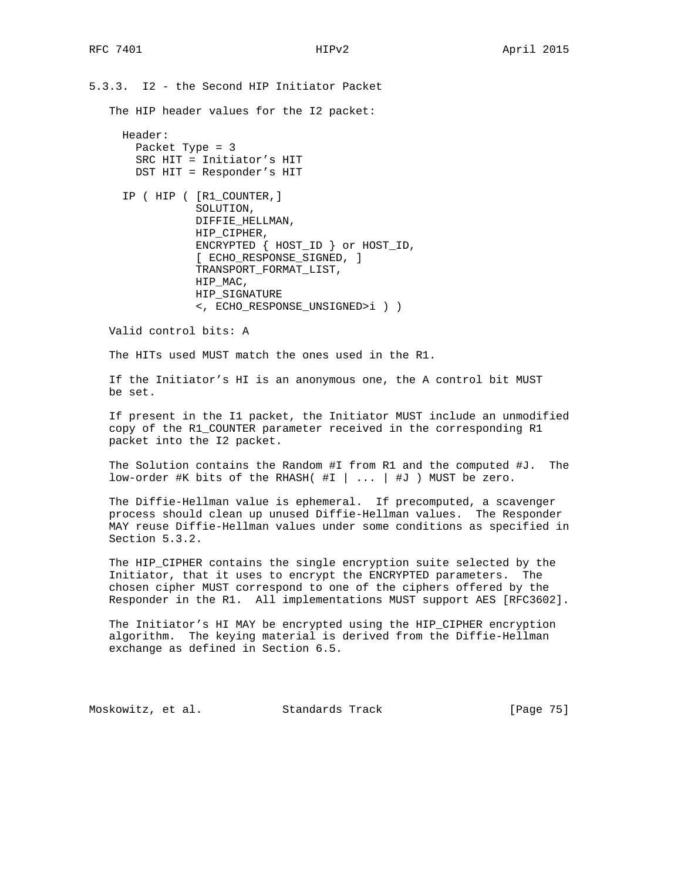5.3.3. I2 - the Second HIP Initiator Packet

The HIP header values for the I2 packet:

 Header: Packet Type = 3 SRC HIT = Initiator's HIT DST HIT = Responder's HIT

 IP ( HIP ( [R1\_COUNTER,] SOLUTION, DIFFIE\_HELLMAN, HIP CIPHER, ENCRYPTED { HOST\_ID } or HOST\_ID, [ ECHO\_RESPONSE\_SIGNED, ] TRANSPORT\_FORMAT\_LIST, HIP\_MAC, HIP\_SIGNATURE <, ECHO\_RESPONSE\_UNSIGNED>i ) )

Valid control bits: A

The HITs used MUST match the ones used in the R1.

 If the Initiator's HI is an anonymous one, the A control bit MUST be set.

 If present in the I1 packet, the Initiator MUST include an unmodified copy of the R1\_COUNTER parameter received in the corresponding R1 packet into the I2 packet.

 The Solution contains the Random #I from R1 and the computed #J. The low-order #K bits of the RHASH( #I | ... | #J ) MUST be zero.

 The Diffie-Hellman value is ephemeral. If precomputed, a scavenger process should clean up unused Diffie-Hellman values. The Responder MAY reuse Diffie-Hellman values under some conditions as specified in Section 5.3.2.

The HIP CIPHER contains the single encryption suite selected by the Initiator, that it uses to encrypt the ENCRYPTED parameters. The chosen cipher MUST correspond to one of the ciphers offered by the Responder in the R1. All implementations MUST support AES [RFC3602].

 The Initiator's HI MAY be encrypted using the HIP\_CIPHER encryption algorithm. The keying material is derived from the Diffie-Hellman exchange as defined in Section 6.5.

Moskowitz, et al. Standards Track [Page 75]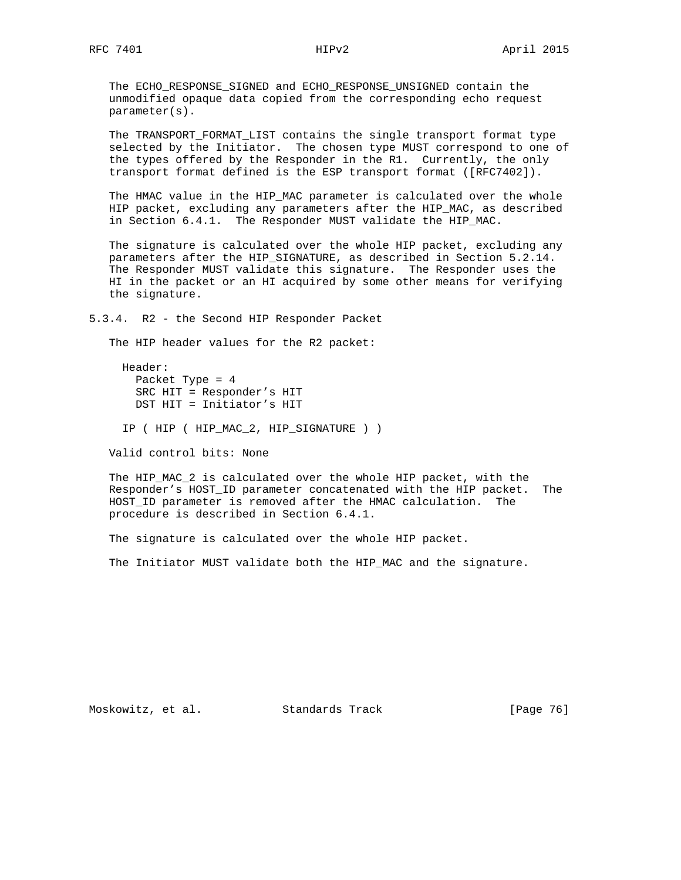The ECHO\_RESPONSE\_SIGNED and ECHO\_RESPONSE\_UNSIGNED contain the unmodified opaque data copied from the corresponding echo request parameter(s).

 The TRANSPORT\_FORMAT\_LIST contains the single transport format type selected by the Initiator. The chosen type MUST correspond to one of the types offered by the Responder in the R1. Currently, the only transport format defined is the ESP transport format ([RFC7402]).

 The HMAC value in the HIP\_MAC parameter is calculated over the whole HIP packet, excluding any parameters after the HIP\_MAC, as described in Section 6.4.1. The Responder MUST validate the HIP\_MAC.

 The signature is calculated over the whole HIP packet, excluding any parameters after the HIP\_SIGNATURE, as described in Section 5.2.14. The Responder MUST validate this signature. The Responder uses the HI in the packet or an HI acquired by some other means for verifying the signature.

5.3.4. R2 - the Second HIP Responder Packet

The HIP header values for the R2 packet:

 Header: Packet Type = 4 SRC HIT = Responder's HIT DST HIT = Initiator's HIT

IP ( HIP ( HIP\_MAC\_2, HIP\_SIGNATURE ) )

Valid control bits: None

 The HIP\_MAC\_2 is calculated over the whole HIP packet, with the Responder's HOST\_ID parameter concatenated with the HIP packet. The HOST\_ID parameter is removed after the HMAC calculation. The procedure is described in Section 6.4.1.

The signature is calculated over the whole HIP packet.

The Initiator MUST validate both the HIP\_MAC and the signature.

Moskowitz, et al. Standards Track [Page 76]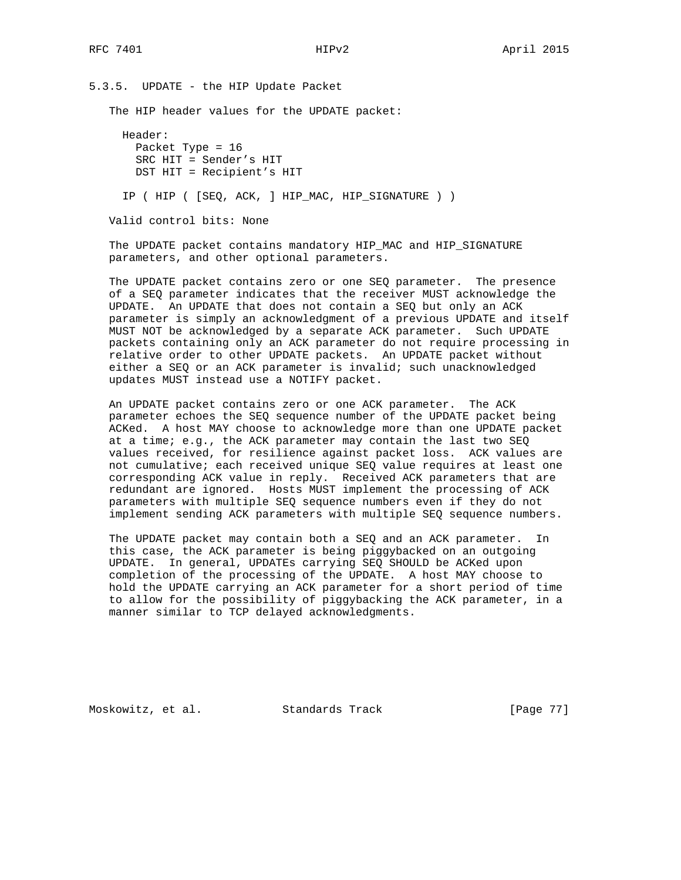5.3.5. UPDATE - the HIP Update Packet The HIP header values for the UPDATE packet: Header: Packet Type = 16 SRC HIT = Sender's HIT DST HIT = Recipient's HIT IP ( HIP ( [SEQ, ACK, ] HIP\_MAC, HIP\_SIGNATURE ) ) Valid control bits: None

 The UPDATE packet contains mandatory HIP\_MAC and HIP\_SIGNATURE parameters, and other optional parameters.

 The UPDATE packet contains zero or one SEQ parameter. The presence of a SEQ parameter indicates that the receiver MUST acknowledge the UPDATE. An UPDATE that does not contain a SEQ but only an ACK parameter is simply an acknowledgment of a previous UPDATE and itself MUST NOT be acknowledged by a separate ACK parameter. Such UPDATE packets containing only an ACK parameter do not require processing in relative order to other UPDATE packets. An UPDATE packet without either a SEQ or an ACK parameter is invalid; such unacknowledged updates MUST instead use a NOTIFY packet.

 An UPDATE packet contains zero or one ACK parameter. The ACK parameter echoes the SEQ sequence number of the UPDATE packet being ACKed. A host MAY choose to acknowledge more than one UPDATE packet at a time; e.g., the ACK parameter may contain the last two SEQ values received, for resilience against packet loss. ACK values are not cumulative; each received unique SEQ value requires at least one corresponding ACK value in reply. Received ACK parameters that are redundant are ignored. Hosts MUST implement the processing of ACK parameters with multiple SEQ sequence numbers even if they do not implement sending ACK parameters with multiple SEQ sequence numbers.

 The UPDATE packet may contain both a SEQ and an ACK parameter. In this case, the ACK parameter is being piggybacked on an outgoing UPDATE. In general, UPDATEs carrying SEQ SHOULD be ACKed upon completion of the processing of the UPDATE. A host MAY choose to hold the UPDATE carrying an ACK parameter for a short period of time to allow for the possibility of piggybacking the ACK parameter, in a manner similar to TCP delayed acknowledgments.

Moskowitz, et al. Standards Track [Page 77]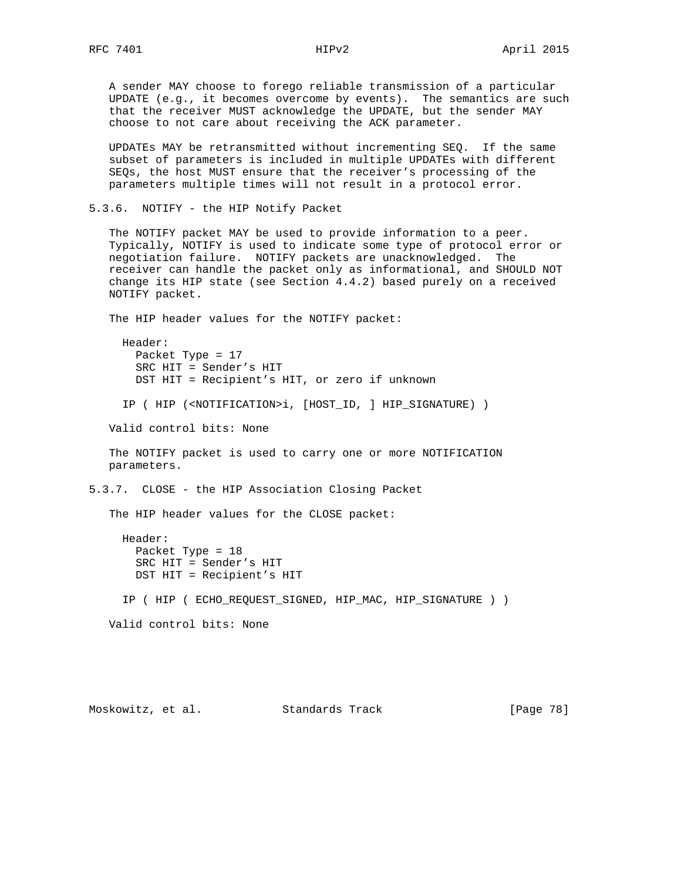A sender MAY choose to forego reliable transmission of a particular UPDATE (e.g., it becomes overcome by events). The semantics are such that the receiver MUST acknowledge the UPDATE, but the sender MAY choose to not care about receiving the ACK parameter.

 UPDATEs MAY be retransmitted without incrementing SEQ. If the same subset of parameters is included in multiple UPDATEs with different SEQs, the host MUST ensure that the receiver's processing of the parameters multiple times will not result in a protocol error.

5.3.6. NOTIFY - the HIP Notify Packet

 The NOTIFY packet MAY be used to provide information to a peer. Typically, NOTIFY is used to indicate some type of protocol error or negotiation failure. NOTIFY packets are unacknowledged. The receiver can handle the packet only as informational, and SHOULD NOT change its HIP state (see Section 4.4.2) based purely on a received NOTIFY packet.

The HIP header values for the NOTIFY packet:

 Header: Packet Type = 17 SRC HIT = Sender's HIT DST HIT = Recipient's HIT, or zero if unknown

IP ( HIP (<NOTIFICATION>i, [HOST\_ID, ] HIP\_SIGNATURE) )

Valid control bits: None

 The NOTIFY packet is used to carry one or more NOTIFICATION parameters.

5.3.7. CLOSE - the HIP Association Closing Packet

The HIP header values for the CLOSE packet:

 Header: Packet Type = 18 SRC HIT = Sender's HIT DST HIT = Recipient's HIT

IP ( HIP ( ECHO\_REQUEST\_SIGNED, HIP\_MAC, HIP\_SIGNATURE ) )

Valid control bits: None

Moskowitz, et al. Standards Track [Page 78]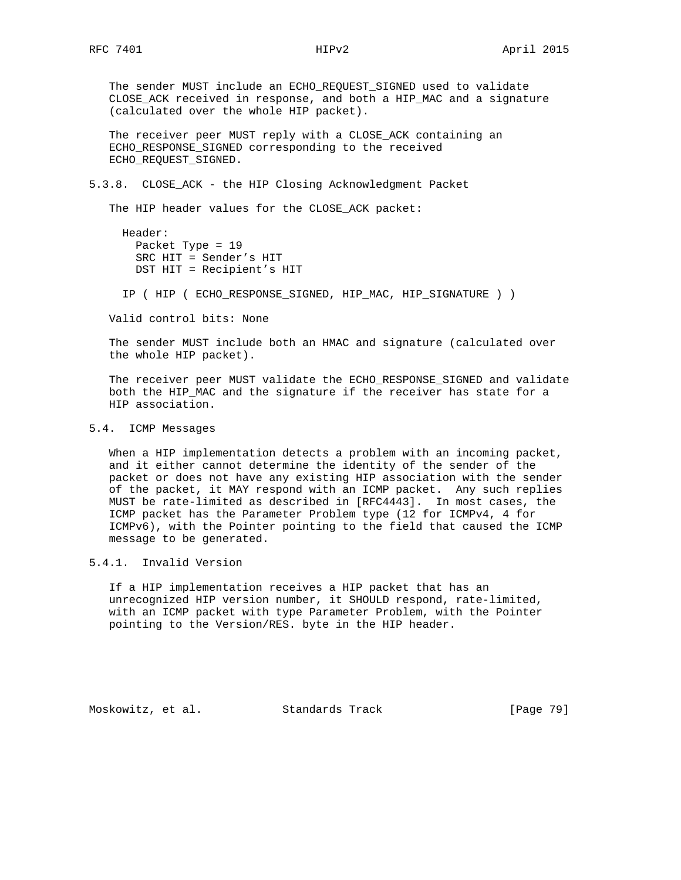The sender MUST include an ECHO\_REQUEST\_SIGNED used to validate CLOSE\_ACK received in response, and both a HIP\_MAC and a signature (calculated over the whole HIP packet).

 The receiver peer MUST reply with a CLOSE\_ACK containing an ECHO\_RESPONSE\_SIGNED corresponding to the received ECHO\_REQUEST\_SIGNED.

### 5.3.8. CLOSE\_ACK - the HIP Closing Acknowledgment Packet

The HIP header values for the CLOSE\_ACK packet:

```
 Header:
Packet Type = 19
SRC HIT = Sender's HIT
DST HIT = Recipient's HIT
```
IP ( HIP ( ECHO\_RESPONSE\_SIGNED, HIP\_MAC, HIP\_SIGNATURE ) )

Valid control bits: None

 The sender MUST include both an HMAC and signature (calculated over the whole HIP packet).

 The receiver peer MUST validate the ECHO\_RESPONSE\_SIGNED and validate both the HIP\_MAC and the signature if the receiver has state for a HIP association.

### 5.4. ICMP Messages

 When a HIP implementation detects a problem with an incoming packet, and it either cannot determine the identity of the sender of the packet or does not have any existing HIP association with the sender of the packet, it MAY respond with an ICMP packet. Any such replies MUST be rate-limited as described in [RFC4443]. In most cases, the ICMP packet has the Parameter Problem type (12 for ICMPv4, 4 for ICMPv6), with the Pointer pointing to the field that caused the ICMP message to be generated.

### 5.4.1. Invalid Version

 If a HIP implementation receives a HIP packet that has an unrecognized HIP version number, it SHOULD respond, rate-limited, with an ICMP packet with type Parameter Problem, with the Pointer pointing to the Version/RES. byte in the HIP header.

Moskowitz, et al. Standards Track [Page 79]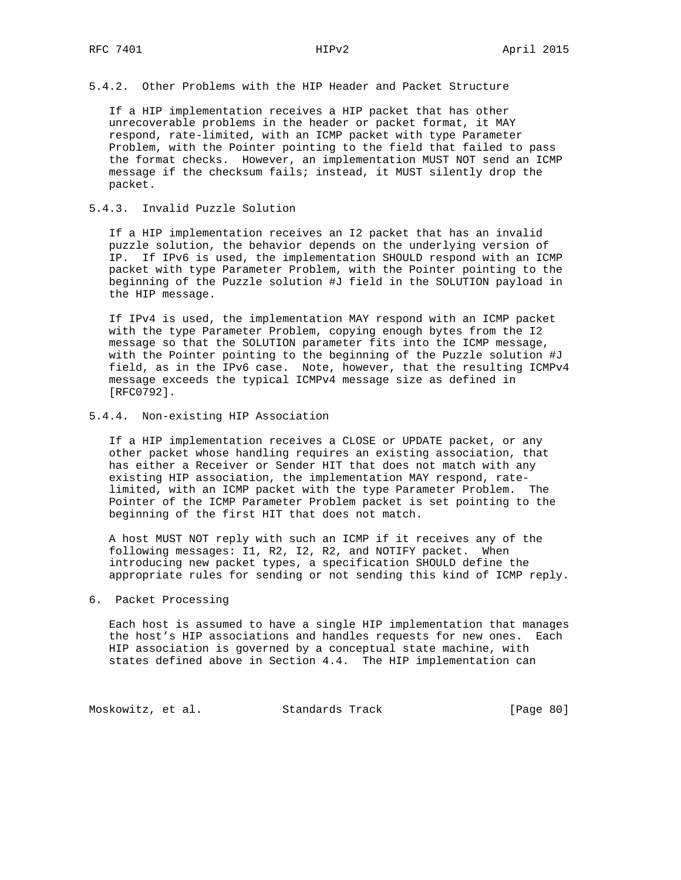5.4.2. Other Problems with the HIP Header and Packet Structure

 If a HIP implementation receives a HIP packet that has other unrecoverable problems in the header or packet format, it MAY respond, rate-limited, with an ICMP packet with type Parameter Problem, with the Pointer pointing to the field that failed to pass the format checks. However, an implementation MUST NOT send an ICMP message if the checksum fails; instead, it MUST silently drop the packet.

### 5.4.3. Invalid Puzzle Solution

 If a HIP implementation receives an I2 packet that has an invalid puzzle solution, the behavior depends on the underlying version of IP. If IPv6 is used, the implementation SHOULD respond with an ICMP packet with type Parameter Problem, with the Pointer pointing to the beginning of the Puzzle solution #J field in the SOLUTION payload in the HIP message.

 If IPv4 is used, the implementation MAY respond with an ICMP packet with the type Parameter Problem, copying enough bytes from the I2 message so that the SOLUTION parameter fits into the ICMP message, with the Pointer pointing to the beginning of the Puzzle solution #J field, as in the IPv6 case. Note, however, that the resulting ICMPv4 message exceeds the typical ICMPv4 message size as defined in [RFC0792].

### 5.4.4. Non-existing HIP Association

 If a HIP implementation receives a CLOSE or UPDATE packet, or any other packet whose handling requires an existing association, that has either a Receiver or Sender HIT that does not match with any existing HIP association, the implementation MAY respond, rate limited, with an ICMP packet with the type Parameter Problem. The Pointer of the ICMP Parameter Problem packet is set pointing to the beginning of the first HIT that does not match.

 A host MUST NOT reply with such an ICMP if it receives any of the following messages: I1, R2, I2, R2, and NOTIFY packet. When introducing new packet types, a specification SHOULD define the appropriate rules for sending or not sending this kind of ICMP reply.

### 6. Packet Processing

 Each host is assumed to have a single HIP implementation that manages the host's HIP associations and handles requests for new ones. Each HIP association is governed by a conceptual state machine, with states defined above in Section 4.4. The HIP implementation can

Moskowitz, et al. Standards Track [Page 80]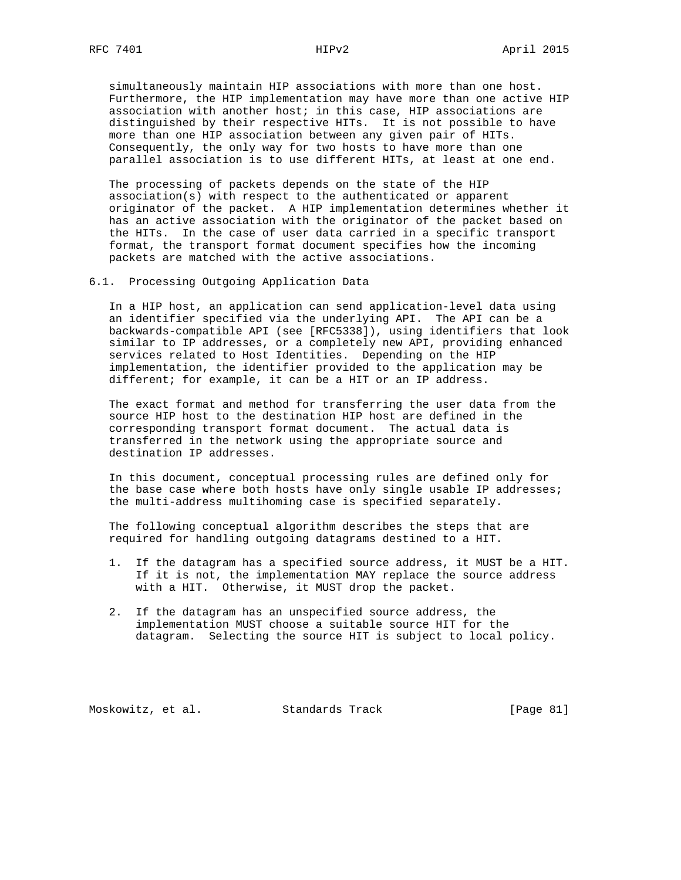simultaneously maintain HIP associations with more than one host. Furthermore, the HIP implementation may have more than one active HIP association with another host; in this case, HIP associations are distinguished by their respective HITs. It is not possible to have more than one HIP association between any given pair of HITs. Consequently, the only way for two hosts to have more than one parallel association is to use different HITs, at least at one end.

 The processing of packets depends on the state of the HIP association(s) with respect to the authenticated or apparent originator of the packet. A HIP implementation determines whether it has an active association with the originator of the packet based on the HITs. In the case of user data carried in a specific transport format, the transport format document specifies how the incoming packets are matched with the active associations.

6.1. Processing Outgoing Application Data

 In a HIP host, an application can send application-level data using an identifier specified via the underlying API. The API can be a backwards-compatible API (see [RFC5338]), using identifiers that look similar to IP addresses, or a completely new API, providing enhanced services related to Host Identities. Depending on the HIP implementation, the identifier provided to the application may be different; for example, it can be a HIT or an IP address.

 The exact format and method for transferring the user data from the source HIP host to the destination HIP host are defined in the corresponding transport format document. The actual data is transferred in the network using the appropriate source and destination IP addresses.

 In this document, conceptual processing rules are defined only for the base case where both hosts have only single usable IP addresses; the multi-address multihoming case is specified separately.

 The following conceptual algorithm describes the steps that are required for handling outgoing datagrams destined to a HIT.

- 1. If the datagram has a specified source address, it MUST be a HIT. If it is not, the implementation MAY replace the source address with a HIT. Otherwise, it MUST drop the packet.
- 2. If the datagram has an unspecified source address, the implementation MUST choose a suitable source HIT for the datagram. Selecting the source HIT is subject to local policy.

Moskowitz, et al. Standards Track [Page 81]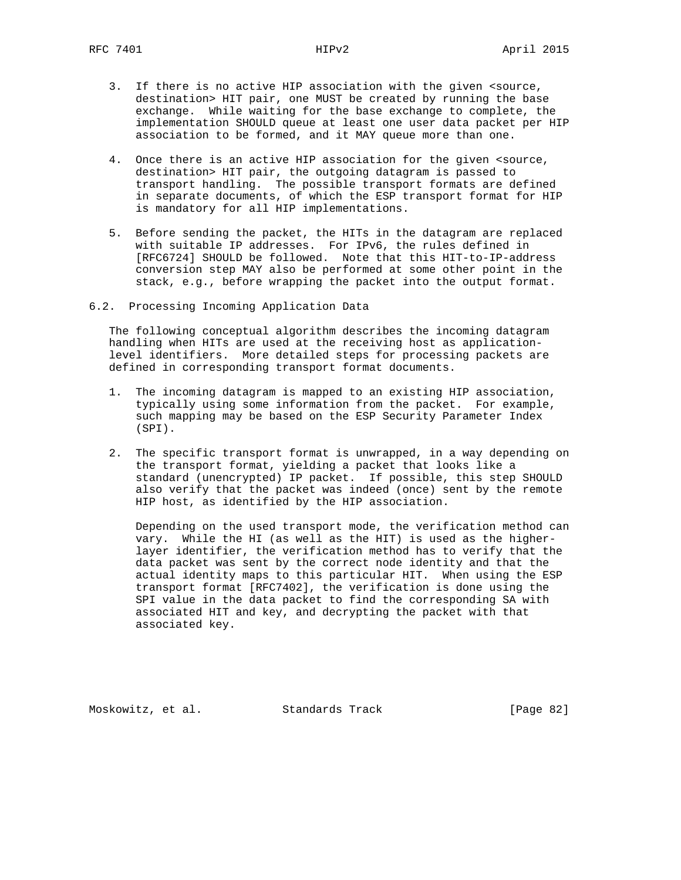- 3. If there is no active HIP association with the given <source, destination> HIT pair, one MUST be created by running the base exchange. While waiting for the base exchange to complete, the implementation SHOULD queue at least one user data packet per HIP association to be formed, and it MAY queue more than one.
- 4. Once there is an active HIP association for the given <source, destination> HIT pair, the outgoing datagram is passed to transport handling. The possible transport formats are defined in separate documents, of which the ESP transport format for HIP is mandatory for all HIP implementations.
- 5. Before sending the packet, the HITs in the datagram are replaced with suitable IP addresses. For IPv6, the rules defined in [RFC6724] SHOULD be followed. Note that this HIT-to-IP-address conversion step MAY also be performed at some other point in the stack, e.g., before wrapping the packet into the output format.
- 6.2. Processing Incoming Application Data

 The following conceptual algorithm describes the incoming datagram handling when HITs are used at the receiving host as application level identifiers. More detailed steps for processing packets are defined in corresponding transport format documents.

- 1. The incoming datagram is mapped to an existing HIP association, typically using some information from the packet. For example, such mapping may be based on the ESP Security Parameter Index (SPI).
- 2. The specific transport format is unwrapped, in a way depending on the transport format, yielding a packet that looks like a standard (unencrypted) IP packet. If possible, this step SHOULD also verify that the packet was indeed (once) sent by the remote HIP host, as identified by the HIP association.

 Depending on the used transport mode, the verification method can vary. While the HI (as well as the HIT) is used as the higher layer identifier, the verification method has to verify that the data packet was sent by the correct node identity and that the actual identity maps to this particular HIT. When using the ESP transport format [RFC7402], the verification is done using the SPI value in the data packet to find the corresponding SA with associated HIT and key, and decrypting the packet with that associated key.

Moskowitz, et al. Standards Track [Page 82]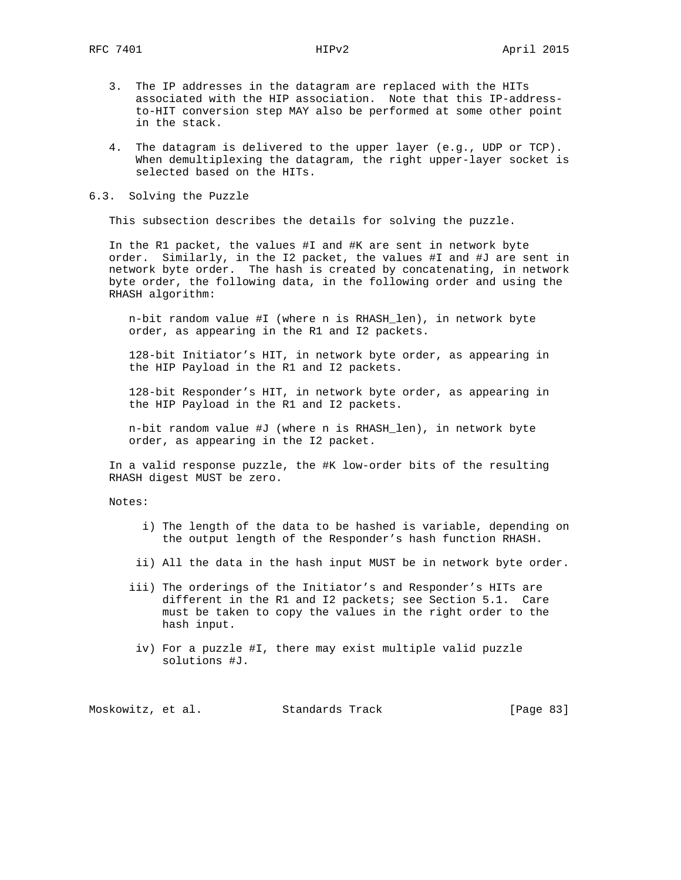- 3. The IP addresses in the datagram are replaced with the HITs associated with the HIP association. Note that this IP-address to-HIT conversion step MAY also be performed at some other point in the stack.
- 4. The datagram is delivered to the upper layer (e.g., UDP or TCP). When demultiplexing the datagram, the right upper-layer socket is selected based on the HITs.

### 6.3. Solving the Puzzle

This subsection describes the details for solving the puzzle.

 In the R1 packet, the values #I and #K are sent in network byte order. Similarly, in the I2 packet, the values #I and #J are sent in network byte order. The hash is created by concatenating, in network byte order, the following data, in the following order and using the RHASH algorithm:

 n-bit random value #I (where n is RHASH\_len), in network byte order, as appearing in the R1 and I2 packets.

 128-bit Initiator's HIT, in network byte order, as appearing in the HIP Payload in the R1 and I2 packets.

 128-bit Responder's HIT, in network byte order, as appearing in the HIP Payload in the R1 and I2 packets.

 n-bit random value #J (where n is RHASH\_len), in network byte order, as appearing in the I2 packet.

 In a valid response puzzle, the #K low-order bits of the resulting RHASH digest MUST be zero.

Notes:

- i) The length of the data to be hashed is variable, depending on the output length of the Responder's hash function RHASH.
- ii) All the data in the hash input MUST be in network byte order.
- iii) The orderings of the Initiator's and Responder's HITs are different in the R1 and I2 packets; see Section 5.1. Care must be taken to copy the values in the right order to the hash input.
- iv) For a puzzle #I, there may exist multiple valid puzzle solutions #J.

Moskowitz, et al. Standards Track [Page 83]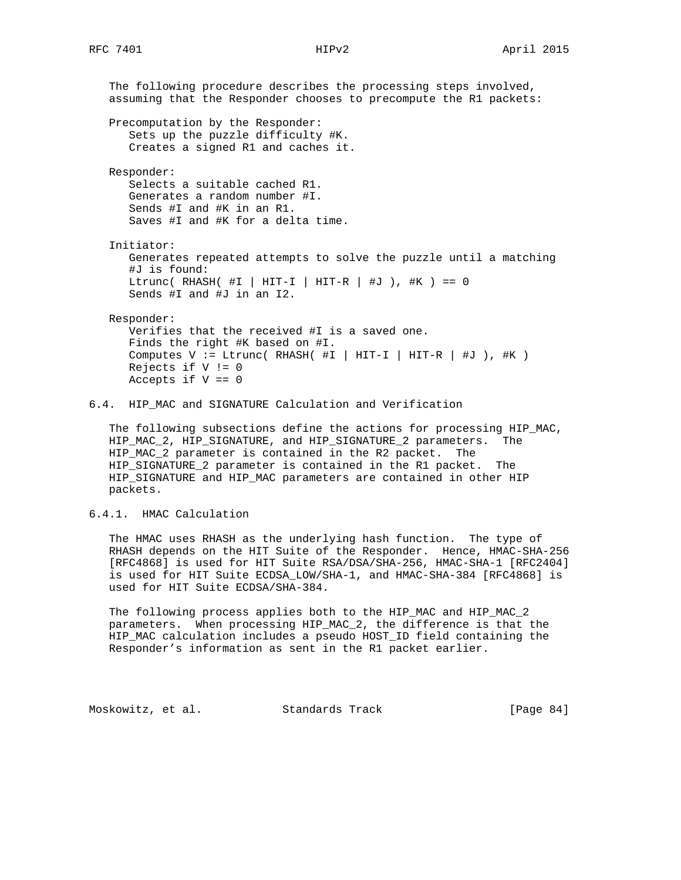The following procedure describes the processing steps involved, assuming that the Responder chooses to precompute the R1 packets: Precomputation by the Responder: Sets up the puzzle difficulty #K. Creates a signed R1 and caches it. Responder: Selects a suitable cached R1. Generates a random number #I. Sends #I and #K in an R1. Saves #I and #K for a delta time. Initiator: Generates repeated attempts to solve the puzzle until a matching #J is found: Ltrunc( RHASH(  $\#I$  | HIT-I | HIT-R |  $\#J$  ),  $\#K$  ) == 0 Sends #I and #J in an I2. Responder: Verifies that the received #I is a saved one. Finds the right #K based on #I. Computes  $V := Ltrunc( RHASH( HI | HIT-I | HIT-R | HJ )$ , #K) Rejects if  $V := 0$ Accepts if  $V == 0$ 

6.4. HIP\_MAC and SIGNATURE Calculation and Verification

 The following subsections define the actions for processing HIP\_MAC, HIP\_MAC\_2, HIP\_SIGNATURE, and HIP\_SIGNATURE\_2 parameters. The HIP\_MAC\_2 parameter is contained in the R2 packet. The HIP\_SIGNATURE\_2 parameter is contained in the R1 packet. The HIP\_SIGNATURE and HIP\_MAC parameters are contained in other HIP packets.

6.4.1. HMAC Calculation

 The HMAC uses RHASH as the underlying hash function. The type of RHASH depends on the HIT Suite of the Responder. Hence, HMAC-SHA-256 [RFC4868] is used for HIT Suite RSA/DSA/SHA-256, HMAC-SHA-1 [RFC2404] is used for HIT Suite ECDSA\_LOW/SHA-1, and HMAC-SHA-384 [RFC4868] is used for HIT Suite ECDSA/SHA-384.

 The following process applies both to the HIP\_MAC and HIP\_MAC\_2 parameters. When processing HIP\_MAC\_2, the difference is that the HIP\_MAC calculation includes a pseudo HOST\_ID field containing the Responder's information as sent in the R1 packet earlier.

Moskowitz, et al. Standards Track [Page 84]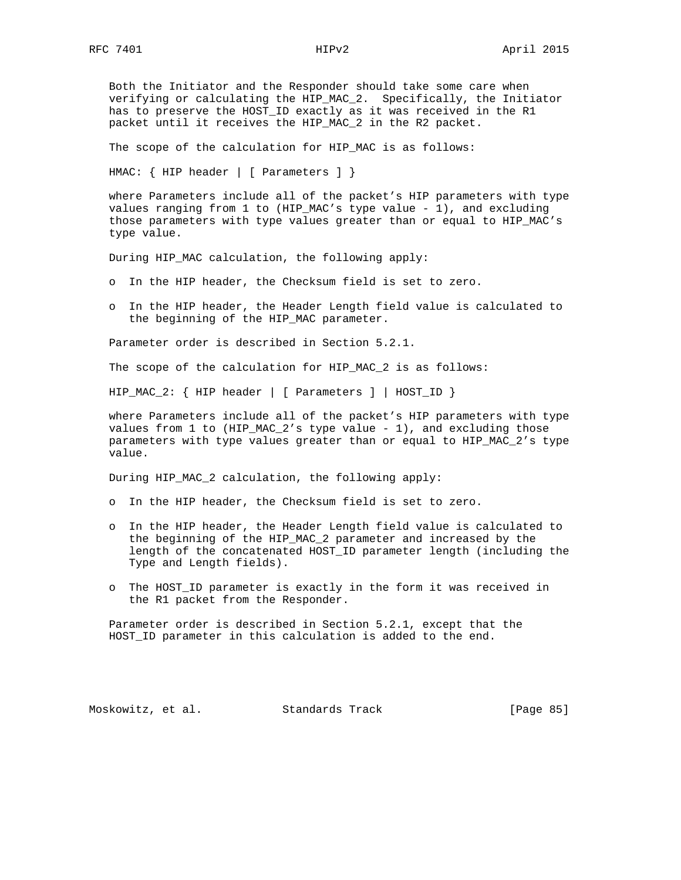Both the Initiator and the Responder should take some care when verifying or calculating the HIP\_MAC\_2. Specifically, the Initiator has to preserve the HOST\_ID exactly as it was received in the R1 packet until it receives the HIP\_MAC\_2 in the R2 packet.

The scope of the calculation for HIP\_MAC is as follows:

HMAC: { HIP header | [ Parameters ] }

 where Parameters include all of the packet's HIP parameters with type values ranging from 1 to (HIP\_MAC's type value - 1), and excluding those parameters with type values greater than or equal to HIP\_MAC's type value.

During HIP\_MAC calculation, the following apply:

- o In the HIP header, the Checksum field is set to zero.
- o In the HIP header, the Header Length field value is calculated to the beginning of the HIP\_MAC parameter.

Parameter order is described in Section 5.2.1.

The scope of the calculation for HIP\_MAC\_2 is as follows:

HIP\_MAC\_2: { HIP header | [ Parameters ] | HOST\_ID }

 where Parameters include all of the packet's HIP parameters with type values from 1 to (HIP\_MAC\_2's type value - 1), and excluding those parameters with type values greater than or equal to HIP\_MAC\_2's type value.

During HIP\_MAC\_2 calculation, the following apply:

- o In the HIP header, the Checksum field is set to zero.
- o In the HIP header, the Header Length field value is calculated to the beginning of the HIP\_MAC\_2 parameter and increased by the length of the concatenated HOST\_ID parameter length (including the Type and Length fields).
- o The HOST\_ID parameter is exactly in the form it was received in the R1 packet from the Responder.

 Parameter order is described in Section 5.2.1, except that the HOST\_ID parameter in this calculation is added to the end.

Moskowitz, et al. Standards Track [Page 85]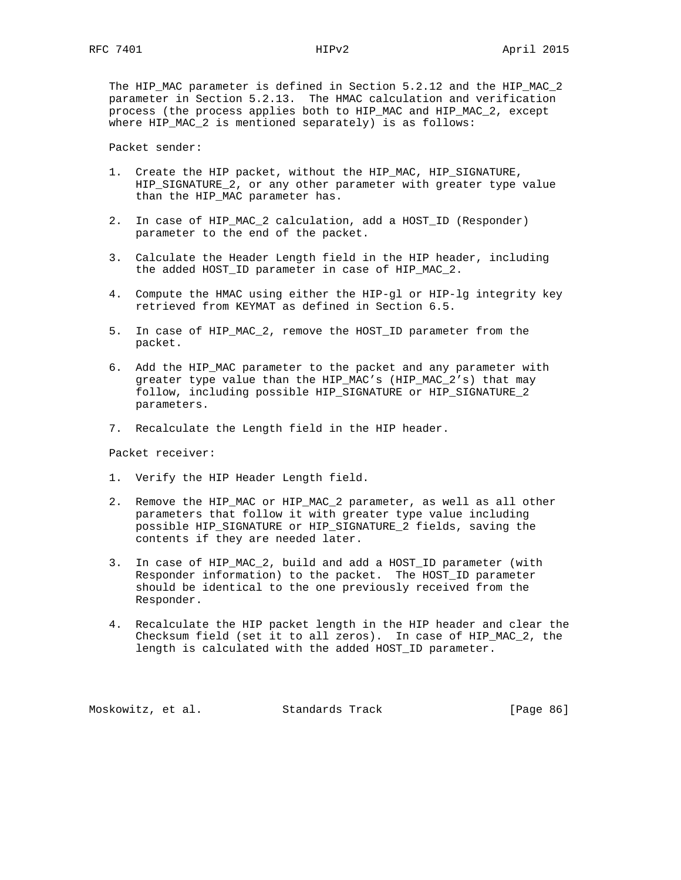The HIP\_MAC parameter is defined in Section 5.2.12 and the HIP\_MAC\_2 parameter in Section 5.2.13. The HMAC calculation and verification process (the process applies both to HIP\_MAC and HIP\_MAC\_2, except where HIP MAC 2 is mentioned separately) is as follows:

Packet sender:

- 1. Create the HIP packet, without the HIP\_MAC, HIP\_SIGNATURE, HIP\_SIGNATURE\_2, or any other parameter with greater type value than the HIP MAC parameter has.
- 2. In case of HIP\_MAC\_2 calculation, add a HOST\_ID (Responder) parameter to the end of the packet.
- 3. Calculate the Header Length field in the HIP header, including the added HOST\_ID parameter in case of HIP\_MAC\_2.
- 4. Compute the HMAC using either the HIP-gl or HIP-lg integrity key retrieved from KEYMAT as defined in Section 6.5.
- 5. In case of HIP\_MAC\_2, remove the HOST\_ID parameter from the packet.
- 6. Add the HIP\_MAC parameter to the packet and any parameter with greater type value than the HIP\_MAC's (HIP\_MAC\_2's) that may follow, including possible HIP\_SIGNATURE or HIP\_SIGNATURE\_2 parameters.
- 7. Recalculate the Length field in the HIP header.

Packet receiver:

- 1. Verify the HIP Header Length field.
- 2. Remove the HIP\_MAC or HIP\_MAC\_2 parameter, as well as all other parameters that follow it with greater type value including possible HIP\_SIGNATURE or HIP\_SIGNATURE\_2 fields, saving the contents if they are needed later.
- 3. In case of HIP\_MAC\_2, build and add a HOST\_ID parameter (with Responder information) to the packet. The HOST\_ID parameter should be identical to the one previously received from the Responder.
- 4. Recalculate the HIP packet length in the HIP header and clear the Checksum field (set it to all zeros). In case of HIP\_MAC\_2, the length is calculated with the added HOST\_ID parameter.

Moskowitz, et al. Standards Track [Page 86]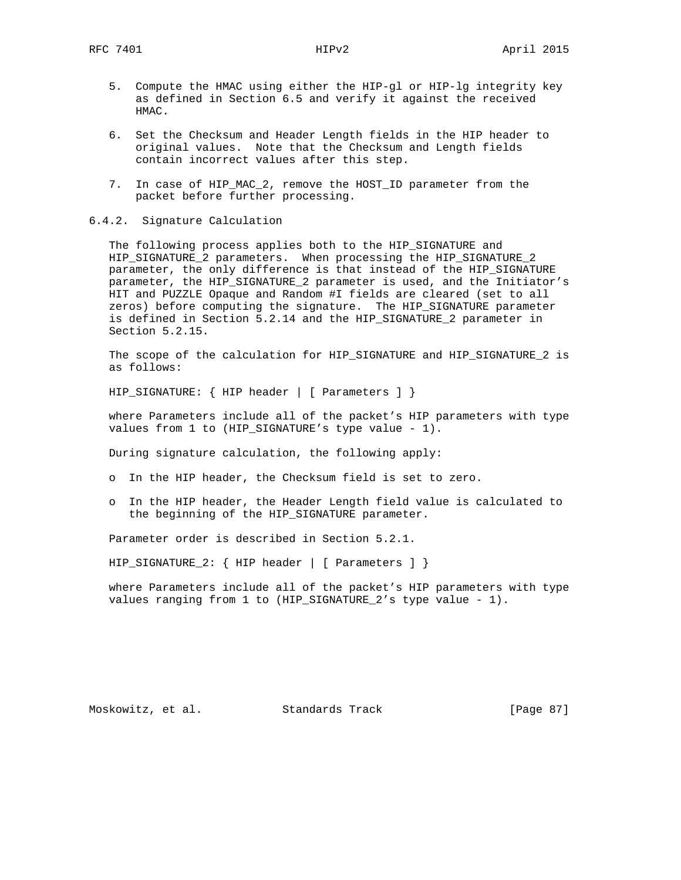- 5. Compute the HMAC using either the HIP-gl or HIP-lg integrity key as defined in Section 6.5 and verify it against the received HMAC.
- 6. Set the Checksum and Header Length fields in the HIP header to original values. Note that the Checksum and Length fields contain incorrect values after this step.
- 7. In case of HIP\_MAC\_2, remove the HOST\_ID parameter from the packet before further processing.
- 6.4.2. Signature Calculation

 The following process applies both to the HIP\_SIGNATURE and HIP\_SIGNATURE\_2 parameters. When processing the HIP\_SIGNATURE\_2 parameter, the only difference is that instead of the HIP\_SIGNATURE parameter, the HIP\_SIGNATURE\_2 parameter is used, and the Initiator's HIT and PUZZLE Opaque and Random #I fields are cleared (set to all zeros) before computing the signature. The HIP\_SIGNATURE parameter is defined in Section 5.2.14 and the HIP\_SIGNATURE\_2 parameter in Section 5.2.15.

 The scope of the calculation for HIP\_SIGNATURE and HIP\_SIGNATURE\_2 is as follows:

HIP\_SIGNATURE: { HIP header | [ Parameters ] }

 where Parameters include all of the packet's HIP parameters with type values from 1 to (HIP\_SIGNATURE's type value - 1).

During signature calculation, the following apply:

- o In the HIP header, the Checksum field is set to zero.
- o In the HIP header, the Header Length field value is calculated to the beginning of the HIP\_SIGNATURE parameter.

Parameter order is described in Section 5.2.1.

HIP\_SIGNATURE\_2: { HIP header | [ Parameters ] }

 where Parameters include all of the packet's HIP parameters with type values ranging from 1 to (HIP\_SIGNATURE\_2's type value - 1).

Moskowitz, et al. Standards Track [Page 87]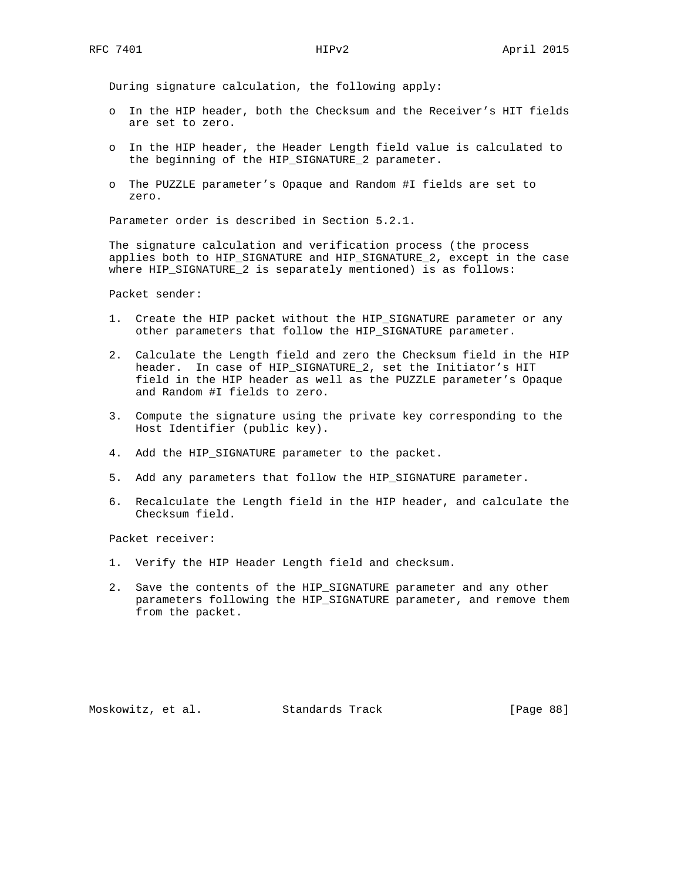During signature calculation, the following apply:

- o In the HIP header, both the Checksum and the Receiver's HIT fields are set to zero.
- o In the HIP header, the Header Length field value is calculated to the beginning of the HIP\_SIGNATURE\_2 parameter.
- o The PUZZLE parameter's Opaque and Random #I fields are set to zero.

Parameter order is described in Section 5.2.1.

 The signature calculation and verification process (the process applies both to HIP\_SIGNATURE and HIP\_SIGNATURE\_2, except in the case where HIP\_SIGNATURE\_2 is separately mentioned) is as follows:

Packet sender:

- 1. Create the HIP packet without the HIP\_SIGNATURE parameter or any other parameters that follow the HIP\_SIGNATURE parameter.
- 2. Calculate the Length field and zero the Checksum field in the HIP header. In case of HIP\_SIGNATURE\_2, set the Initiator's HIT field in the HIP header as well as the PUZZLE parameter's Opaque and Random #I fields to zero.
- 3. Compute the signature using the private key corresponding to the Host Identifier (public key).
- 4. Add the HIP\_SIGNATURE parameter to the packet.
- 5. Add any parameters that follow the HIP\_SIGNATURE parameter.
- 6. Recalculate the Length field in the HIP header, and calculate the Checksum field.

Packet receiver:

- 1. Verify the HIP Header Length field and checksum.
- 2. Save the contents of the HIP\_SIGNATURE parameter and any other parameters following the HIP\_SIGNATURE parameter, and remove them from the packet.

Moskowitz, et al. Standards Track [Page 88]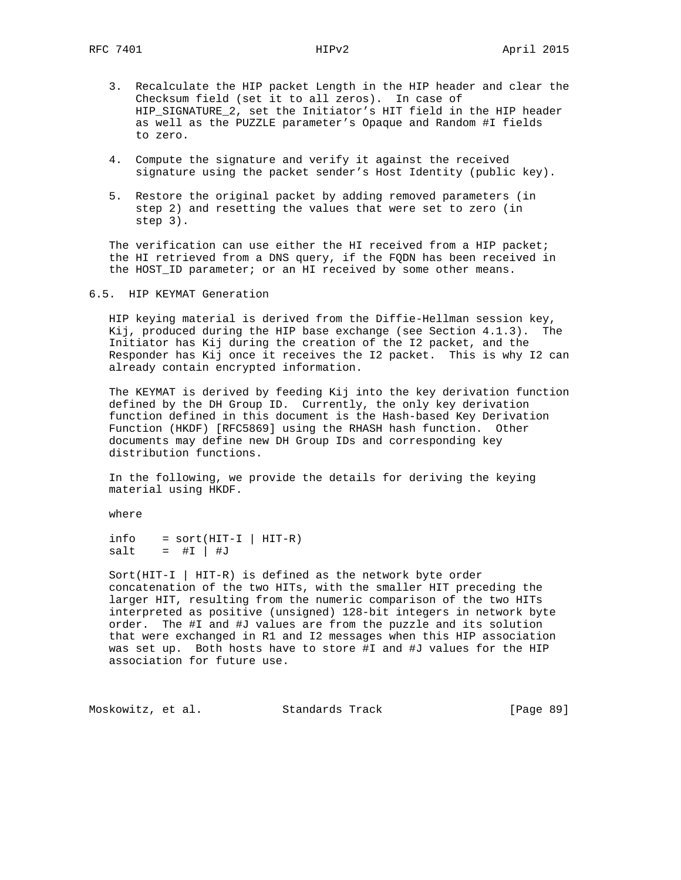- 3. Recalculate the HIP packet Length in the HIP header and clear the Checksum field (set it to all zeros). In case of HIP\_SIGNATURE\_2, set the Initiator's HIT field in the HIP header as well as the PUZZLE parameter's Opaque and Random #I fields to zero.
- 4. Compute the signature and verify it against the received signature using the packet sender's Host Identity (public key).
- 5. Restore the original packet by adding removed parameters (in step 2) and resetting the values that were set to zero (in step 3).

The verification can use either the HI received from a HIP packet; the HI retrieved from a DNS query, if the FQDN has been received in the HOST\_ID parameter; or an HI received by some other means.

6.5. HIP KEYMAT Generation

 HIP keying material is derived from the Diffie-Hellman session key, Kij, produced during the HIP base exchange (see Section 4.1.3). The Initiator has Kij during the creation of the I2 packet, and the Responder has Kij once it receives the I2 packet. This is why I2 can already contain encrypted information.

 The KEYMAT is derived by feeding Kij into the key derivation function defined by the DH Group ID. Currently, the only key derivation function defined in this document is the Hash-based Key Derivation Function (HKDF) [RFC5869] using the RHASH hash function. Other documents may define new DH Group IDs and corresponding key distribution functions.

 In the following, we provide the details for deriving the keying material using HKDF.

where

 $info = sort(HIT-I | HIT-R)$  $salt = #I | #J$ 

 Sort(HIT-I | HIT-R) is defined as the network byte order concatenation of the two HITs, with the smaller HIT preceding the larger HIT, resulting from the numeric comparison of the two HITs interpreted as positive (unsigned) 128-bit integers in network byte order. The #I and #J values are from the puzzle and its solution that were exchanged in R1 and I2 messages when this HIP association was set up. Both hosts have to store #I and #J values for the HIP association for future use.

Moskowitz, et al. Standards Track [Page 89]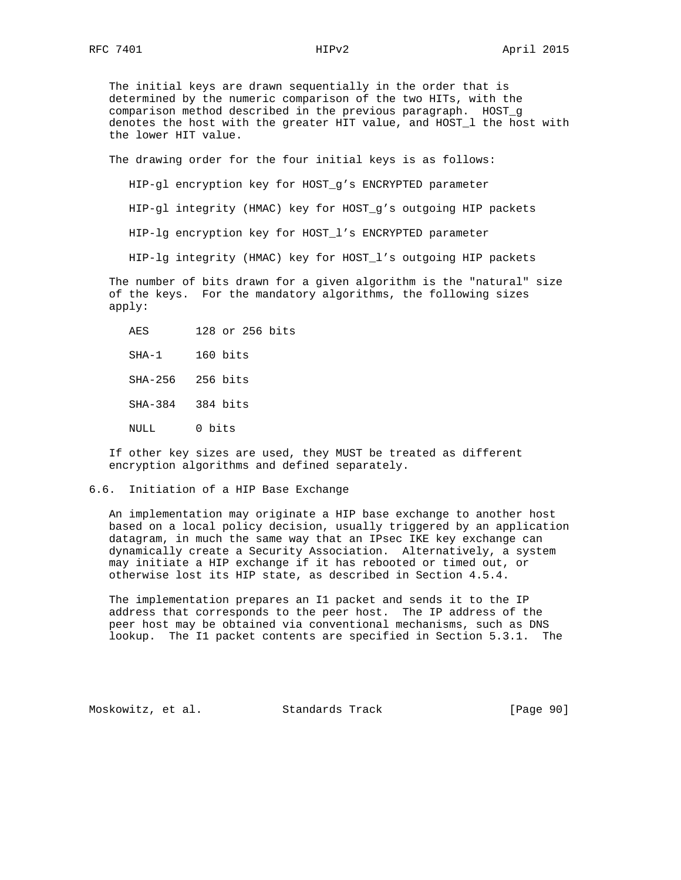The initial keys are drawn sequentially in the order that is determined by the numeric comparison of the two HITs, with the comparison method described in the previous paragraph. HOST\_g denotes the host with the greater HIT value, and HOST\_l the host with the lower HIT value.

The drawing order for the four initial keys is as follows:

HIP-gl encryption key for HOST\_g's ENCRYPTED parameter

HIP-gl integrity (HMAC) key for HOST\_g's outgoing HIP packets

HIP-lg encryption key for HOST\_l's ENCRYPTED parameter

HIP-lg integrity (HMAC) key for HOST\_l's outgoing HIP packets

 The number of bits drawn for a given algorithm is the "natural" size of the keys. For the mandatory algorithms, the following sizes apply:

| AES              | 128 or 256 bits |
|------------------|-----------------|
| SHA-1            | 160 bits        |
| SHA-256 256 bits |                 |
| SHA-384 384 bits |                 |
| NULL             | 0 bits          |

 If other key sizes are used, they MUST be treated as different encryption algorithms and defined separately.

# 6.6. Initiation of a HIP Base Exchange

 An implementation may originate a HIP base exchange to another host based on a local policy decision, usually triggered by an application datagram, in much the same way that an IPsec IKE key exchange can dynamically create a Security Association. Alternatively, a system may initiate a HIP exchange if it has rebooted or timed out, or otherwise lost its HIP state, as described in Section 4.5.4.

 The implementation prepares an I1 packet and sends it to the IP address that corresponds to the peer host. The IP address of the peer host may be obtained via conventional mechanisms, such as DNS lookup. The I1 packet contents are specified in Section 5.3.1. The

Moskowitz, et al. Standards Track [Page 90]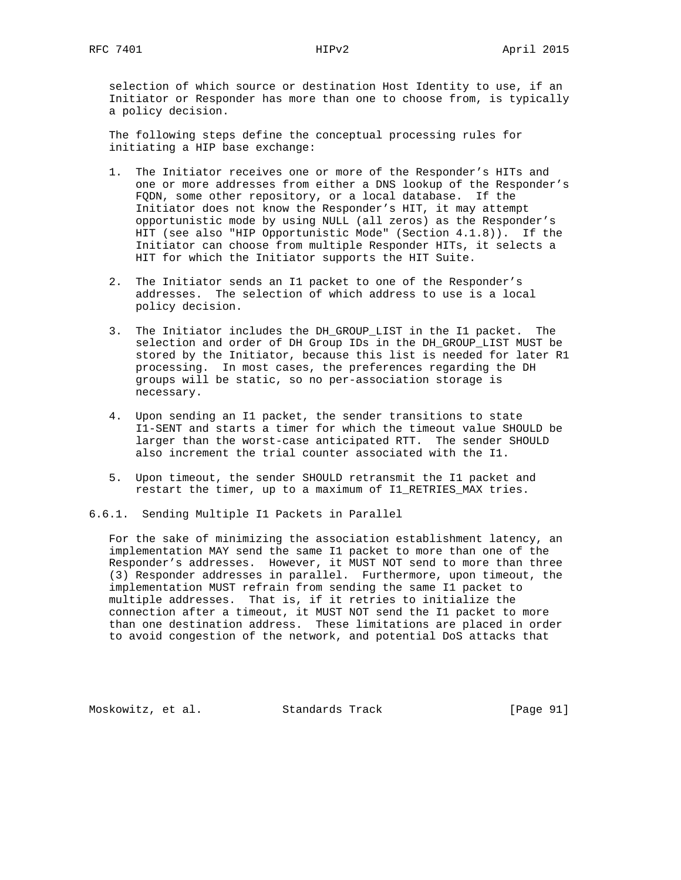selection of which source or destination Host Identity to use, if an Initiator or Responder has more than one to choose from, is typically a policy decision.

 The following steps define the conceptual processing rules for initiating a HIP base exchange:

- 1. The Initiator receives one or more of the Responder's HITs and one or more addresses from either a DNS lookup of the Responder's FQDN, some other repository, or a local database. If the Initiator does not know the Responder's HIT, it may attempt opportunistic mode by using NULL (all zeros) as the Responder's HIT (see also "HIP Opportunistic Mode" (Section 4.1.8)). If the Initiator can choose from multiple Responder HITs, it selects a HIT for which the Initiator supports the HIT Suite.
- 2. The Initiator sends an I1 packet to one of the Responder's addresses. The selection of which address to use is a local policy decision.
- 3. The Initiator includes the DH\_GROUP\_LIST in the I1 packet. The selection and order of DH Group IDs in the DH\_GROUP\_LIST MUST be stored by the Initiator, because this list is needed for later R1 processing. In most cases, the preferences regarding the DH groups will be static, so no per-association storage is necessary.
- 4. Upon sending an I1 packet, the sender transitions to state I1-SENT and starts a timer for which the timeout value SHOULD be larger than the worst-case anticipated RTT. The sender SHOULD also increment the trial counter associated with the I1.
- 5. Upon timeout, the sender SHOULD retransmit the I1 packet and restart the timer, up to a maximum of I1\_RETRIES\_MAX tries.
- 6.6.1. Sending Multiple I1 Packets in Parallel

 For the sake of minimizing the association establishment latency, an implementation MAY send the same I1 packet to more than one of the Responder's addresses. However, it MUST NOT send to more than three (3) Responder addresses in parallel. Furthermore, upon timeout, the implementation MUST refrain from sending the same I1 packet to multiple addresses. That is, if it retries to initialize the connection after a timeout, it MUST NOT send the I1 packet to more than one destination address. These limitations are placed in order to avoid congestion of the network, and potential DoS attacks that

Moskowitz, et al. Standards Track [Page 91]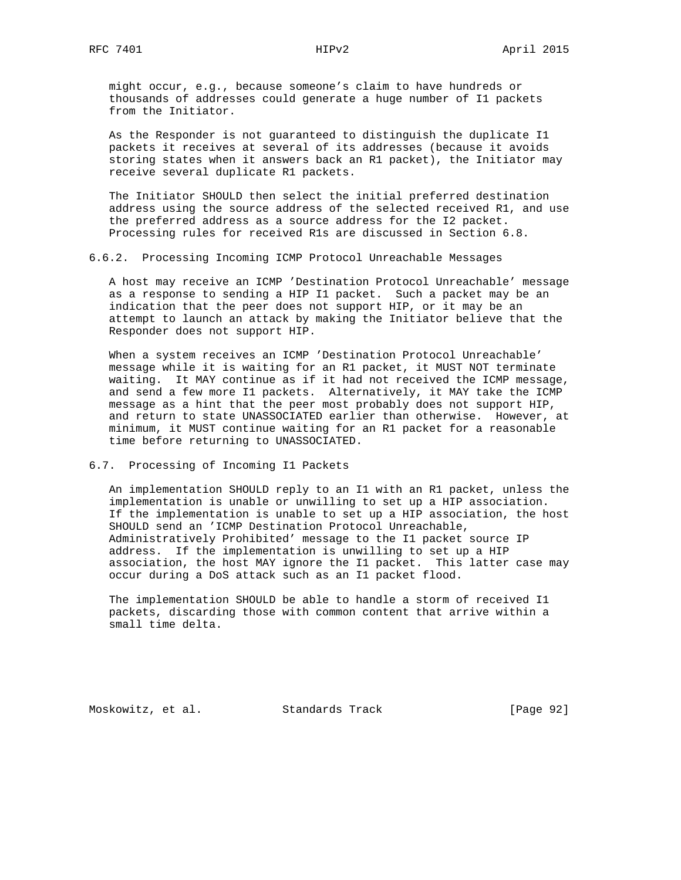might occur, e.g., because someone's claim to have hundreds or thousands of addresses could generate a huge number of I1 packets from the Initiator.

 As the Responder is not guaranteed to distinguish the duplicate I1 packets it receives at several of its addresses (because it avoids storing states when it answers back an R1 packet), the Initiator may receive several duplicate R1 packets.

 The Initiator SHOULD then select the initial preferred destination address using the source address of the selected received R1, and use the preferred address as a source address for the I2 packet. Processing rules for received R1s are discussed in Section 6.8.

6.6.2. Processing Incoming ICMP Protocol Unreachable Messages

 A host may receive an ICMP 'Destination Protocol Unreachable' message as a response to sending a HIP I1 packet. Such a packet may be an indication that the peer does not support HIP, or it may be an attempt to launch an attack by making the Initiator believe that the Responder does not support HIP.

 When a system receives an ICMP 'Destination Protocol Unreachable' message while it is waiting for an R1 packet, it MUST NOT terminate waiting. It MAY continue as if it had not received the ICMP message, and send a few more I1 packets. Alternatively, it MAY take the ICMP message as a hint that the peer most probably does not support HIP, and return to state UNASSOCIATED earlier than otherwise. However, at minimum, it MUST continue waiting for an R1 packet for a reasonable time before returning to UNASSOCIATED.

### 6.7. Processing of Incoming I1 Packets

 An implementation SHOULD reply to an I1 with an R1 packet, unless the implementation is unable or unwilling to set up a HIP association. If the implementation is unable to set up a HIP association, the host SHOULD send an 'ICMP Destination Protocol Unreachable, Administratively Prohibited' message to the I1 packet source IP address. If the implementation is unwilling to set up a HIP association, the host MAY ignore the I1 packet. This latter case may occur during a DoS attack such as an I1 packet flood.

 The implementation SHOULD be able to handle a storm of received I1 packets, discarding those with common content that arrive within a small time delta.

Moskowitz, et al. Standards Track [Page 92]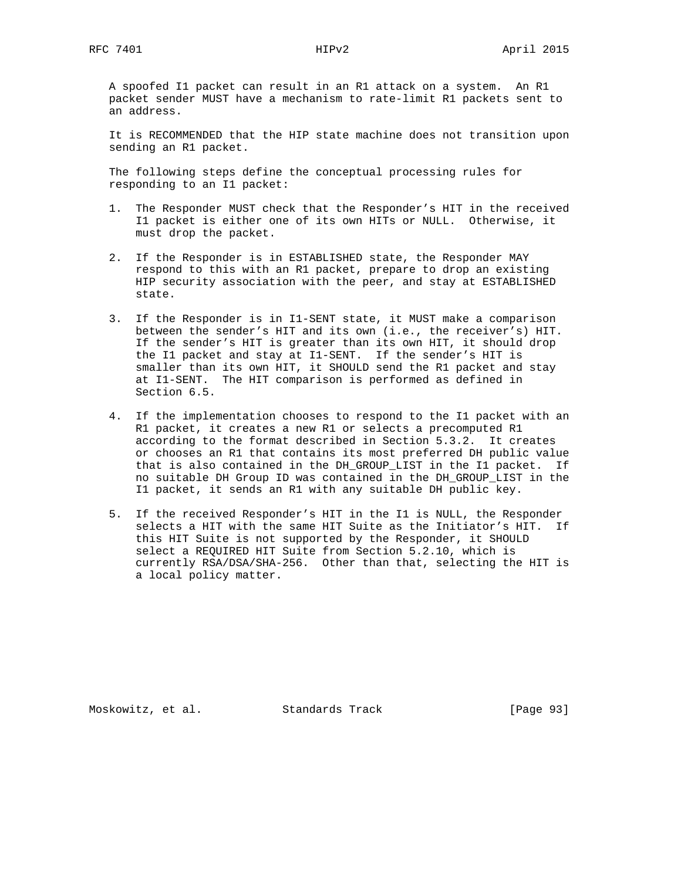A spoofed I1 packet can result in an R1 attack on a system. An R1 packet sender MUST have a mechanism to rate-limit R1 packets sent to an address.

 It is RECOMMENDED that the HIP state machine does not transition upon sending an R1 packet.

 The following steps define the conceptual processing rules for responding to an I1 packet:

- 1. The Responder MUST check that the Responder's HIT in the received I1 packet is either one of its own HITs or NULL. Otherwise, it must drop the packet.
- 2. If the Responder is in ESTABLISHED state, the Responder MAY respond to this with an R1 packet, prepare to drop an existing HIP security association with the peer, and stay at ESTABLISHED state.
- 3. If the Responder is in I1-SENT state, it MUST make a comparison between the sender's HIT and its own (i.e., the receiver's) HIT. If the sender's HIT is greater than its own HIT, it should drop the I1 packet and stay at I1-SENT. If the sender's HIT is smaller than its own HIT, it SHOULD send the R1 packet and stay at I1-SENT. The HIT comparison is performed as defined in Section 6.5.
- 4. If the implementation chooses to respond to the I1 packet with an R1 packet, it creates a new R1 or selects a precomputed R1 according to the format described in Section 5.3.2. It creates or chooses an R1 that contains its most preferred DH public value that is also contained in the DH\_GROUP\_LIST in the I1 packet. If no suitable DH Group ID was contained in the DH\_GROUP\_LIST in the I1 packet, it sends an R1 with any suitable DH public key.
- 5. If the received Responder's HIT in the I1 is NULL, the Responder selects a HIT with the same HIT Suite as the Initiator's HIT. If this HIT Suite is not supported by the Responder, it SHOULD select a REQUIRED HIT Suite from Section 5.2.10, which is currently RSA/DSA/SHA-256. Other than that, selecting the HIT is a local policy matter.

Moskowitz, et al. Standards Track [Page 93]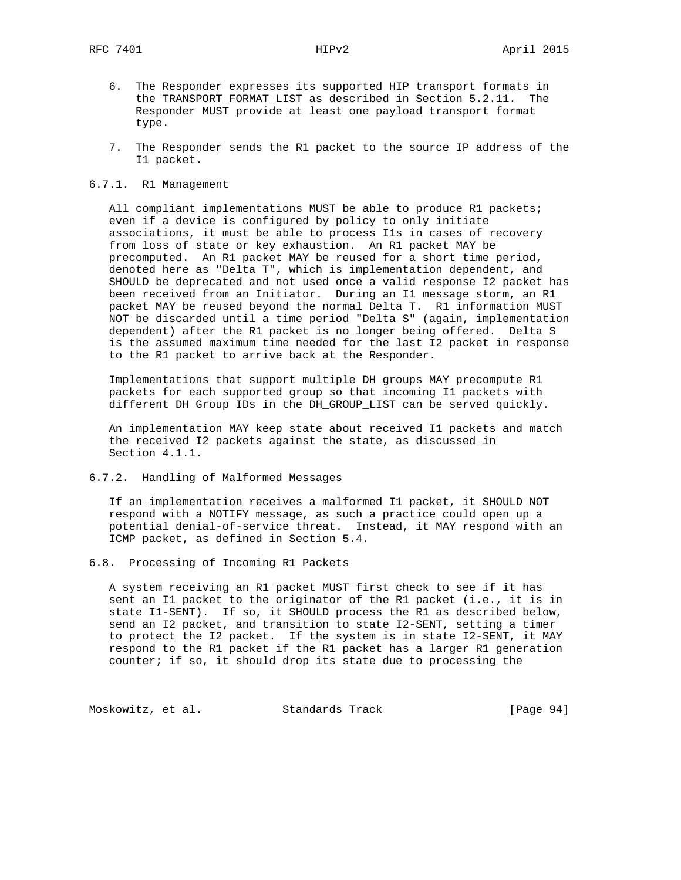- 6. The Responder expresses its supported HIP transport formats in the TRANSPORT\_FORMAT\_LIST as described in Section 5.2.11. The Responder MUST provide at least one payload transport format type.
- 7. The Responder sends the R1 packet to the source IP address of the I1 packet.
- 6.7.1. R1 Management

 All compliant implementations MUST be able to produce R1 packets; even if a device is configured by policy to only initiate associations, it must be able to process I1s in cases of recovery from loss of state or key exhaustion. An R1 packet MAY be precomputed. An R1 packet MAY be reused for a short time period, denoted here as "Delta T", which is implementation dependent, and SHOULD be deprecated and not used once a valid response I2 packet has been received from an Initiator. During an I1 message storm, an R1 packet MAY be reused beyond the normal Delta T. R1 information MUST NOT be discarded until a time period "Delta S" (again, implementation dependent) after the R1 packet is no longer being offered. Delta S is the assumed maximum time needed for the last I2 packet in response to the R1 packet to arrive back at the Responder.

 Implementations that support multiple DH groups MAY precompute R1 packets for each supported group so that incoming I1 packets with different DH Group IDs in the DH\_GROUP\_LIST can be served quickly.

 An implementation MAY keep state about received I1 packets and match the received I2 packets against the state, as discussed in Section 4.1.1.

6.7.2. Handling of Malformed Messages

 If an implementation receives a malformed I1 packet, it SHOULD NOT respond with a NOTIFY message, as such a practice could open up a potential denial-of-service threat. Instead, it MAY respond with an ICMP packet, as defined in Section 5.4.

6.8. Processing of Incoming R1 Packets

 A system receiving an R1 packet MUST first check to see if it has sent an I1 packet to the originator of the R1 packet (i.e., it is in state I1-SENT). If so, it SHOULD process the R1 as described below, send an I2 packet, and transition to state I2-SENT, setting a timer to protect the I2 packet. If the system is in state I2-SENT, it MAY respond to the R1 packet if the R1 packet has a larger R1 generation counter; if so, it should drop its state due to processing the

Moskowitz, et al. Standards Track [Page 94]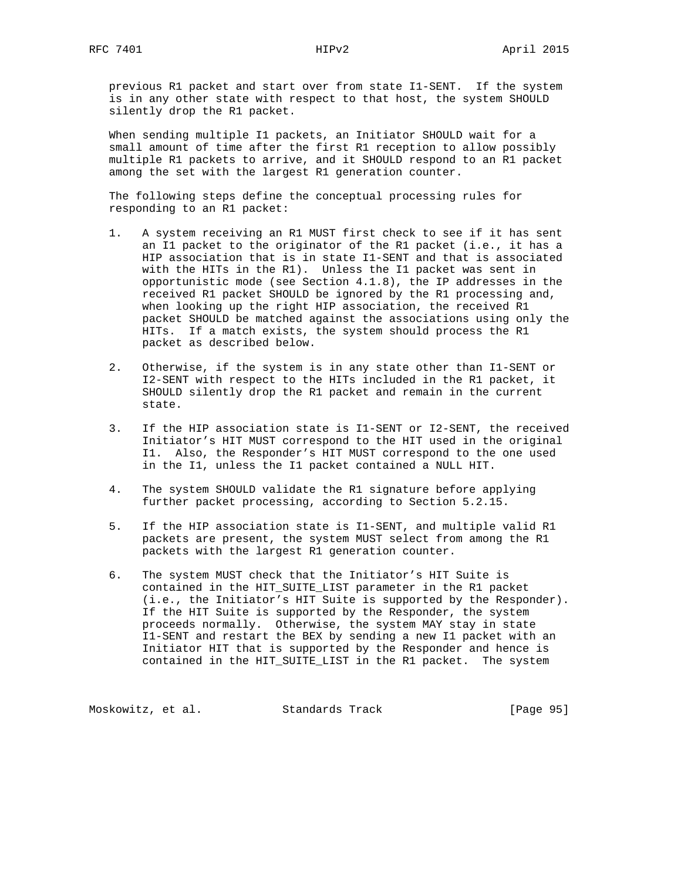previous R1 packet and start over from state I1-SENT. If the system is in any other state with respect to that host, the system SHOULD silently drop the R1 packet.

 When sending multiple I1 packets, an Initiator SHOULD wait for a small amount of time after the first R1 reception to allow possibly multiple R1 packets to arrive, and it SHOULD respond to an R1 packet among the set with the largest R1 generation counter.

 The following steps define the conceptual processing rules for responding to an R1 packet:

- 1. A system receiving an R1 MUST first check to see if it has sent an I1 packet to the originator of the R1 packet (i.e., it has a HIP association that is in state I1-SENT and that is associated with the HITs in the R1). Unless the I1 packet was sent in opportunistic mode (see Section 4.1.8), the IP addresses in the received R1 packet SHOULD be ignored by the R1 processing and, when looking up the right HIP association, the received R1 packet SHOULD be matched against the associations using only the HITs. If a match exists, the system should process the R1 packet as described below.
- 2. Otherwise, if the system is in any state other than I1-SENT or I2-SENT with respect to the HITs included in the R1 packet, it SHOULD silently drop the R1 packet and remain in the current state.
- 3. If the HIP association state is I1-SENT or I2-SENT, the received Initiator's HIT MUST correspond to the HIT used in the original I1. Also, the Responder's HIT MUST correspond to the one used in the I1, unless the I1 packet contained a NULL HIT.
- 4. The system SHOULD validate the R1 signature before applying further packet processing, according to Section 5.2.15.
- 5. If the HIP association state is I1-SENT, and multiple valid R1 packets are present, the system MUST select from among the R1 packets with the largest R1 generation counter.
- 6. The system MUST check that the Initiator's HIT Suite is contained in the HIT\_SUITE\_LIST parameter in the R1 packet (i.e., the Initiator's HIT Suite is supported by the Responder). If the HIT Suite is supported by the Responder, the system proceeds normally. Otherwise, the system MAY stay in state I1-SENT and restart the BEX by sending a new I1 packet with an Initiator HIT that is supported by the Responder and hence is contained in the HIT\_SUITE\_LIST in the R1 packet. The system

Moskowitz, et al. Standards Track [Page 95]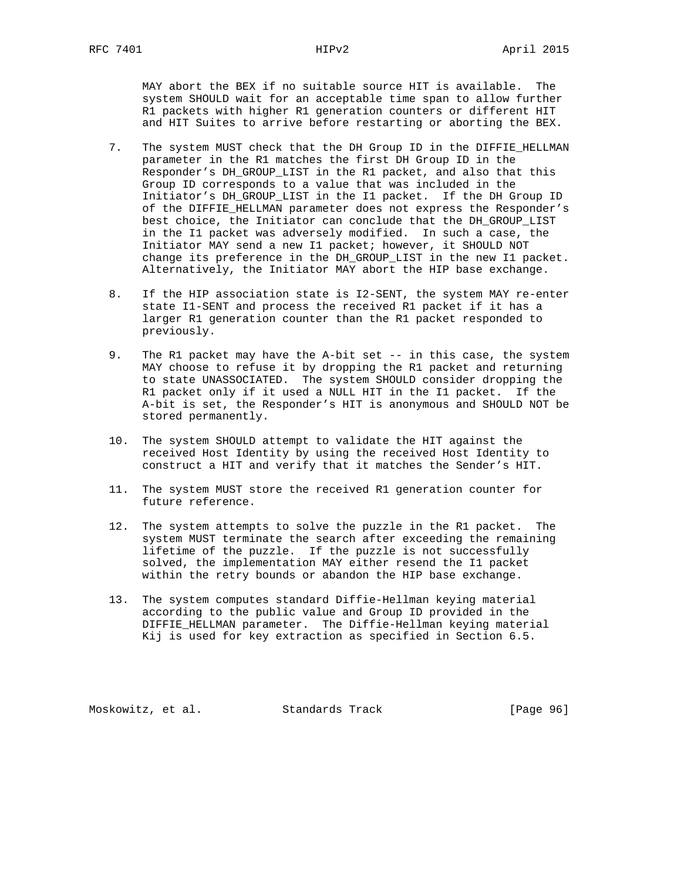MAY abort the BEX if no suitable source HIT is available. The system SHOULD wait for an acceptable time span to allow further R1 packets with higher R1 generation counters or different HIT and HIT Suites to arrive before restarting or aborting the BEX.

- 7. The system MUST check that the DH Group ID in the DIFFIE\_HELLMAN parameter in the R1 matches the first DH Group ID in the Responder's DH\_GROUP\_LIST in the R1 packet, and also that this Group ID corresponds to a value that was included in the Initiator's DH\_GROUP\_LIST in the I1 packet. If the DH Group ID of the DIFFIE\_HELLMAN parameter does not express the Responder's best choice, the Initiator can conclude that the DH\_GROUP\_LIST in the I1 packet was adversely modified. In such a case, the Initiator MAY send a new I1 packet; however, it SHOULD NOT change its preference in the DH\_GROUP\_LIST in the new I1 packet. Alternatively, the Initiator MAY abort the HIP base exchange.
- 8. If the HIP association state is I2-SENT, the system MAY re-enter state I1-SENT and process the received R1 packet if it has a larger R1 generation counter than the R1 packet responded to previously.
- 9. The R1 packet may have the A-bit set -- in this case, the system MAY choose to refuse it by dropping the R1 packet and returning to state UNASSOCIATED. The system SHOULD consider dropping the R1 packet only if it used a NULL HIT in the I1 packet. If the A-bit is set, the Responder's HIT is anonymous and SHOULD NOT be stored permanently.
- 10. The system SHOULD attempt to validate the HIT against the received Host Identity by using the received Host Identity to construct a HIT and verify that it matches the Sender's HIT.
- 11. The system MUST store the received R1 generation counter for future reference.
- 12. The system attempts to solve the puzzle in the R1 packet. The system MUST terminate the search after exceeding the remaining lifetime of the puzzle. If the puzzle is not successfully solved, the implementation MAY either resend the I1 packet within the retry bounds or abandon the HIP base exchange.
- 13. The system computes standard Diffie-Hellman keying material according to the public value and Group ID provided in the DIFFIE\_HELLMAN parameter. The Diffie-Hellman keying material Kij is used for key extraction as specified in Section 6.5.

Moskowitz, et al. Standards Track [Page 96]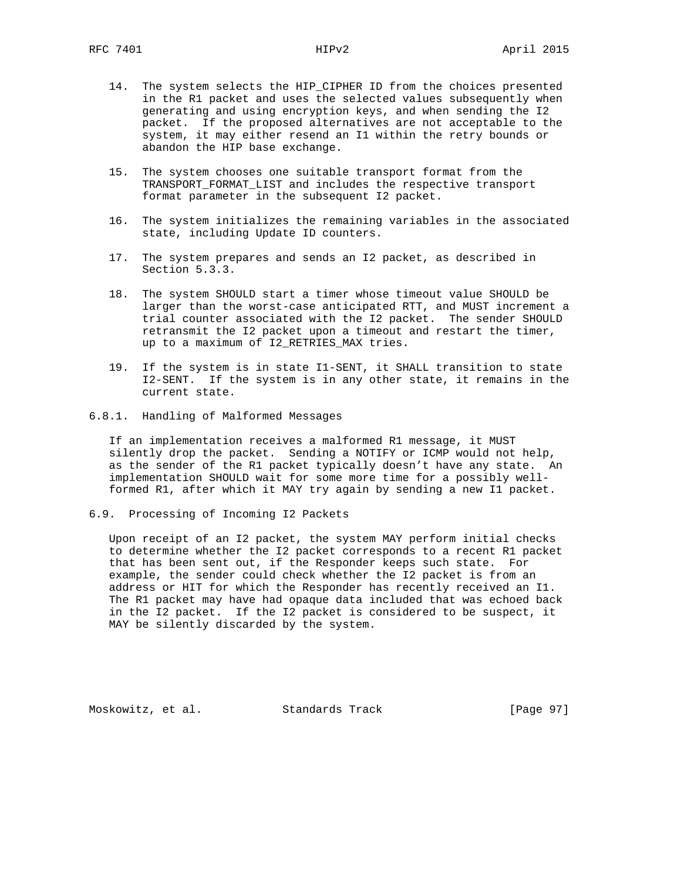- 14. The system selects the HIP\_CIPHER ID from the choices presented in the R1 packet and uses the selected values subsequently when generating and using encryption keys, and when sending the I2 packet. If the proposed alternatives are not acceptable to the system, it may either resend an I1 within the retry bounds or abandon the HIP base exchange.
- 15. The system chooses one suitable transport format from the TRANSPORT\_FORMAT\_LIST and includes the respective transport format parameter in the subsequent I2 packet.
- 16. The system initializes the remaining variables in the associated state, including Update ID counters.
- 17. The system prepares and sends an I2 packet, as described in Section 5.3.3.
- 18. The system SHOULD start a timer whose timeout value SHOULD be larger than the worst-case anticipated RTT, and MUST increment a trial counter associated with the I2 packet. The sender SHOULD retransmit the I2 packet upon a timeout and restart the timer, up to a maximum of I2\_RETRIES\_MAX tries.
- 19. If the system is in state I1-SENT, it SHALL transition to state I2-SENT. If the system is in any other state, it remains in the current state.
- 6.8.1. Handling of Malformed Messages

 If an implementation receives a malformed R1 message, it MUST silently drop the packet. Sending a NOTIFY or ICMP would not help, as the sender of the R1 packet typically doesn't have any state. An implementation SHOULD wait for some more time for a possibly well formed R1, after which it MAY try again by sending a new I1 packet.

6.9. Processing of Incoming I2 Packets

 Upon receipt of an I2 packet, the system MAY perform initial checks to determine whether the I2 packet corresponds to a recent R1 packet that has been sent out, if the Responder keeps such state. For example, the sender could check whether the I2 packet is from an address or HIT for which the Responder has recently received an I1. The R1 packet may have had opaque data included that was echoed back in the I2 packet. If the I2 packet is considered to be suspect, it MAY be silently discarded by the system.

Moskowitz, et al. Standards Track [Page 97]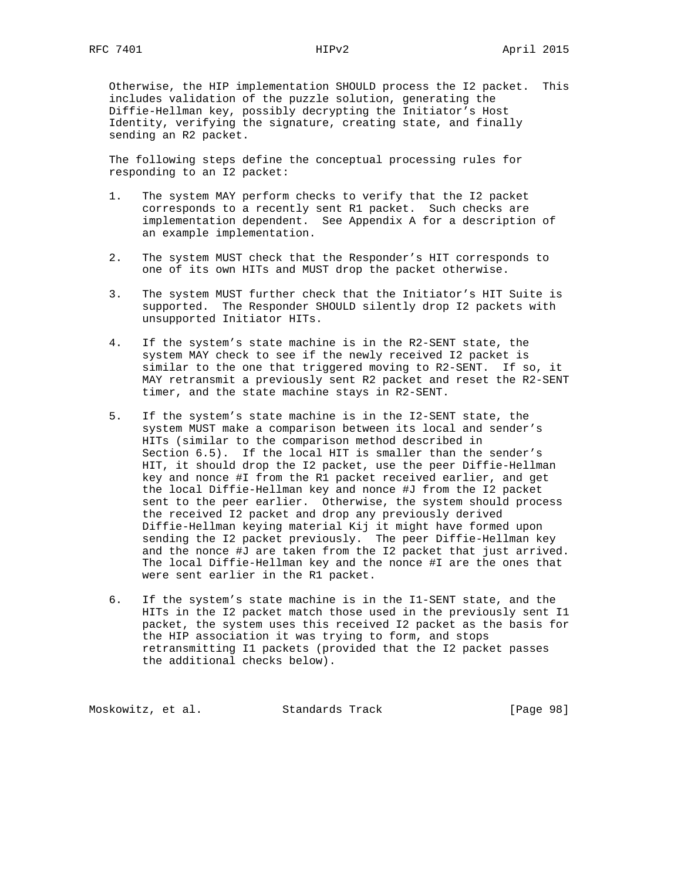Otherwise, the HIP implementation SHOULD process the I2 packet. This includes validation of the puzzle solution, generating the Diffie-Hellman key, possibly decrypting the Initiator's Host Identity, verifying the signature, creating state, and finally sending an R2 packet.

 The following steps define the conceptual processing rules for responding to an I2 packet:

- 1. The system MAY perform checks to verify that the I2 packet corresponds to a recently sent R1 packet. Such checks are implementation dependent. See Appendix A for a description of an example implementation.
- 2. The system MUST check that the Responder's HIT corresponds to one of its own HITs and MUST drop the packet otherwise.
- 3. The system MUST further check that the Initiator's HIT Suite is supported. The Responder SHOULD silently drop I2 packets with unsupported Initiator HITs.
- 4. If the system's state machine is in the R2-SENT state, the system MAY check to see if the newly received I2 packet is similar to the one that triggered moving to R2-SENT. If so, it MAY retransmit a previously sent R2 packet and reset the R2-SENT timer, and the state machine stays in R2-SENT.
- 5. If the system's state machine is in the I2-SENT state, the system MUST make a comparison between its local and sender's HITs (similar to the comparison method described in Section 6.5). If the local HIT is smaller than the sender's HIT, it should drop the I2 packet, use the peer Diffie-Hellman key and nonce #I from the R1 packet received earlier, and get the local Diffie-Hellman key and nonce #J from the I2 packet sent to the peer earlier. Otherwise, the system should process the received I2 packet and drop any previously derived Diffie-Hellman keying material Kij it might have formed upon sending the I2 packet previously. The peer Diffie-Hellman key and the nonce #J are taken from the I2 packet that just arrived. The local Diffie-Hellman key and the nonce #I are the ones that were sent earlier in the R1 packet.
- 6. If the system's state machine is in the I1-SENT state, and the HITs in the I2 packet match those used in the previously sent I1 packet, the system uses this received I2 packet as the basis for the HIP association it was trying to form, and stops retransmitting I1 packets (provided that the I2 packet passes the additional checks below).

Moskowitz, et al. Standards Track [Page 98]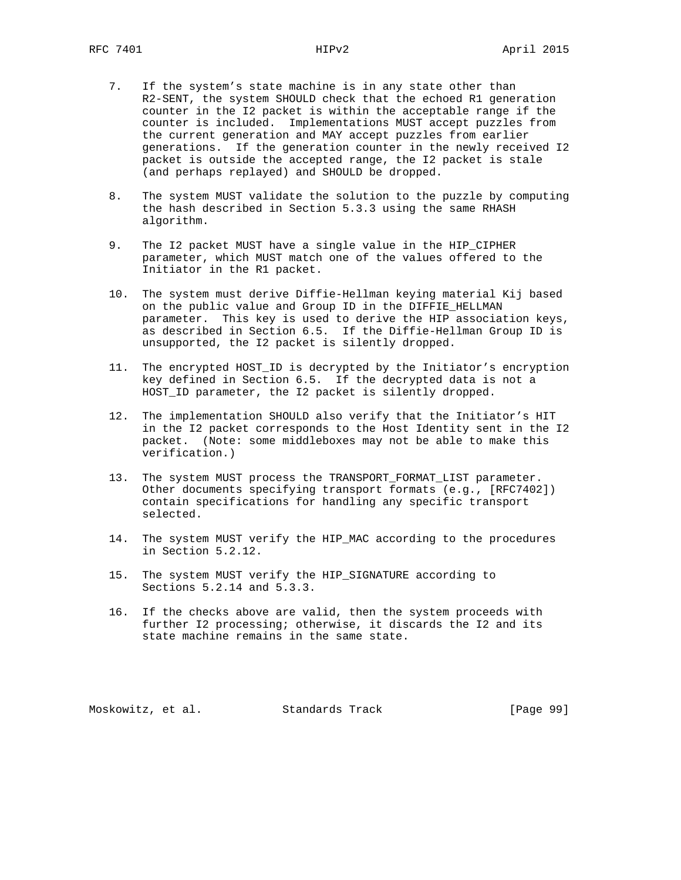- 7. If the system's state machine is in any state other than R2-SENT, the system SHOULD check that the echoed R1 generation counter in the I2 packet is within the acceptable range if the counter is included. Implementations MUST accept puzzles from the current generation and MAY accept puzzles from earlier generations. If the generation counter in the newly received I2 packet is outside the accepted range, the I2 packet is stale (and perhaps replayed) and SHOULD be dropped.
- 8. The system MUST validate the solution to the puzzle by computing the hash described in Section 5.3.3 using the same RHASH algorithm.
- 9. The I2 packet MUST have a single value in the HIP\_CIPHER parameter, which MUST match one of the values offered to the Initiator in the R1 packet.
- 10. The system must derive Diffie-Hellman keying material Kij based on the public value and Group ID in the DIFFIE\_HELLMAN parameter. This key is used to derive the HIP association keys, as described in Section 6.5. If the Diffie-Hellman Group ID is unsupported, the I2 packet is silently dropped.
- 11. The encrypted HOST\_ID is decrypted by the Initiator's encryption key defined in Section 6.5. If the decrypted data is not a HOST\_ID parameter, the I2 packet is silently dropped.
- 12. The implementation SHOULD also verify that the Initiator's HIT in the I2 packet corresponds to the Host Identity sent in the I2 packet. (Note: some middleboxes may not be able to make this verification.)
- 13. The system MUST process the TRANSPORT\_FORMAT\_LIST parameter. Other documents specifying transport formats (e.g., [RFC7402]) contain specifications for handling any specific transport selected.
- 14. The system MUST verify the HIP\_MAC according to the procedures in Section 5.2.12.
- 15. The system MUST verify the HIP\_SIGNATURE according to Sections 5.2.14 and 5.3.3.
- 16. If the checks above are valid, then the system proceeds with further I2 processing; otherwise, it discards the I2 and its state machine remains in the same state.

Moskowitz, et al. Standards Track [Page 99]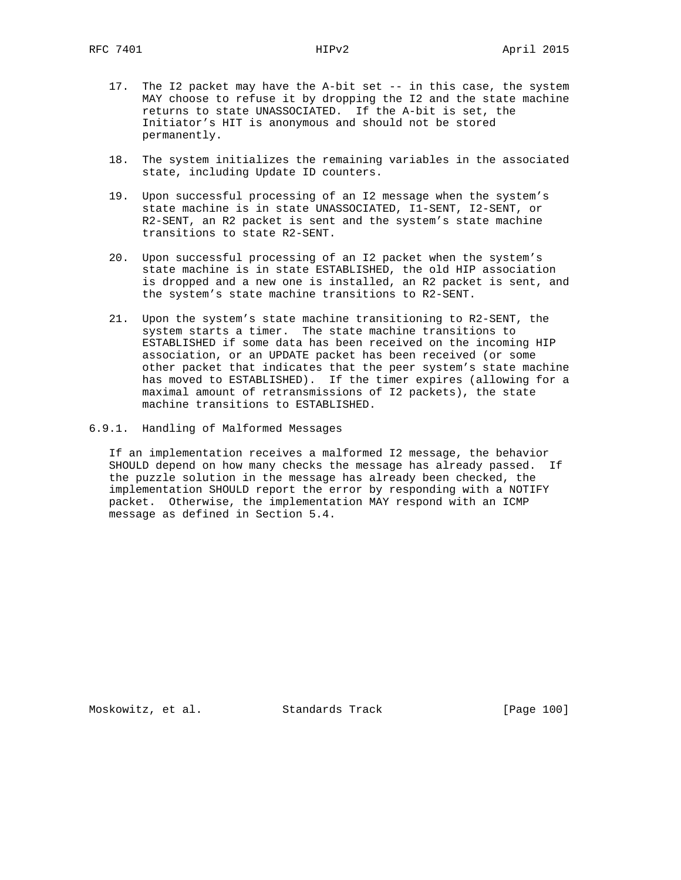- 17. The I2 packet may have the A-bit set -- in this case, the system MAY choose to refuse it by dropping the I2 and the state machine returns to state UNASSOCIATED. If the A-bit is set, the Initiator's HIT is anonymous and should not be stored permanently.
- 18. The system initializes the remaining variables in the associated state, including Update ID counters.
- 19. Upon successful processing of an I2 message when the system's state machine is in state UNASSOCIATED, I1-SENT, I2-SENT, or R2-SENT, an R2 packet is sent and the system's state machine transitions to state R2-SENT.
- 20. Upon successful processing of an I2 packet when the system's state machine is in state ESTABLISHED, the old HIP association is dropped and a new one is installed, an R2 packet is sent, and the system's state machine transitions to R2-SENT.
- 21. Upon the system's state machine transitioning to R2-SENT, the system starts a timer. The state machine transitions to ESTABLISHED if some data has been received on the incoming HIP association, or an UPDATE packet has been received (or some other packet that indicates that the peer system's state machine has moved to ESTABLISHED). If the timer expires (allowing for a maximal amount of retransmissions of I2 packets), the state machine transitions to ESTABLISHED.
- 6.9.1. Handling of Malformed Messages

 If an implementation receives a malformed I2 message, the behavior SHOULD depend on how many checks the message has already passed. If the puzzle solution in the message has already been checked, the implementation SHOULD report the error by responding with a NOTIFY packet. Otherwise, the implementation MAY respond with an ICMP message as defined in Section 5.4.

Moskowitz, et al. Standards Track [Page 100]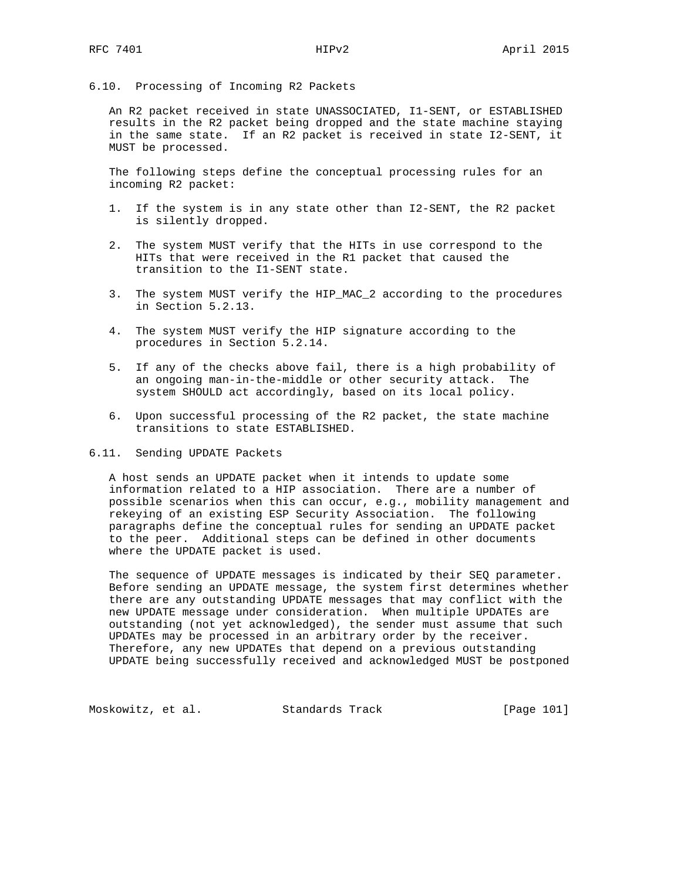# 6.10. Processing of Incoming R2 Packets

 An R2 packet received in state UNASSOCIATED, I1-SENT, or ESTABLISHED results in the R2 packet being dropped and the state machine staying in the same state. If an R2 packet is received in state I2-SENT, it MUST be processed.

 The following steps define the conceptual processing rules for an incoming R2 packet:

- 1. If the system is in any state other than I2-SENT, the R2 packet is silently dropped.
- 2. The system MUST verify that the HITs in use correspond to the HITs that were received in the R1 packet that caused the transition to the I1-SENT state.
- 3. The system MUST verify the HIP\_MAC\_2 according to the procedures in Section 5.2.13.
- 4. The system MUST verify the HIP signature according to the procedures in Section 5.2.14.
- 5. If any of the checks above fail, there is a high probability of an ongoing man-in-the-middle or other security attack. The system SHOULD act accordingly, based on its local policy.
- 6. Upon successful processing of the R2 packet, the state machine transitions to state ESTABLISHED.

6.11. Sending UPDATE Packets

 A host sends an UPDATE packet when it intends to update some information related to a HIP association. There are a number of possible scenarios when this can occur, e.g., mobility management and rekeying of an existing ESP Security Association. The following paragraphs define the conceptual rules for sending an UPDATE packet to the peer. Additional steps can be defined in other documents where the UPDATE packet is used.

 The sequence of UPDATE messages is indicated by their SEQ parameter. Before sending an UPDATE message, the system first determines whether there are any outstanding UPDATE messages that may conflict with the new UPDATE message under consideration. When multiple UPDATEs are outstanding (not yet acknowledged), the sender must assume that such UPDATEs may be processed in an arbitrary order by the receiver. Therefore, any new UPDATEs that depend on a previous outstanding UPDATE being successfully received and acknowledged MUST be postponed

Moskowitz, et al. Standards Track [Page 101]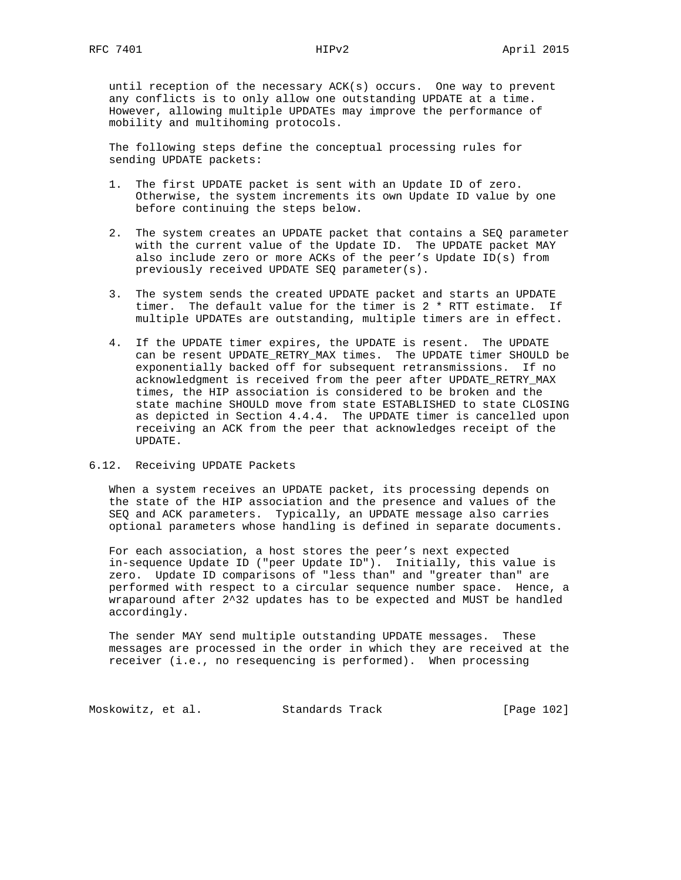until reception of the necessary ACK(s) occurs. One way to prevent any conflicts is to only allow one outstanding UPDATE at a time. However, allowing multiple UPDATEs may improve the performance of mobility and multihoming protocols.

 The following steps define the conceptual processing rules for sending UPDATE packets:

- 1. The first UPDATE packet is sent with an Update ID of zero. Otherwise, the system increments its own Update ID value by one before continuing the steps below.
- 2. The system creates an UPDATE packet that contains a SEQ parameter with the current value of the Update ID. The UPDATE packet MAY also include zero or more ACKs of the peer's Update ID(s) from previously received UPDATE SEQ parameter(s).
- 3. The system sends the created UPDATE packet and starts an UPDATE timer. The default value for the timer is  $2 * RT$  estimate. If multiple UPDATEs are outstanding, multiple timers are in effect.
- 4. If the UPDATE timer expires, the UPDATE is resent. The UPDATE can be resent UPDATE\_RETRY\_MAX times. The UPDATE timer SHOULD be exponentially backed off for subsequent retransmissions. If no acknowledgment is received from the peer after UPDATE\_RETRY\_MAX times, the HIP association is considered to be broken and the state machine SHOULD move from state ESTABLISHED to state CLOSING as depicted in Section 4.4.4. The UPDATE timer is cancelled upon receiving an ACK from the peer that acknowledges receipt of the UPDATE.
- 6.12. Receiving UPDATE Packets

 When a system receives an UPDATE packet, its processing depends on the state of the HIP association and the presence and values of the SEQ and ACK parameters. Typically, an UPDATE message also carries optional parameters whose handling is defined in separate documents.

 For each association, a host stores the peer's next expected in-sequence Update ID ("peer Update ID"). Initially, this value is zero. Update ID comparisons of "less than" and "greater than" are performed with respect to a circular sequence number space. Hence, a wraparound after 2^32 updates has to be expected and MUST be handled accordingly.

 The sender MAY send multiple outstanding UPDATE messages. These messages are processed in the order in which they are received at the receiver (i.e., no resequencing is performed). When processing

Moskowitz, et al. Standards Track [Page 102]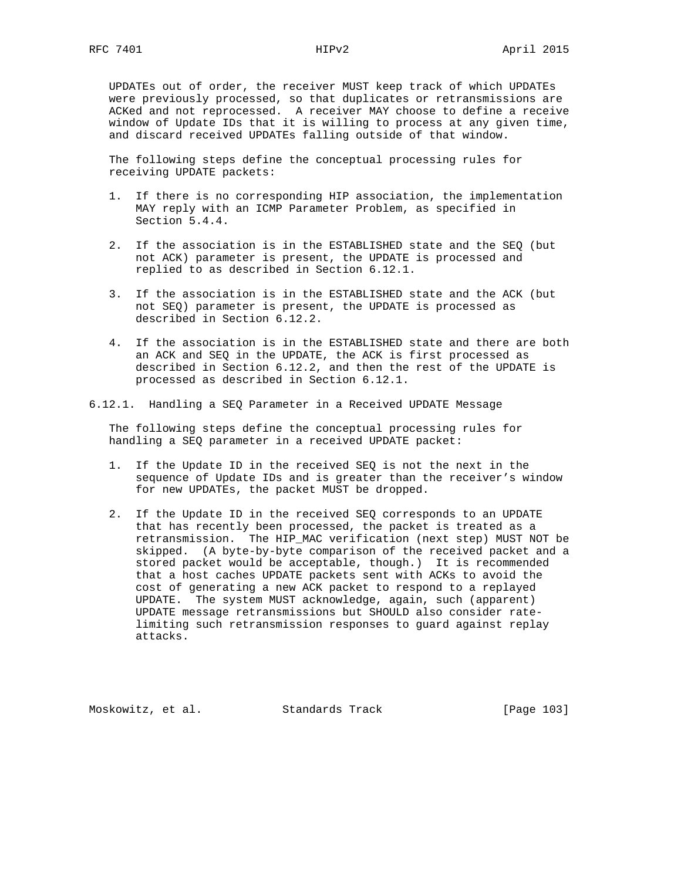UPDATEs out of order, the receiver MUST keep track of which UPDATEs were previously processed, so that duplicates or retransmissions are ACKed and not reprocessed. A receiver MAY choose to define a receive window of Update IDs that it is willing to process at any given time, and discard received UPDATEs falling outside of that window.

 The following steps define the conceptual processing rules for receiving UPDATE packets:

- 1. If there is no corresponding HIP association, the implementation MAY reply with an ICMP Parameter Problem, as specified in Section 5.4.4.
- 2. If the association is in the ESTABLISHED state and the SEQ (but not ACK) parameter is present, the UPDATE is processed and replied to as described in Section 6.12.1.
- 3. If the association is in the ESTABLISHED state and the ACK (but not SEQ) parameter is present, the UPDATE is processed as described in Section 6.12.2.
- 4. If the association is in the ESTABLISHED state and there are both an ACK and SEQ in the UPDATE, the ACK is first processed as described in Section 6.12.2, and then the rest of the UPDATE is processed as described in Section 6.12.1.
- 6.12.1. Handling a SEQ Parameter in a Received UPDATE Message

 The following steps define the conceptual processing rules for handling a SEQ parameter in a received UPDATE packet:

- 1. If the Update ID in the received SEQ is not the next in the sequence of Update IDs and is greater than the receiver's window for new UPDATEs, the packet MUST be dropped.
- 2. If the Update ID in the received SEQ corresponds to an UPDATE that has recently been processed, the packet is treated as a retransmission. The HIP\_MAC verification (next step) MUST NOT be skipped. (A byte-by-byte comparison of the received packet and a stored packet would be acceptable, though.) It is recommended that a host caches UPDATE packets sent with ACKs to avoid the cost of generating a new ACK packet to respond to a replayed UPDATE. The system MUST acknowledge, again, such (apparent) UPDATE message retransmissions but SHOULD also consider rate limiting such retransmission responses to guard against replay attacks.

Moskowitz, et al. Standards Track [Page 103]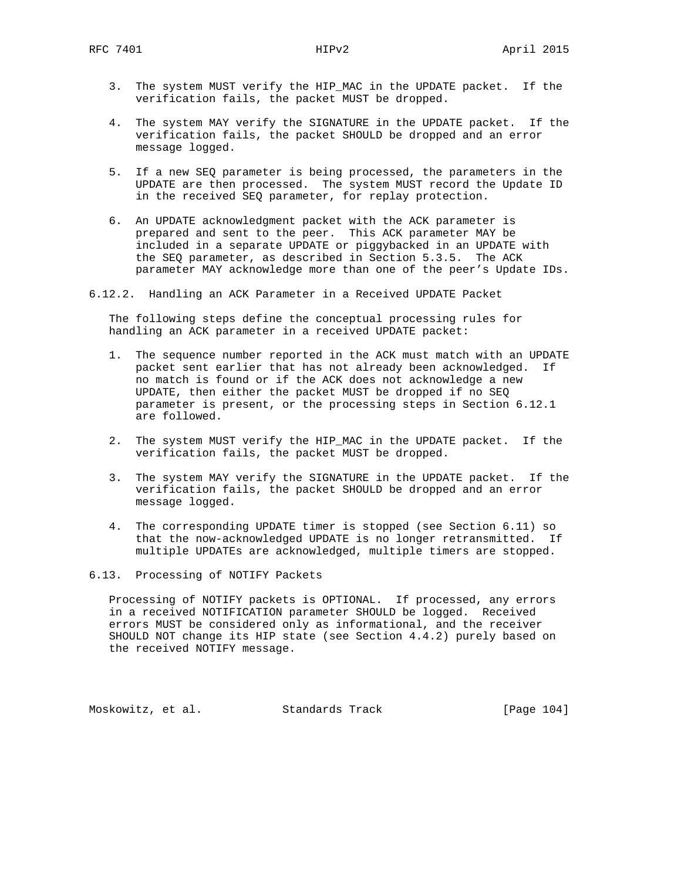- 3. The system MUST verify the HIP\_MAC in the UPDATE packet. If the verification fails, the packet MUST be dropped.
- 4. The system MAY verify the SIGNATURE in the UPDATE packet. If the verification fails, the packet SHOULD be dropped and an error message logged.
- 5. If a new SEQ parameter is being processed, the parameters in the UPDATE are then processed. The system MUST record the Update ID in the received SEQ parameter, for replay protection.
- 6. An UPDATE acknowledgment packet with the ACK parameter is prepared and sent to the peer. This ACK parameter MAY be included in a separate UPDATE or piggybacked in an UPDATE with the SEQ parameter, as described in Section 5.3.5. The ACK parameter MAY acknowledge more than one of the peer's Update IDs.
- 6.12.2. Handling an ACK Parameter in a Received UPDATE Packet

 The following steps define the conceptual processing rules for handling an ACK parameter in a received UPDATE packet:

- 1. The sequence number reported in the ACK must match with an UPDATE packet sent earlier that has not already been acknowledged. If no match is found or if the ACK does not acknowledge a new UPDATE, then either the packet MUST be dropped if no SEQ parameter is present, or the processing steps in Section 6.12.1 are followed.
- 2. The system MUST verify the HIP\_MAC in the UPDATE packet. If the verification fails, the packet MUST be dropped.
- 3. The system MAY verify the SIGNATURE in the UPDATE packet. If the verification fails, the packet SHOULD be dropped and an error message logged.
- 4. The corresponding UPDATE timer is stopped (see Section 6.11) so that the now-acknowledged UPDATE is no longer retransmitted. If multiple UPDATEs are acknowledged, multiple timers are stopped.
- 6.13. Processing of NOTIFY Packets

 Processing of NOTIFY packets is OPTIONAL. If processed, any errors in a received NOTIFICATION parameter SHOULD be logged. Received errors MUST be considered only as informational, and the receiver SHOULD NOT change its HIP state (see Section 4.4.2) purely based on the received NOTIFY message.

Moskowitz, et al. Standards Track [Page 104]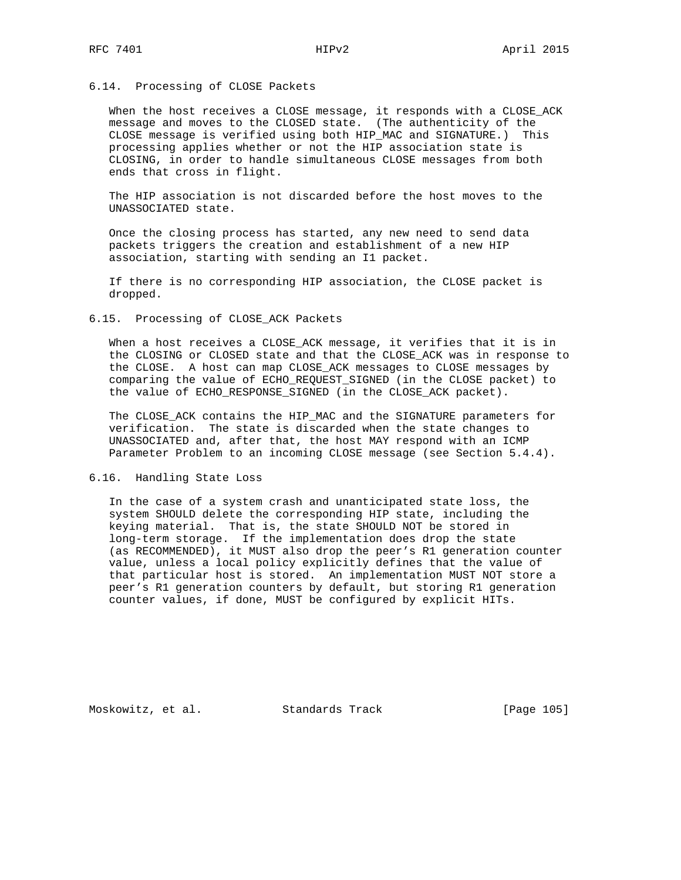### 6.14. Processing of CLOSE Packets

When the host receives a CLOSE message, it responds with a CLOSE\_ACK message and moves to the CLOSED state. (The authenticity of the CLOSE message is verified using both HIP\_MAC and SIGNATURE.) This processing applies whether or not the HIP association state is CLOSING, in order to handle simultaneous CLOSE messages from both ends that cross in flight.

 The HIP association is not discarded before the host moves to the UNASSOCIATED state.

 Once the closing process has started, any new need to send data packets triggers the creation and establishment of a new HIP association, starting with sending an I1 packet.

 If there is no corresponding HIP association, the CLOSE packet is dropped.

### 6.15. Processing of CLOSE\_ACK Packets

 When a host receives a CLOSE\_ACK message, it verifies that it is in the CLOSING or CLOSED state and that the CLOSE\_ACK was in response to the CLOSE. A host can map CLOSE\_ACK messages to CLOSE messages by comparing the value of ECHO\_REQUEST\_SIGNED (in the CLOSE packet) to the value of ECHO\_RESPONSE\_SIGNED (in the CLOSE\_ACK packet).

 The CLOSE\_ACK contains the HIP\_MAC and the SIGNATURE parameters for verification. The state is discarded when the state changes to UNASSOCIATED and, after that, the host MAY respond with an ICMP Parameter Problem to an incoming CLOSE message (see Section 5.4.4).

# 6.16. Handling State Loss

 In the case of a system crash and unanticipated state loss, the system SHOULD delete the corresponding HIP state, including the keying material. That is, the state SHOULD NOT be stored in long-term storage. If the implementation does drop the state (as RECOMMENDED), it MUST also drop the peer's R1 generation counter value, unless a local policy explicitly defines that the value of that particular host is stored. An implementation MUST NOT store a peer's R1 generation counters by default, but storing R1 generation counter values, if done, MUST be configured by explicit HITs.

Moskowitz, et al. Standards Track [Page 105]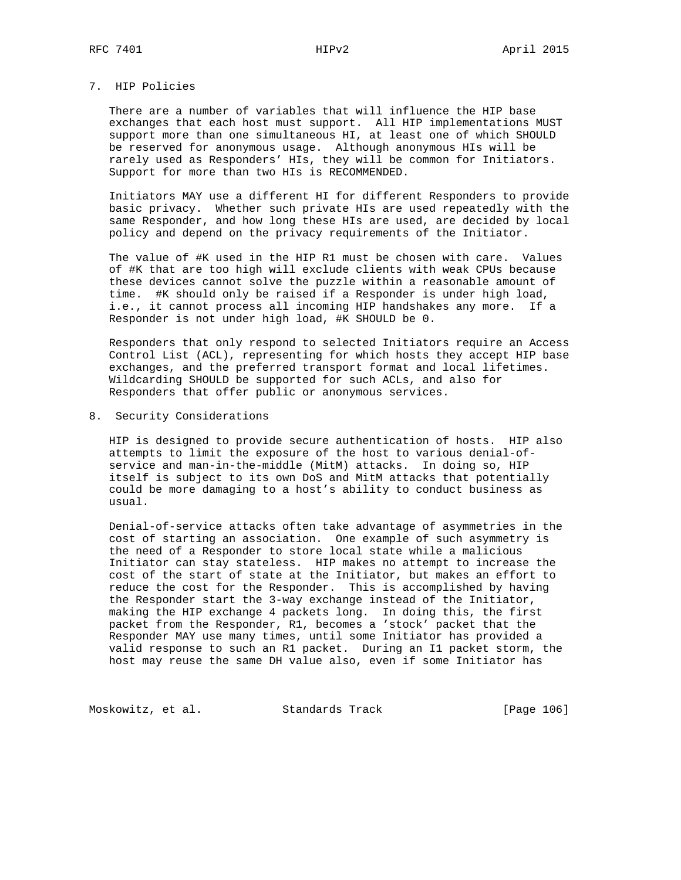# 7. HIP Policies

 There are a number of variables that will influence the HIP base exchanges that each host must support. All HIP implementations MUST support more than one simultaneous HI, at least one of which SHOULD be reserved for anonymous usage. Although anonymous HIs will be rarely used as Responders' HIs, they will be common for Initiators. Support for more than two HIs is RECOMMENDED.

 Initiators MAY use a different HI for different Responders to provide basic privacy. Whether such private HIs are used repeatedly with the same Responder, and how long these HIs are used, are decided by local policy and depend on the privacy requirements of the Initiator.

 The value of #K used in the HIP R1 must be chosen with care. Values of #K that are too high will exclude clients with weak CPUs because these devices cannot solve the puzzle within a reasonable amount of time. #K should only be raised if a Responder is under high load, i.e., it cannot process all incoming HIP handshakes any more. If a Responder is not under high load, #K SHOULD be 0.

 Responders that only respond to selected Initiators require an Access Control List (ACL), representing for which hosts they accept HIP base exchanges, and the preferred transport format and local lifetimes. Wildcarding SHOULD be supported for such ACLs, and also for Responders that offer public or anonymous services.

8. Security Considerations

 HIP is designed to provide secure authentication of hosts. HIP also attempts to limit the exposure of the host to various denial-of service and man-in-the-middle (MitM) attacks. In doing so, HIP itself is subject to its own DoS and MitM attacks that potentially could be more damaging to a host's ability to conduct business as usual.

 Denial-of-service attacks often take advantage of asymmetries in the cost of starting an association. One example of such asymmetry is the need of a Responder to store local state while a malicious Initiator can stay stateless. HIP makes no attempt to increase the cost of the start of state at the Initiator, but makes an effort to reduce the cost for the Responder. This is accomplished by having the Responder start the 3-way exchange instead of the Initiator, making the HIP exchange 4 packets long. In doing this, the first packet from the Responder, R1, becomes a 'stock' packet that the Responder MAY use many times, until some Initiator has provided a valid response to such an R1 packet. During an I1 packet storm, the host may reuse the same DH value also, even if some Initiator has

Moskowitz, et al. Standards Track [Page 106]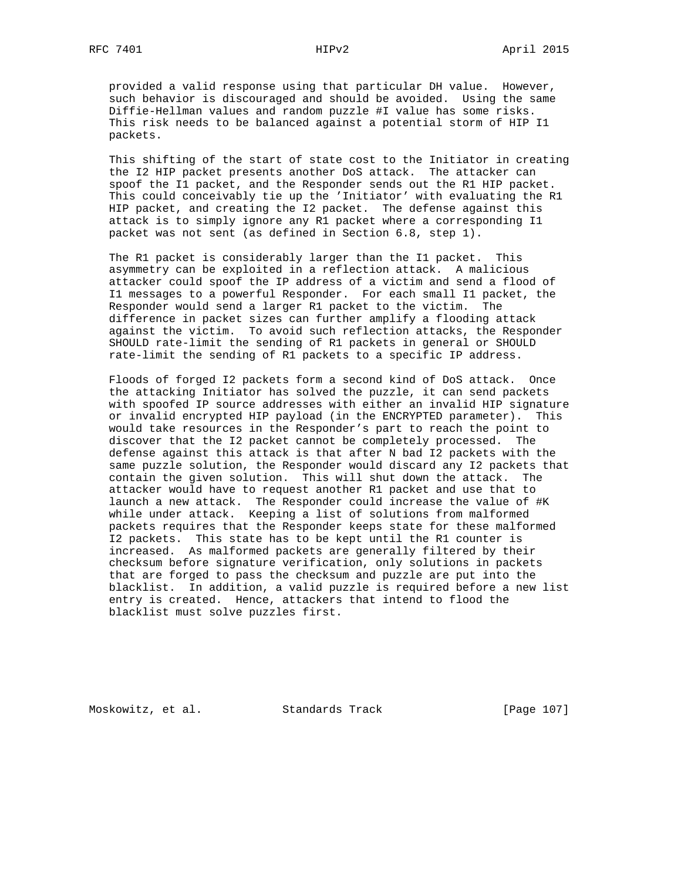provided a valid response using that particular DH value. However, such behavior is discouraged and should be avoided. Using the same Diffie-Hellman values and random puzzle #I value has some risks. This risk needs to be balanced against a potential storm of HIP I1 packets.

 This shifting of the start of state cost to the Initiator in creating the I2 HIP packet presents another DoS attack. The attacker can spoof the I1 packet, and the Responder sends out the R1 HIP packet. This could conceivably tie up the 'Initiator' with evaluating the R1 HIP packet, and creating the I2 packet. The defense against this attack is to simply ignore any R1 packet where a corresponding I1 packet was not sent (as defined in Section 6.8, step 1).

 The R1 packet is considerably larger than the I1 packet. This asymmetry can be exploited in a reflection attack. A malicious attacker could spoof the IP address of a victim and send a flood of I1 messages to a powerful Responder. For each small I1 packet, the Responder would send a larger R1 packet to the victim. The difference in packet sizes can further amplify a flooding attack against the victim. To avoid such reflection attacks, the Responder SHOULD rate-limit the sending of R1 packets in general or SHOULD rate-limit the sending of R1 packets to a specific IP address.

 Floods of forged I2 packets form a second kind of DoS attack. Once the attacking Initiator has solved the puzzle, it can send packets with spoofed IP source addresses with either an invalid HIP signature or invalid encrypted HIP payload (in the ENCRYPTED parameter). This would take resources in the Responder's part to reach the point to discover that the I2 packet cannot be completely processed. The defense against this attack is that after N bad I2 packets with the same puzzle solution, the Responder would discard any I2 packets that contain the given solution. This will shut down the attack. The attacker would have to request another R1 packet and use that to launch a new attack. The Responder could increase the value of #K while under attack. Keeping a list of solutions from malformed packets requires that the Responder keeps state for these malformed I2 packets. This state has to be kept until the R1 counter is increased. As malformed packets are generally filtered by their checksum before signature verification, only solutions in packets that are forged to pass the checksum and puzzle are put into the blacklist. In addition, a valid puzzle is required before a new list entry is created. Hence, attackers that intend to flood the blacklist must solve puzzles first.

Moskowitz, et al. Standards Track [Page 107]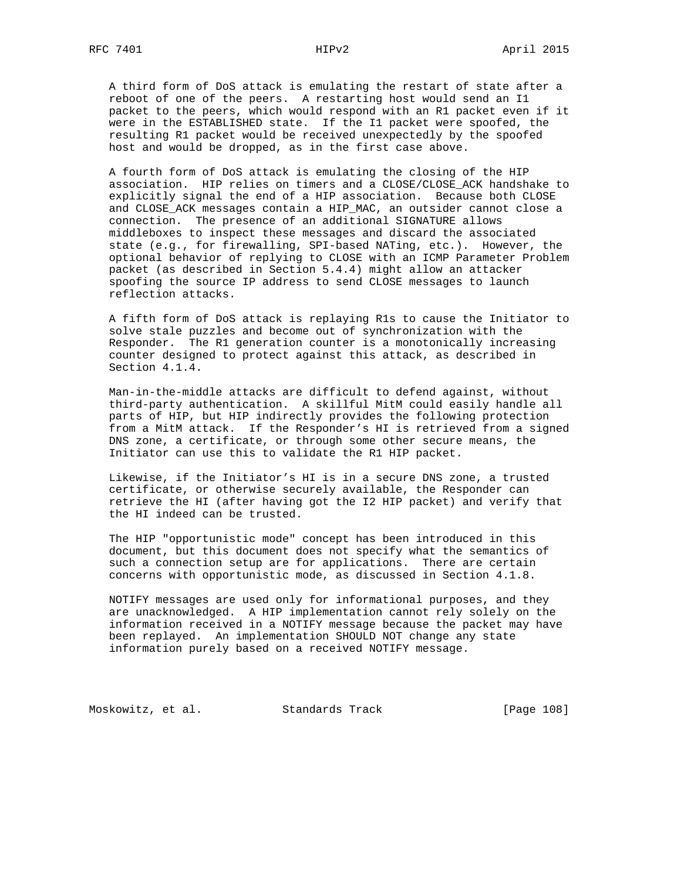A third form of DoS attack is emulating the restart of state after a reboot of one of the peers. A restarting host would send an I1 packet to the peers, which would respond with an R1 packet even if it were in the ESTABLISHED state. If the I1 packet were spoofed, the resulting R1 packet would be received unexpectedly by the spoofed host and would be dropped, as in the first case above.

 A fourth form of DoS attack is emulating the closing of the HIP association. HIP relies on timers and a CLOSE/CLOSE\_ACK handshake to explicitly signal the end of a HIP association. Because both CLOSE and CLOSE\_ACK messages contain a HIP\_MAC, an outsider cannot close a connection. The presence of an additional SIGNATURE allows middleboxes to inspect these messages and discard the associated state (e.g., for firewalling, SPI-based NATing, etc.). However, the optional behavior of replying to CLOSE with an ICMP Parameter Problem packet (as described in Section 5.4.4) might allow an attacker spoofing the source IP address to send CLOSE messages to launch reflection attacks.

 A fifth form of DoS attack is replaying R1s to cause the Initiator to solve stale puzzles and become out of synchronization with the Responder. The R1 generation counter is a monotonically increasing counter designed to protect against this attack, as described in Section 4.1.4.

 Man-in-the-middle attacks are difficult to defend against, without third-party authentication. A skillful MitM could easily handle all parts of HIP, but HIP indirectly provides the following protection from a MitM attack. If the Responder's HI is retrieved from a signed DNS zone, a certificate, or through some other secure means, the Initiator can use this to validate the R1 HIP packet.

 Likewise, if the Initiator's HI is in a secure DNS zone, a trusted certificate, or otherwise securely available, the Responder can retrieve the HI (after having got the I2 HIP packet) and verify that the HI indeed can be trusted.

 The HIP "opportunistic mode" concept has been introduced in this document, but this document does not specify what the semantics of such a connection setup are for applications. There are certain concerns with opportunistic mode, as discussed in Section 4.1.8.

 NOTIFY messages are used only for informational purposes, and they are unacknowledged. A HIP implementation cannot rely solely on the information received in a NOTIFY message because the packet may have been replayed. An implementation SHOULD NOT change any state information purely based on a received NOTIFY message.

Moskowitz, et al. Standards Track [Page 108]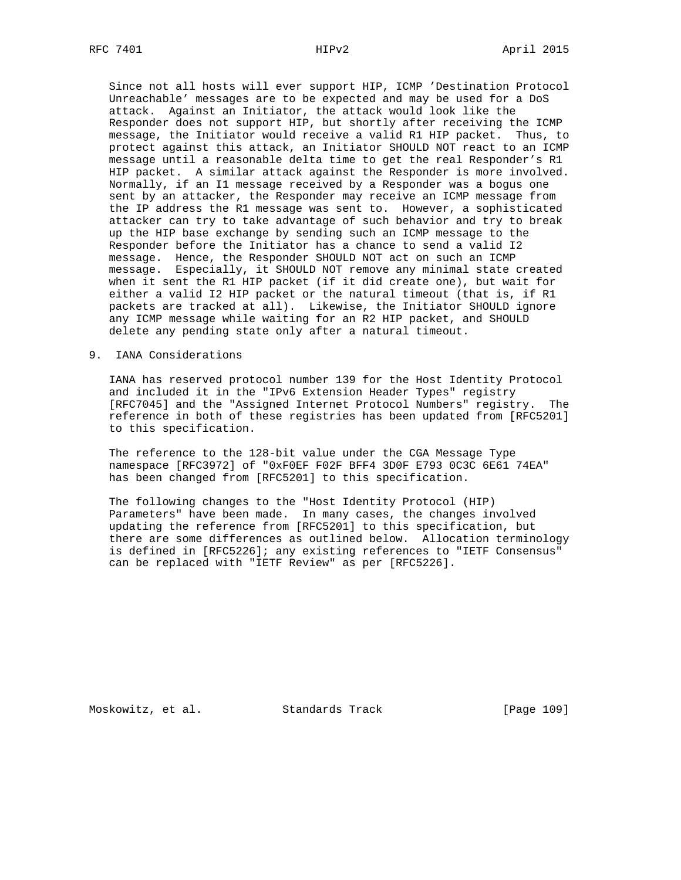Since not all hosts will ever support HIP, ICMP 'Destination Protocol Unreachable' messages are to be expected and may be used for a DoS attack. Against an Initiator, the attack would look like the Responder does not support HIP, but shortly after receiving the ICMP message, the Initiator would receive a valid R1 HIP packet. Thus, to protect against this attack, an Initiator SHOULD NOT react to an ICMP message until a reasonable delta time to get the real Responder's R1 HIP packet. A similar attack against the Responder is more involved. Normally, if an I1 message received by a Responder was a bogus one sent by an attacker, the Responder may receive an ICMP message from the IP address the R1 message was sent to. However, a sophisticated attacker can try to take advantage of such behavior and try to break up the HIP base exchange by sending such an ICMP message to the Responder before the Initiator has a chance to send a valid I2 message. Hence, the Responder SHOULD NOT act on such an ICMP message. Especially, it SHOULD NOT remove any minimal state created when it sent the R1 HIP packet (if it did create one), but wait for either a valid I2 HIP packet or the natural timeout (that is, if R1 packets are tracked at all). Likewise, the Initiator SHOULD ignore any ICMP message while waiting for an R2 HIP packet, and SHOULD delete any pending state only after a natural timeout.

9. IANA Considerations

 IANA has reserved protocol number 139 for the Host Identity Protocol and included it in the "IPv6 Extension Header Types" registry [RFC7045] and the "Assigned Internet Protocol Numbers" registry. The reference in both of these registries has been updated from [RFC5201] to this specification.

 The reference to the 128-bit value under the CGA Message Type namespace [RFC3972] of "0xF0EF F02F BFF4 3D0F E793 0C3C 6E61 74EA" has been changed from [RFC5201] to this specification.

 The following changes to the "Host Identity Protocol (HIP) Parameters" have been made. In many cases, the changes involved updating the reference from [RFC5201] to this specification, but there are some differences as outlined below. Allocation terminology is defined in [RFC5226]; any existing references to "IETF Consensus" can be replaced with "IETF Review" as per [RFC5226].

Moskowitz, et al. Standards Track [Page 109]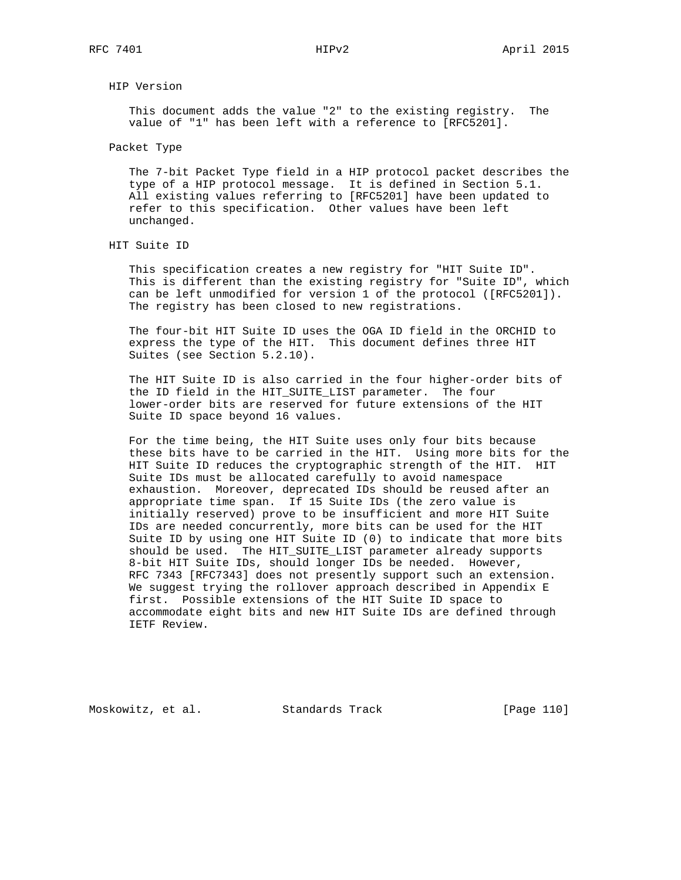# HIP Version

 This document adds the value "2" to the existing registry. The value of "1" has been left with a reference to [RFC5201].

Packet Type

 The 7-bit Packet Type field in a HIP protocol packet describes the type of a HIP protocol message. It is defined in Section 5.1. All existing values referring to [RFC5201] have been updated to refer to this specification. Other values have been left unchanged.

 This specification creates a new registry for "HIT Suite ID". This is different than the existing registry for "Suite ID", which can be left unmodified for version 1 of the protocol ([RFC5201]). The registry has been closed to new registrations.

 The four-bit HIT Suite ID uses the OGA ID field in the ORCHID to express the type of the HIT. This document defines three HIT Suites (see Section 5.2.10).

 The HIT Suite ID is also carried in the four higher-order bits of the ID field in the HIT\_SUITE\_LIST parameter. The four lower-order bits are reserved for future extensions of the HIT Suite ID space beyond 16 values.

 For the time being, the HIT Suite uses only four bits because these bits have to be carried in the HIT. Using more bits for the HIT Suite ID reduces the cryptographic strength of the HIT. HIT Suite IDs must be allocated carefully to avoid namespace exhaustion. Moreover, deprecated IDs should be reused after an appropriate time span. If 15 Suite IDs (the zero value is initially reserved) prove to be insufficient and more HIT Suite IDs are needed concurrently, more bits can be used for the HIT Suite ID by using one HIT Suite ID (0) to indicate that more bits should be used. The HIT\_SUITE\_LIST parameter already supports 8-bit HIT Suite IDs, should longer IDs be needed. However, RFC 7343 [RFC7343] does not presently support such an extension. We suggest trying the rollover approach described in Appendix E first. Possible extensions of the HIT Suite ID space to accommodate eight bits and new HIT Suite IDs are defined through IETF Review.

Moskowitz, et al. Standards Track [Page 110]

HIT Suite ID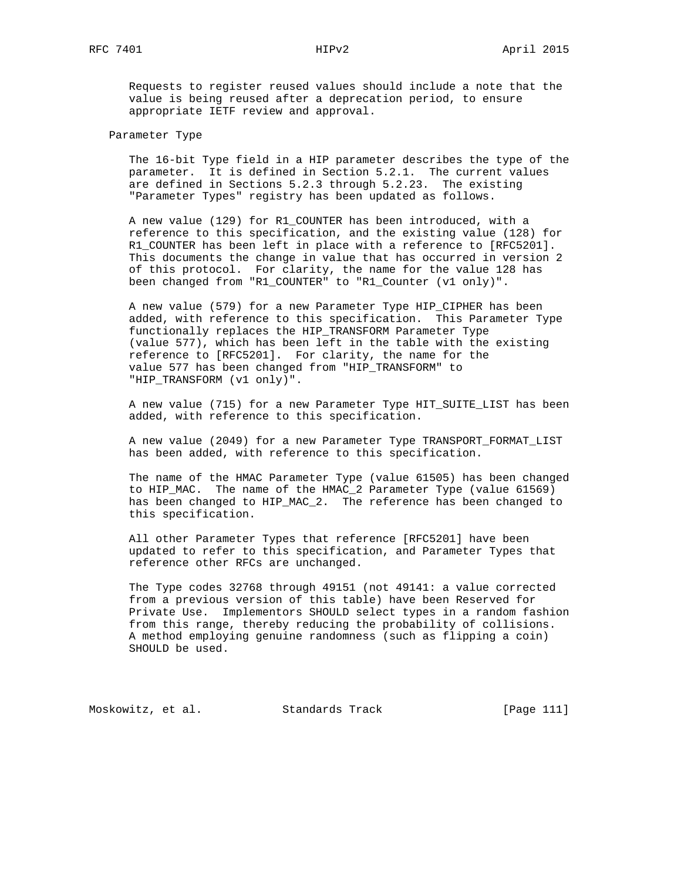Requests to register reused values should include a note that the value is being reused after a deprecation period, to ensure appropriate IETF review and approval.

## Parameter Type

 The 16-bit Type field in a HIP parameter describes the type of the parameter. It is defined in Section 5.2.1. The current values are defined in Sections 5.2.3 through 5.2.23. The existing "Parameter Types" registry has been updated as follows.

 A new value (129) for R1\_COUNTER has been introduced, with a reference to this specification, and the existing value (128) for R1\_COUNTER has been left in place with a reference to [RFC5201]. This documents the change in value that has occurred in version 2 of this protocol. For clarity, the name for the value 128 has been changed from "R1\_COUNTER" to "R1\_Counter (v1 only)".

 A new value (579) for a new Parameter Type HIP\_CIPHER has been added, with reference to this specification. This Parameter Type functionally replaces the HIP\_TRANSFORM Parameter Type (value 577), which has been left in the table with the existing reference to [RFC5201]. For clarity, the name for the value 577 has been changed from "HIP\_TRANSFORM" to "HIP\_TRANSFORM (v1 only)".

 A new value (715) for a new Parameter Type HIT\_SUITE\_LIST has been added, with reference to this specification.

 A new value (2049) for a new Parameter Type TRANSPORT\_FORMAT\_LIST has been added, with reference to this specification.

 The name of the HMAC Parameter Type (value 61505) has been changed to HIP\_MAC. The name of the HMAC\_2 Parameter Type (value 61569) has been changed to HIP\_MAC\_2. The reference has been changed to this specification.

 All other Parameter Types that reference [RFC5201] have been updated to refer to this specification, and Parameter Types that reference other RFCs are unchanged.

 The Type codes 32768 through 49151 (not 49141: a value corrected from a previous version of this table) have been Reserved for Private Use. Implementors SHOULD select types in a random fashion from this range, thereby reducing the probability of collisions. A method employing genuine randomness (such as flipping a coin) SHOULD be used.

Moskowitz, et al. Standards Track [Page 111]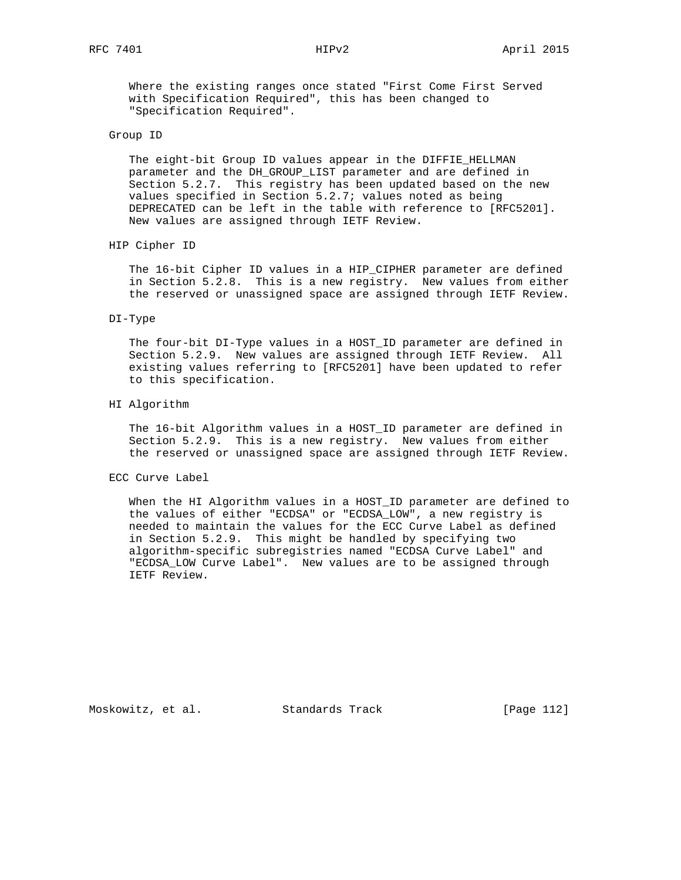Where the existing ranges once stated "First Come First Served with Specification Required", this has been changed to "Specification Required".

## Group ID

 The eight-bit Group ID values appear in the DIFFIE\_HELLMAN parameter and the DH\_GROUP\_LIST parameter and are defined in Section 5.2.7. This registry has been updated based on the new values specified in Section 5.2.7; values noted as being DEPRECATED can be left in the table with reference to [RFC5201]. New values are assigned through IETF Review.

HIP Cipher ID

 The 16-bit Cipher ID values in a HIP\_CIPHER parameter are defined in Section 5.2.8. This is a new registry. New values from either the reserved or unassigned space are assigned through IETF Review.

### DI-Type

 The four-bit DI-Type values in a HOST\_ID parameter are defined in Section 5.2.9. New values are assigned through IETF Review. All existing values referring to [RFC5201] have been updated to refer to this specification.

### HI Algorithm

 The 16-bit Algorithm values in a HOST\_ID parameter are defined in Section 5.2.9. This is a new registry. New values from either the reserved or unassigned space are assigned through IETF Review.

### ECC Curve Label

 When the HI Algorithm values in a HOST\_ID parameter are defined to the values of either "ECDSA" or "ECDSA\_LOW", a new registry is needed to maintain the values for the ECC Curve Label as defined in Section 5.2.9. This might be handled by specifying two algorithm-specific subregistries named "ECDSA Curve Label" and "ECDSA\_LOW Curve Label". New values are to be assigned through IETF Review.

Moskowitz, et al. Standards Track [Page 112]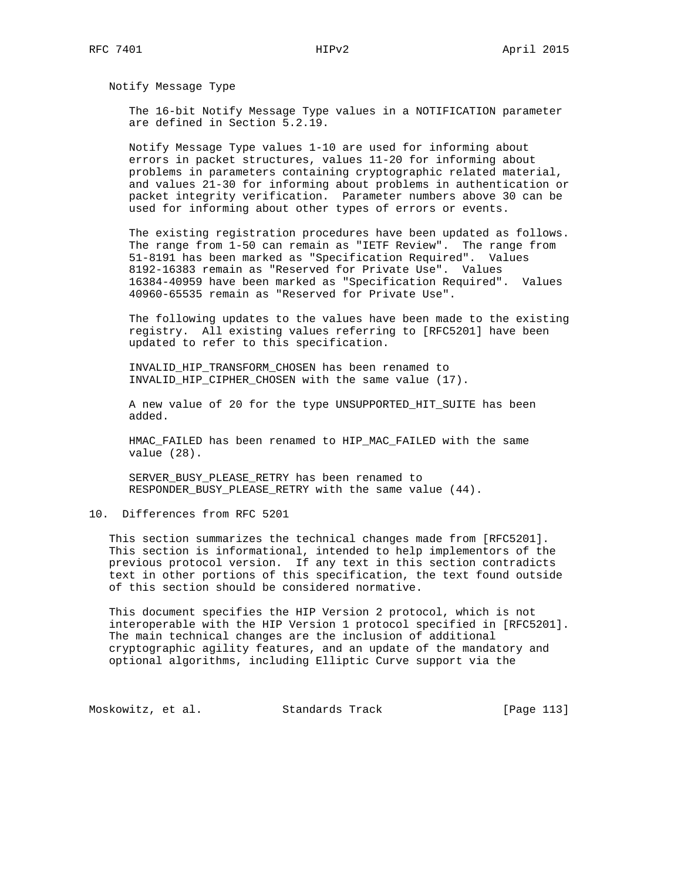Notify Message Type

 The 16-bit Notify Message Type values in a NOTIFICATION parameter are defined in Section 5.2.19.

 Notify Message Type values 1-10 are used for informing about errors in packet structures, values 11-20 for informing about problems in parameters containing cryptographic related material, and values 21-30 for informing about problems in authentication or packet integrity verification. Parameter numbers above 30 can be used for informing about other types of errors or events.

 The existing registration procedures have been updated as follows. The range from 1-50 can remain as "IETF Review". The range from 51-8191 has been marked as "Specification Required". Values 8192-16383 remain as "Reserved for Private Use". Values 16384-40959 have been marked as "Specification Required". Values 40960-65535 remain as "Reserved for Private Use".

 The following updates to the values have been made to the existing registry. All existing values referring to [RFC5201] have been updated to refer to this specification.

 INVALID\_HIP\_TRANSFORM\_CHOSEN has been renamed to INVALID\_HIP\_CIPHER\_CHOSEN with the same value (17).

 A new value of 20 for the type UNSUPPORTED\_HIT\_SUITE has been added.

 HMAC\_FAILED has been renamed to HIP\_MAC\_FAILED with the same value (28).

 SERVER\_BUSY\_PLEASE\_RETRY has been renamed to RESPONDER\_BUSY\_PLEASE\_RETRY with the same value (44).

10. Differences from RFC 5201

 This section summarizes the technical changes made from [RFC5201]. This section is informational, intended to help implementors of the previous protocol version. If any text in this section contradicts text in other portions of this specification, the text found outside of this section should be considered normative.

 This document specifies the HIP Version 2 protocol, which is not interoperable with the HIP Version 1 protocol specified in [RFC5201]. The main technical changes are the inclusion of additional cryptographic agility features, and an update of the mandatory and optional algorithms, including Elliptic Curve support via the

Moskowitz, et al. Standards Track [Page 113]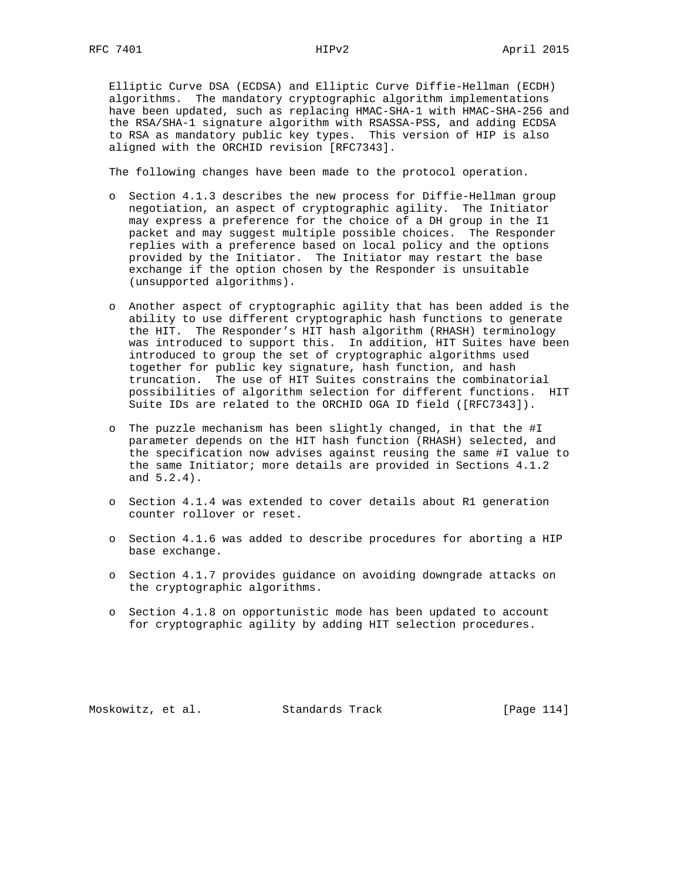Elliptic Curve DSA (ECDSA) and Elliptic Curve Diffie-Hellman (ECDH) algorithms. The mandatory cryptographic algorithm implementations have been updated, such as replacing HMAC-SHA-1 with HMAC-SHA-256 and the RSA/SHA-1 signature algorithm with RSASSA-PSS, and adding ECDSA to RSA as mandatory public key types. This version of HIP is also aligned with the ORCHID revision [RFC7343].

The following changes have been made to the protocol operation.

- o Section 4.1.3 describes the new process for Diffie-Hellman group negotiation, an aspect of cryptographic agility. The Initiator may express a preference for the choice of a DH group in the I1 packet and may suggest multiple possible choices. The Responder replies with a preference based on local policy and the options provided by the Initiator. The Initiator may restart the base exchange if the option chosen by the Responder is unsuitable (unsupported algorithms).
- o Another aspect of cryptographic agility that has been added is the ability to use different cryptographic hash functions to generate the HIT. The Responder's HIT hash algorithm (RHASH) terminology was introduced to support this. In addition, HIT Suites have been introduced to group the set of cryptographic algorithms used together for public key signature, hash function, and hash truncation. The use of HIT Suites constrains the combinatorial possibilities of algorithm selection for different functions. HIT Suite IDs are related to the ORCHID OGA ID field ([RFC7343]).
- o The puzzle mechanism has been slightly changed, in that the #I parameter depends on the HIT hash function (RHASH) selected, and the specification now advises against reusing the same #I value to the same Initiator; more details are provided in Sections 4.1.2 and 5.2.4).
- o Section 4.1.4 was extended to cover details about R1 generation counter rollover or reset.
- o Section 4.1.6 was added to describe procedures for aborting a HIP base exchange.
- o Section 4.1.7 provides guidance on avoiding downgrade attacks on the cryptographic algorithms.
- o Section 4.1.8 on opportunistic mode has been updated to account for cryptographic agility by adding HIT selection procedures.

Moskowitz, et al. Standards Track [Page 114]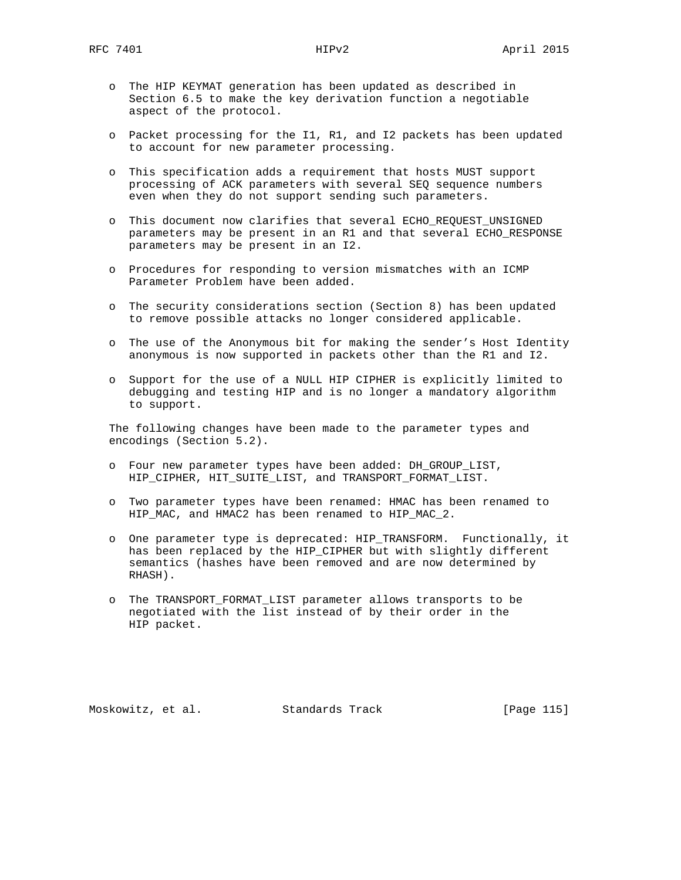- o The HIP KEYMAT generation has been updated as described in Section 6.5 to make the key derivation function a negotiable aspect of the protocol.
- o Packet processing for the I1, R1, and I2 packets has been updated to account for new parameter processing.
- o This specification adds a requirement that hosts MUST support processing of ACK parameters with several SEQ sequence numbers even when they do not support sending such parameters.
- o This document now clarifies that several ECHO\_REQUEST\_UNSIGNED parameters may be present in an R1 and that several ECHO\_RESPONSE parameters may be present in an I2.
- o Procedures for responding to version mismatches with an ICMP Parameter Problem have been added.
- o The security considerations section (Section 8) has been updated to remove possible attacks no longer considered applicable.
- o The use of the Anonymous bit for making the sender's Host Identity anonymous is now supported in packets other than the R1 and I2.
- o Support for the use of a NULL HIP CIPHER is explicitly limited to debugging and testing HIP and is no longer a mandatory algorithm to support.

 The following changes have been made to the parameter types and encodings (Section 5.2).

- o Four new parameter types have been added: DH\_GROUP\_LIST, HIP\_CIPHER, HIT\_SUITE\_LIST, and TRANSPORT\_FORMAT\_LIST.
- o Two parameter types have been renamed: HMAC has been renamed to HIP\_MAC, and HMAC2 has been renamed to HIP\_MAC\_2.
- o One parameter type is deprecated: HIP\_TRANSFORM. Functionally, it has been replaced by the HIP\_CIPHER but with slightly different semantics (hashes have been removed and are now determined by RHASH).
- o The TRANSPORT\_FORMAT\_LIST parameter allows transports to be negotiated with the list instead of by their order in the HIP packet.

Moskowitz, et al. Standards Track [Page 115]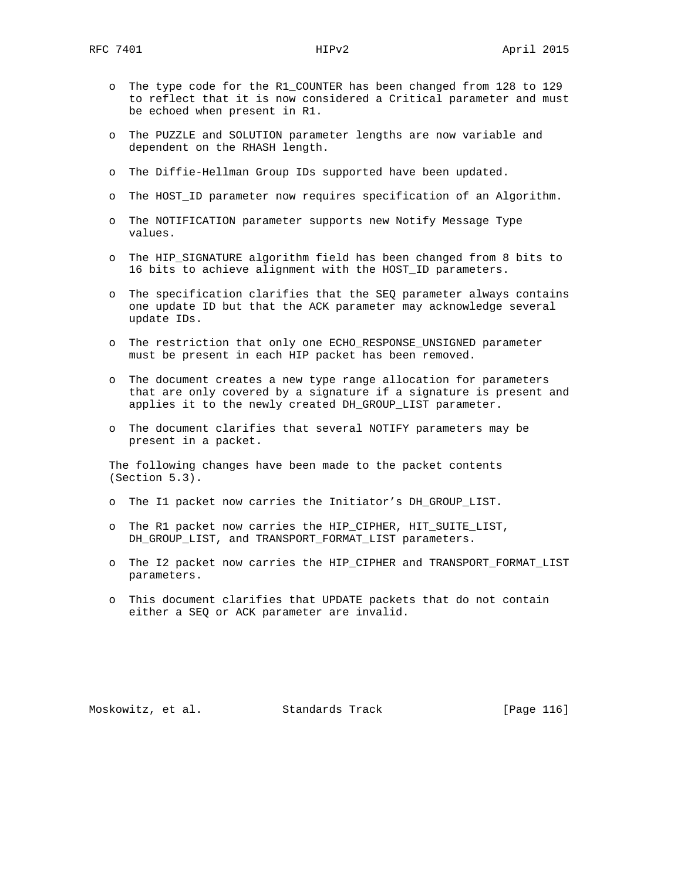- o The type code for the R1\_COUNTER has been changed from 128 to 129 to reflect that it is now considered a Critical parameter and must be echoed when present in R1.
- o The PUZZLE and SOLUTION parameter lengths are now variable and dependent on the RHASH length.
- o The Diffie-Hellman Group IDs supported have been updated.
- o The HOST\_ID parameter now requires specification of an Algorithm.
- o The NOTIFICATION parameter supports new Notify Message Type values.
- o The HIP\_SIGNATURE algorithm field has been changed from 8 bits to 16 bits to achieve alignment with the HOST\_ID parameters.
- o The specification clarifies that the SEQ parameter always contains one update ID but that the ACK parameter may acknowledge several update IDs.
- o The restriction that only one ECHO\_RESPONSE\_UNSIGNED parameter must be present in each HIP packet has been removed.
- o The document creates a new type range allocation for parameters that are only covered by a signature if a signature is present and applies it to the newly created DH\_GROUP\_LIST parameter.
- o The document clarifies that several NOTIFY parameters may be present in a packet.

 The following changes have been made to the packet contents (Section 5.3).

- o The I1 packet now carries the Initiator's DH\_GROUP\_LIST.
- o The R1 packet now carries the HIP CIPHER, HIT SUITE LIST, DH\_GROUP\_LIST, and TRANSPORT\_FORMAT\_LIST parameters.
- o The I2 packet now carries the HIP\_CIPHER and TRANSPORT\_FORMAT\_LIST parameters.
- o This document clarifies that UPDATE packets that do not contain either a SEQ or ACK parameter are invalid.

Moskowitz, et al. Standards Track [Page 116]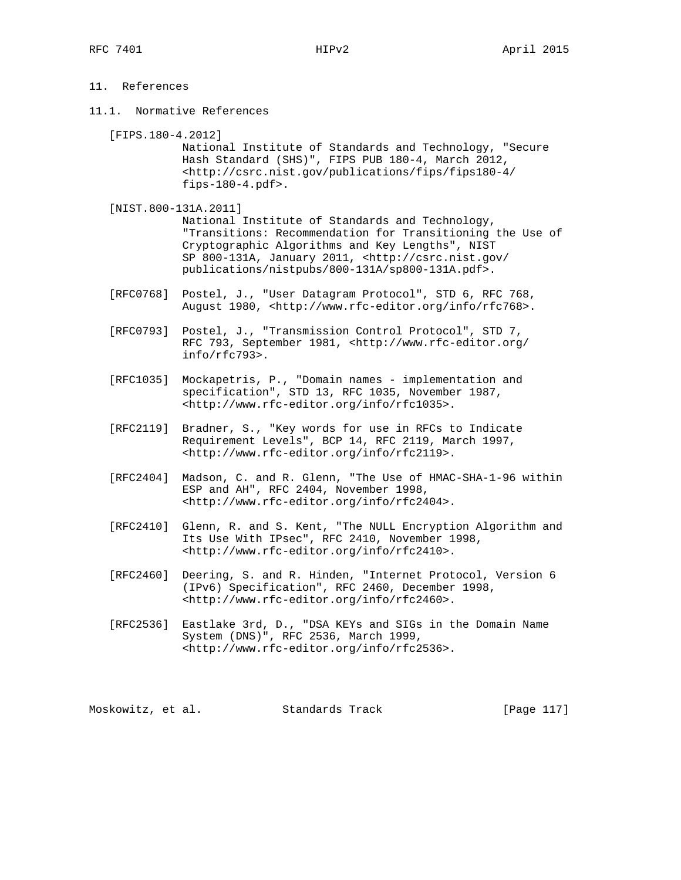# 11. References

- 11.1. Normative References
	- [FIPS.180-4.2012]

 National Institute of Standards and Technology, "Secure Hash Standard (SHS)", FIPS PUB 180-4, March 2012, <http://csrc.nist.gov/publications/fips/fips180-4/ fips-180-4.pdf>.

[NIST.800-131A.2011]

 National Institute of Standards and Technology, "Transitions: Recommendation for Transitioning the Use of Cryptographic Algorithms and Key Lengths", NIST SP 800-131A, January 2011, <http://csrc.nist.gov/ publications/nistpubs/800-131A/sp800-131A.pdf>.

- [RFC0768] Postel, J., "User Datagram Protocol", STD 6, RFC 768, August 1980, <http://www.rfc-editor.org/info/rfc768>.
- [RFC0793] Postel, J., "Transmission Control Protocol", STD 7, RFC 793, September 1981, <http://www.rfc-editor.org/ info/rfc793>.
- [RFC1035] Mockapetris, P., "Domain names implementation and specification", STD 13, RFC 1035, November 1987, <http://www.rfc-editor.org/info/rfc1035>.
- [RFC2119] Bradner, S., "Key words for use in RFCs to Indicate Requirement Levels", BCP 14, RFC 2119, March 1997, <http://www.rfc-editor.org/info/rfc2119>.
- [RFC2404] Madson, C. and R. Glenn, "The Use of HMAC-SHA-1-96 within ESP and AH", RFC 2404, November 1998, <http://www.rfc-editor.org/info/rfc2404>.
- [RFC2410] Glenn, R. and S. Kent, "The NULL Encryption Algorithm and Its Use With IPsec", RFC 2410, November 1998, <http://www.rfc-editor.org/info/rfc2410>.
- [RFC2460] Deering, S. and R. Hinden, "Internet Protocol, Version 6 (IPv6) Specification", RFC 2460, December 1998, <http://www.rfc-editor.org/info/rfc2460>.
- [RFC2536] Eastlake 3rd, D., "DSA KEYs and SIGs in the Domain Name System (DNS)", RFC 2536, March 1999, <http://www.rfc-editor.org/info/rfc2536>.

Moskowitz, et al. Standards Track [Page 117]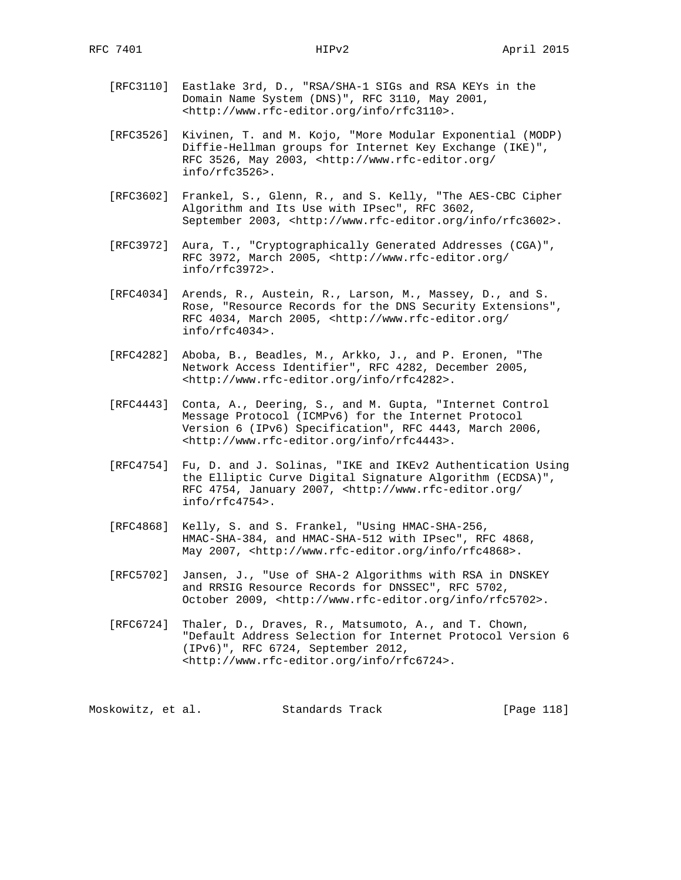- [RFC3110] Eastlake 3rd, D., "RSA/SHA-1 SIGs and RSA KEYs in the Domain Name System (DNS)", RFC 3110, May 2001, <http://www.rfc-editor.org/info/rfc3110>.
- [RFC3526] Kivinen, T. and M. Kojo, "More Modular Exponential (MODP) Diffie-Hellman groups for Internet Key Exchange (IKE)", RFC 3526, May 2003, <http://www.rfc-editor.org/ info/rfc3526>.
- [RFC3602] Frankel, S., Glenn, R., and S. Kelly, "The AES-CBC Cipher Algorithm and Its Use with IPsec", RFC 3602, September 2003, <http://www.rfc-editor.org/info/rfc3602>.
- [RFC3972] Aura, T., "Cryptographically Generated Addresses (CGA)", RFC 3972, March 2005, <http://www.rfc-editor.org/ info/rfc3972>.
- [RFC4034] Arends, R., Austein, R., Larson, M., Massey, D., and S. Rose, "Resource Records for the DNS Security Extensions", RFC 4034, March 2005, <http://www.rfc-editor.org/ info/rfc4034>.
- [RFC4282] Aboba, B., Beadles, M., Arkko, J., and P. Eronen, "The Network Access Identifier", RFC 4282, December 2005, <http://www.rfc-editor.org/info/rfc4282>.
- [RFC4443] Conta, A., Deering, S., and M. Gupta, "Internet Control Message Protocol (ICMPv6) for the Internet Protocol Version 6 (IPv6) Specification", RFC 4443, March 2006, <http://www.rfc-editor.org/info/rfc4443>.
- [RFC4754] Fu, D. and J. Solinas, "IKE and IKEv2 Authentication Using the Elliptic Curve Digital Signature Algorithm (ECDSA)", RFC 4754, January 2007, <http://www.rfc-editor.org/ info/rfc4754>.
- [RFC4868] Kelly, S. and S. Frankel, "Using HMAC-SHA-256, HMAC-SHA-384, and HMAC-SHA-512 with IPsec", RFC 4868, May 2007, <http://www.rfc-editor.org/info/rfc4868>.
- [RFC5702] Jansen, J., "Use of SHA-2 Algorithms with RSA in DNSKEY and RRSIG Resource Records for DNSSEC", RFC 5702, October 2009, <http://www.rfc-editor.org/info/rfc5702>.
- [RFC6724] Thaler, D., Draves, R., Matsumoto, A., and T. Chown, "Default Address Selection for Internet Protocol Version 6 (IPv6)", RFC 6724, September 2012, <http://www.rfc-editor.org/info/rfc6724>.

Moskowitz, et al. Standards Track [Page 118]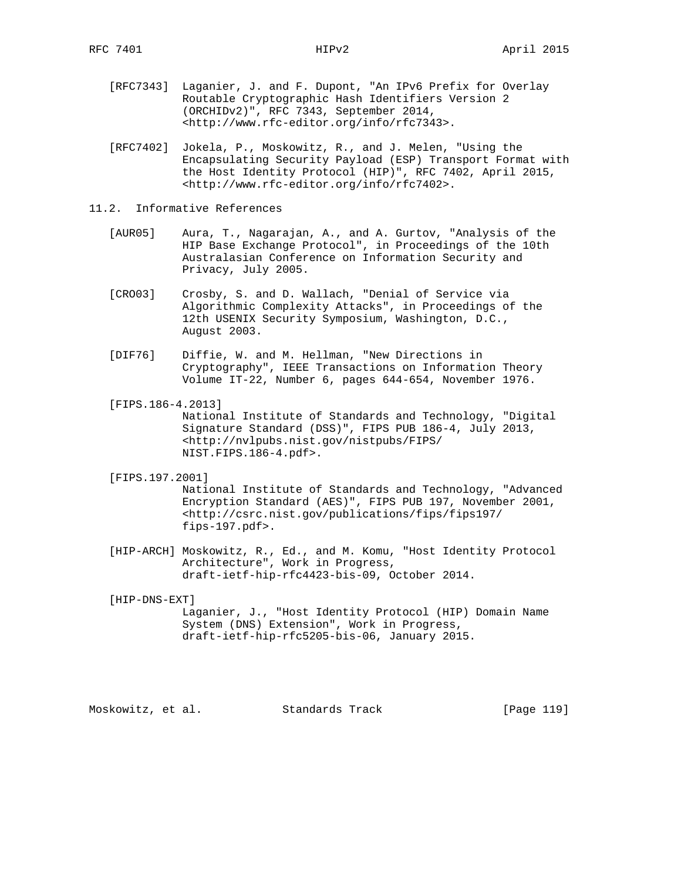- [RFC7343] Laganier, J. and F. Dupont, "An IPv6 Prefix for Overlay Routable Cryptographic Hash Identifiers Version 2 (ORCHIDv2)", RFC 7343, September 2014, <http://www.rfc-editor.org/info/rfc7343>.
- [RFC7402] Jokela, P., Moskowitz, R., and J. Melen, "Using the Encapsulating Security Payload (ESP) Transport Format with the Host Identity Protocol (HIP)", RFC 7402, April 2015, <http://www.rfc-editor.org/info/rfc7402>.
- 11.2. Informative References
	- [AUR05] Aura, T., Nagarajan, A., and A. Gurtov, "Analysis of the HIP Base Exchange Protocol", in Proceedings of the 10th Australasian Conference on Information Security and Privacy, July 2005.
	- [CRO03] Crosby, S. and D. Wallach, "Denial of Service via Algorithmic Complexity Attacks", in Proceedings of the 12th USENIX Security Symposium, Washington, D.C., August 2003.
	- [DIF76] Diffie, W. and M. Hellman, "New Directions in Cryptography", IEEE Transactions on Information Theory Volume IT-22, Number 6, pages 644-654, November 1976.
	- [FIPS.186-4.2013] National Institute of Standards and Technology, "Digital Signature Standard (DSS)", FIPS PUB 186-4, July 2013, <http://nvlpubs.nist.gov/nistpubs/FIPS/ NIST.FIPS.186-4.pdf>.
	- [FIPS.197.2001]

 National Institute of Standards and Technology, "Advanced Encryption Standard (AES)", FIPS PUB 197, November 2001, <http://csrc.nist.gov/publications/fips/fips197/ fips-197.pdf>.

 [HIP-ARCH] Moskowitz, R., Ed., and M. Komu, "Host Identity Protocol Architecture", Work in Progress, draft-ietf-hip-rfc4423-bis-09, October 2014.

[HIP-DNS-EXT]

 Laganier, J., "Host Identity Protocol (HIP) Domain Name System (DNS) Extension", Work in Progress, draft-ietf-hip-rfc5205-bis-06, January 2015.

Moskowitz, et al. Standards Track [Page 119]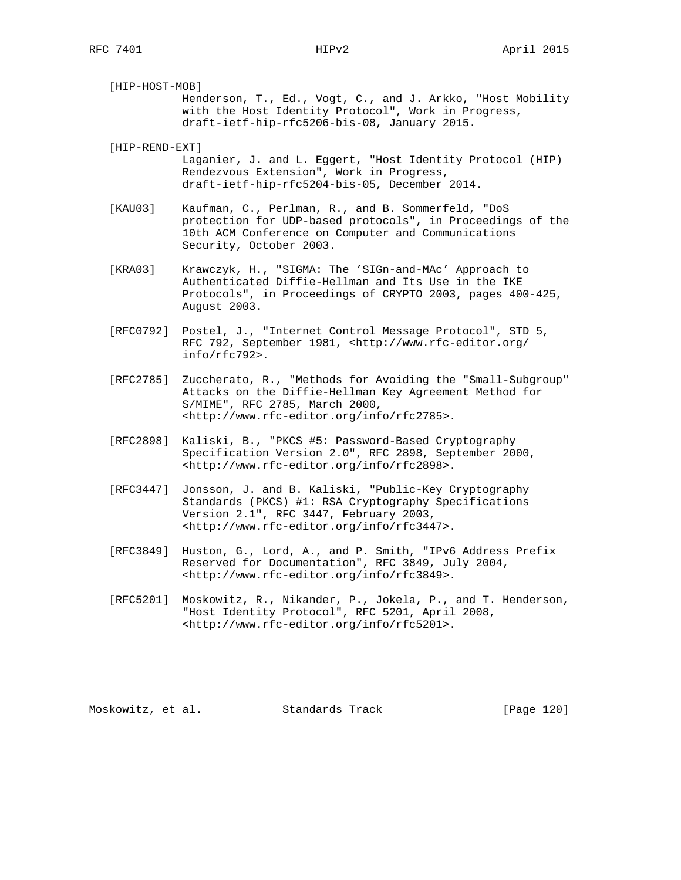| [HIP-HOST-MOB]                                      |                                                            |  |  |  |  |
|-----------------------------------------------------|------------------------------------------------------------|--|--|--|--|
|                                                     | Henderson, T., Ed., Vogt, C., and J. Arkko, "Host Mobility |  |  |  |  |
| with the Host Identity Protocol", Work in Progress, |                                                            |  |  |  |  |
|                                                     | draft-ietf-hip-rfc5206-bis-08, January 2015.               |  |  |  |  |

[HIP-REND-EXT]

- Laganier, J. and L. Eggert, "Host Identity Protocol (HIP) Rendezvous Extension", Work in Progress, draft-ietf-hip-rfc5204-bis-05, December 2014.
- [KAU03] Kaufman, C., Perlman, R., and B. Sommerfeld, "DoS protection for UDP-based protocols", in Proceedings of the 10th ACM Conference on Computer and Communications Security, October 2003.
- [KRA03] Krawczyk, H., "SIGMA: The 'SIGn-and-MAc' Approach to Authenticated Diffie-Hellman and Its Use in the IKE Protocols", in Proceedings of CRYPTO 2003, pages 400-425, August 2003.
- [RFC0792] Postel, J., "Internet Control Message Protocol", STD 5, RFC 792, September 1981, <http://www.rfc-editor.org/ info/rfc792>.
- [RFC2785] Zuccherato, R., "Methods for Avoiding the "Small-Subgroup" Attacks on the Diffie-Hellman Key Agreement Method for S/MIME", RFC 2785, March 2000, <http://www.rfc-editor.org/info/rfc2785>.
- [RFC2898] Kaliski, B., "PKCS #5: Password-Based Cryptography Specification Version 2.0", RFC 2898, September 2000, <http://www.rfc-editor.org/info/rfc2898>.
- [RFC3447] Jonsson, J. and B. Kaliski, "Public-Key Cryptography Standards (PKCS) #1: RSA Cryptography Specifications Version 2.1", RFC 3447, February 2003, <http://www.rfc-editor.org/info/rfc3447>.
- [RFC3849] Huston, G., Lord, A., and P. Smith, "IPv6 Address Prefix Reserved for Documentation", RFC 3849, July 2004, <http://www.rfc-editor.org/info/rfc3849>.
- [RFC5201] Moskowitz, R., Nikander, P., Jokela, P., and T. Henderson, "Host Identity Protocol", RFC 5201, April 2008, <http://www.rfc-editor.org/info/rfc5201>.

Moskowitz, et al. Standards Track [Page 120]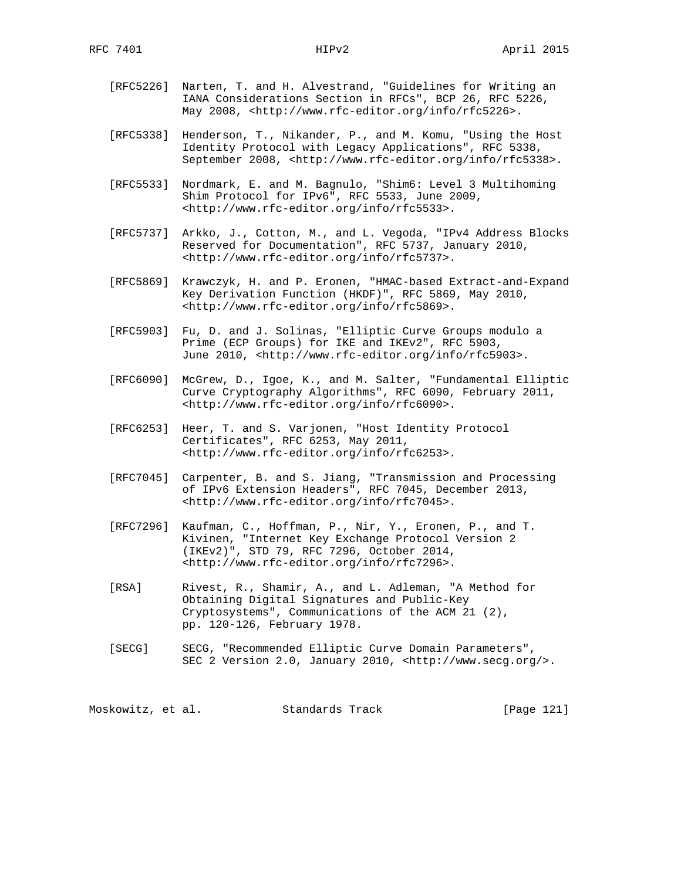- [RFC5226] Narten, T. and H. Alvestrand, "Guidelines for Writing an IANA Considerations Section in RFCs", BCP 26, RFC 5226, May 2008, <http://www.rfc-editor.org/info/rfc5226>.
- [RFC5338] Henderson, T., Nikander, P., and M. Komu, "Using the Host Identity Protocol with Legacy Applications", RFC 5338, September 2008, <http://www.rfc-editor.org/info/rfc5338>.
- [RFC5533] Nordmark, E. and M. Bagnulo, "Shim6: Level 3 Multihoming Shim Protocol for IPv6", RFC 5533, June 2009, <http://www.rfc-editor.org/info/rfc5533>.
- [RFC5737] Arkko, J., Cotton, M., and L. Vegoda, "IPv4 Address Blocks Reserved for Documentation", RFC 5737, January 2010, <http://www.rfc-editor.org/info/rfc5737>.
- [RFC5869] Krawczyk, H. and P. Eronen, "HMAC-based Extract-and-Expand Key Derivation Function (HKDF)", RFC 5869, May 2010, <http://www.rfc-editor.org/info/rfc5869>.
- [RFC5903] Fu, D. and J. Solinas, "Elliptic Curve Groups modulo a Prime (ECP Groups) for IKE and IKEv2", RFC 5903, June 2010, <http://www.rfc-editor.org/info/rfc5903>.
- [RFC6090] McGrew, D., Igoe, K., and M. Salter, "Fundamental Elliptic Curve Cryptography Algorithms", RFC 6090, February 2011, <http://www.rfc-editor.org/info/rfc6090>.
- [RFC6253] Heer, T. and S. Varjonen, "Host Identity Protocol Certificates", RFC 6253, May 2011, <http://www.rfc-editor.org/info/rfc6253>.
- [RFC7045] Carpenter, B. and S. Jiang, "Transmission and Processing of IPv6 Extension Headers", RFC 7045, December 2013, <http://www.rfc-editor.org/info/rfc7045>.
- [RFC7296] Kaufman, C., Hoffman, P., Nir, Y., Eronen, P., and T. Kivinen, "Internet Key Exchange Protocol Version 2 (IKEv2)", STD 79, RFC 7296, October 2014, <http://www.rfc-editor.org/info/rfc7296>.
- [RSA] Rivest, R., Shamir, A., and L. Adleman, "A Method for Obtaining Digital Signatures and Public-Key Cryptosystems", Communications of the ACM 21 (2), pp. 120-126, February 1978.
- [SECG] SECG, "Recommended Elliptic Curve Domain Parameters", SEC 2 Version 2.0, January 2010, <http://www.secg.org/>.

Moskowitz, et al. Standards Track [Page 121]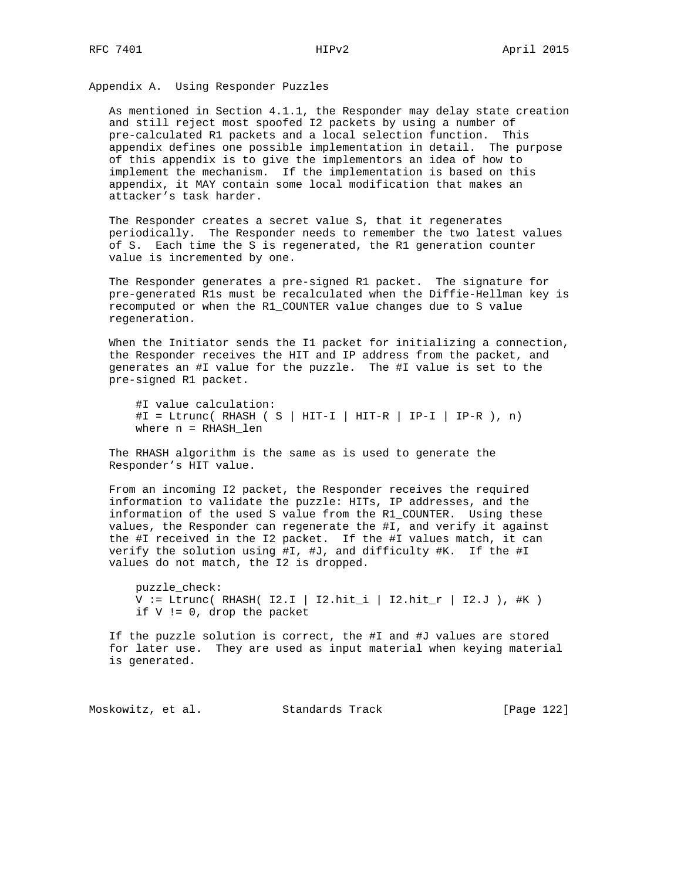Appendix A. Using Responder Puzzles

 As mentioned in Section 4.1.1, the Responder may delay state creation and still reject most spoofed I2 packets by using a number of pre-calculated R1 packets and a local selection function. This appendix defines one possible implementation in detail. The purpose of this appendix is to give the implementors an idea of how to implement the mechanism. If the implementation is based on this appendix, it MAY contain some local modification that makes an attacker's task harder.

 The Responder creates a secret value S, that it regenerates periodically. The Responder needs to remember the two latest values of S. Each time the S is regenerated, the R1 generation counter value is incremented by one.

 The Responder generates a pre-signed R1 packet. The signature for pre-generated R1s must be recalculated when the Diffie-Hellman key is recomputed or when the R1\_COUNTER value changes due to S value regeneration.

 When the Initiator sends the I1 packet for initializing a connection, the Responder receives the HIT and IP address from the packet, and generates an #I value for the puzzle. The #I value is set to the pre-signed R1 packet.

 #I value calculation:  $\sharp I = Ltrunc( RHSH) ( S | HIT-I | HIT-R | IP-I | IP-R ), n)$ where n = RHASH\_len

 The RHASH algorithm is the same as is used to generate the Responder's HIT value.

 From an incoming I2 packet, the Responder receives the required information to validate the puzzle: HITs, IP addresses, and the information of the used S value from the R1\_COUNTER. Using these values, the Responder can regenerate the #I, and verify it against the #I received in the I2 packet. If the #I values match, it can verify the solution using #I, #J, and difficulty #K. If the #I values do not match, the I2 is dropped.

 puzzle\_check:  $V := Ltrunc( RHASH( I2.I | I2.hit\_i | I2.hit\_r | I2.J ), #K )$ if V != 0, drop the packet

 If the puzzle solution is correct, the #I and #J values are stored for later use. They are used as input material when keying material is generated.

Moskowitz, et al. Standards Track [Page 122]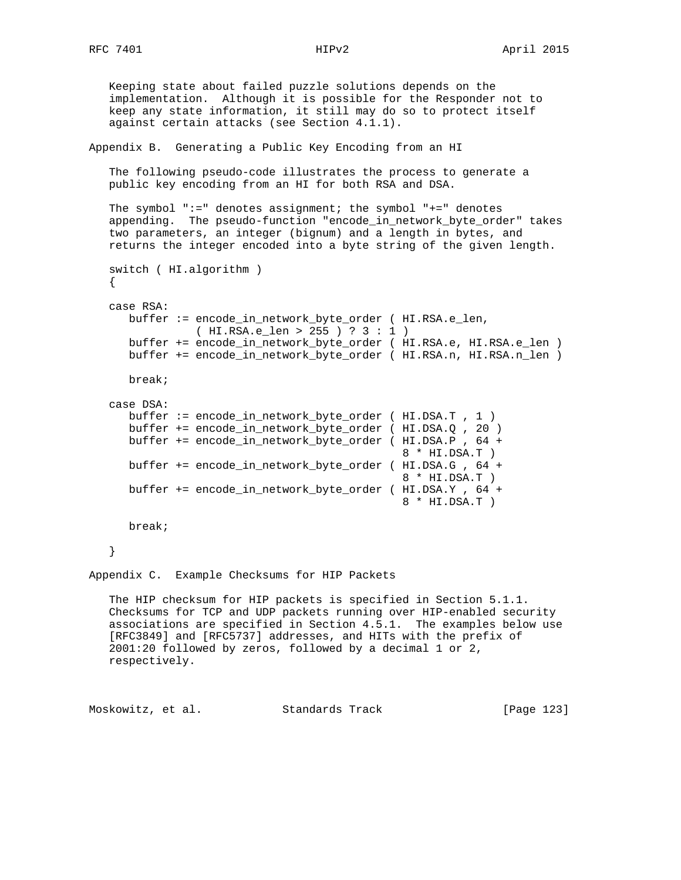Keeping state about failed puzzle solutions depends on the implementation. Although it is possible for the Responder not to keep any state information, it still may do so to protect itself against certain attacks (see Section 4.1.1). Appendix B. Generating a Public Key Encoding from an HI The following pseudo-code illustrates the process to generate a public key encoding from an HI for both RSA and DSA. The symbol ":=" denotes assignment; the symbol "+=" denotes appending. The pseudo-function "encode\_in\_network\_byte\_order" takes two parameters, an integer (bignum) and a length in bytes, and returns the integer encoded into a byte string of the given length. switch ( HI.algorithm ) { case RSA: buffer := encode\_in\_network\_byte\_order ( HI.RSA.e\_len, ( HI.RSA.e\_len > 255 ) ? 3 : 1 ) buffer += encode\_in\_network\_byte\_order ( HI.RSA.e, HI.RSA.e\_len ) buffer += encode\_in\_network\_byte\_order ( HI.RSA.n, HI.RSA.n\_len ) break; case DSA: buffer := encode\_in\_network\_byte\_order ( HI.DSA.T , 1 ) buffer += encode\_in\_network\_byte\_order ( HI.DSA.Q , 20 ) buffer += encode\_in\_network\_byte\_order ( HI.DSA.P , 64 + 8 \* HI.DSA.T ) buffer += encode\_in\_network\_byte\_order ( HI.DSA.G , 64 + 8 \* HI.DSA.T ) buffer += encode\_in\_network\_byte\_order ( HI.DSA.Y , 64 + 8 \* HI.DSA.T ) break; } Appendix C. Example Checksums for HIP Packets The HIP checksum for HIP packets is specified in Section 5.1.1. Checksums for TCP and UDP packets running over HIP-enabled security associations are specified in Section 4.5.1. The examples below use [RFC3849] and [RFC5737] addresses, and HITs with the prefix of 2001:20 followed by zeros, followed by a decimal 1 or 2, respectively.

Moskowitz, et al. Standards Track [Page 123]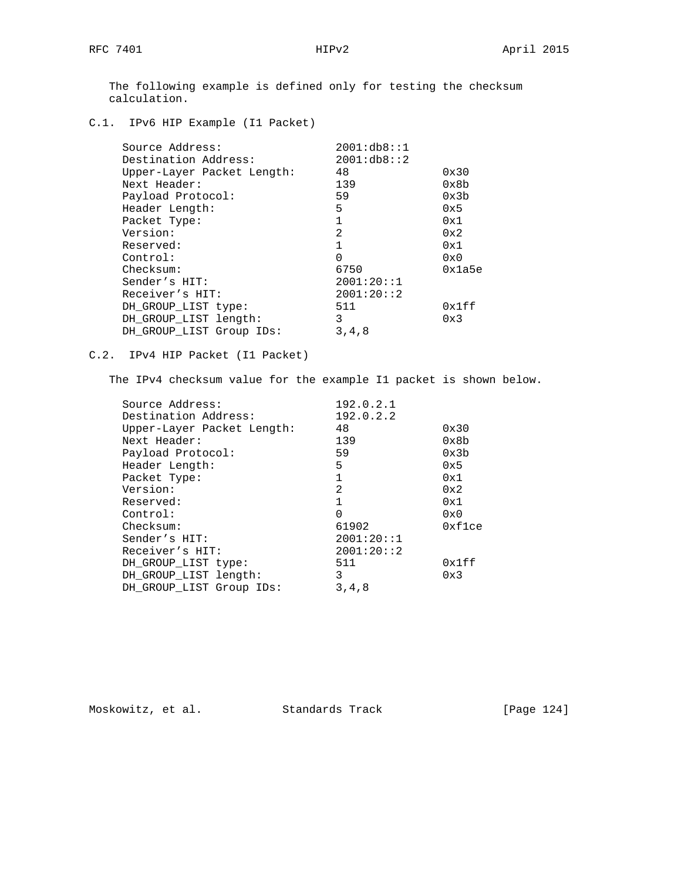The following example is defined only for testing the checksum calculation.

C.1. IPv6 HIP Example (I1 Packet)

| Source Address:            | 2001:db8:1  |        |
|----------------------------|-------------|--------|
| Destination Address:       | 2001:db8::2 |        |
| Upper-Layer Packet Length: | 48          | 0x30   |
| Next Header:               | 139         | 0x8b   |
| Payload Protocol:          | 59          | 0x3b   |
| Header Length:             | 5           | 0x5    |
| Packet Type:               | 1           | 0x1    |
| Version:                   | 2           | 0x2    |
| Reserved:                  |             | 0x1    |
| Control:                   | 0           | 0x0    |
| Checksum:                  | 6750        | 0x1a5e |
| Sender's HIT:              | 2001:20:1   |        |
| Receiver's HIT:            | 2001:20::2  |        |
| DH GROUP LIST type:        | 511         | 0x1ff  |
| DH GROUP LIST length:      | 3           | 0x3    |
| DH GROUP LIST Group IDs:   | 3, 4, 8     |        |

C.2. IPv4 HIP Packet (I1 Packet)

The IPv4 checksum value for the example I1 packet is shown below.

| Source Address:            | 192.0.2.1    |              |
|----------------------------|--------------|--------------|
| Destination Address:       | 192.0.2.2    |              |
| Upper-Layer Packet Length: | 48           | 0x30         |
| Next Header:               | 139          | 0x8b         |
| Payload Protocol:          | 59           | 0x3b         |
| Header Length:             | 5            | 0x5          |
| Packet Type:               | $\mathbf{1}$ | 0x1          |
| Version:                   | 2            | 0x2          |
| Reserved:                  |              | 0x1          |
| Control:                   | 0            | $0 \times 0$ |
| Checksum:                  | 61902        | 0xf1ce       |
| Sender's HIT:              | 2001:20:1    |              |
| Receiver's HIT:            | 2001:20:2    |              |
| DH GROUP LIST type:        | 511          | 0x1ff        |
| DH_GROUP_LIST length:      | 3            | 0x3          |
| DH GROUP LIST Group IDs:   | 3, 4, 8      |              |

Moskowitz, et al. Standards Track [Page 124]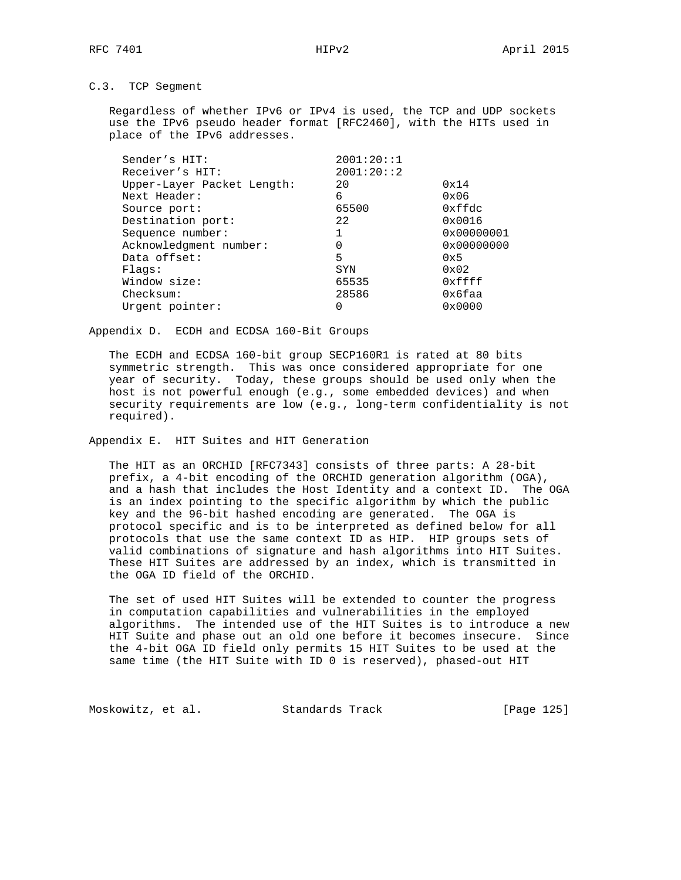# C.3. TCP Segment

 Regardless of whether IPv6 or IPv4 is used, the TCP and UDP sockets use the IPv6 pseudo header format [RFC2460], with the HITs used in place of the IPv6 addresses.

| Sender's HIT:              | 2001:20:1 |                     |
|----------------------------|-----------|---------------------|
| Receiver's HIT:            | 2001:20:2 |                     |
| Upper-Layer Packet Length: | 20        | 0x14                |
| Next Header:               | 6         | $0 \times 06$       |
| Source port:               | 65500     | 0xffdc              |
| Destination port:          | 2.2       | 0x0016              |
| Sequence number:           | 1         | 0x00000001          |
| Acknowledgment number:     | 0         | $0 \times 00000000$ |
| Data offset:               | 5         | 0x5                 |
| Flaqs:                     | SYN       | $0 \times 02$       |
| Window size:               | 65535     | 0xffff              |
| Checksum:                  | 28586     | 0x6faa              |
| Urgent pointer:            |           | 0x0000              |
|                            |           |                     |

Appendix D. ECDH and ECDSA 160-Bit Groups

 The ECDH and ECDSA 160-bit group SECP160R1 is rated at 80 bits symmetric strength. This was once considered appropriate for one year of security. Today, these groups should be used only when the host is not powerful enough (e.g., some embedded devices) and when security requirements are low (e.g., long-term confidentiality is not required).

Appendix E. HIT Suites and HIT Generation

 The HIT as an ORCHID [RFC7343] consists of three parts: A 28-bit prefix, a 4-bit encoding of the ORCHID generation algorithm (OGA), and a hash that includes the Host Identity and a context ID. The OGA is an index pointing to the specific algorithm by which the public key and the 96-bit hashed encoding are generated. The OGA is protocol specific and is to be interpreted as defined below for all protocols that use the same context ID as HIP. HIP groups sets of valid combinations of signature and hash algorithms into HIT Suites. These HIT Suites are addressed by an index, which is transmitted in the OGA ID field of the ORCHID.

 The set of used HIT Suites will be extended to counter the progress in computation capabilities and vulnerabilities in the employed algorithms. The intended use of the HIT Suites is to introduce a new HIT Suite and phase out an old one before it becomes insecure. Since the 4-bit OGA ID field only permits 15 HIT Suites to be used at the same time (the HIT Suite with ID 0 is reserved), phased-out HIT

Moskowitz, et al. Standards Track [Page 125]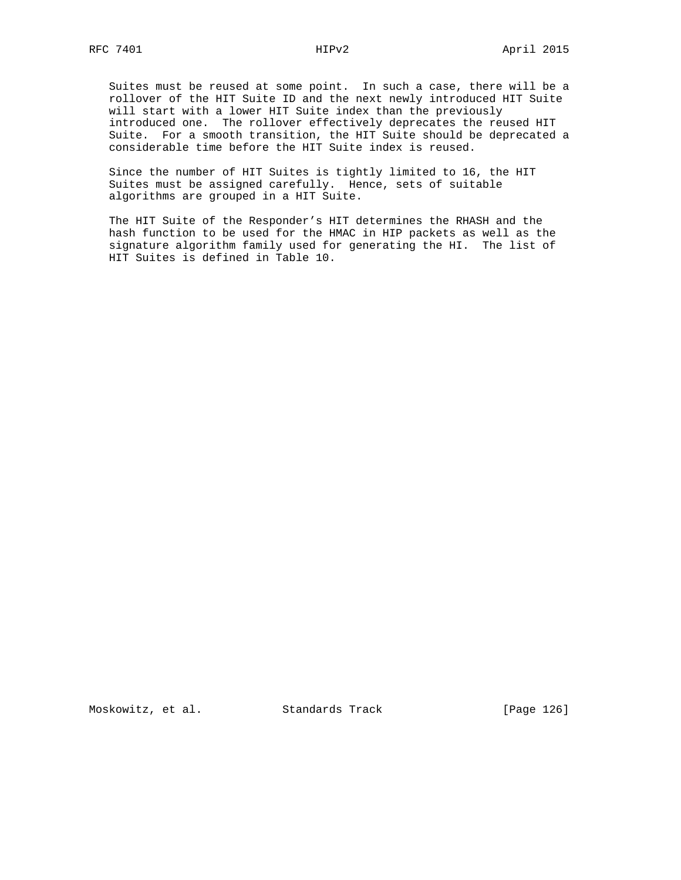Suites must be reused at some point. In such a case, there will be a rollover of the HIT Suite ID and the next newly introduced HIT Suite will start with a lower HIT Suite index than the previously introduced one. The rollover effectively deprecates the reused HIT Suite. For a smooth transition, the HIT Suite should be deprecated a considerable time before the HIT Suite index is reused.

 Since the number of HIT Suites is tightly limited to 16, the HIT Suites must be assigned carefully. Hence, sets of suitable algorithms are grouped in a HIT Suite.

 The HIT Suite of the Responder's HIT determines the RHASH and the hash function to be used for the HMAC in HIP packets as well as the signature algorithm family used for generating the HI. The list of HIT Suites is defined in Table 10.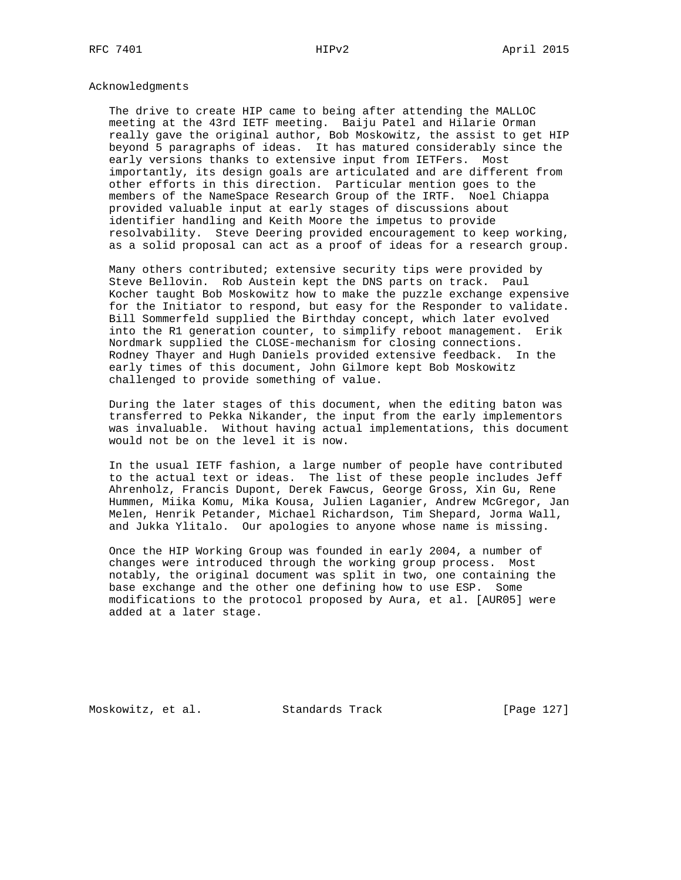## Acknowledgments

 The drive to create HIP came to being after attending the MALLOC meeting at the 43rd IETF meeting. Baiju Patel and Hilarie Orman really gave the original author, Bob Moskowitz, the assist to get HIP beyond 5 paragraphs of ideas. It has matured considerably since the early versions thanks to extensive input from IETFers. Most importantly, its design goals are articulated and are different from other efforts in this direction. Particular mention goes to the members of the NameSpace Research Group of the IRTF. Noel Chiappa provided valuable input at early stages of discussions about identifier handling and Keith Moore the impetus to provide resolvability. Steve Deering provided encouragement to keep working, as a solid proposal can act as a proof of ideas for a research group.

 Many others contributed; extensive security tips were provided by Steve Bellovin. Rob Austein kept the DNS parts on track. Paul Kocher taught Bob Moskowitz how to make the puzzle exchange expensive for the Initiator to respond, but easy for the Responder to validate. Bill Sommerfeld supplied the Birthday concept, which later evolved into the R1 generation counter, to simplify reboot management. Erik Nordmark supplied the CLOSE-mechanism for closing connections. Rodney Thayer and Hugh Daniels provided extensive feedback. In the early times of this document, John Gilmore kept Bob Moskowitz challenged to provide something of value.

 During the later stages of this document, when the editing baton was transferred to Pekka Nikander, the input from the early implementors was invaluable. Without having actual implementations, this document would not be on the level it is now.

 In the usual IETF fashion, a large number of people have contributed to the actual text or ideas. The list of these people includes Jeff Ahrenholz, Francis Dupont, Derek Fawcus, George Gross, Xin Gu, Rene Hummen, Miika Komu, Mika Kousa, Julien Laganier, Andrew McGregor, Jan Melen, Henrik Petander, Michael Richardson, Tim Shepard, Jorma Wall, and Jukka Ylitalo. Our apologies to anyone whose name is missing.

 Once the HIP Working Group was founded in early 2004, a number of changes were introduced through the working group process. Most notably, the original document was split in two, one containing the base exchange and the other one defining how to use ESP. Some modifications to the protocol proposed by Aura, et al. [AUR05] were added at a later stage.

Moskowitz, et al. Standards Track [Page 127]